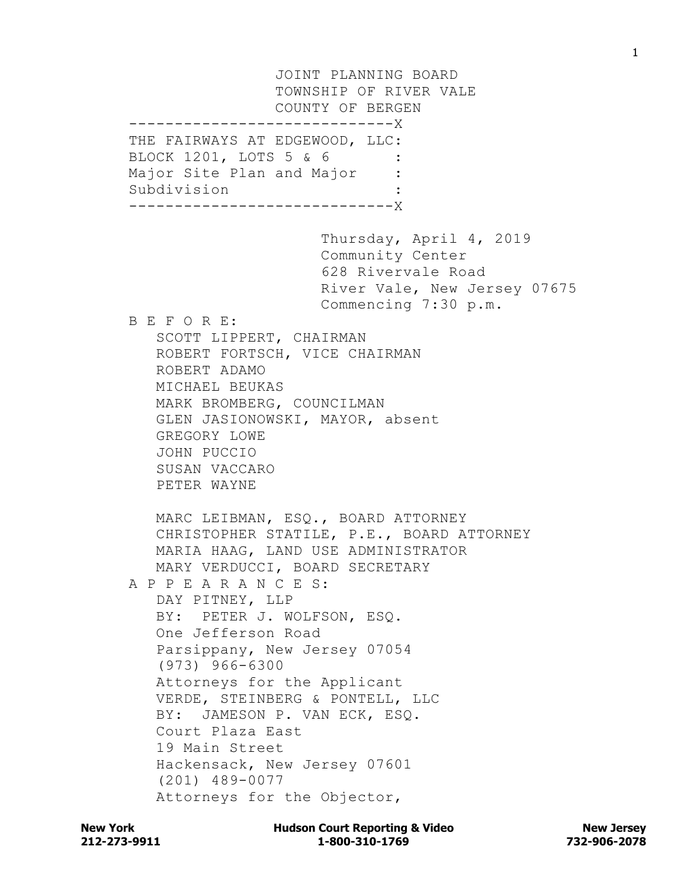JOINT PLANNING BOARD TOWNSHIP OF RIVER VALE COUNTY OF BERGEN -----------------------------X THE FAIRWAYS AT EDGEWOOD, LLC: BLOCK 1201, LOTS 5 & 6 Major Site Plan and Major : Subdivision : -----------------------------X Thursday, April 4, 2019 Community Center 628 Rivervale Road River Vale, New Jersey 07675 Commencing 7:30 p.m. B E F O R E: SCOTT LIPPERT, CHAIRMAN ROBERT FORTSCH, VICE CHAIRMAN ROBERT ADAMO MICHAEL BEUKAS MARK BROMBERG, COUNCILMAN GLEN JASIONOWSKI, MAYOR, absent GREGORY LOWE JOHN PUCCIO SUSAN VACCARO PETER WAYNE MARC LEIBMAN, ESQ., BOARD ATTORNEY CHRISTOPHER STATILE, P.E., BOARD ATTORNEY MARIA HAAG, LAND USE ADMINISTRATOR MARY VERDUCCI, BOARD SECRETARY A P P E A R A N C E S: DAY PITNEY, LLP BY: PETER J. WOLFSON, ESQ. One Jefferson Road Parsippany, New Jersey 07054 (973) 966-6300 Attorneys for the Applicant VERDE, STEINBERG & PONTELL, LLC BY: JAMESON P. VAN ECK, ESQ. Court Plaza East 19 Main Street Hackensack, New Jersey 07601 (201) 489-0077 Attorneys for the Objector,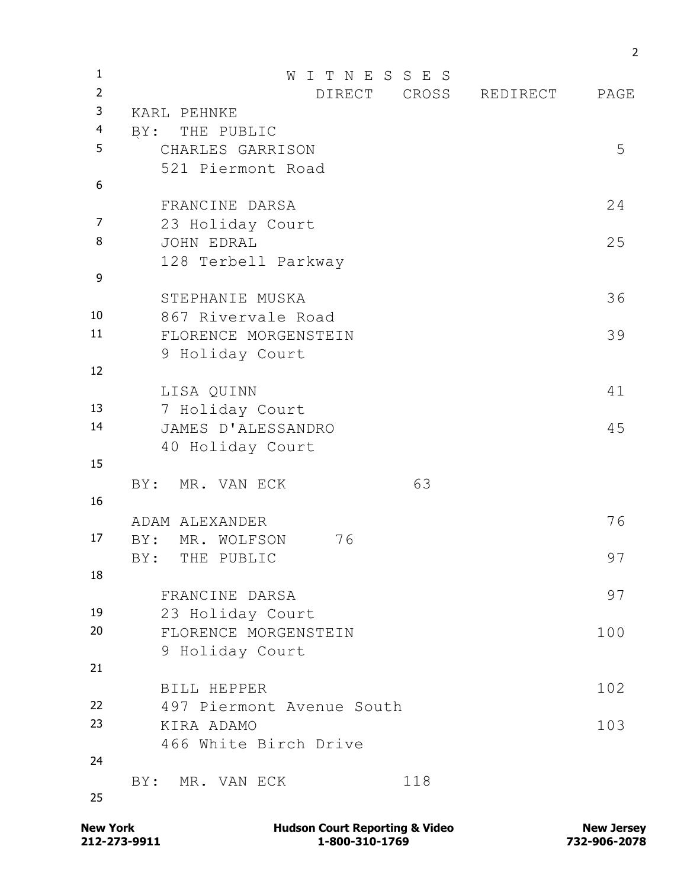| $\mathbf{1}$   | I T N E S S E S<br>W      |     |                |      |  |
|----------------|---------------------------|-----|----------------|------|--|
| $\overline{2}$ | <b>DIRECT</b>             |     | CROSS REDIRECT | PAGE |  |
| 3              | KARL PEHNKE               |     |                |      |  |
| 4              | BY: THE PUBLIC            |     |                |      |  |
| 5              | CHARLES GARRISON          |     |                | 5    |  |
|                | 521 Piermont Road         |     |                |      |  |
| 6              |                           |     |                | 24   |  |
|                | FRANCINE DARSA            |     |                |      |  |
| 7              | 23 Holiday Court          |     |                |      |  |
| 8              | JOHN EDRAL                |     |                | 25   |  |
| 9              | 128 Terbell Parkway       |     |                |      |  |
|                | STEPHANIE MUSKA           |     |                | 36   |  |
| 10             | 867 Rivervale Road        |     |                |      |  |
| 11             | FLORENCE MORGENSTEIN      |     |                | 39   |  |
|                | 9 Holiday Court           |     |                |      |  |
| 12             |                           |     |                |      |  |
|                | LISA QUINN                |     |                | 41   |  |
| 13             | 7 Holiday Court           |     |                |      |  |
| 14             | JAMES D'ALESSANDRO        |     |                | 45   |  |
|                | 40 Holiday Court          |     |                |      |  |
| 15             |                           |     |                |      |  |
|                | BY:<br>MR. VAN ECK        | 63  |                |      |  |
| 16             |                           |     |                |      |  |
|                | ADAM ALEXANDER            |     |                | 76   |  |
| 17             | 76<br>BY:<br>MR. WOLFSON  |     |                |      |  |
|                | BY: THE PUBLIC            |     |                | 97   |  |
| 18             |                           |     |                |      |  |
|                | FRANCINE DARSA            |     |                | 97   |  |
| 19             | 23 Holiday Court          |     |                |      |  |
| 20             | FLORENCE MORGENSTEIN      |     |                | 100  |  |
|                | 9 Holiday Court           |     |                |      |  |
| 21             |                           |     |                |      |  |
|                | BILL HEPPER               |     |                | 102  |  |
| 22<br>23       | 497 Piermont Avenue South |     |                |      |  |
|                | KIRA ADAMO                |     |                | 103  |  |
| 24             | 466 White Birch Drive     |     |                |      |  |
|                | BY: MR. VAN ECK           | 118 |                |      |  |
| 25             |                           |     |                |      |  |
|                |                           |     |                |      |  |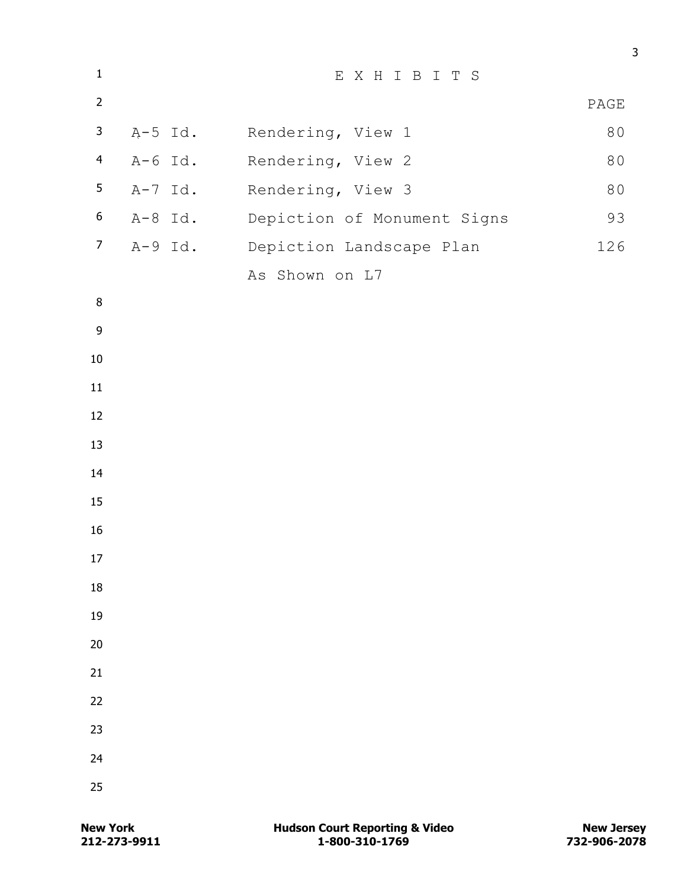| $\mathbf{1}$     | EXHIBITS  |                                     |      |  |
|------------------|-----------|-------------------------------------|------|--|
| $\overline{2}$   |           |                                     | PAGE |  |
| $\mathbf{3}$     |           | A-5 Id. Rendering, View 1           | 80   |  |
| $\overline{4}$   | A-6 Id.   | Rendering, View 2                   | 80   |  |
| 5                | $A-7$ Id. | Rendering, View 3                   | 80   |  |
| $\boldsymbol{6}$ |           | A-8 Id. Depiction of Monument Signs | 93   |  |
| $\overline{7}$   |           | A-9 Id. Depiction Landscape Plan    | 126  |  |
|                  |           | As Shown on L7                      |      |  |
| $\, 8$           |           |                                     |      |  |
| $\boldsymbol{9}$ |           |                                     |      |  |
| $10\,$           |           |                                     |      |  |
| 11               |           |                                     |      |  |
| 12               |           |                                     |      |  |
| 13               |           |                                     |      |  |
| 14               |           |                                     |      |  |
| 15               |           |                                     |      |  |
| $16\,$           |           |                                     |      |  |
| 17               |           |                                     |      |  |
| 18               |           |                                     |      |  |
| 19               |           |                                     |      |  |
| 20               |           |                                     |      |  |
| 21               |           |                                     |      |  |
| 22               |           |                                     |      |  |
| 23               |           |                                     |      |  |
| 24               |           |                                     |      |  |
| 25               |           |                                     |      |  |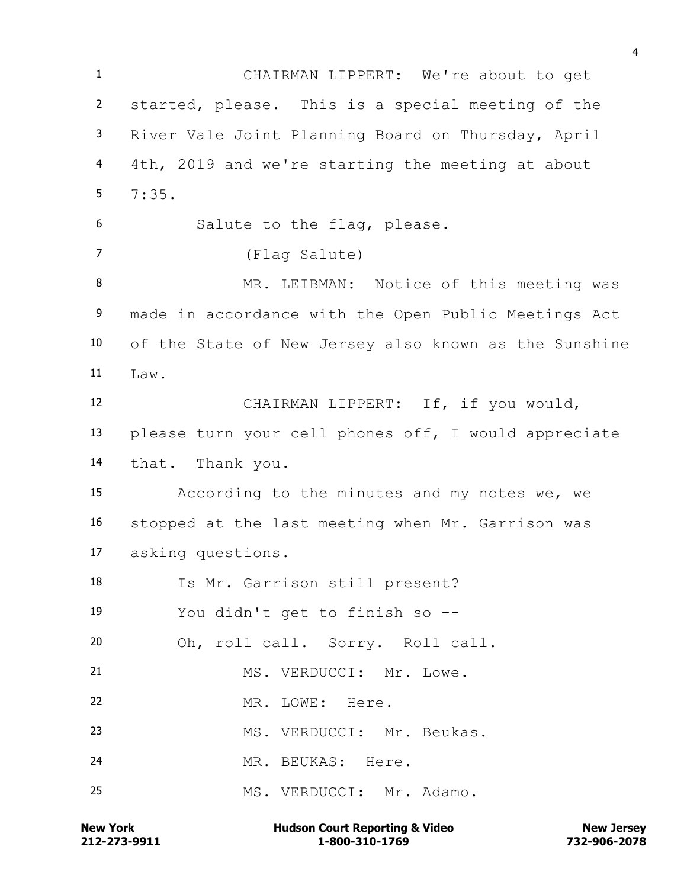CHAIRMAN LIPPERT: We're about to get started, please. This is a special meeting of the River Vale Joint Planning Board on Thursday, April 4th, 2019 and we're starting the meeting at about  $5 \t 7:35$ . Salute to the flag, please. (Flag Salute) MR. LEIBMAN: Notice of this meeting was made in accordance with the Open Public Meetings Act of the State of New Jersey also known as the Sunshine  $I_1aw$ . CHAIRMAN LIPPERT: If, if you would, please turn your cell phones off, I would appreciate that. Thank you. According to the minutes and my notes we, we stopped at the last meeting when Mr. Garrison was asking questions. Is Mr. Garrison still present? You didn't get to finish so -- Oh, roll call. Sorry. Roll call. 21 MS. VERDUCCI: Mr. Lowe. MR. LOWE: Here. MS. VERDUCCI: Mr. Beukas. MR. BEUKAS: Here. 25 MS. VERDUCCI: Mr. Adamo.

**212-273-9911 1-800-310-1769 732-906-2078 New York Communist Court Reporting & Video New Jersey Rew Jersey**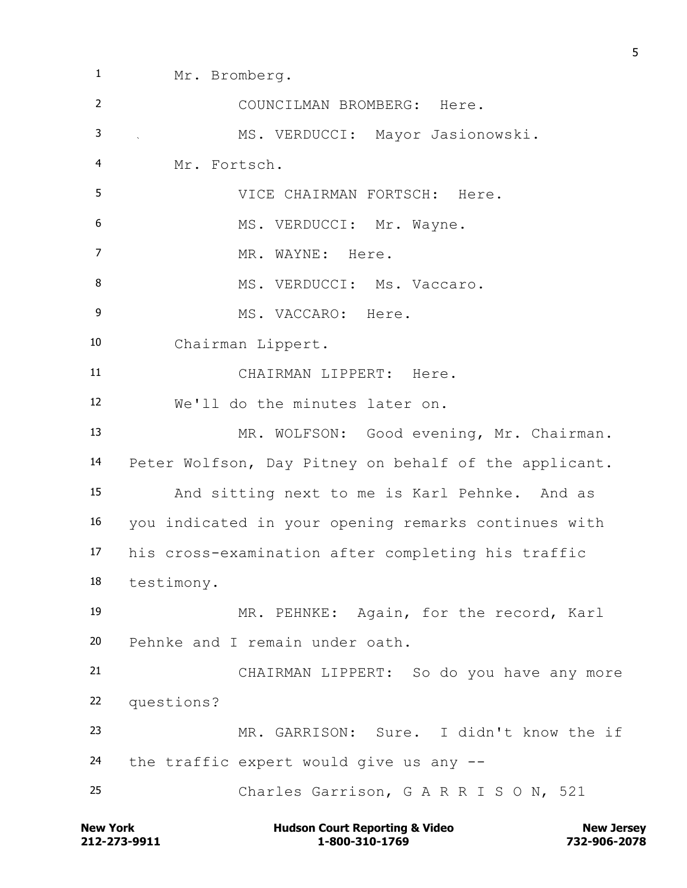Mr. Bromberg. COUNCILMAN BROMBERG: Here. MS. VERDUCCI: Mayor Jasionowski. Mr. Fortsch. VICE CHAIRMAN FORTSCH: Here. 6 MS. VERDUCCI: Mr. Wayne. 7 MR. WAYNE: Here. 8 MS. VERDUCCI: Ms. Vaccaro. 9 MS. VACCARO: Here. Chairman Lippert. CHAIRMAN LIPPERT: Here. We'll do the minutes later on. 13 MR. WOLFSON: Good evening, Mr. Chairman. Peter Wolfson, Day Pitney on behalf of the applicant. And sitting next to me is Karl Pehnke. And as you indicated in your opening remarks continues with his cross-examination after completing his traffic testimony. MR. PEHNKE: Again, for the record, Karl Pehnke and I remain under oath. CHAIRMAN LIPPERT: So do you have any more questions? MR. GARRISON: Sure. I didn't know the if the traffic expert would give us any -- Charles Garrison, G A R R I S O N, 521

**212-273-9911 1-800-310-1769 732-906-2078 New York New York COULD Hudson Court Reporting & Video New Jersey Rew Jersey**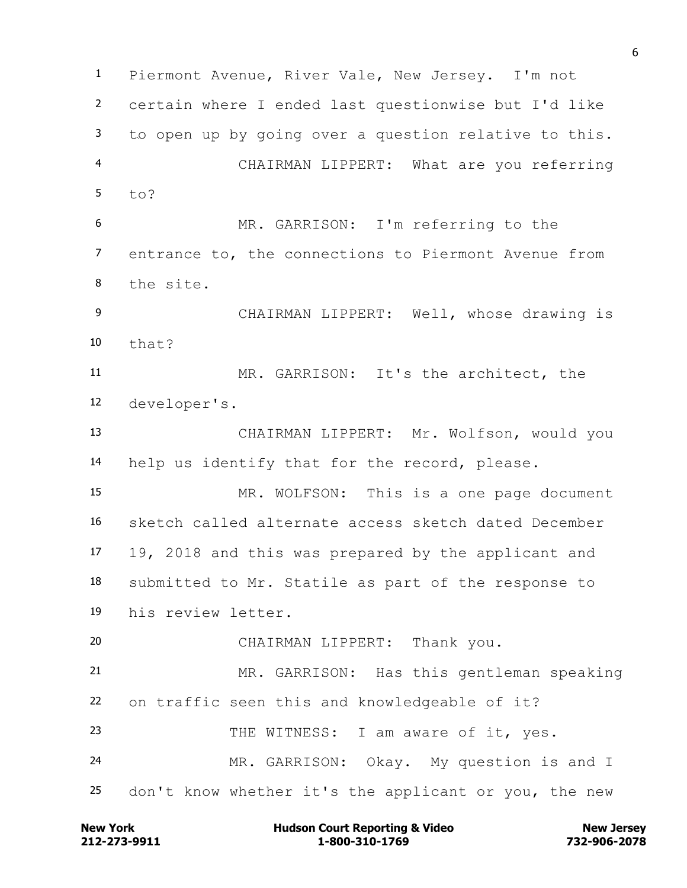Piermont Avenue, River Vale, New Jersey. I'm not certain where I ended last questionwise but I'd like to open up by going over a question relative to this. CHAIRMAN LIPPERT: What are you referring  $5 + 0$ ? MR. GARRISON: I'm referring to the entrance to, the connections to Piermont Avenue from the site. CHAIRMAN LIPPERT: Well, whose drawing is that? MR. GARRISON: It's the architect, the developer's. CHAIRMAN LIPPERT: Mr. Wolfson, would you help us identify that for the record, please. MR. WOLFSON: This is a one page document sketch called alternate access sketch dated December 19, 2018 and this was prepared by the applicant and submitted to Mr. Statile as part of the response to his review letter. CHAIRMAN LIPPERT: Thank you. MR. GARRISON: Has this gentleman speaking on traffic seen this and knowledgeable of it? 23 THE WITNESS: I am aware of it, yes. MR. GARRISON: Okay. My question is and I don't know whether it's the applicant or you, the new

**212-273-9911 1-800-310-1769 732-906-2078 New York Communist Court Reporting & Video New Jersey Rew Jersey**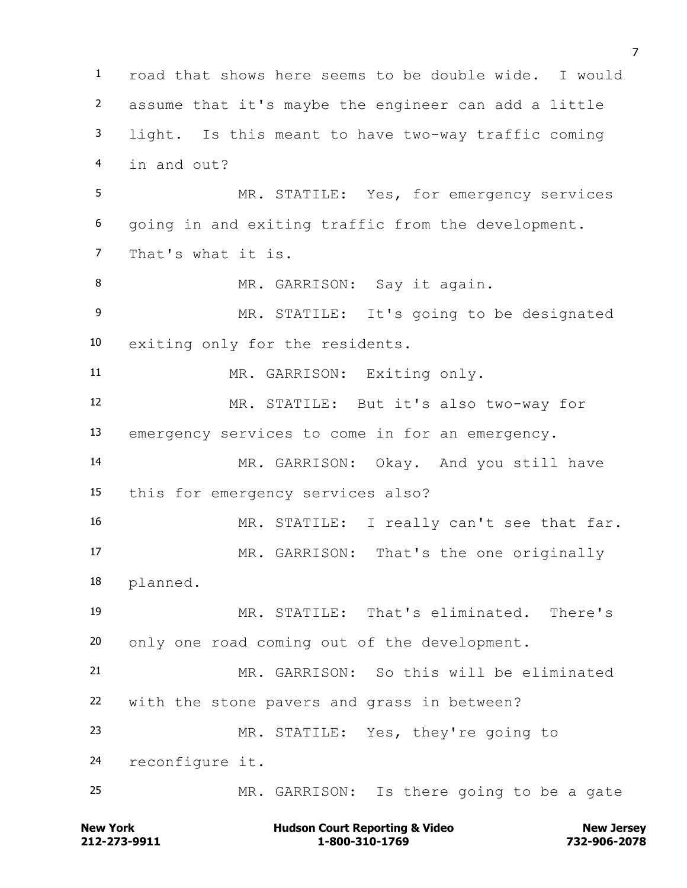road that shows here seems to be double wide. I would assume that it's maybe the engineer can add a little light. Is this meant to have two-way traffic coming in and out? MR. STATILE: Yes, for emergency services going in and exiting traffic from the development. That's what it is. 8 MR. GARRISON: Say it again. MR. STATILE: It's going to be designated exiting only for the residents. MR. GARRISON: Exiting only. MR. STATILE: But it's also two-way for emergency services to come in for an emergency. MR. GARRISON: Okay. And you still have this for emergency services also? 16 MR. STATILE: I really can't see that far. MR. GARRISON: That's the one originally planned. MR. STATILE: That's eliminated. There's only one road coming out of the development. MR. GARRISON: So this will be eliminated with the stone pavers and grass in between? MR. STATILE: Yes, they're going to reconfigure it. MR. GARRISON: Is there going to be a gate

**212-273-9911 1-800-310-1769 732-906-2078 New York Communist Court Reporting & Video New Jersey Rew Jersey**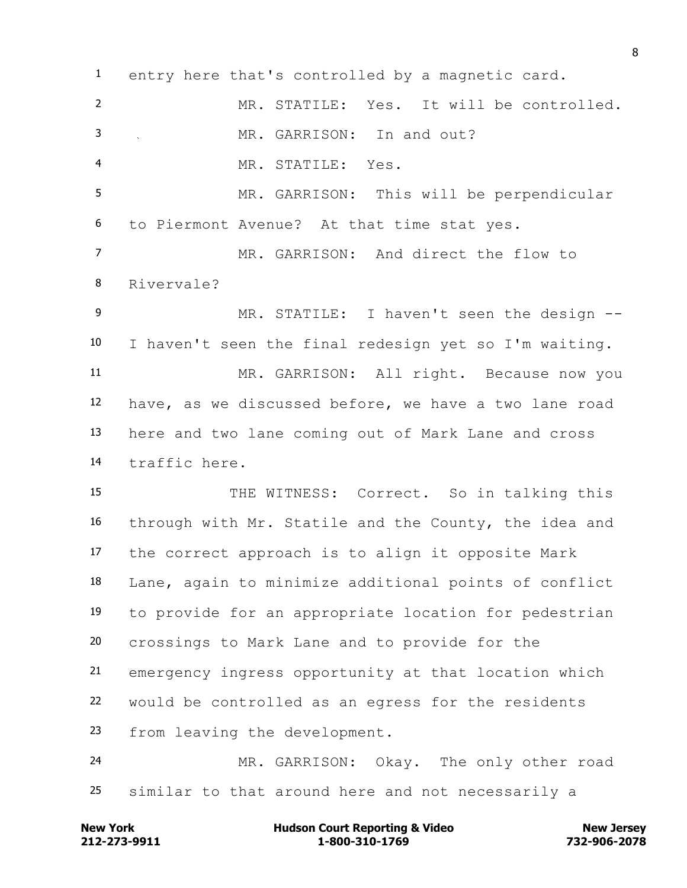entry here that's controlled by a magnetic card. MR. STATILE: Yes. It will be controlled. MR. GARRISON: In and out? MR. STATILE: Yes. MR. GARRISON: This will be perpendicular to Piermont Avenue? At that time stat yes. MR. GARRISON: And direct the flow to Rivervale? 9 MR. STATILE: I haven't seen the design -- I haven't seen the final redesign yet so I'm waiting. MR. GARRISON: All right. Because now you have, as we discussed before, we have a two lane road here and two lane coming out of Mark Lane and cross traffic here. 15 THE WITNESS: Correct. So in talking this through with Mr. Statile and the County, the idea and the correct approach is to align it opposite Mark Lane, again to minimize additional points of conflict to provide for an appropriate location for pedestrian crossings to Mark Lane and to provide for the emergency ingress opportunity at that location which would be controlled as an egress for the residents from leaving the development. MR. GARRISON: Okay. The only other road similar to that around here and not necessarily a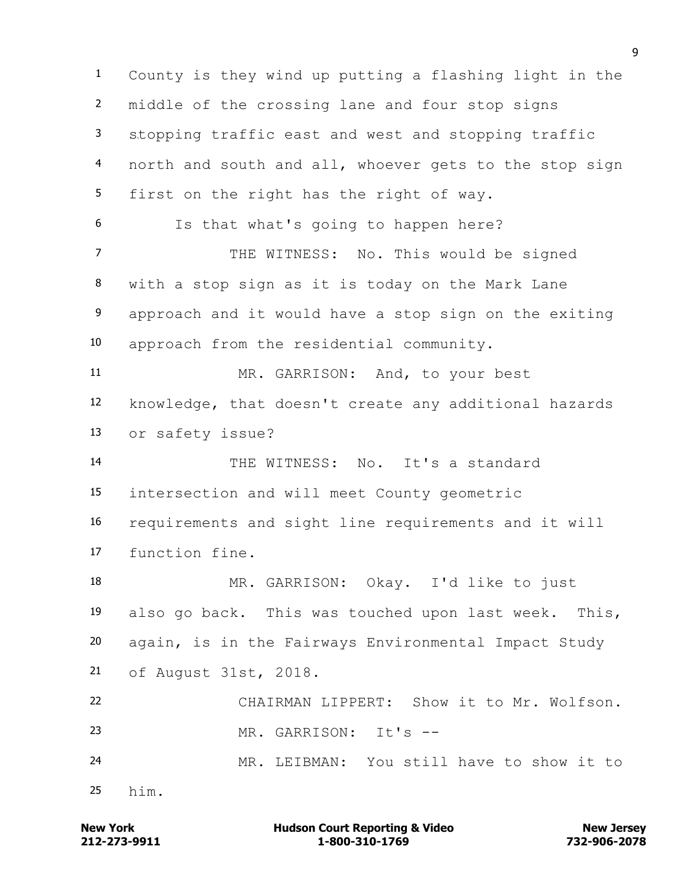County is they wind up putting a flashing light in the middle of the crossing lane and four stop signs stopping traffic east and west and stopping traffic north and south and all, whoever gets to the stop sign first on the right has the right of way. Is that what's going to happen here? 7 THE WITNESS: No. This would be signed with a stop sign as it is today on the Mark Lane approach and it would have a stop sign on the exiting approach from the residential community. MR. GARRISON: And, to your best knowledge, that doesn't create any additional hazards or safety issue? THE WITNESS: No. It's a standard intersection and will meet County geometric requirements and sight line requirements and it will function fine. MR. GARRISON: Okay. I'd like to just also go back. This was touched upon last week. This, again, is in the Fairways Environmental Impact Study of August 31st, 2018. CHAIRMAN LIPPERT: Show it to Mr. Wolfson. MR. GARRISON: It's -- MR. LEIBMAN: You still have to show it to him.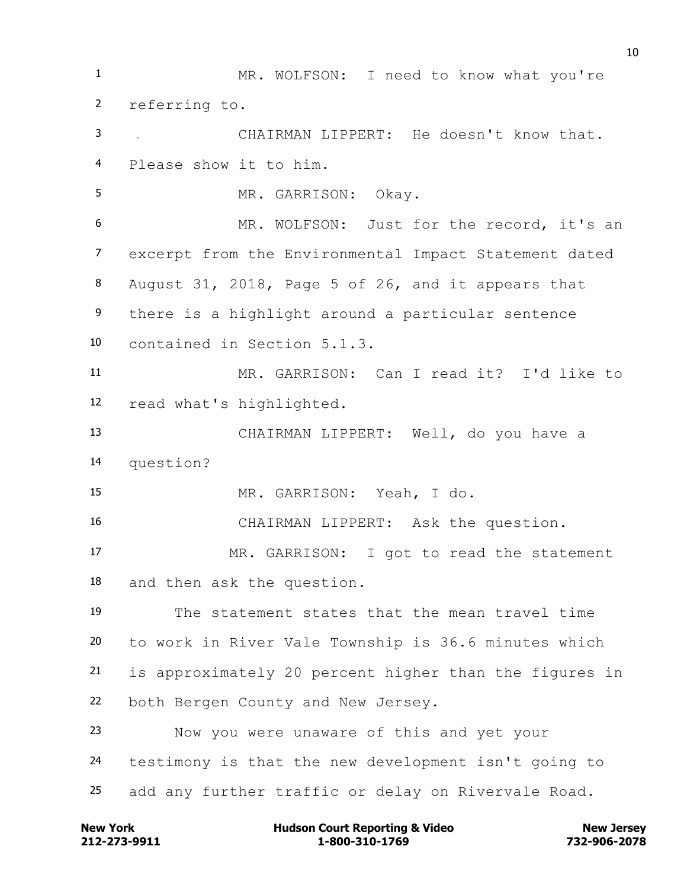MR. WOLFSON: I need to know what you're referring to. CHAIRMAN LIPPERT: He doesn't know that. Please show it to him. MR. GARRISON: Okay. 6 MR. WOLFSON: Just for the record, it's an excerpt from the Environmental Impact Statement dated August 31, 2018, Page 5 of 26, and it appears that there is a highlight around a particular sentence contained in Section 5.1.3. MR. GARRISON: Can I read it? I'd like to read what's highlighted. CHAIRMAN LIPPERT: Well, do you have a question? MR. GARRISON: Yeah, I do. CHAIRMAN LIPPERT: Ask the question. MR. GARRISON: I got to read the statement and then ask the question. The statement states that the mean travel time to work in River Vale Township is 36.6 minutes which is approximately 20 percent higher than the figures in both Bergen County and New Jersey. Now you were unaware of this and yet your testimony is that the new development isn't going to add any further traffic or delay on Rivervale Road.

**212-273-9911 1-800-310-1769 732-906-2078 New York Communist Court Reporting & Video New Jersey Rew Jersey**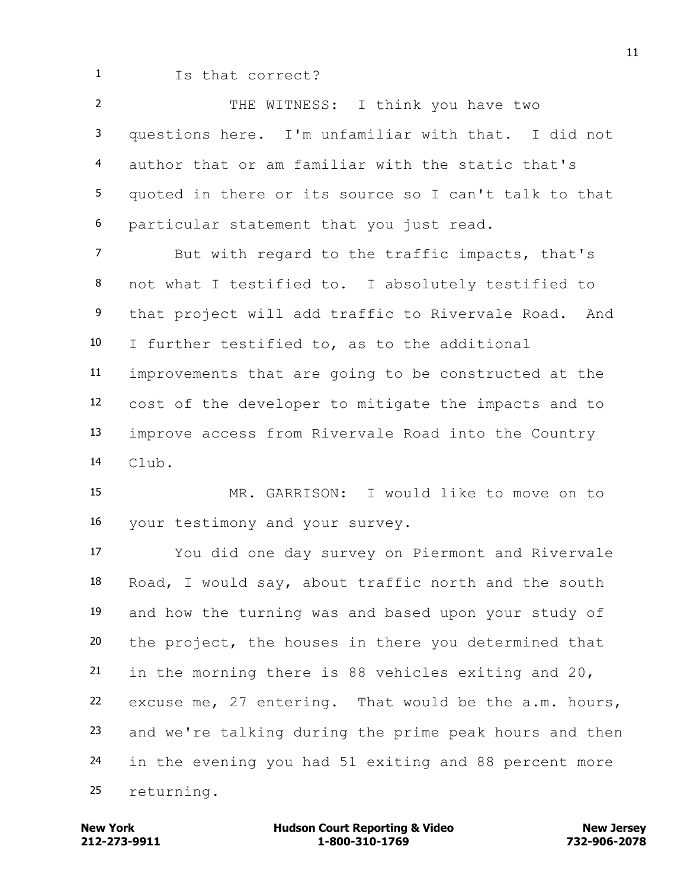Is that correct?

 THE WITNESS: I think you have two questions here. I'm unfamiliar with that. I did not author that or am familiar with the static that's quoted in there or its source so I can't talk to that particular statement that you just read.

 But with regard to the traffic impacts, that's not what I testified to. I absolutely testified to that project will add traffic to Rivervale Road. And I further testified to, as to the additional improvements that are going to be constructed at the cost of the developer to mitigate the impacts and to improve access from Rivervale Road into the Country Club.

 MR. GARRISON: I would like to move on to your testimony and your survey.

 You did one day survey on Piermont and Rivervale Road, I would say, about traffic north and the south and how the turning was and based upon your study of the project, the houses in there you determined that in the morning there is 88 vehicles exiting and 20, excuse me, 27 entering. That would be the a.m. hours, and we're talking during the prime peak hours and then in the evening you had 51 exiting and 88 percent more returning.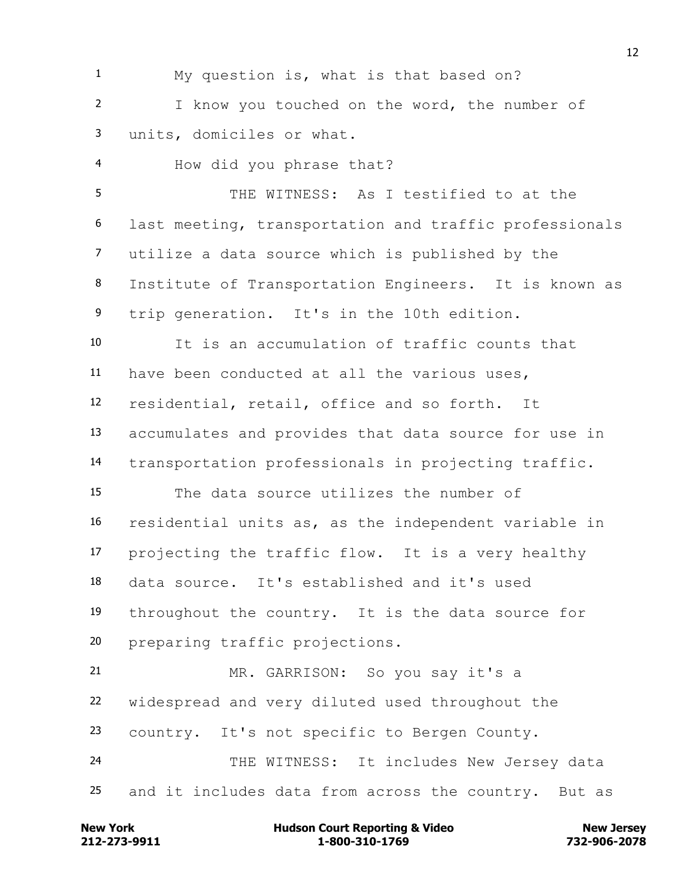My question is, what is that based on? I know you touched on the word, the number of units, domiciles or what.

 How did you phrase that? THE WITNESS: As I testified to at the last meeting, transportation and traffic professionals utilize a data source which is published by the Institute of Transportation Engineers. It is known as trip generation. It's in the 10th edition. It is an accumulation of traffic counts that have been conducted at all the various uses, residential, retail, office and so forth. It accumulates and provides that data source for use in transportation professionals in projecting traffic. The data source utilizes the number of residential units as, as the independent variable in projecting the traffic flow. It is a very healthy data source. It's established and it's used throughout the country. It is the data source for preparing traffic projections. MR. GARRISON: So you say it's a

 widespread and very diluted used throughout the country. It's not specific to Bergen County. 24 THE WITNESS: It includes New Jersey data and it includes data from across the country. But as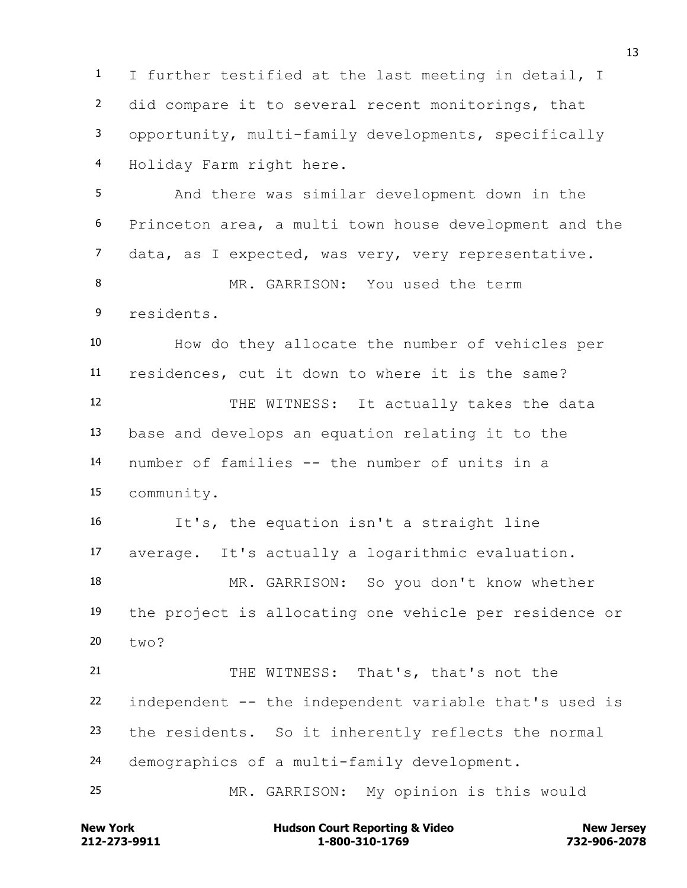I further testified at the last meeting in detail, I did compare it to several recent monitorings, that opportunity, multi-family developments, specifically Holiday Farm right here. And there was similar development down in the

 Princeton area, a multi town house development and the data, as I expected, was very, very representative.

 MR. GARRISON: You used the term residents.

 How do they allocate the number of vehicles per residences, cut it down to where it is the same? 12 THE WITNESS: It actually takes the data base and develops an equation relating it to the

 number of families -- the number of units in a community.

 It's, the equation isn't a straight line average. It's actually a logarithmic evaluation. MR. GARRISON: So you don't know whether the project is allocating one vehicle per residence or two?

21 THE WITNESS: That's, that's not the independent -- the independent variable that's used is the residents. So it inherently reflects the normal demographics of a multi-family development.

MR. GARRISON: My opinion is this would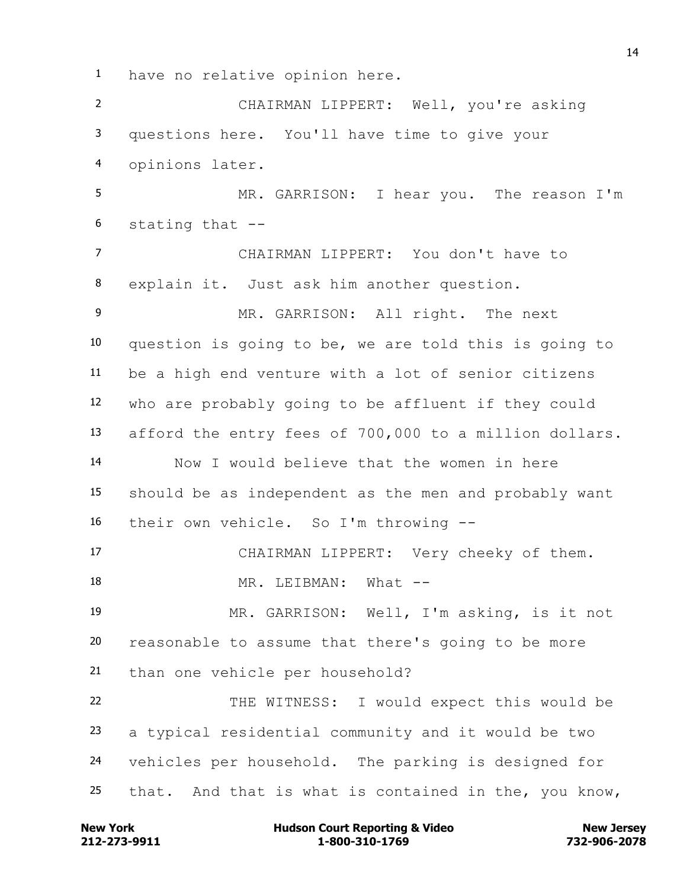have no relative opinion here.

 CHAIRMAN LIPPERT: Well, you're asking questions here. You'll have time to give your opinions later. MR. GARRISON: I hear you. The reason I'm stating that -- CHAIRMAN LIPPERT: You don't have to explain it. Just ask him another question. 9 MR. GARRISON: All right. The next question is going to be, we are told this is going to be a high end venture with a lot of senior citizens who are probably going to be affluent if they could afford the entry fees of 700,000 to a million dollars. Now I would believe that the women in here should be as independent as the men and probably want their own vehicle. So I'm throwing -- CHAIRMAN LIPPERT: Very cheeky of them. 18 MR. LEIBMAN: What -- MR. GARRISON: Well, I'm asking, is it not reasonable to assume that there's going to be more than one vehicle per household? THE WITNESS: I would expect this would be a typical residential community and it would be two vehicles per household. The parking is designed for that. And that is what is contained in the, you know,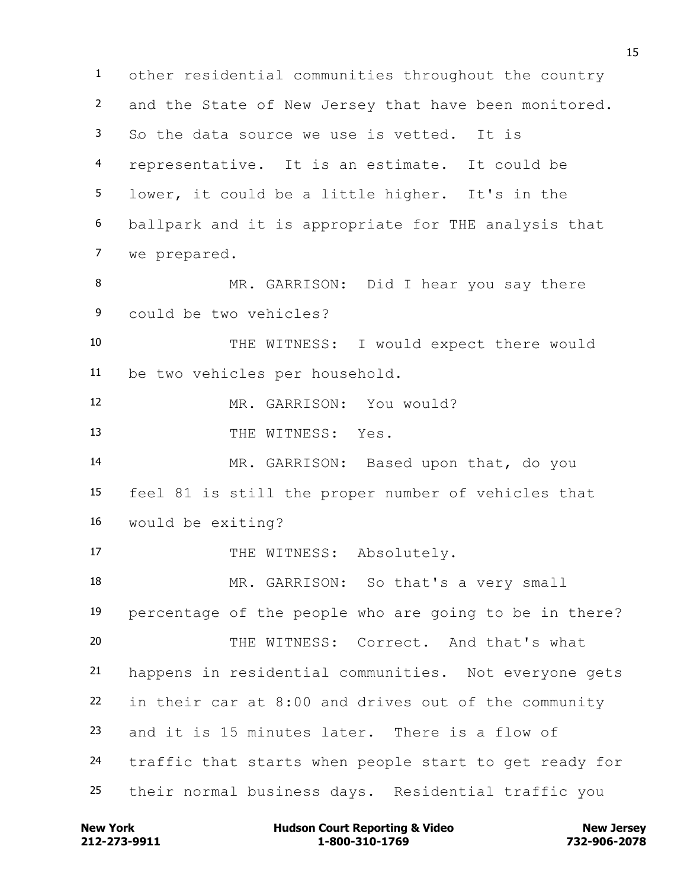other residential communities throughout the country and the State of New Jersey that have been monitored. So the data source we use is vetted. It is representative. It is an estimate. It could be lower, it could be a little higher. It's in the ballpark and it is appropriate for THE analysis that we prepared. MR. GARRISON: Did I hear you say there could be two vehicles? THE WITNESS: I would expect there would be two vehicles per household. MR. GARRISON: You would? 13 THE WITNESS: Yes. MR. GARRISON: Based upon that, do you feel 81 is still the proper number of vehicles that would be exiting? 17 THE WITNESS: Absolutely. MR. GARRISON: So that's a very small percentage of the people who are going to be in there? THE WITNESS: Correct. And that's what happens in residential communities. Not everyone gets in their car at 8:00 and drives out of the community and it is 15 minutes later. There is a flow of traffic that starts when people start to get ready for their normal business days. Residential traffic you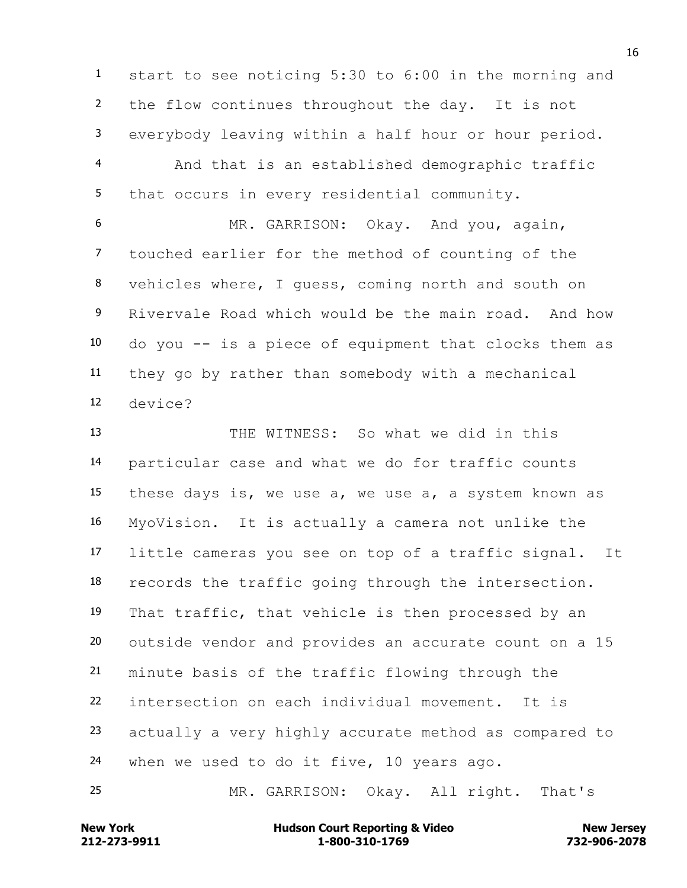start to see noticing 5:30 to 6:00 in the morning and the flow continues throughout the day. It is not everybody leaving within a half hour or hour period. And that is an established demographic traffic that occurs in every residential community.

 MR. GARRISON: Okay. And you, again, touched earlier for the method of counting of the vehicles where, I guess, coming north and south on Rivervale Road which would be the main road. And how do you -- is a piece of equipment that clocks them as they go by rather than somebody with a mechanical device?

 THE WITNESS: So what we did in this particular case and what we do for traffic counts these days is, we use a, we use a, a system known as MyoVision. It is actually a camera not unlike the little cameras you see on top of a traffic signal. It records the traffic going through the intersection. That traffic, that vehicle is then processed by an outside vendor and provides an accurate count on a 15 minute basis of the traffic flowing through the intersection on each individual movement. It is actually a very highly accurate method as compared to when we used to do it five, 10 years ago.

MR. GARRISON: Okay. All right. That's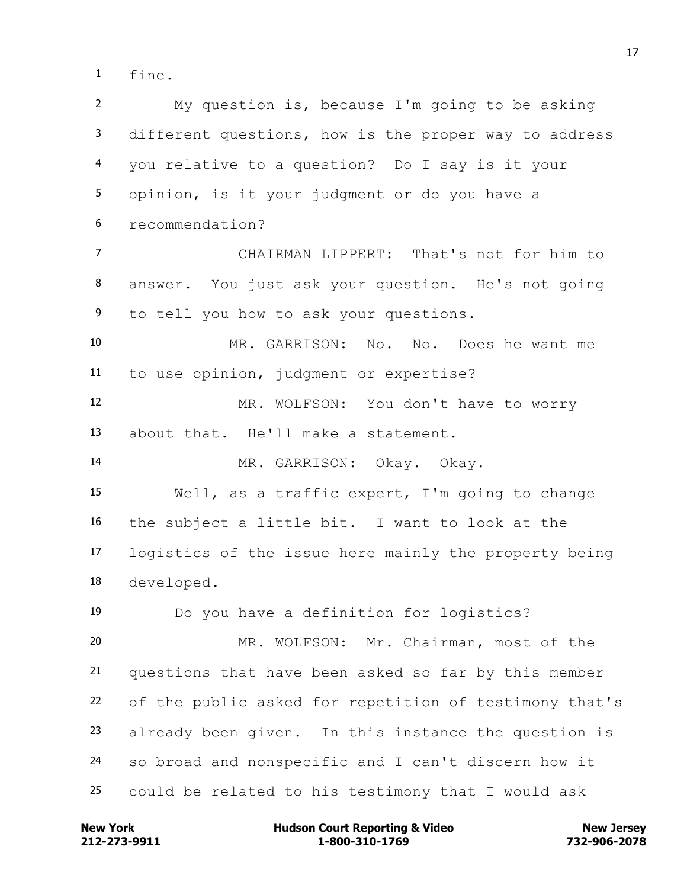fine.

 My question is, because I'm going to be asking different questions, how is the proper way to address you relative to a question? Do I say is it your opinion, is it your judgment or do you have a recommendation? CHAIRMAN LIPPERT: That's not for him to answer. You just ask your question. He's not going to tell you how to ask your questions. MR. GARRISON: No. No. Does he want me to use opinion, judgment or expertise? MR. WOLFSON: You don't have to worry about that. He'll make a statement. MR. GARRISON: Okay. Okay. Well, as a traffic expert, I'm going to change the subject a little bit. I want to look at the logistics of the issue here mainly the property being developed. Do you have a definition for logistics? MR. WOLFSON: Mr. Chairman, most of the questions that have been asked so far by this member of the public asked for repetition of testimony that's already been given. In this instance the question is so broad and nonspecific and I can't discern how it could be related to his testimony that I would ask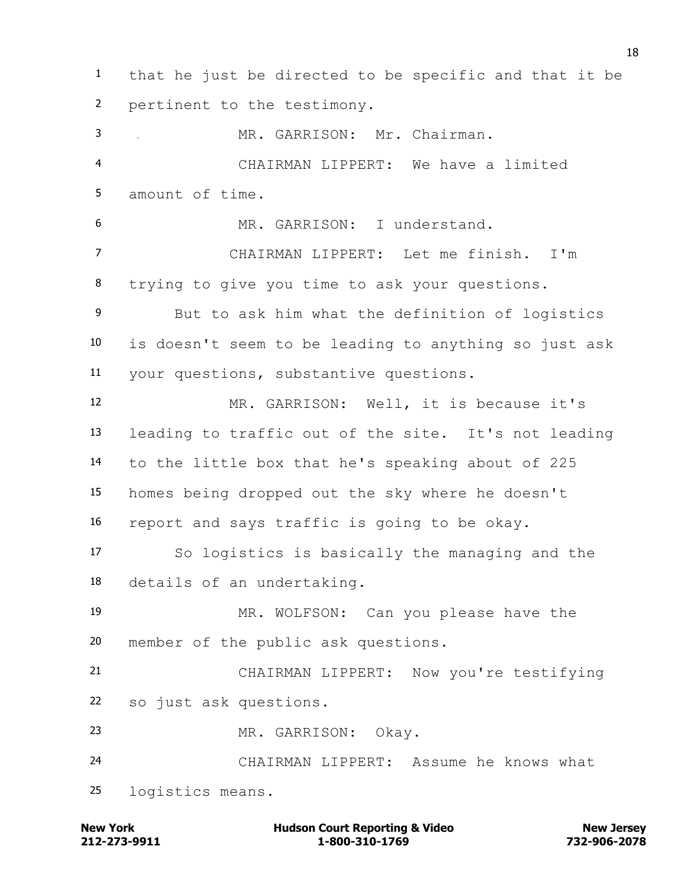that he just be directed to be specific and that it be pertinent to the testimony. MR. GARRISON: Mr. Chairman. CHAIRMAN LIPPERT: We have a limited amount of time. MR. GARRISON: I understand. CHAIRMAN LIPPERT: Let me finish. I'm trying to give you time to ask your questions. But to ask him what the definition of logistics is doesn't seem to be leading to anything so just ask your questions, substantive questions. MR. GARRISON: Well, it is because it's leading to traffic out of the site. It's not leading to the little box that he's speaking about of 225 homes being dropped out the sky where he doesn't report and says traffic is going to be okay. So logistics is basically the managing and the details of an undertaking. MR. WOLFSON: Can you please have the member of the public ask questions. CHAIRMAN LIPPERT: Now you're testifying so just ask questions. MR. GARRISON: Okay. CHAIRMAN LIPPERT: Assume he knows what logistics means.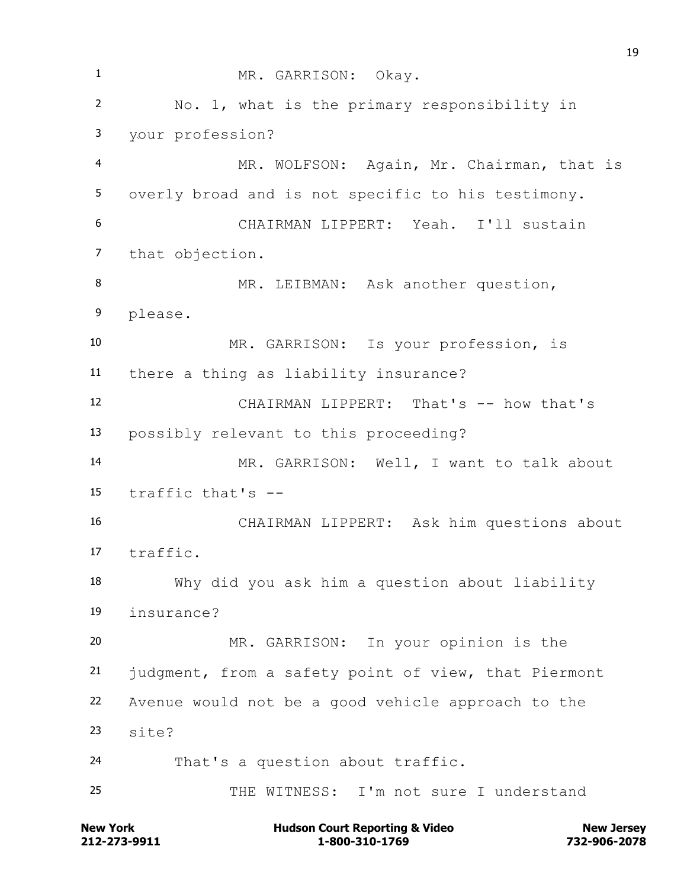MR. GARRISON: Okay. No. 1, what is the primary responsibility in your profession? MR. WOLFSON: Again, Mr. Chairman, that is overly broad and is not specific to his testimony. CHAIRMAN LIPPERT: Yeah. I'll sustain that objection. 8 MR. LEIBMAN: Ask another question, please. MR. GARRISON: Is your profession, is there a thing as liability insurance? CHAIRMAN LIPPERT: That's -- how that's possibly relevant to this proceeding? MR. GARRISON: Well, I want to talk about traffic that's -- CHAIRMAN LIPPERT: Ask him questions about traffic. Why did you ask him a question about liability insurance? MR. GARRISON: In your opinion is the judgment, from a safety point of view, that Piermont Avenue would not be a good vehicle approach to the site? That's a question about traffic. 25 THE WITNESS: I'm not sure I understand

**212-273-9911 1-800-310-1769 732-906-2078 New York Communist Court Reporting & Video New Jersey Rew Jersey**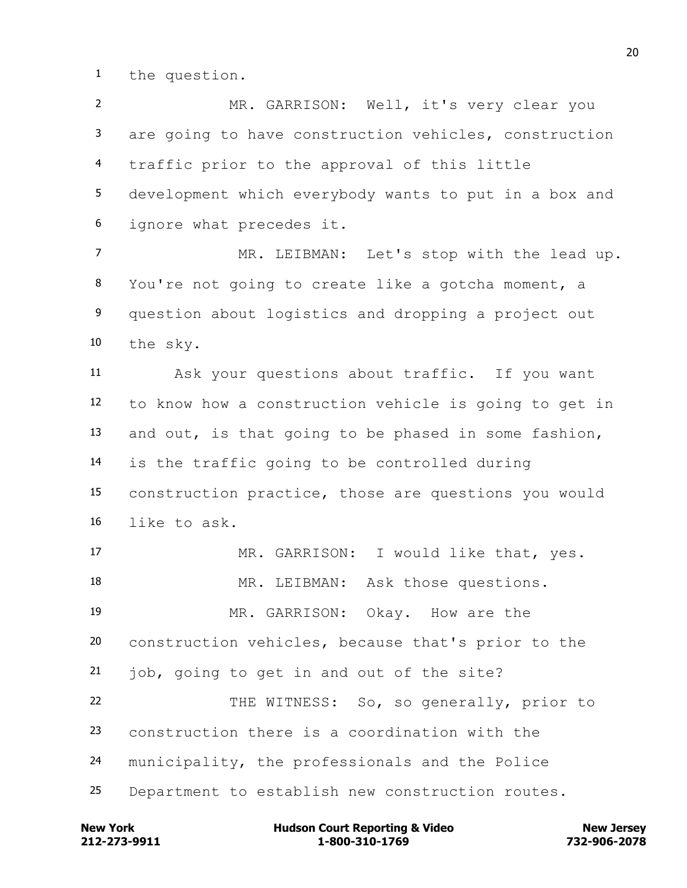the question.

 MR. GARRISON: Well, it's very clear you are going to have construction vehicles, construction traffic prior to the approval of this little development which everybody wants to put in a box and ignore what precedes it.

 MR. LEIBMAN: Let's stop with the lead up. You're not going to create like a gotcha moment, a question about logistics and dropping a project out the sky.

 Ask your questions about traffic. If you want to know how a construction vehicle is going to get in and out, is that going to be phased in some fashion, is the traffic going to be controlled during construction practice, those are questions you would like to ask.

 MR. GARRISON: I would like that, yes. 18 MR. LEIBMAN: Ask those questions. MR. GARRISON: Okay. How are the construction vehicles, because that's prior to the 21 job, going to get in and out of the site? THE WITNESS: So, so generally, prior to construction there is a coordination with the municipality, the professionals and the Police Department to establish new construction routes.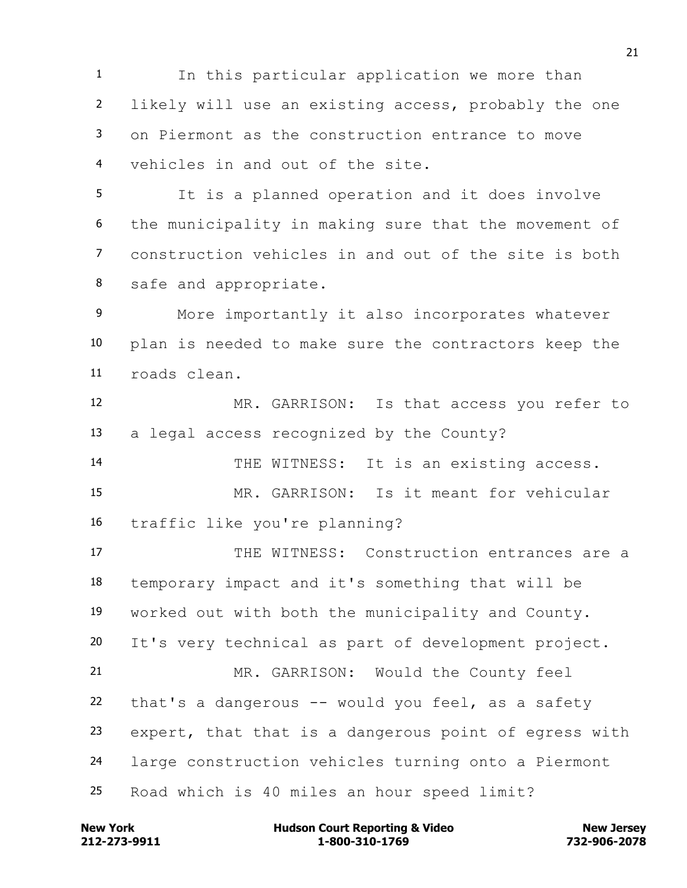In this particular application we more than likely will use an existing access, probably the one on Piermont as the construction entrance to move vehicles in and out of the site.

 It is a planned operation and it does involve the municipality in making sure that the movement of construction vehicles in and out of the site is both safe and appropriate.

 More importantly it also incorporates whatever plan is needed to make sure the contractors keep the roads clean.

 MR. GARRISON: Is that access you refer to a legal access recognized by the County?

14 THE WITNESS: It is an existing access.

 MR. GARRISON: Is it meant for vehicular traffic like you're planning?

 THE WITNESS: Construction entrances are a temporary impact and it's something that will be worked out with both the municipality and County. It's very technical as part of development project. MR. GARRISON: Would the County feel that's a dangerous -- would you feel, as a safety expert, that that is a dangerous point of egress with large construction vehicles turning onto a Piermont Road which is 40 miles an hour speed limit?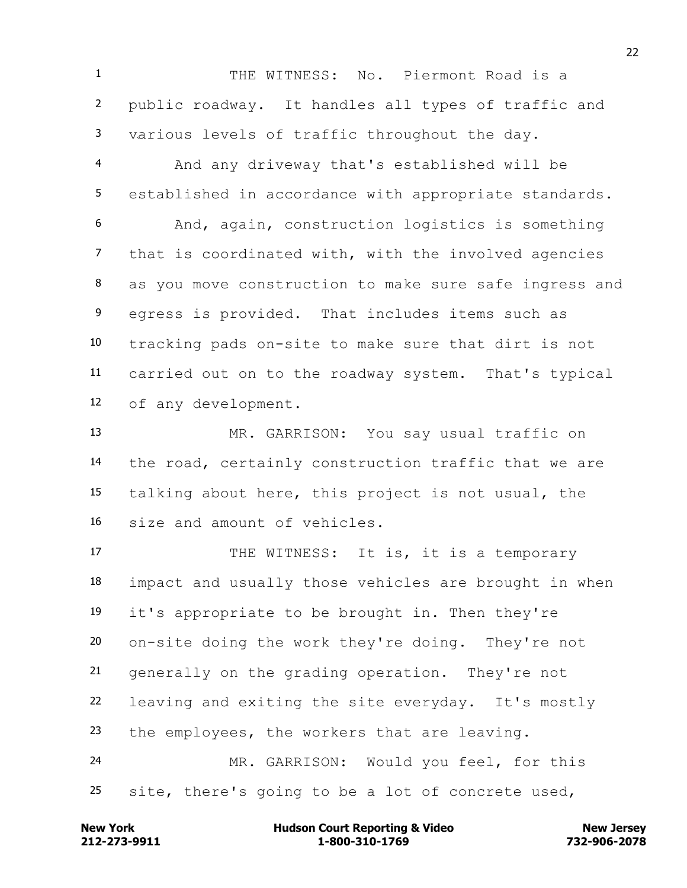THE WITNESS: No. Piermont Road is a public roadway. It handles all types of traffic and various levels of traffic throughout the day.

 And any driveway that's established will be established in accordance with appropriate standards. And, again, construction logistics is something that is coordinated with, with the involved agencies as you move construction to make sure safe ingress and egress is provided. That includes items such as tracking pads on-site to make sure that dirt is not carried out on to the roadway system. That's typical of any development.

 MR. GARRISON: You say usual traffic on the road, certainly construction traffic that we are talking about here, this project is not usual, the size and amount of vehicles.

17 THE WITNESS: It is, it is a temporary impact and usually those vehicles are brought in when it's appropriate to be brought in. Then they're on-site doing the work they're doing. They're not generally on the grading operation. They're not leaving and exiting the site everyday. It's mostly the employees, the workers that are leaving. MR. GARRISON: Would you feel, for this

site, there's going to be a lot of concrete used,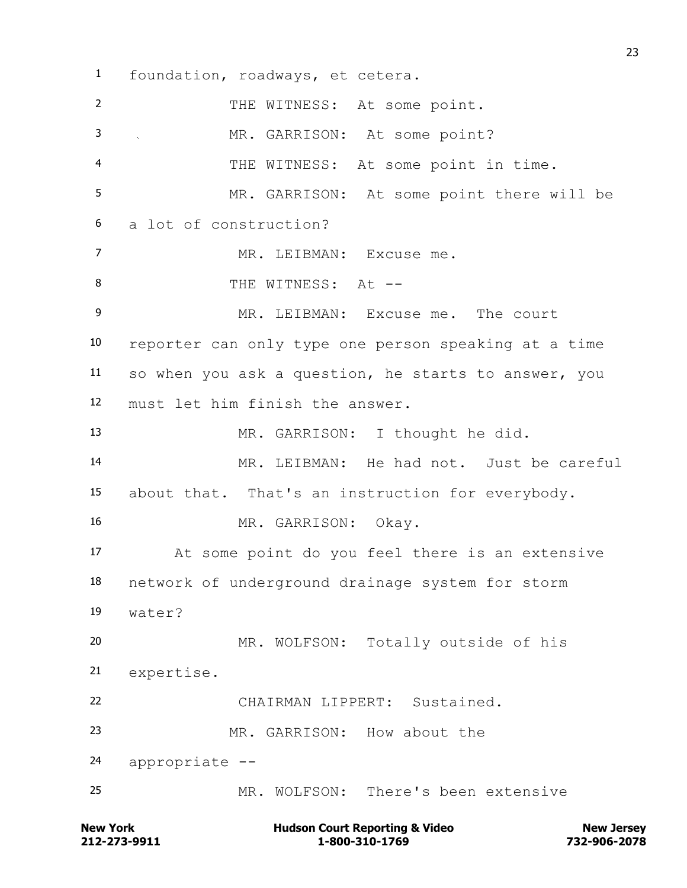foundation, roadways, et cetera. THE WITNESS: At some point. 3 MR. GARRISON: At some point? THE WITNESS: At some point in time. MR. GARRISON: At some point there will be a lot of construction? MR. LEIBMAN: Excuse me. 8 THE WITNESS: At --9 MR. LEIBMAN: Excuse me. The court reporter can only type one person speaking at a time so when you ask a question, he starts to answer, you must let him finish the answer. MR. GARRISON: I thought he did. MR. LEIBMAN: He had not. Just be careful about that. That's an instruction for everybody. MR. GARRISON: Okay. At some point do you feel there is an extensive network of underground drainage system for storm water? MR. WOLFSON: Totally outside of his expertise. CHAIRMAN LIPPERT: Sustained. MR. GARRISON: How about the appropriate -- MR. WOLFSON: There's been extensive

**212-273-9911 1-800-310-1769 732-906-2078 New York Communist Court Reporting & Video New Jersey Rew Jersey**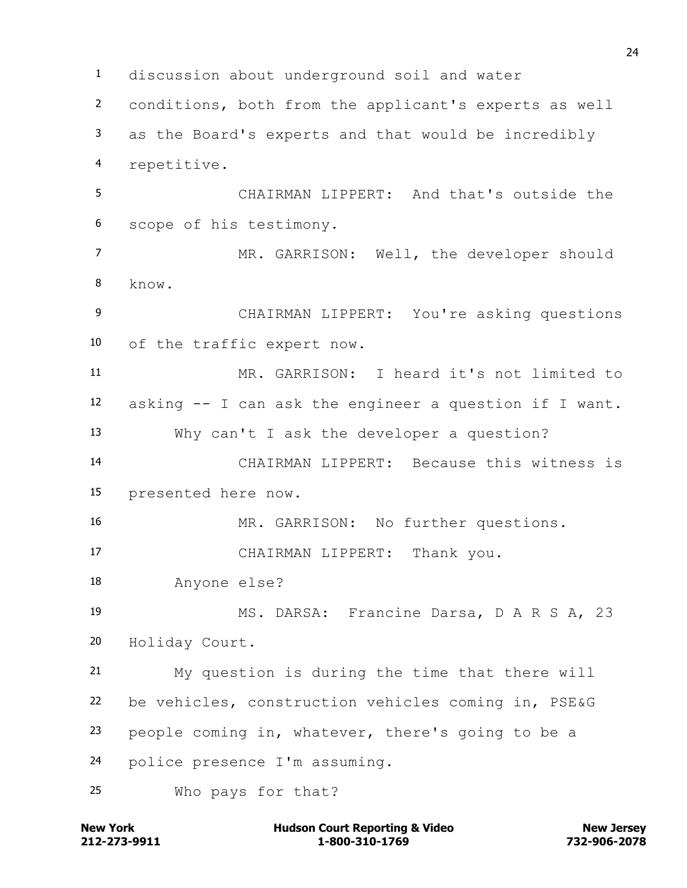discussion about underground soil and water conditions, both from the applicant's experts as well as the Board's experts and that would be incredibly repetitive. CHAIRMAN LIPPERT: And that's outside the scope of his testimony. MR. GARRISON: Well, the developer should know. CHAIRMAN LIPPERT: You're asking questions of the traffic expert now. MR. GARRISON: I heard it's not limited to asking -- I can ask the engineer a question if I want. Why can't I ask the developer a question? CHAIRMAN LIPPERT: Because this witness is presented here now. MR. GARRISON: No further questions. CHAIRMAN LIPPERT: Thank you. Anyone else? MS. DARSA: Francine Darsa, D A R S A, 23 Holiday Court. My question is during the time that there will be vehicles, construction vehicles coming in, PSE&G people coming in, whatever, there's going to be a police presence I'm assuming. Who pays for that?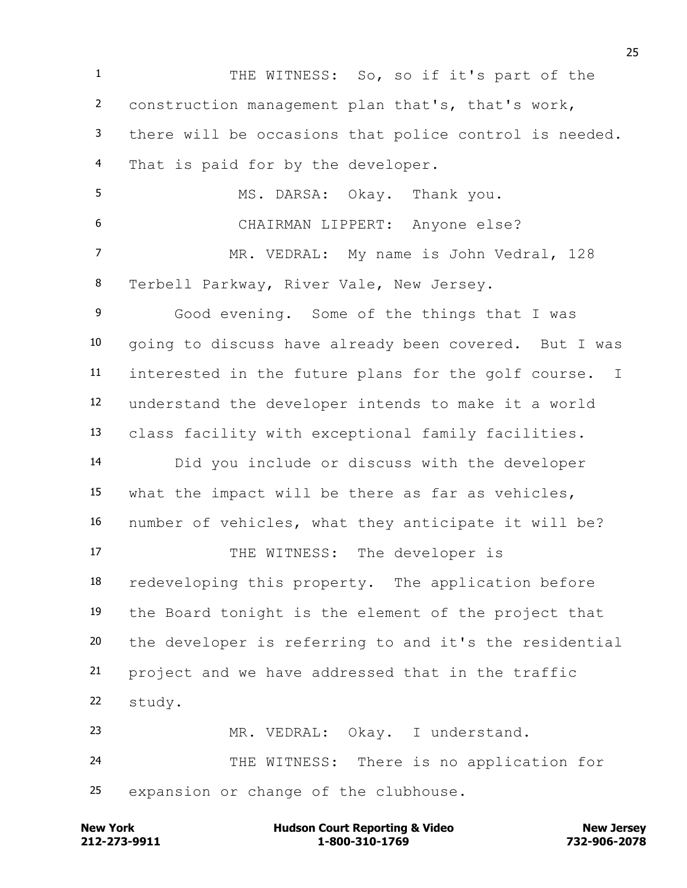THE WITNESS: So, so if it's part of the construction management plan that's, that's work, there will be occasions that police control is needed. That is paid for by the developer. MS. DARSA: Okay. Thank you. CHAIRMAN LIPPERT: Anyone else? MR. VEDRAL: My name is John Vedral, 128 Terbell Parkway, River Vale, New Jersey. Good evening. Some of the things that I was going to discuss have already been covered. But I was interested in the future plans for the golf course. I understand the developer intends to make it a world class facility with exceptional family facilities. Did you include or discuss with the developer what the impact will be there as far as vehicles, number of vehicles, what they anticipate it will be? 17 THE WITNESS: The developer is redeveloping this property. The application before the Board tonight is the element of the project that the developer is referring to and it's the residential project and we have addressed that in the traffic study. MR. VEDRAL: Okay. I understand. THE WITNESS: There is no application for expansion or change of the clubhouse.

**212-273-9911 1-800-310-1769 732-906-2078 New York Communist Court Reporting & Video New Jersey Rew Jersey**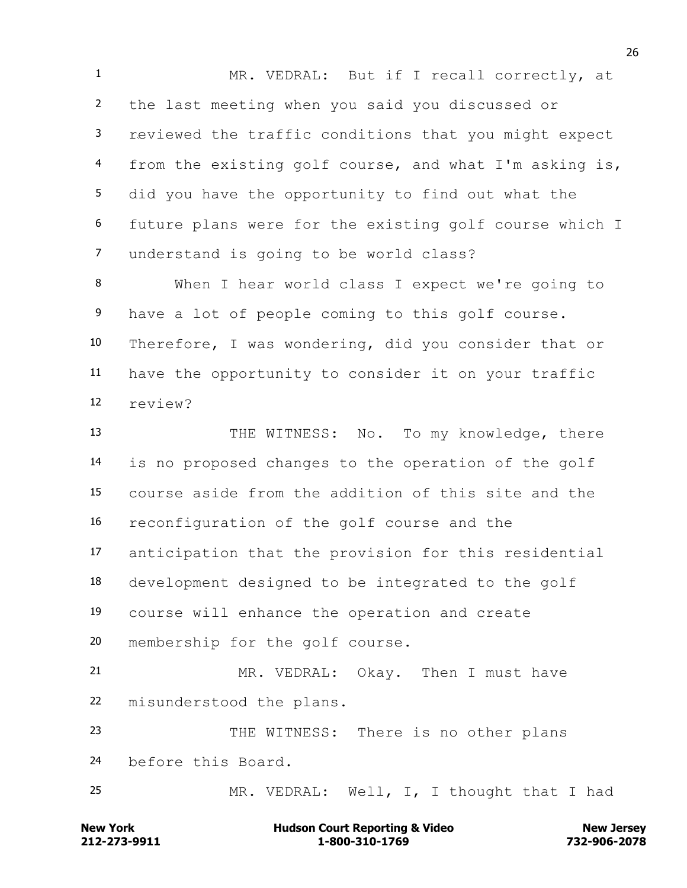MR. VEDRAL: But if I recall correctly, at the last meeting when you said you discussed or reviewed the traffic conditions that you might expect from the existing golf course, and what I'm asking is, did you have the opportunity to find out what the future plans were for the existing golf course which I understand is going to be world class?

 When I hear world class I expect we're going to have a lot of people coming to this golf course. Therefore, I was wondering, did you consider that or have the opportunity to consider it on your traffic review?

13 THE WITNESS: No. To my knowledge, there is no proposed changes to the operation of the golf course aside from the addition of this site and the reconfiguration of the golf course and the anticipation that the provision for this residential development designed to be integrated to the golf course will enhance the operation and create membership for the golf course. MR. VEDRAL: Okay. Then I must have misunderstood the plans. THE WITNESS: There is no other plans

before this Board.

MR. VEDRAL: Well, I, I thought that I had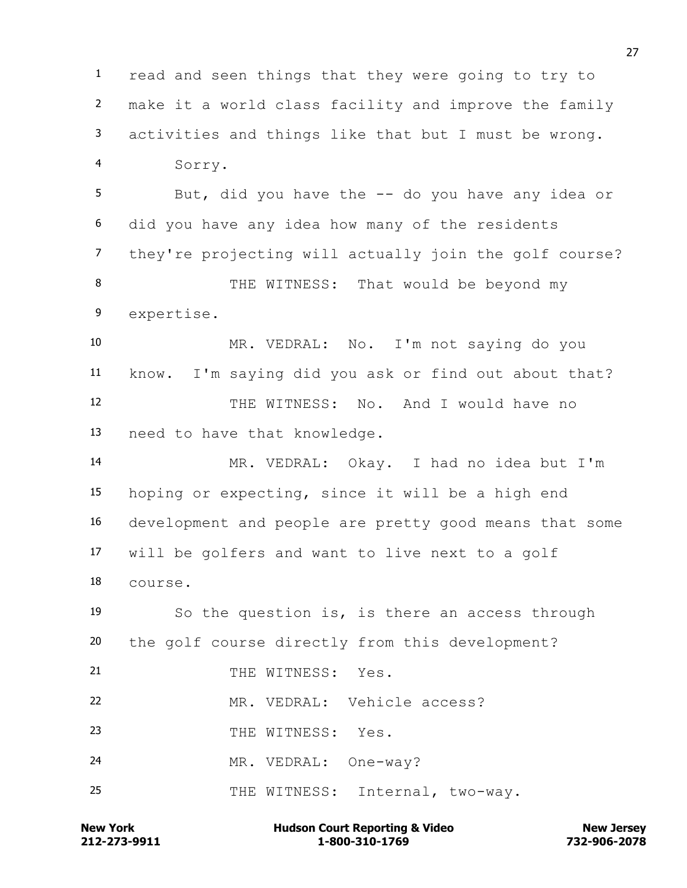read and seen things that they were going to try to make it a world class facility and improve the family activities and things like that but I must be wrong. Sorry. But, did you have the -- do you have any idea or did you have any idea how many of the residents they're projecting will actually join the golf course? 8 THE WITNESS: That would be beyond my expertise. MR. VEDRAL: No. I'm not saying do you know. I'm saying did you ask or find out about that? THE WITNESS: No. And I would have no need to have that knowledge. MR. VEDRAL: Okay. I had no idea but I'm hoping or expecting, since it will be a high end development and people are pretty good means that some will be golfers and want to live next to a golf

course.

 So the question is, is there an access through the golf course directly from this development? 21 THE WITNESS: Yes. MR. VEDRAL: Vehicle access? 23 THE WITNESS: Yes.

MR. VEDRAL: One-way?

25 THE WITNESS: Internal, two-way.

**212-273-9911 1-800-310-1769 732-906-2078 New York Communist Court Reporting & Video New Jersey Rew Jersey**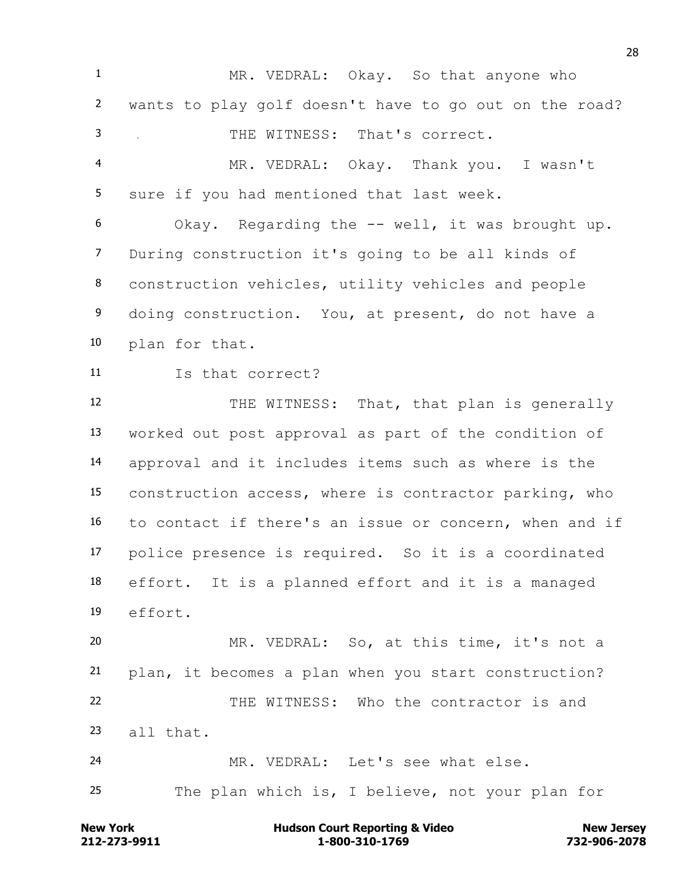MR. VEDRAL: Okay. So that anyone who wants to play golf doesn't have to go out on the road? THE WITNESS: That's correct. MR. VEDRAL: Okay. Thank you. I wasn't sure if you had mentioned that last week. Okay. Regarding the -- well, it was brought up. During construction it's going to be all kinds of construction vehicles, utility vehicles and people doing construction. You, at present, do not have a plan for that. Is that correct? 12 THE WITNESS: That, that plan is generally worked out post approval as part of the condition of approval and it includes items such as where is the construction access, where is contractor parking, who to contact if there's an issue or concern, when and if police presence is required. So it is a coordinated effort. It is a planned effort and it is a managed effort. MR. VEDRAL: So, at this time, it's not a plan, it becomes a plan when you start construction? THE WITNESS: Who the contractor is and all that. MR. VEDRAL: Let's see what else. The plan which is, I believe, not your plan for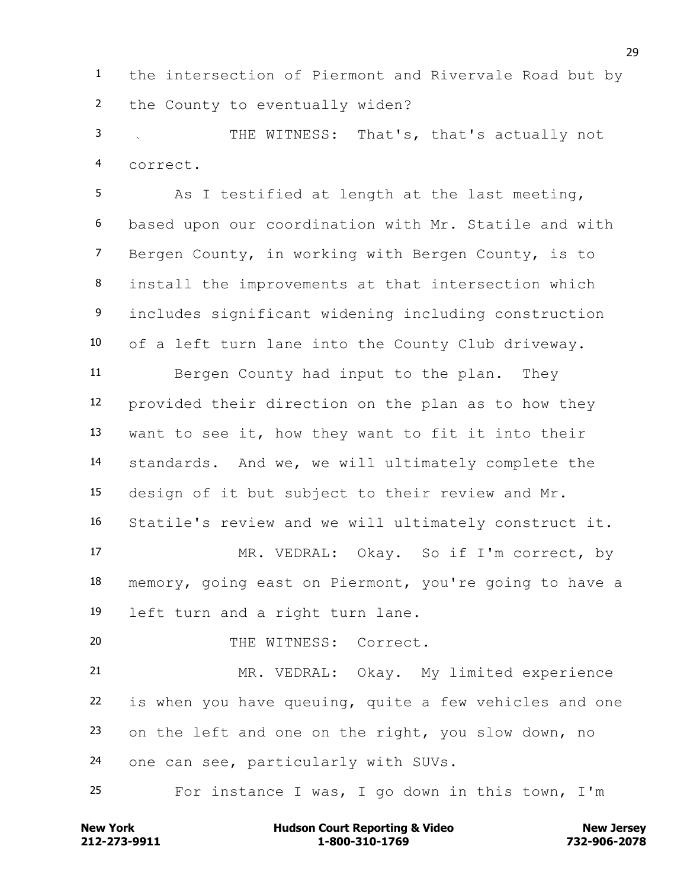the intersection of Piermont and Rivervale Road but by the County to eventually widen?

 THE WITNESS: That's, that's actually not correct.

 As I testified at length at the last meeting, based upon our coordination with Mr. Statile and with Bergen County, in working with Bergen County, is to install the improvements at that intersection which includes significant widening including construction of a left turn lane into the County Club driveway. Bergen County had input to the plan. They provided their direction on the plan as to how they want to see it, how they want to fit it into their standards. And we, we will ultimately complete the design of it but subject to their review and Mr. Statile's review and we will ultimately construct it. MR. VEDRAL: Okay. So if I'm correct, by memory, going east on Piermont, you're going to have a left turn and a right turn lane. 20 THE WITNESS: Correct. MR. VEDRAL: Okay. My limited experience

 is when you have queuing, quite a few vehicles and one on the left and one on the right, you slow down, no one can see, particularly with SUVs.

For instance I was, I go down in this town, I'm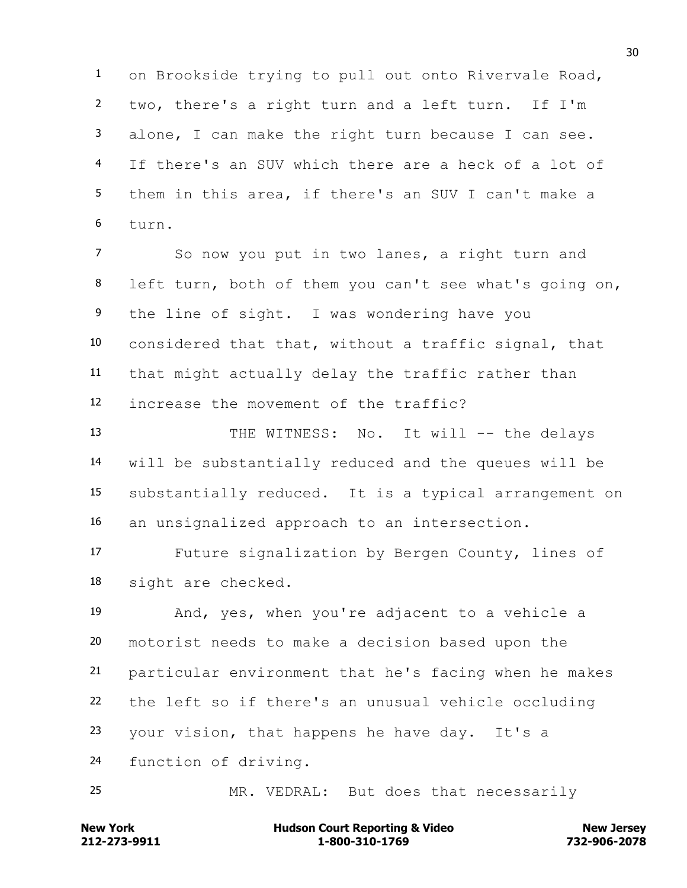on Brookside trying to pull out onto Rivervale Road, two, there's a right turn and a left turn. If I'm alone, I can make the right turn because I can see. If there's an SUV which there are a heck of a lot of them in this area, if there's an SUV I can't make a turn.

 So now you put in two lanes, a right turn and left turn, both of them you can't see what's going on, the line of sight. I was wondering have you considered that that, without a traffic signal, that that might actually delay the traffic rather than increase the movement of the traffic?

13 THE WITNESS: No. It will -- the delays will be substantially reduced and the queues will be substantially reduced. It is a typical arrangement on an unsignalized approach to an intersection.

 Future signalization by Bergen County, lines of sight are checked.

 And, yes, when you're adjacent to a vehicle a motorist needs to make a decision based upon the particular environment that he's facing when he makes the left so if there's an unusual vehicle occluding your vision, that happens he have day. It's a function of driving.

MR. VEDRAL: But does that necessarily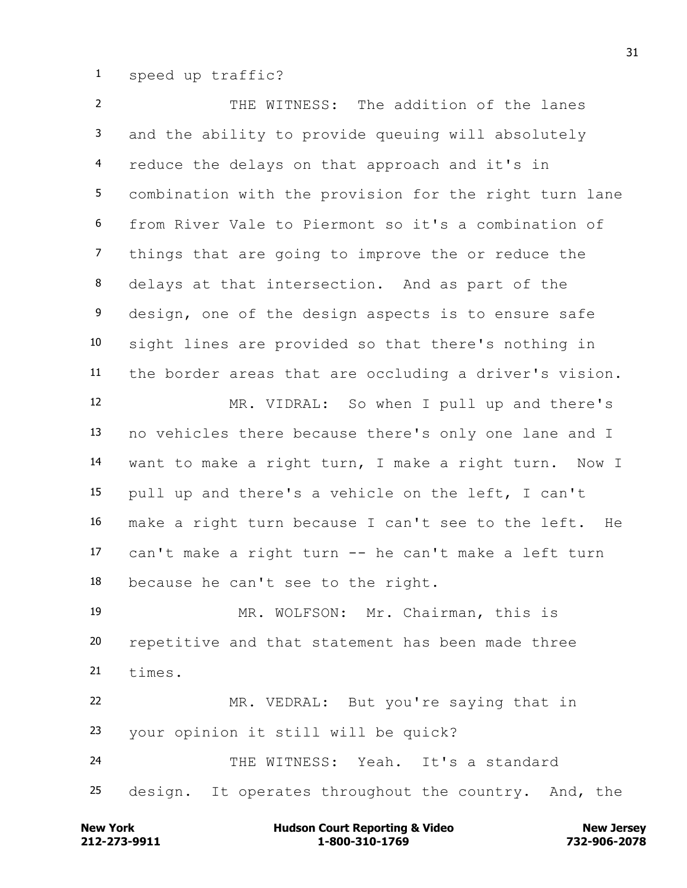speed up traffic?

 THE WITNESS: The addition of the lanes and the ability to provide queuing will absolutely reduce the delays on that approach and it's in combination with the provision for the right turn lane from River Vale to Piermont so it's a combination of things that are going to improve the or reduce the delays at that intersection. And as part of the design, one of the design aspects is to ensure safe sight lines are provided so that there's nothing in the border areas that are occluding a driver's vision. MR. VIDRAL: So when I pull up and there's no vehicles there because there's only one lane and I want to make a right turn, I make a right turn. Now I pull up and there's a vehicle on the left, I can't make a right turn because I can't see to the left. He can't make a right turn -- he can't make a left turn because he can't see to the right. MR. WOLFSON: Mr. Chairman, this is repetitive and that statement has been made three times. MR. VEDRAL: But you're saying that in your opinion it still will be quick? THE WITNESS: Yeah. It's a standard 25 design. It operates throughout the country. And, the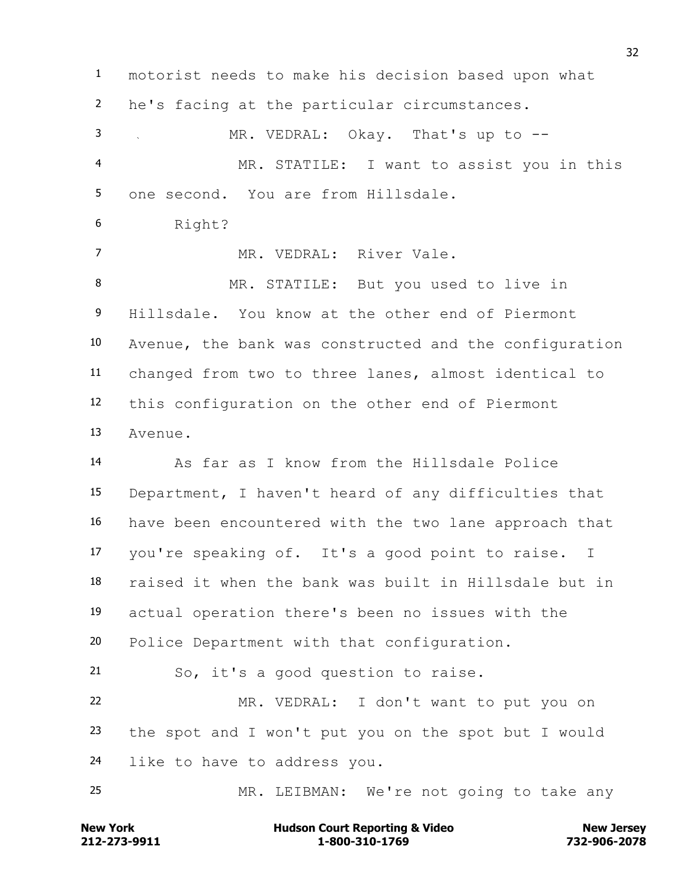motorist needs to make his decision based upon what he's facing at the particular circumstances. MR. VEDRAL: Okay. That's up to -- MR. STATILE: I want to assist you in this one second. You are from Hillsdale. Right? 7 MR. VEDRAL: River Vale. MR. STATILE: But you used to live in Hillsdale. You know at the other end of Piermont Avenue, the bank was constructed and the configuration changed from two to three lanes, almost identical to this configuration on the other end of Piermont Avenue. As far as I know from the Hillsdale Police Department, I haven't heard of any difficulties that have been encountered with the two lane approach that you're speaking of. It's a good point to raise. I raised it when the bank was built in Hillsdale but in actual operation there's been no issues with the Police Department with that configuration. So, it's a good question to raise. MR. VEDRAL: I don't want to put you on the spot and I won't put you on the spot but I would like to have to address you. MR. LEIBMAN: We're not going to take any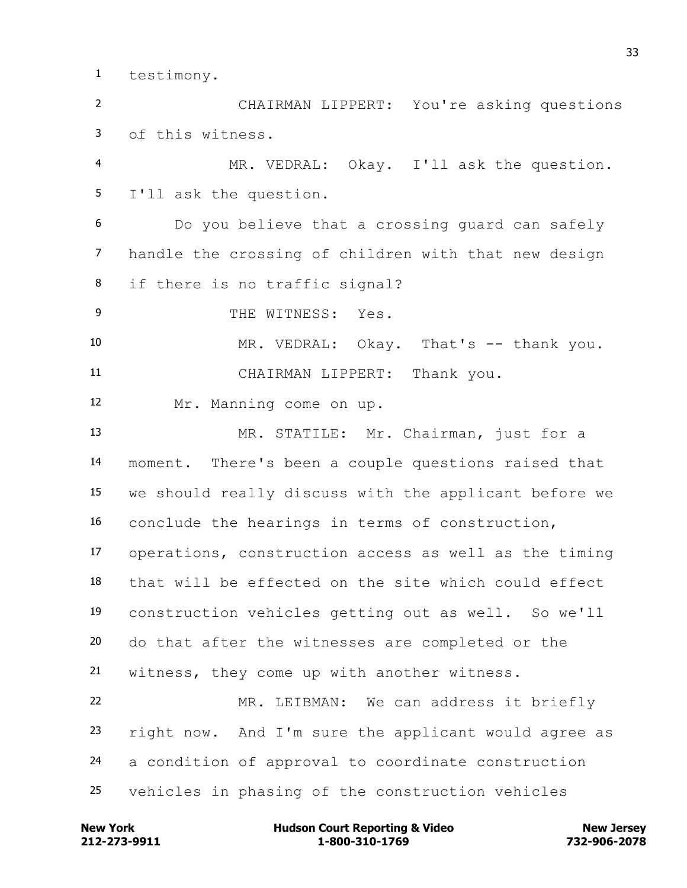testimony.

 CHAIRMAN LIPPERT: You're asking questions of this witness.

 MR. VEDRAL: Okay. I'll ask the question. I'll ask the question.

 Do you believe that a crossing guard can safely handle the crossing of children with that new design if there is no traffic signal?

9 THE WITNESS: Yes.

 MR. VEDRAL: Okay. That's -- thank you. CHAIRMAN LIPPERT: Thank you.

Mr. Manning come on up.

 MR. STATILE: Mr. Chairman, just for a moment. There's been a couple questions raised that we should really discuss with the applicant before we conclude the hearings in terms of construction, operations, construction access as well as the timing that will be effected on the site which could effect construction vehicles getting out as well. So we'll do that after the witnesses are completed or the witness, they come up with another witness. MR. LEIBMAN: We can address it briefly right now. And I'm sure the applicant would agree as a condition of approval to coordinate construction vehicles in phasing of the construction vehicles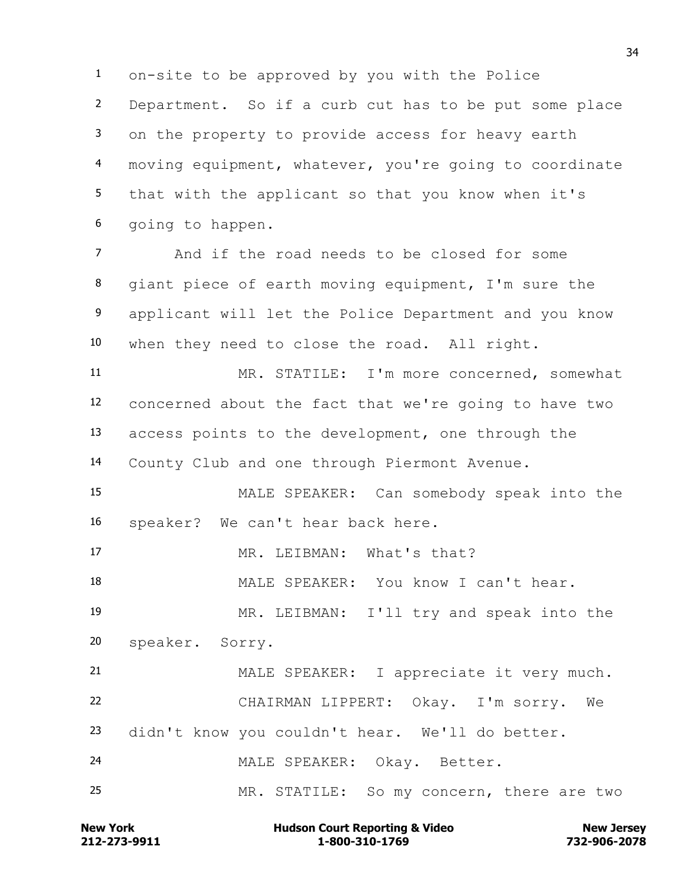on-site to be approved by you with the Police Department. So if a curb cut has to be put some place on the property to provide access for heavy earth moving equipment, whatever, you're going to coordinate that with the applicant so that you know when it's going to happen.

 And if the road needs to be closed for some giant piece of earth moving equipment, I'm sure the applicant will let the Police Department and you know when they need to close the road. All right.

 MR. STATILE: I'm more concerned, somewhat concerned about the fact that we're going to have two access points to the development, one through the County Club and one through Piermont Avenue.

 MALE SPEAKER: Can somebody speak into the speaker? We can't hear back here.

17 MR. LEIBMAN: What's that?

MALE SPEAKER: You know I can't hear.

 MR. LEIBMAN: I'll try and speak into the speaker. Sorry.

 MALE SPEAKER: I appreciate it very much. CHAIRMAN LIPPERT: Okay. I'm sorry. We didn't know you couldn't hear. We'll do better. MALE SPEAKER: Okay. Better. MR. STATILE: So my concern, there are two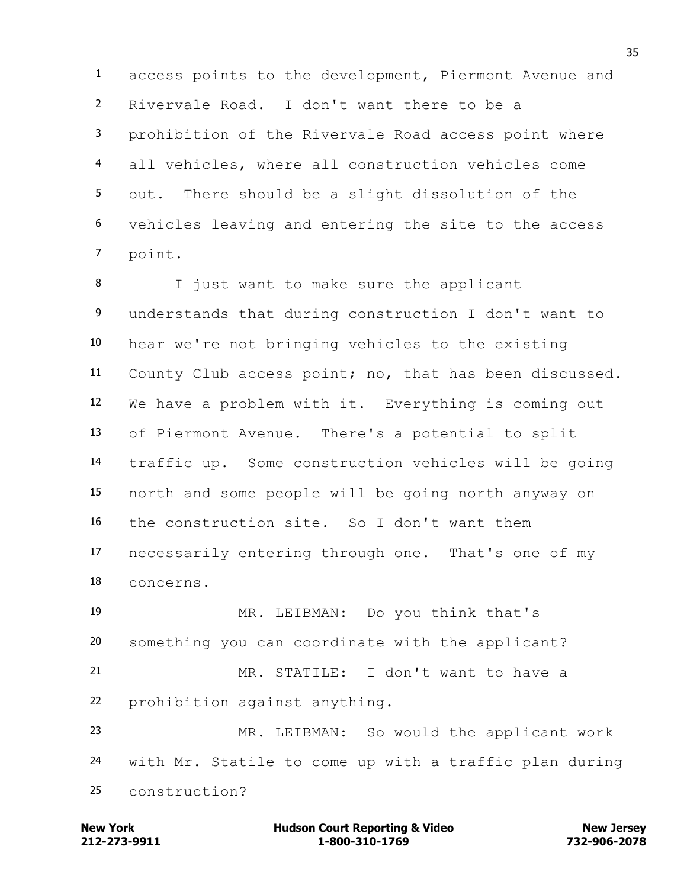access points to the development, Piermont Avenue and Rivervale Road. I don't want there to be a prohibition of the Rivervale Road access point where all vehicles, where all construction vehicles come out. There should be a slight dissolution of the vehicles leaving and entering the site to the access point.

 I just want to make sure the applicant understands that during construction I don't want to hear we're not bringing vehicles to the existing County Club access point; no, that has been discussed. We have a problem with it. Everything is coming out of Piermont Avenue. There's a potential to split traffic up. Some construction vehicles will be going north and some people will be going north anyway on the construction site. So I don't want them necessarily entering through one. That's one of my concerns.

 MR. LEIBMAN: Do you think that's something you can coordinate with the applicant? MR. STATILE: I don't want to have a prohibition against anything. MR. LEIBMAN: So would the applicant work

 with Mr. Statile to come up with a traffic plan during construction?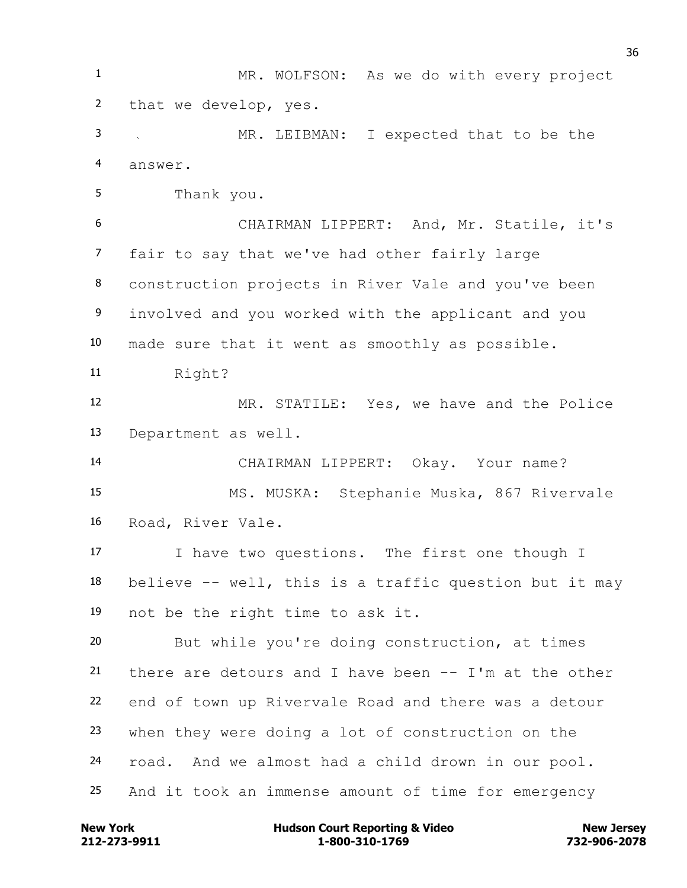MR. WOLFSON: As we do with every project that we develop, yes. MR. LEIBMAN: I expected that to be the answer. Thank you. CHAIRMAN LIPPERT: And, Mr. Statile, it's fair to say that we've had other fairly large construction projects in River Vale and you've been involved and you worked with the applicant and you made sure that it went as smoothly as possible. Right? MR. STATILE: Yes, we have and the Police Department as well. CHAIRMAN LIPPERT: Okay. Your name? MS. MUSKA: Stephanie Muska, 867 Rivervale Road, River Vale. I have two questions. The first one though I believe -- well, this is a traffic question but it may not be the right time to ask it. But while you're doing construction, at times there are detours and I have been -- I'm at the other end of town up Rivervale Road and there was a detour when they were doing a lot of construction on the road. And we almost had a child drown in our pool. And it took an immense amount of time for emergency

**212-273-9911 1-800-310-1769 732-906-2078 New York Communist Court Reporting & Video New Jersey Rew Jersey**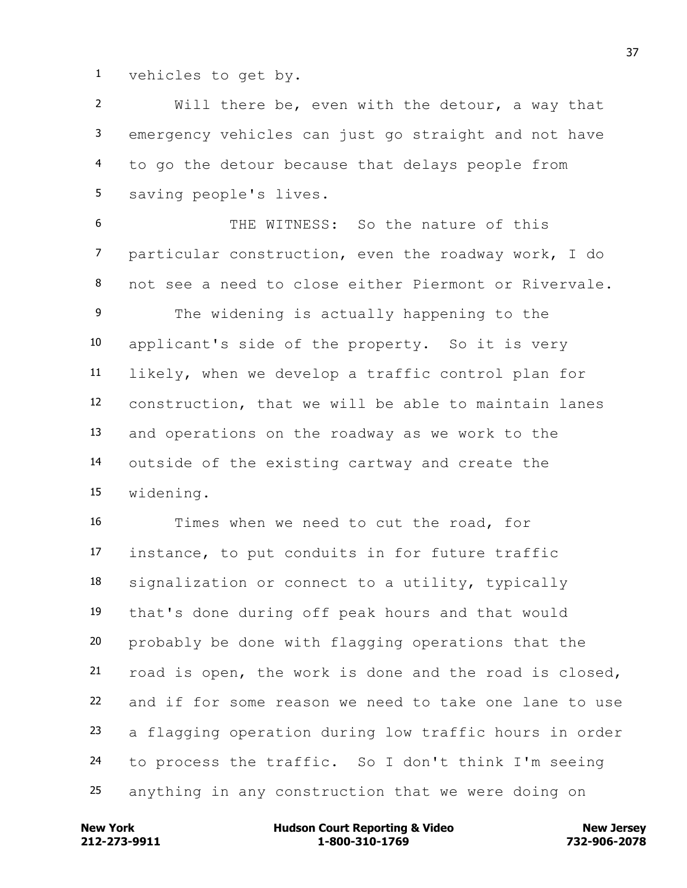vehicles to get by.

 Will there be, even with the detour, a way that emergency vehicles can just go straight and not have to go the detour because that delays people from saving people's lives.

 THE WITNESS: So the nature of this particular construction, even the roadway work, I do not see a need to close either Piermont or Rivervale. The widening is actually happening to the applicant's side of the property. So it is very likely, when we develop a traffic control plan for construction, that we will be able to maintain lanes and operations on the roadway as we work to the outside of the existing cartway and create the widening.

 Times when we need to cut the road, for instance, to put conduits in for future traffic signalization or connect to a utility, typically that's done during off peak hours and that would probably be done with flagging operations that the road is open, the work is done and the road is closed, and if for some reason we need to take one lane to use a flagging operation during low traffic hours in order to process the traffic. So I don't think I'm seeing anything in any construction that we were doing on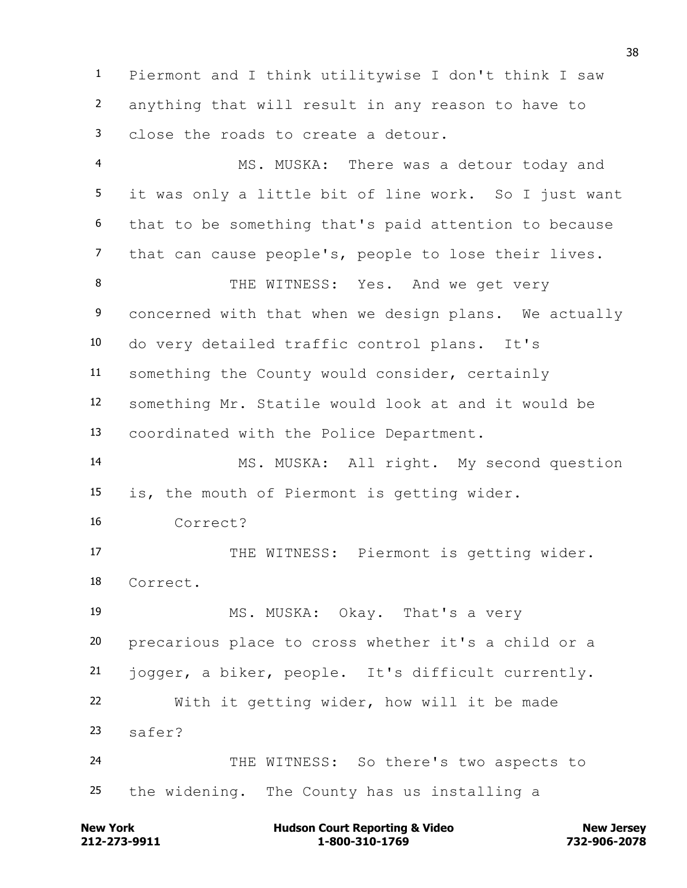Piermont and I think utilitywise I don't think I saw anything that will result in any reason to have to close the roads to create a detour.

 MS. MUSKA: There was a detour today and it was only a little bit of line work. So I just want that to be something that's paid attention to because that can cause people's, people to lose their lives. 8 THE WITNESS: Yes. And we get very concerned with that when we design plans. We actually do very detailed traffic control plans. It's something the County would consider, certainly something Mr. Statile would look at and it would be coordinated with the Police Department. MS. MUSKA: All right. My second question is, the mouth of Piermont is getting wider. Correct? 17 THE WITNESS: Piermont is getting wider. Correct. MS. MUSKA: Okay. That's a very precarious place to cross whether it's a child or a jogger, a biker, people. It's difficult currently. With it getting wider, how will it be made safer? THE WITNESS: So there's two aspects to the widening. The County has us installing a

**212-273-9911 1-800-310-1769 732-906-2078 New York Communist Court Reporting & Video New Jersey Rew Jersey**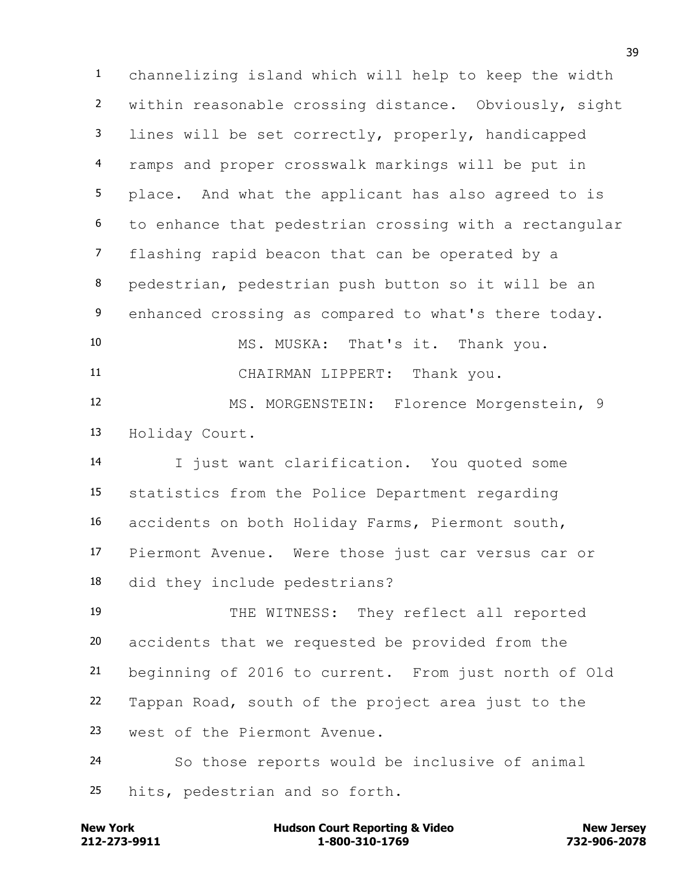channelizing island which will help to keep the width within reasonable crossing distance. Obviously, sight lines will be set correctly, properly, handicapped ramps and proper crosswalk markings will be put in place. And what the applicant has also agreed to is to enhance that pedestrian crossing with a rectangular flashing rapid beacon that can be operated by a pedestrian, pedestrian push button so it will be an enhanced crossing as compared to what's there today. MS. MUSKA: That's it. Thank you. CHAIRMAN LIPPERT: Thank you. 12 MS. MORGENSTEIN: Florence Morgenstein, 9

Holiday Court.

 I just want clarification. You quoted some statistics from the Police Department regarding accidents on both Holiday Farms, Piermont south, Piermont Avenue. Were those just car versus car or did they include pedestrians?

 THE WITNESS: They reflect all reported accidents that we requested be provided from the beginning of 2016 to current. From just north of Old Tappan Road, south of the project area just to the west of the Piermont Avenue.

 So those reports would be inclusive of animal hits, pedestrian and so forth.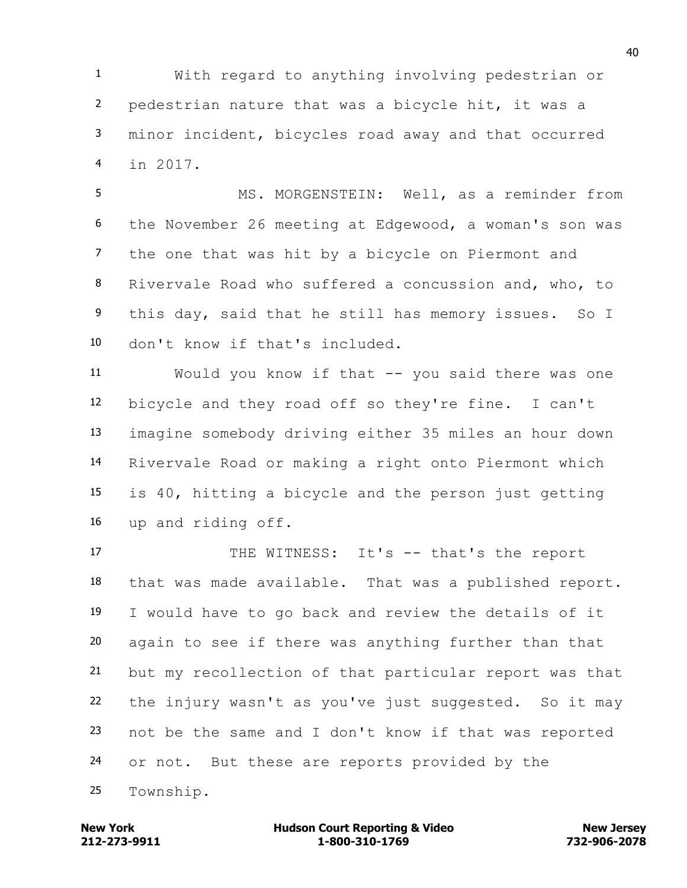With regard to anything involving pedestrian or pedestrian nature that was a bicycle hit, it was a minor incident, bicycles road away and that occurred in 2017.

 MS. MORGENSTEIN: Well, as a reminder from the November 26 meeting at Edgewood, a woman's son was the one that was hit by a bicycle on Piermont and Rivervale Road who suffered a concussion and, who, to this day, said that he still has memory issues. So I don't know if that's included.

 Would you know if that -- you said there was one bicycle and they road off so they're fine. I can't imagine somebody driving either 35 miles an hour down Rivervale Road or making a right onto Piermont which is 40, hitting a bicycle and the person just getting up and riding off.

17 THE WITNESS: It's -- that's the report that was made available. That was a published report. I would have to go back and review the details of it again to see if there was anything further than that but my recollection of that particular report was that the injury wasn't as you've just suggested. So it may not be the same and I don't know if that was reported 24 or not. But these are reports provided by the Township.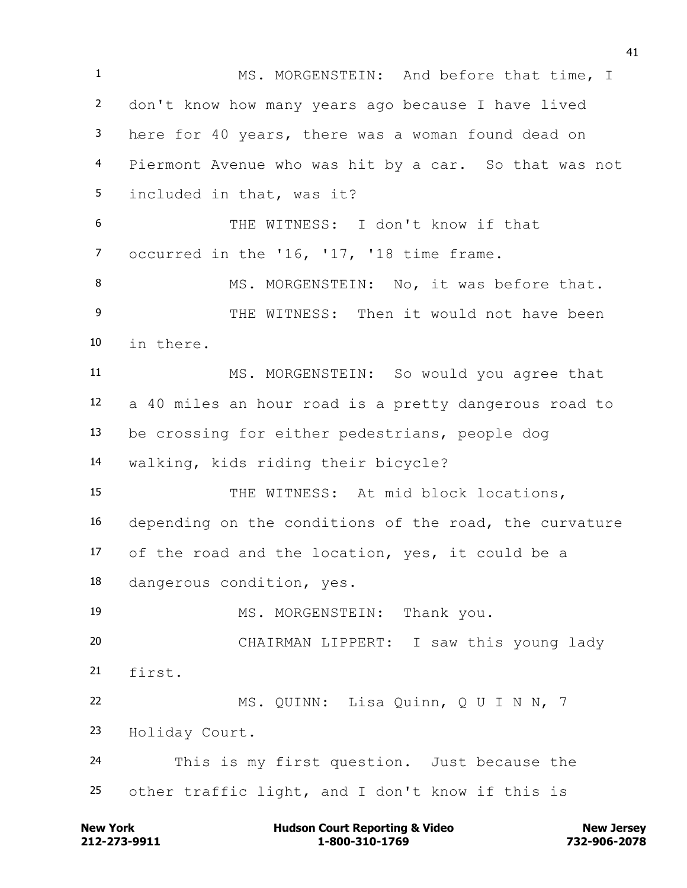1 MS. MORGENSTEIN: And before that time, I don't know how many years ago because I have lived here for 40 years, there was a woman found dead on Piermont Avenue who was hit by a car. So that was not included in that, was it? THE WITNESS: I don't know if that 7 occurred in the '16, '17, '18 time frame. 8 MS. MORGENSTEIN: No, it was before that. 9 THE WITNESS: Then it would not have been in there. MS. MORGENSTEIN: So would you agree that a 40 miles an hour road is a pretty dangerous road to be crossing for either pedestrians, people dog walking, kids riding their bicycle? 15 THE WITNESS: At mid block locations, depending on the conditions of the road, the curvature of the road and the location, yes, it could be a dangerous condition, yes. 19 MS. MORGENSTEIN: Thank you. CHAIRMAN LIPPERT: I saw this young lady first. MS. QUINN: Lisa Quinn, Q U I N N, 7 Holiday Court. This is my first question. Just because the other traffic light, and I don't know if this is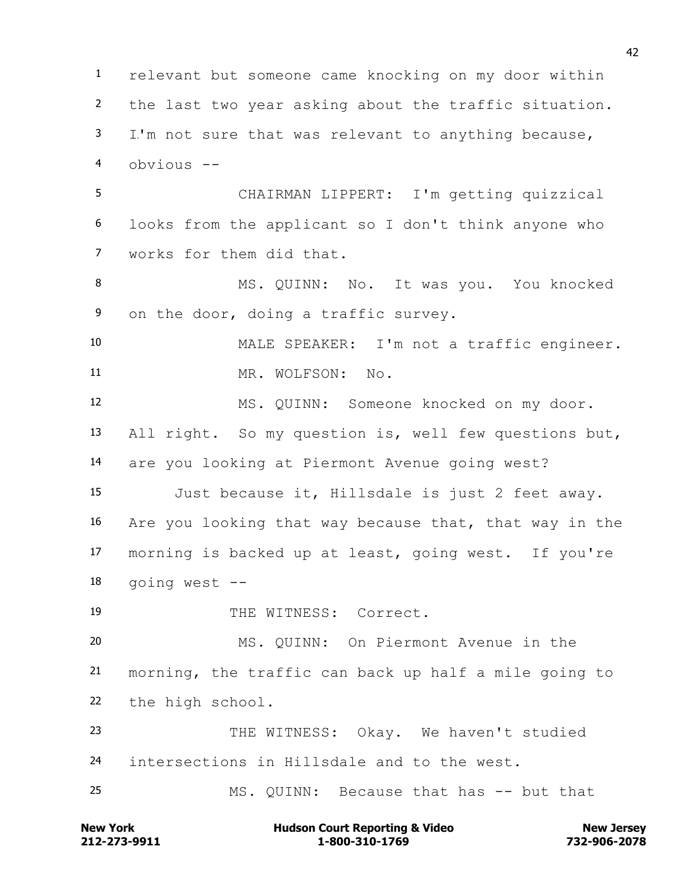relevant but someone came knocking on my door within the last two year asking about the traffic situation. I'm not sure that was relevant to anything because, obvious -- CHAIRMAN LIPPERT: I'm getting quizzical looks from the applicant so I don't think anyone who works for them did that. 8 MS. QUINN: No. It was you. You knocked on the door, doing a traffic survey. MALE SPEAKER: I'm not a traffic engineer. 11 MR. WOLFSON: No. MS. QUINN: Someone knocked on my door. All right. So my question is, well few questions but, are you looking at Piermont Avenue going west? Just because it, Hillsdale is just 2 feet away. Are you looking that way because that, that way in the morning is backed up at least, going west. If you're going west -- 19 THE WITNESS: Correct. MS. QUINN: On Piermont Avenue in the morning, the traffic can back up half a mile going to the high school. THE WITNESS: Okay. We haven't studied intersections in Hillsdale and to the west. MS. QUINN: Because that has -- but that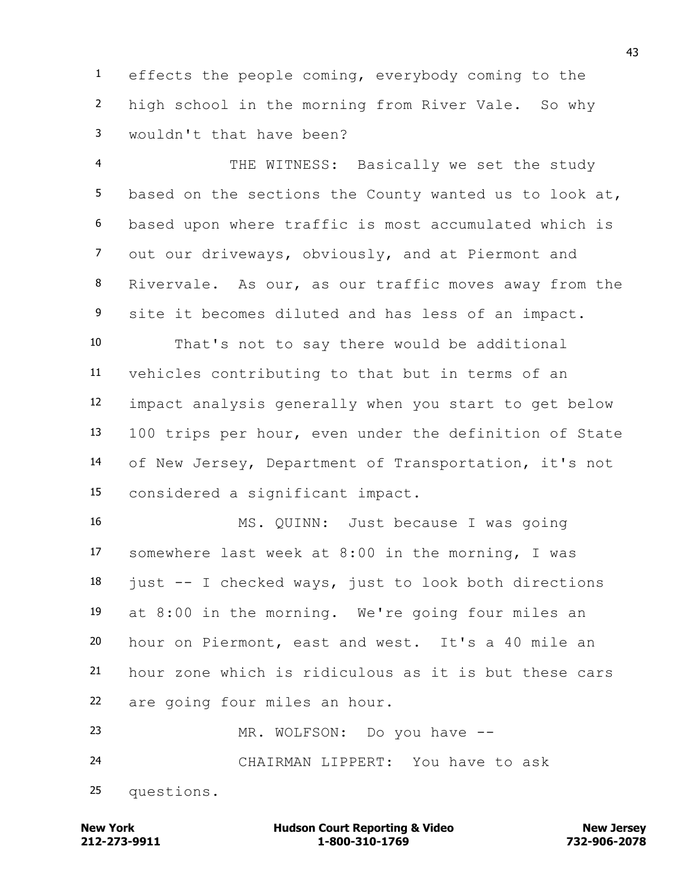effects the people coming, everybody coming to the high school in the morning from River Vale. So why wouldn't that have been?

 THE WITNESS: Basically we set the study based on the sections the County wanted us to look at, based upon where traffic is most accumulated which is out our driveways, obviously, and at Piermont and Rivervale. As our, as our traffic moves away from the site it becomes diluted and has less of an impact. That's not to say there would be additional vehicles contributing to that but in terms of an impact analysis generally when you start to get below

 100 trips per hour, even under the definition of State of New Jersey, Department of Transportation, it's not considered a significant impact.

 MS. QUINN: Just because I was going somewhere last week at 8:00 in the morning, I was just  $-$  I checked ways, just to look both directions at 8:00 in the morning. We're going four miles an hour on Piermont, east and west. It's a 40 mile an hour zone which is ridiculous as it is but these cars are going four miles an hour.

 MR. WOLFSON: Do you have -- CHAIRMAN LIPPERT: You have to ask questions.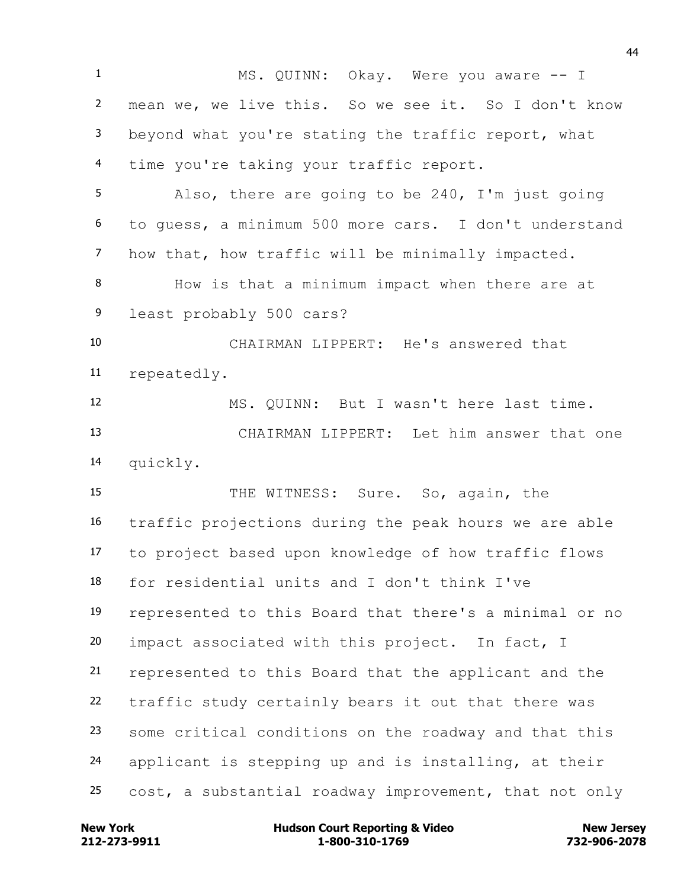1 MS. QUINN: Okay. Were you aware -- I mean we, we live this. So we see it. So I don't know beyond what you're stating the traffic report, what time you're taking your traffic report. Also, there are going to be 240, I'm just going to guess, a minimum 500 more cars. I don't understand how that, how traffic will be minimally impacted. How is that a minimum impact when there are at least probably 500 cars? CHAIRMAN LIPPERT: He's answered that repeatedly. MS. QUINN: But I wasn't here last time. CHAIRMAN LIPPERT: Let him answer that one quickly. THE WITNESS: Sure. So, again, the traffic projections during the peak hours we are able to project based upon knowledge of how traffic flows for residential units and I don't think I've represented to this Board that there's a minimal or no impact associated with this project. In fact, I represented to this Board that the applicant and the traffic study certainly bears it out that there was some critical conditions on the roadway and that this applicant is stepping up and is installing, at their cost, a substantial roadway improvement, that not only

**212-273-9911 1-800-310-1769 732-906-2078 New York Communist Court Reporting & Video New Jersey Rew Jersey**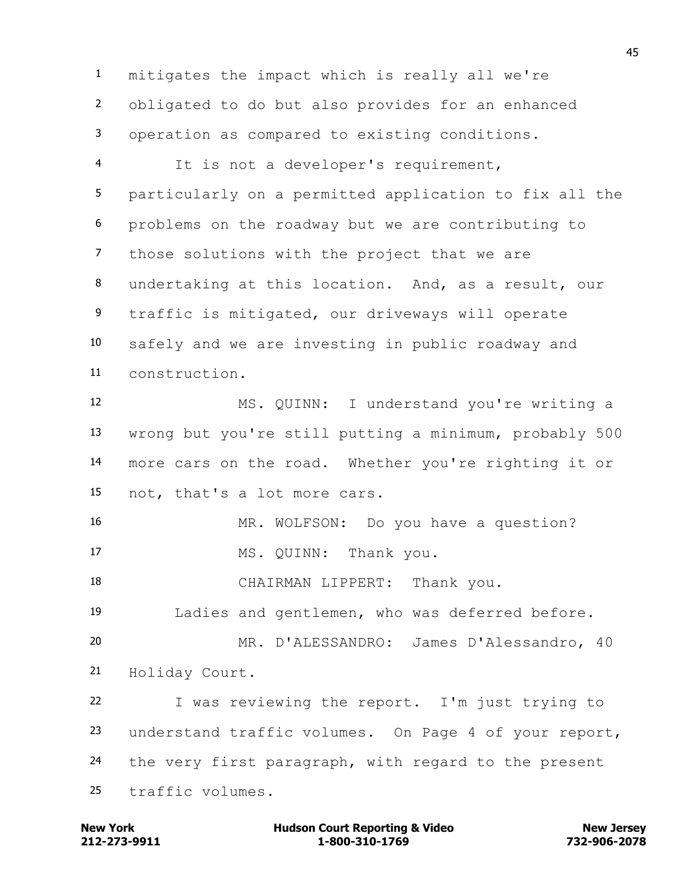mitigates the impact which is really all we're obligated to do but also provides for an enhanced operation as compared to existing conditions.

 It is not a developer's requirement, particularly on a permitted application to fix all the problems on the roadway but we are contributing to those solutions with the project that we are undertaking at this location. And, as a result, our traffic is mitigated, our driveways will operate safely and we are investing in public roadway and construction.

 MS. QUINN: I understand you're writing a wrong but you're still putting a minimum, probably 500 more cars on the road. Whether you're righting it or not, that's a lot more cars.

MR. WOLFSON: Do you have a question?

17 MS. QUINN: Thank you.

CHAIRMAN LIPPERT: Thank you.

Ladies and gentlemen, who was deferred before.

 MR. D'ALESSANDRO: James D'Alessandro, 40 Holiday Court.

 I was reviewing the report. I'm just trying to understand traffic volumes. On Page 4 of your report, 24 the very first paragraph, with regard to the present traffic volumes.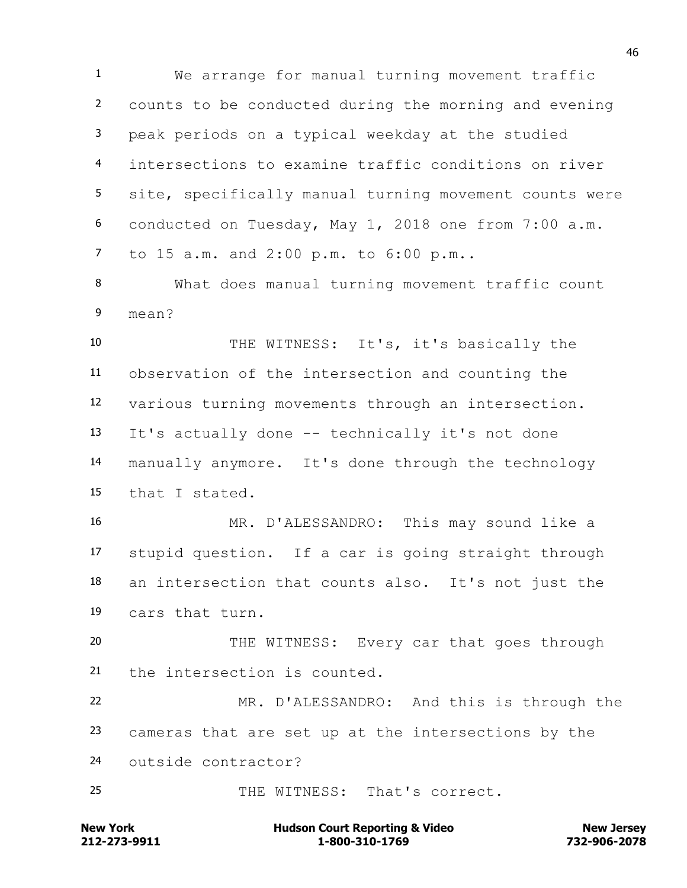We arrange for manual turning movement traffic counts to be conducted during the morning and evening peak periods on a typical weekday at the studied intersections to examine traffic conditions on river site, specifically manual turning movement counts were conducted on Tuesday, May 1, 2018 one from 7:00 a.m. to 15 a.m. and 2:00 p.m. to 6:00 p.m..

 What does manual turning movement traffic count mean?

 THE WITNESS: It's, it's basically the observation of the intersection and counting the various turning movements through an intersection. It's actually done -- technically it's not done manually anymore. It's done through the technology that I stated.

 MR. D'ALESSANDRO: This may sound like a stupid question. If a car is going straight through an intersection that counts also. It's not just the cars that turn.

20 THE WITNESS: Every car that goes through the intersection is counted.

 MR. D'ALESSANDRO: And this is through the cameras that are set up at the intersections by the outside contractor?

THE WITNESS: That's correct.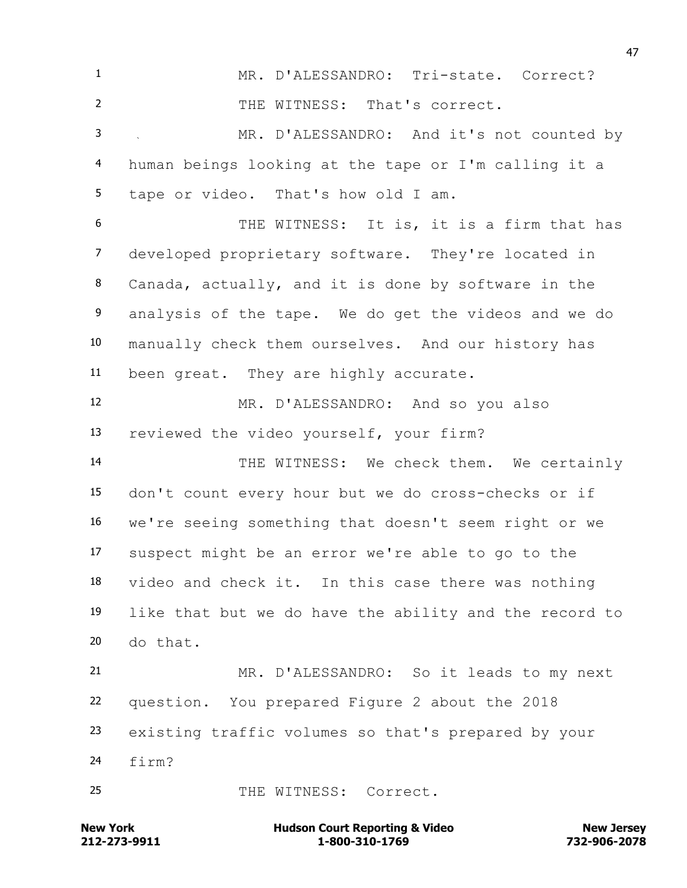MR. D'ALESSANDRO: Tri-state. Correct? THE WITNESS: That's correct. MR. D'ALESSANDRO: And it's not counted by human beings looking at the tape or I'm calling it a tape or video. That's how old I am. 6 THE WITNESS: It is, it is a firm that has developed proprietary software. They're located in Canada, actually, and it is done by software in the analysis of the tape. We do get the videos and we do manually check them ourselves. And our history has been great. They are highly accurate. MR. D'ALESSANDRO: And so you also reviewed the video yourself, your firm? 14 THE WITNESS: We check them. We certainly don't count every hour but we do cross-checks or if we're seeing something that doesn't seem right or we suspect might be an error we're able to go to the video and check it. In this case there was nothing like that but we do have the ability and the record to do that. MR. D'ALESSANDRO: So it leads to my next question. You prepared Figure 2 about the 2018 existing traffic volumes so that's prepared by your firm? 25 THE WITNESS: Correct.

**212-273-9911 1-800-310-1769 732-906-2078 New York Communist Court Reporting & Video New Jersey Rew Jersey**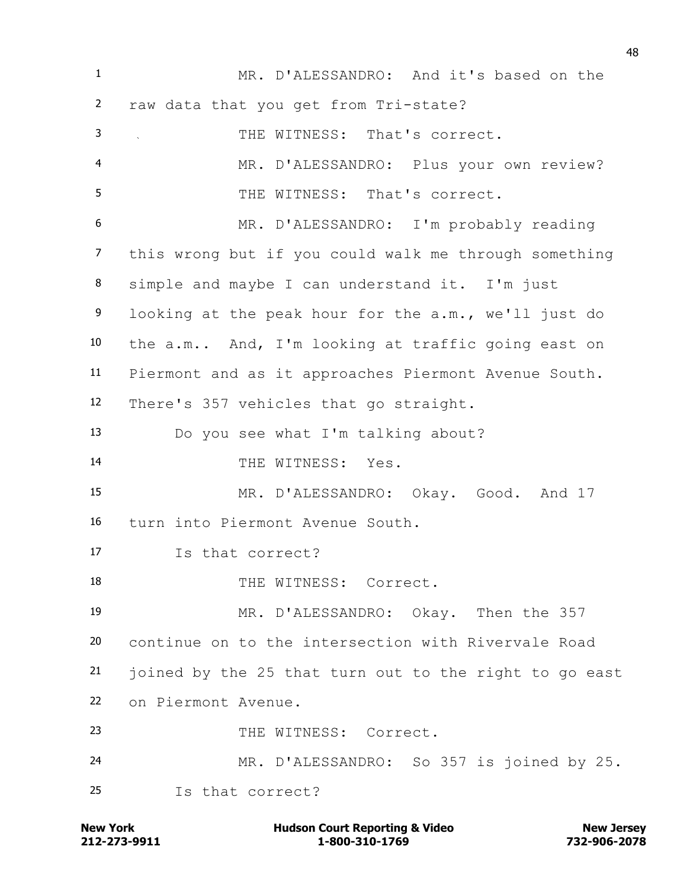| $\mathbf{1}$    | MR. D'ALESSANDRO: And it's based on the                |
|-----------------|--------------------------------------------------------|
| $\mathbf{2}$    | raw data that you get from Tri-state?                  |
| 3               | THE WITNESS: That's correct.<br>$\sim$                 |
| 4               | MR. D'ALESSANDRO: Plus your own review?                |
| 5               | THE WITNESS: That's correct.                           |
| 6               | MR. D'ALESSANDRO: I'm probably reading                 |
| $\overline{7}$  | this wrong but if you could walk me through something  |
| 8               | simple and maybe I can understand it. I'm just         |
| 9               | looking at the peak hour for the a.m., we'll just do   |
| 10              | the a.m And, I'm looking at traffic going east on      |
| 11              | Piermont and as it approaches Piermont Avenue South.   |
| 12 <sub>2</sub> | There's 357 vehicles that go straight.                 |
| 13              | Do you see what I'm talking about?                     |
| 14              | THE WITNESS: Yes.                                      |
| 15              | MR. D'ALESSANDRO: Okay. Good. And 17                   |
| 16              | turn into Piermont Avenue South.                       |
| 17              | Is that correct?                                       |
| 18              | THE WITNESS: Correct.                                  |
| 19              | MR. D'ALESSANDRO: Okay. Then the 357                   |
| 20              | continue on to the intersection with Rivervale Road    |
| 21              | joined by the 25 that turn out to the right to go east |
| 22              | on Piermont Avenue.                                    |
| 23              | THE WITNESS: Correct.                                  |
| 24              | MR. D'ALESSANDRO: So 357 is joined by 25.              |
| 25              | Is that correct?                                       |

**212-273-9911 1-800-310-1769 732-906-2078 New York Hudson Court Reporting & Video New Jersey**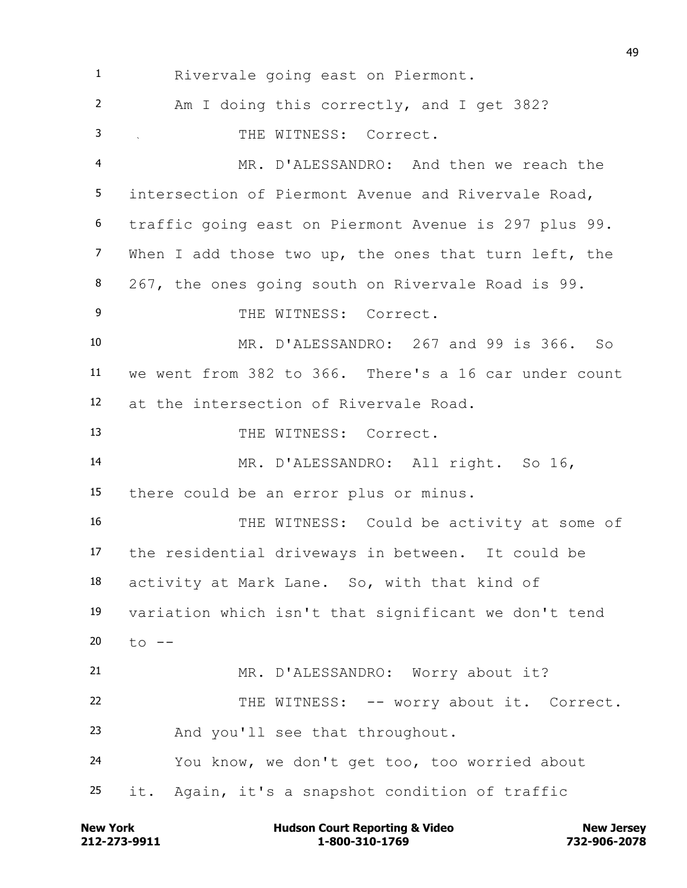Rivervale going east on Piermont. Am I doing this correctly, and I get 382? THE WITNESS: Correct. MR. D'ALESSANDRO: And then we reach the intersection of Piermont Avenue and Rivervale Road, traffic going east on Piermont Avenue is 297 plus 99. When I add those two up, the ones that turn left, the 267, the ones going south on Rivervale Road is 99. 9 THE WITNESS: Correct. MR. D'ALESSANDRO: 267 and 99 is 366. So we went from 382 to 366. There's a 16 car under count at the intersection of Rivervale Road. 13 THE WITNESS: Correct. MR. D'ALESSANDRO: All right. So 16, there could be an error plus or minus. THE WITNESS: Could be activity at some of the residential driveways in between. It could be activity at Mark Lane. So, with that kind of variation which isn't that significant we don't tend  $t_{0}$  -- MR. D'ALESSANDRO: Worry about it? THE WITNESS: -- worry about it. Correct. And you'll see that throughout. You know, we don't get too, too worried about it. Again, it's a snapshot condition of traffic

**212-273-9911 1-800-310-1769 732-906-2078 New York Communist Court Reporting & Video New Jersey Rew Jersey**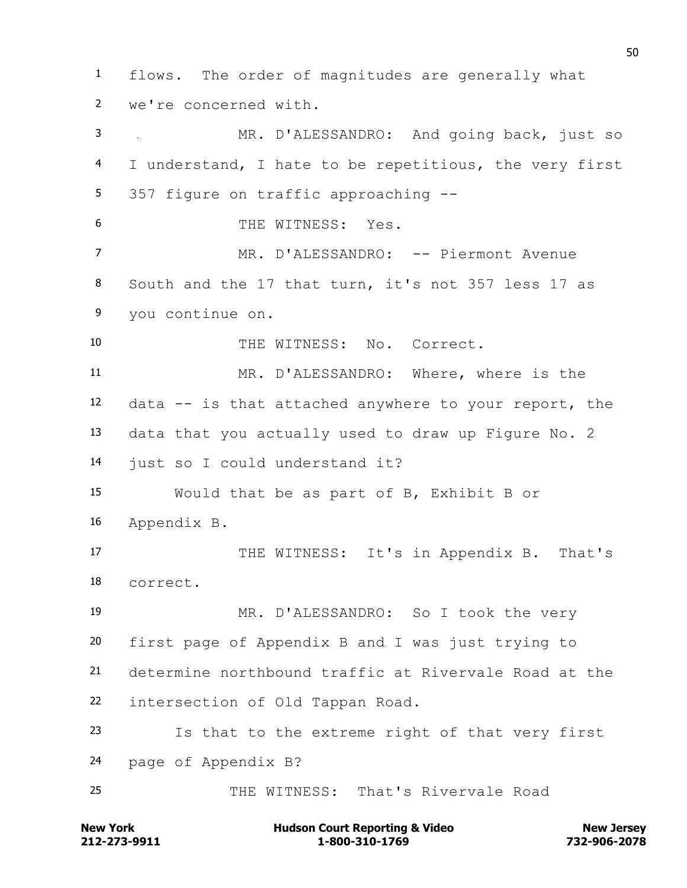flows. The order of magnitudes are generally what we're concerned with. MR. D'ALESSANDRO: And going back, just so I understand, I hate to be repetitious, the very first 357 figure on traffic approaching -- THE WITNESS: Yes. 7 MR. D'ALESSANDRO: -- Piermont Avenue South and the 17 that turn, it's not 357 less 17 as you continue on. THE WITNESS: No. Correct. MR. D'ALESSANDRO: Where, where is the data -- is that attached anywhere to your report, the data that you actually used to draw up Figure No. 2 just so I could understand it? Would that be as part of B, Exhibit B or Appendix B. 17 THE WITNESS: It's in Appendix B. That's correct. MR. D'ALESSANDRO: So I took the very first page of Appendix B and I was just trying to determine northbound traffic at Rivervale Road at the intersection of Old Tappan Road. Is that to the extreme right of that very first page of Appendix B? THE WITNESS: That's Rivervale Road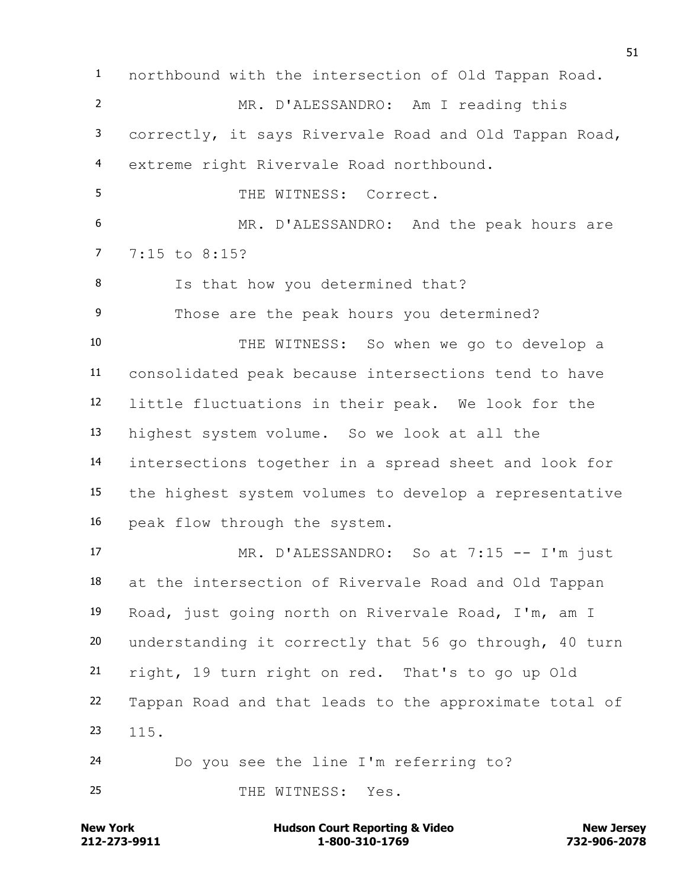northbound with the intersection of Old Tappan Road. MR. D'ALESSANDRO: Am I reading this correctly, it says Rivervale Road and Old Tappan Road, extreme right Rivervale Road northbound. THE WITNESS: Correct. MR. D'ALESSANDRO: And the peak hours are 7:15 to 8:15? Is that how you determined that? Those are the peak hours you determined? THE WITNESS: So when we go to develop a consolidated peak because intersections tend to have little fluctuations in their peak. We look for the highest system volume. So we look at all the intersections together in a spread sheet and look for the highest system volumes to develop a representative peak flow through the system. MR. D'ALESSANDRO: So at 7:15 -- I'm just at the intersection of Rivervale Road and Old Tappan Road, just going north on Rivervale Road, I'm, am I understanding it correctly that 56 go through, 40 turn right, 19 turn right on red. That's to go up Old Tappan Road and that leads to the approximate total of 115. Do you see the line I'm referring to? 25 THE WITNESS: Yes.

**212-273-9911 1-800-310-1769 732-906-2078 New York Communist Court Reporting & Video New Jersey Rew Jersey**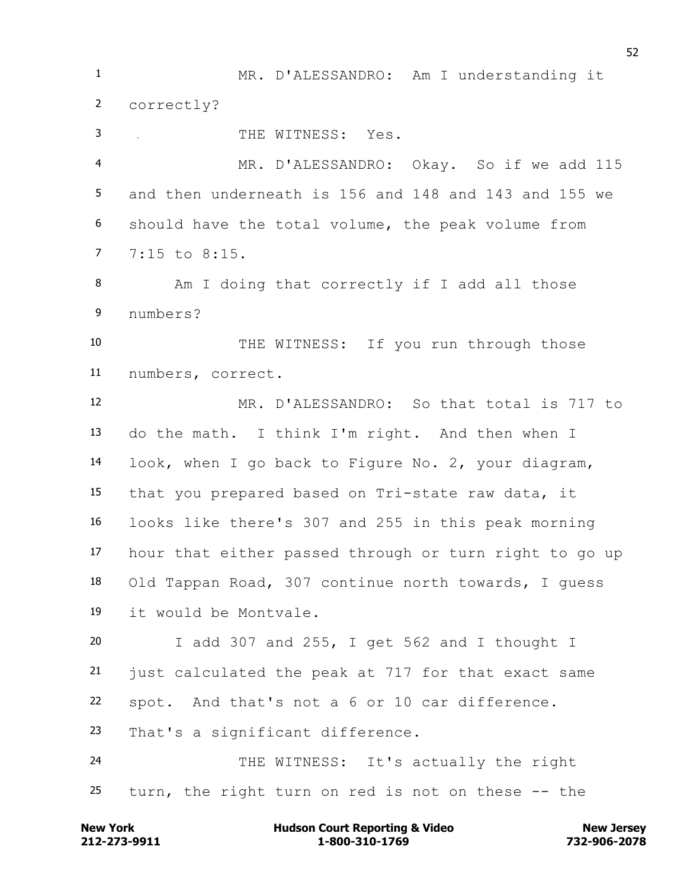MR. D'ALESSANDRO: Am I understanding it correctly? 3 THE WITNESS: Yes. MR. D'ALESSANDRO: Okay. So if we add 115 and then underneath is 156 and 148 and 143 and 155 we should have the total volume, the peak volume from 7:15 to 8:15. Am I doing that correctly if I add all those numbers? THE WITNESS: If you run through those numbers, correct. MR. D'ALESSANDRO: So that total is 717 to do the math. I think I'm right. And then when I look, when I go back to Figure No. 2, your diagram, that you prepared based on Tri-state raw data, it looks like there's 307 and 255 in this peak morning hour that either passed through or turn right to go up Old Tappan Road, 307 continue north towards, I guess it would be Montvale. I add 307 and 255, I get 562 and I thought I just calculated the peak at 717 for that exact same spot. And that's not a 6 or 10 car difference. That's a significant difference. THE WITNESS: It's actually the right turn, the right turn on red is not on these -- the

**212-273-9911 1-800-310-1769 732-906-2078 New York Communist Court Reporting & Video New Jersey Rew Jersey**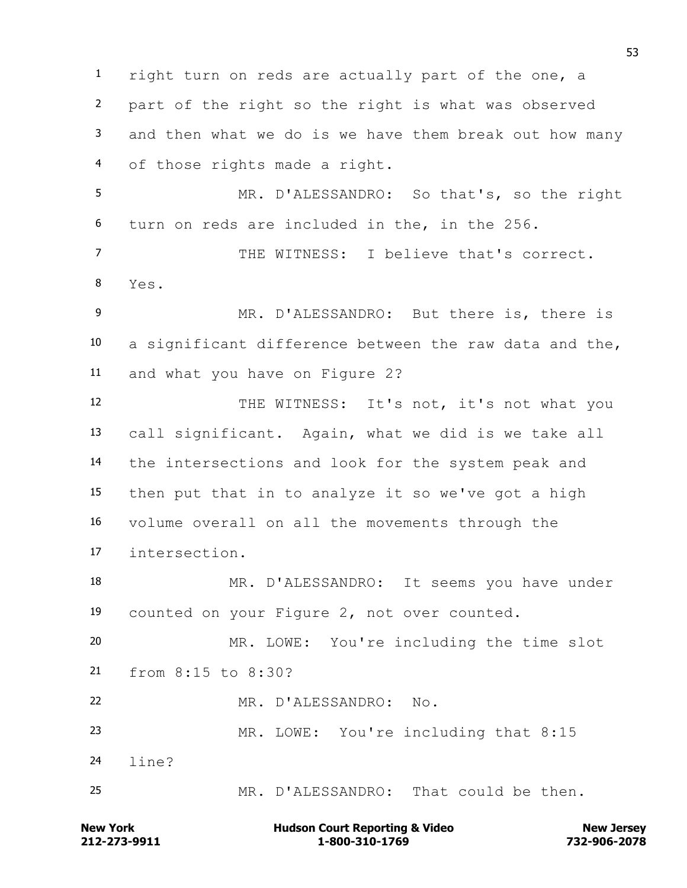right turn on reds are actually part of the one, a part of the right so the right is what was observed and then what we do is we have them break out how many of those rights made a right. MR. D'ALESSANDRO: So that's, so the right turn on reds are included in the, in the 256. THE WITNESS: I believe that's correct. Yes. MR. D'ALESSANDRO: But there is, there is a significant difference between the raw data and the, and what you have on Figure 2? 12 THE WITNESS: It's not, it's not what you call significant. Again, what we did is we take all the intersections and look for the system peak and then put that in to analyze it so we've got a high volume overall on all the movements through the intersection. MR. D'ALESSANDRO: It seems you have under counted on your Figure 2, not over counted. MR. LOWE: You're including the time slot from 8:15 to 8:30? MR. D'ALESSANDRO: No. MR. LOWE: You're including that 8:15 line? MR. D'ALESSANDRO: That could be then.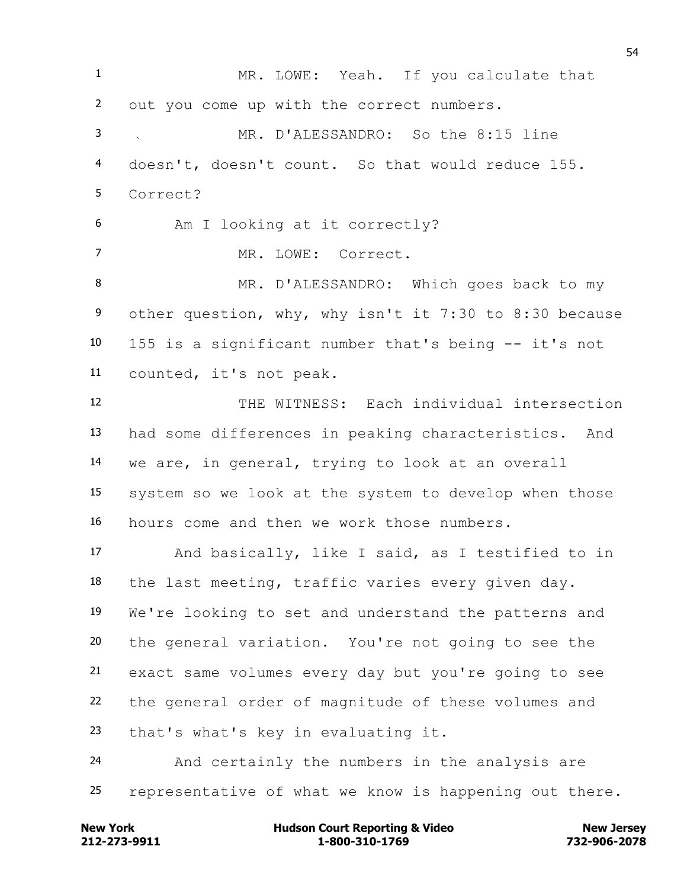MR. LOWE: Yeah. If you calculate that out you come up with the correct numbers. MR. D'ALESSANDRO: So the 8:15 line doesn't, doesn't count. So that would reduce 155. Correct? Am I looking at it correctly? MR. LOWE: Correct. MR. D'ALESSANDRO: Which goes back to my other question, why, why isn't it 7:30 to 8:30 because 155 is a significant number that's being -- it's not counted, it's not peak. THE WITNESS: Each individual intersection had some differences in peaking characteristics. And we are, in general, trying to look at an overall system so we look at the system to develop when those hours come and then we work those numbers. And basically, like I said, as I testified to in the last meeting, traffic varies every given day. We're looking to set and understand the patterns and the general variation. You're not going to see the exact same volumes every day but you're going to see the general order of magnitude of these volumes and that's what's key in evaluating it. And certainly the numbers in the analysis are representative of what we know is happening out there.

**212-273-9911 1-800-310-1769 732-906-2078 New York Communist Court Reporting & Video New Jersey Rew Jersey**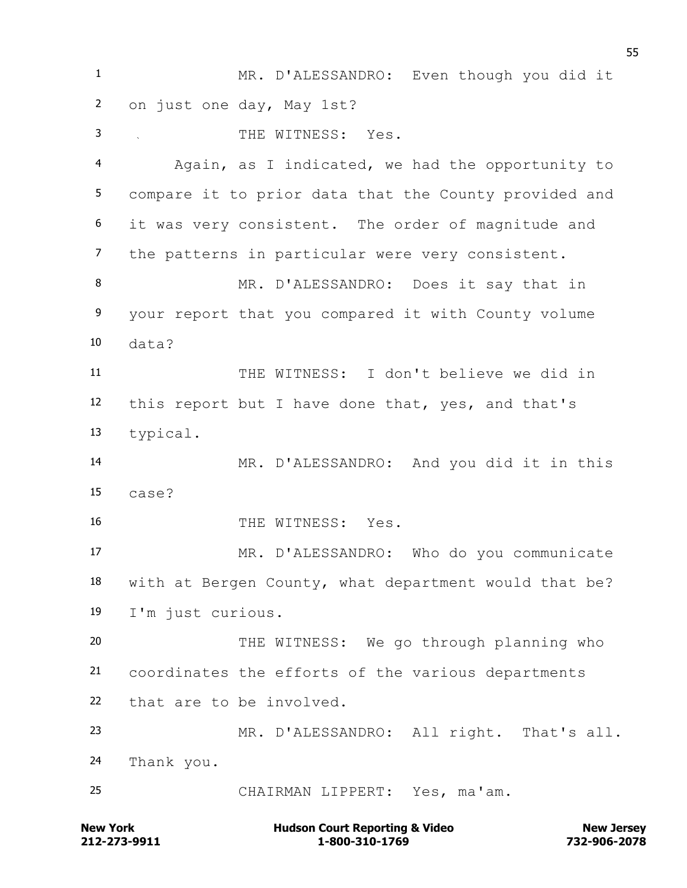MR. D'ALESSANDRO: Even though you did it on just one day, May 1st? THE WITNESS: Yes. Again, as I indicated, we had the opportunity to compare it to prior data that the County provided and it was very consistent. The order of magnitude and the patterns in particular were very consistent. MR. D'ALESSANDRO: Does it say that in your report that you compared it with County volume data? THE WITNESS: I don't believe we did in this report but I have done that, yes, and that's typical. MR. D'ALESSANDRO: And you did it in this case? 16 THE WITNESS: Yes. MR. D'ALESSANDRO: Who do you communicate with at Bergen County, what department would that be? I'm just curious. THE WITNESS: We go through planning who coordinates the efforts of the various departments that are to be involved. MR. D'ALESSANDRO: All right. That's all. Thank you. CHAIRMAN LIPPERT: Yes, ma'am.

**212-273-9911 1-800-310-1769 732-906-2078 New York Communist Court Reporting & Video New Jersey Rew Jersey**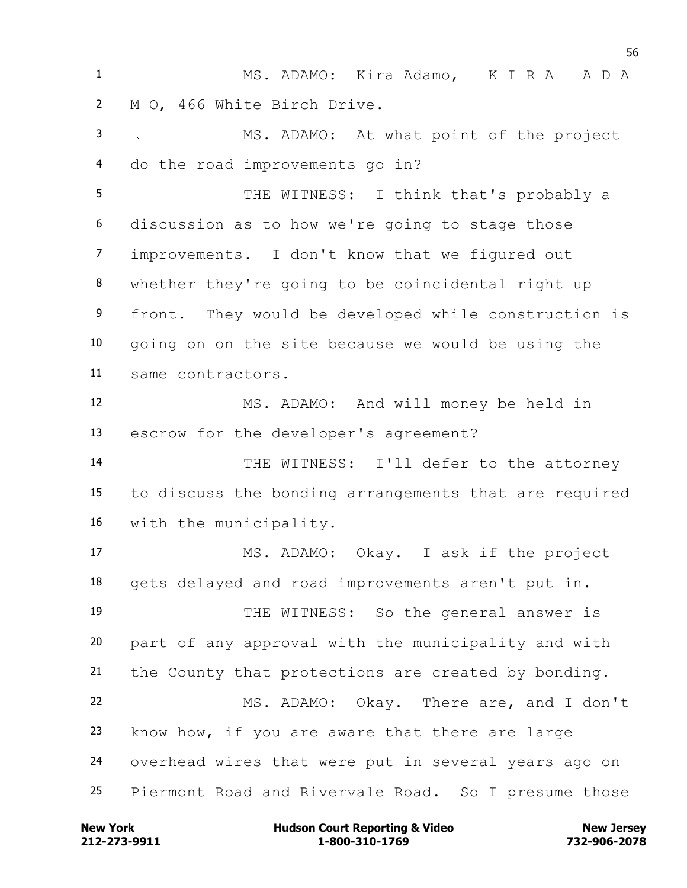MS. ADAMO: Kira Adamo, K I R A A D A M O, 466 White Birch Drive. MS. ADAMO: At what point of the project do the road improvements go in? 5 THE WITNESS: I think that's probably a discussion as to how we're going to stage those improvements. I don't know that we figured out whether they're going to be coincidental right up front. They would be developed while construction is going on on the site because we would be using the same contractors. MS. ADAMO: And will money be held in escrow for the developer's agreement? THE WITNESS: I'll defer to the attorney to discuss the bonding arrangements that are required with the municipality. MS. ADAMO: Okay. I ask if the project gets delayed and road improvements aren't put in. THE WITNESS: So the general answer is part of any approval with the municipality and with the County that protections are created by bonding. MS. ADAMO: Okay. There are, and I don't know how, if you are aware that there are large overhead wires that were put in several years ago on Piermont Road and Rivervale Road. So I presume those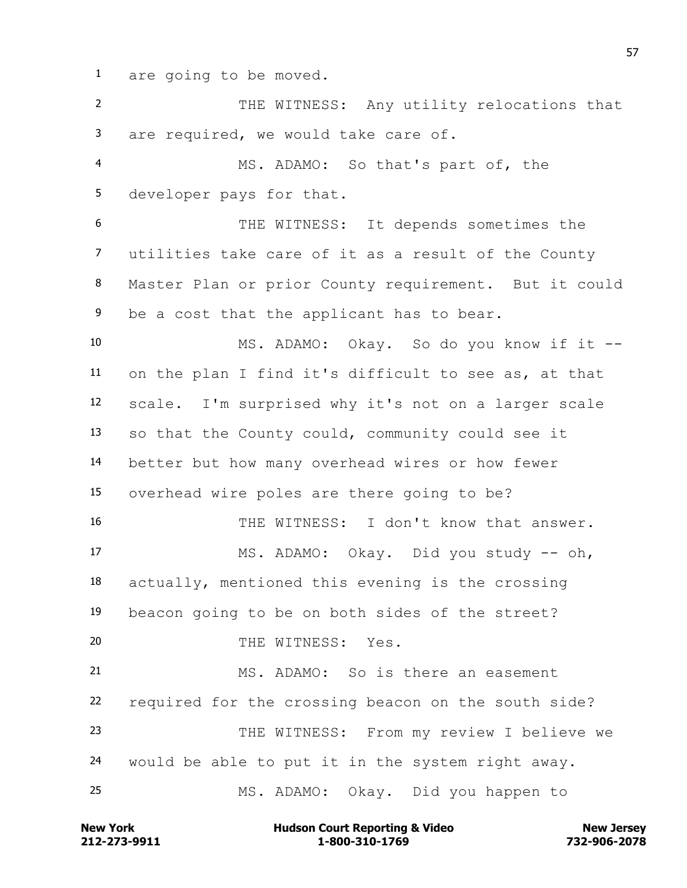are going to be moved.

 THE WITNESS: Any utility relocations that are required, we would take care of. MS. ADAMO: So that's part of, the developer pays for that. THE WITNESS: It depends sometimes the utilities take care of it as a result of the County Master Plan or prior County requirement. But it could 9 be a cost that the applicant has to bear. MS. ADAMO: Okay. So do you know if it -- on the plan I find it's difficult to see as, at that scale. I'm surprised why it's not on a larger scale so that the County could, community could see it better but how many overhead wires or how fewer overhead wire poles are there going to be? THE WITNESS: I don't know that answer. MS. ADAMO: Okay. Did you study -- oh, actually, mentioned this evening is the crossing beacon going to be on both sides of the street? THE WITNESS: Yes. MS. ADAMO: So is there an easement required for the crossing beacon on the south side? THE WITNESS: From my review I believe we would be able to put it in the system right away. MS. ADAMO: Okay. Did you happen to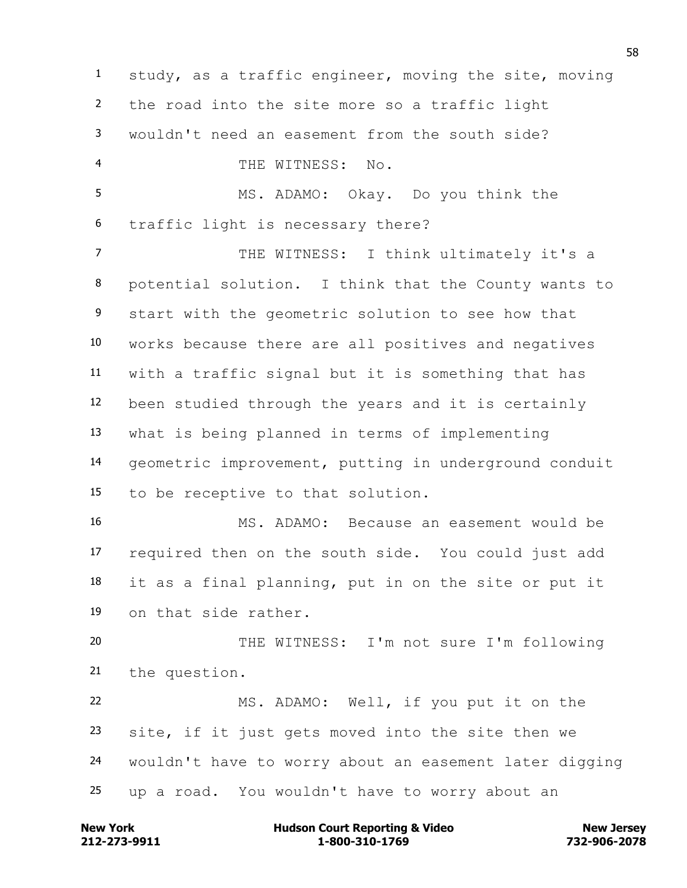study, as a traffic engineer, moving the site, moving the road into the site more so a traffic light wouldn't need an easement from the south side? THE WITNESS: No. MS. ADAMO: Okay. Do you think the traffic light is necessary there? 7 THE WITNESS: I think ultimately it's a potential solution. I think that the County wants to start with the geometric solution to see how that works because there are all positives and negatives with a traffic signal but it is something that has been studied through the years and it is certainly what is being planned in terms of implementing geometric improvement, putting in underground conduit to be receptive to that solution. MS. ADAMO: Because an easement would be required then on the south side. You could just add it as a final planning, put in on the site or put it on that side rather. THE WITNESS: I'm not sure I'm following the question. MS. ADAMO: Well, if you put it on the site, if it just gets moved into the site then we wouldn't have to worry about an easement later digging up a road. You wouldn't have to worry about an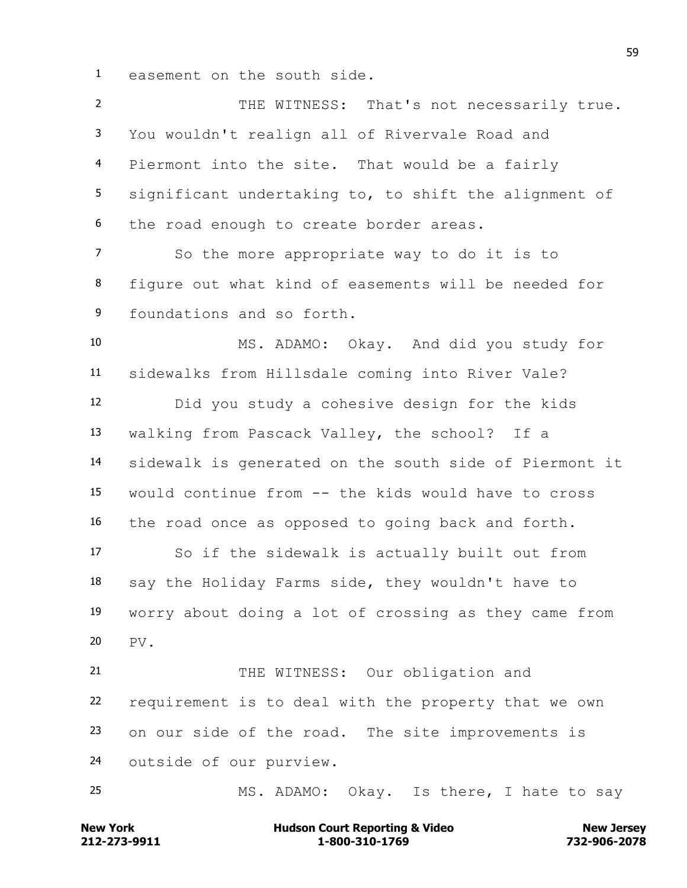easement on the south side.

2 THE WITNESS: That's not necessarily true. You wouldn't realign all of Rivervale Road and Piermont into the site. That would be a fairly significant undertaking to, to shift the alignment of the road enough to create border areas. So the more appropriate way to do it is to figure out what kind of easements will be needed for foundations and so forth. MS. ADAMO: Okay. And did you study for sidewalks from Hillsdale coming into River Vale? Did you study a cohesive design for the kids walking from Pascack Valley, the school? If a sidewalk is generated on the south side of Piermont it would continue from -- the kids would have to cross the road once as opposed to going back and forth. So if the sidewalk is actually built out from say the Holiday Farms side, they wouldn't have to worry about doing a lot of crossing as they came from PV. 21 THE WITNESS: Our obligation and requirement is to deal with the property that we own on our side of the road. The site improvements is outside of our purview. MS. ADAMO: Okay. Is there, I hate to say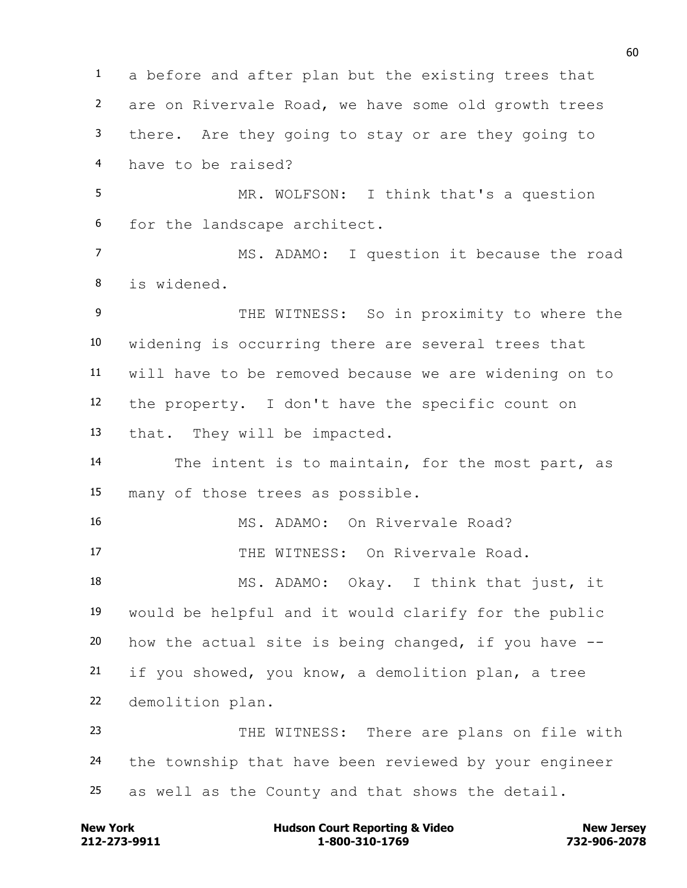a before and after plan but the existing trees that are on Rivervale Road, we have some old growth trees there. Are they going to stay or are they going to have to be raised? MR. WOLFSON: I think that's a question for the landscape architect. MS. ADAMO: I question it because the road is widened. 9 THE WITNESS: So in proximity to where the widening is occurring there are several trees that will have to be removed because we are widening on to the property. I don't have the specific count on that. They will be impacted. The intent is to maintain, for the most part, as many of those trees as possible. MS. ADAMO: On Rivervale Road? 17 THE WITNESS: On Rivervale Road. MS. ADAMO: Okay. I think that just, it would be helpful and it would clarify for the public 20 how the actual site is being changed, if you have  $-$ - if you showed, you know, a demolition plan, a tree demolition plan. THE WITNESS: There are plans on file with the township that have been reviewed by your engineer as well as the County and that shows the detail.

**212-273-9911 1-800-310-1769 732-906-2078 New York Communist Court Reporting & Video New Jersey Rew Jersey**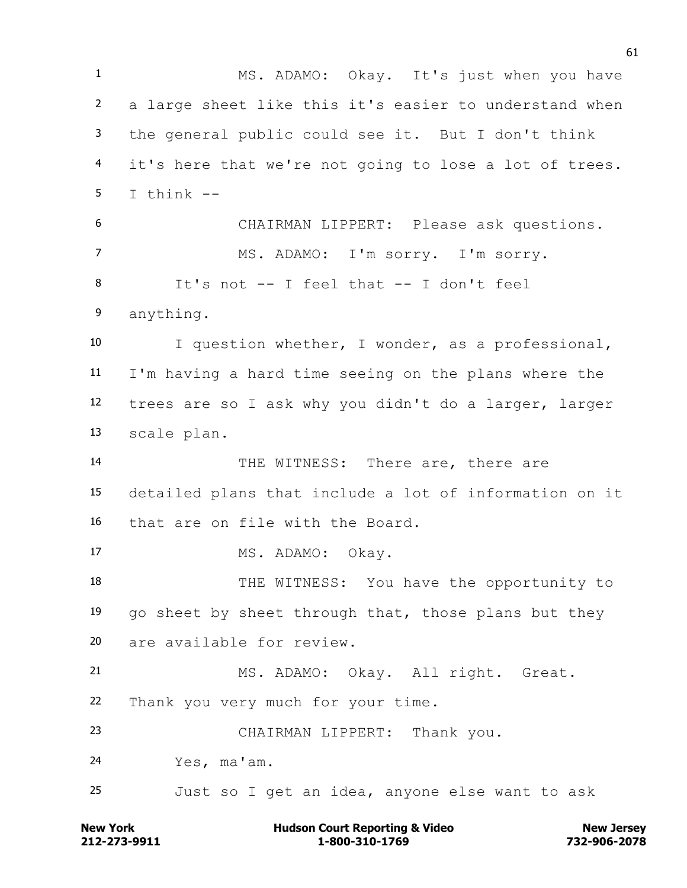MS. ADAMO: Okay. It's just when you have a large sheet like this it's easier to understand when the general public could see it. But I don't think it's here that we're not going to lose a lot of trees. T think  $-$  CHAIRMAN LIPPERT: Please ask questions. MS. ADAMO: I'm sorry. I'm sorry. It's not -- I feel that -- I don't feel anything. I question whether, I wonder, as a professional, I'm having a hard time seeing on the plans where the trees are so I ask why you didn't do a larger, larger scale plan. THE WITNESS: There are, there are detailed plans that include a lot of information on it that are on file with the Board. 17 MS. ADAMO: Okay. 18 THE WITNESS: You have the opportunity to 19 go sheet by sheet through that, those plans but they are available for review. MS. ADAMO: Okay. All right. Great. Thank you very much for your time. CHAIRMAN LIPPERT: Thank you. Yes, ma'am. Just so I get an idea, anyone else want to ask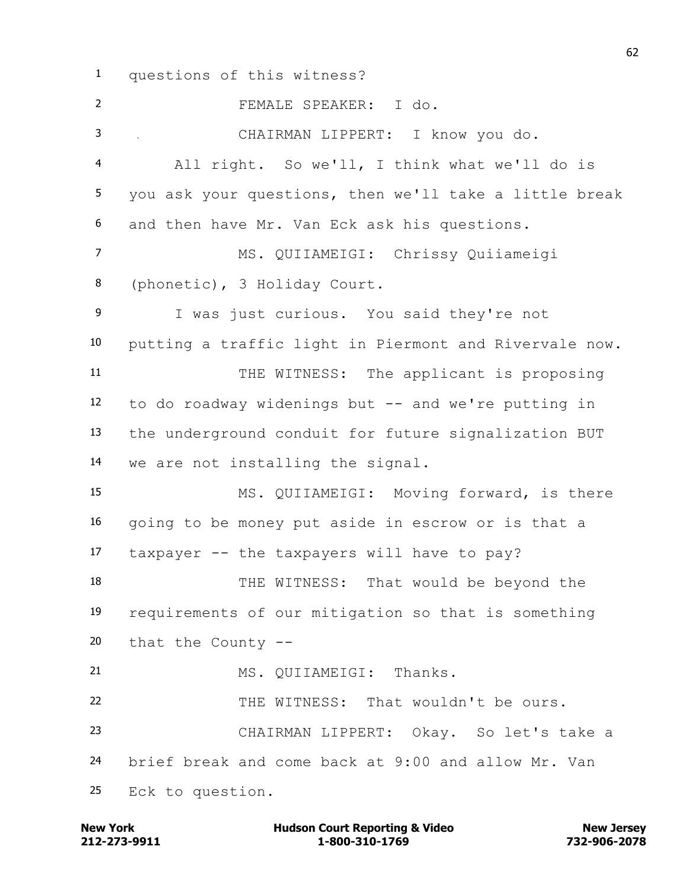questions of this witness?

 FEMALE SPEAKER: I do. CHAIRMAN LIPPERT: I know you do. All right. So we'll, I think what we'll do is you ask your questions, then we'll take a little break and then have Mr. Van Eck ask his questions. MS. QUIIAMEIGI: Chrissy Quiiameigi (phonetic), 3 Holiday Court. I was just curious. You said they're not putting a traffic light in Piermont and Rivervale now. 11 THE WITNESS: The applicant is proposing to do roadway widenings but -- and we're putting in the underground conduit for future signalization BUT we are not installing the signal. MS. QUIIAMEIGI: Moving forward, is there going to be money put aside in escrow or is that a taxpayer -- the taxpayers will have to pay? THE WITNESS: That would be beyond the requirements of our mitigation so that is something that the County -- 21 MS. OUITAMEIGI: Thanks. THE WITNESS: That wouldn't be ours. CHAIRMAN LIPPERT: Okay. So let's take a brief break and come back at 9:00 and allow Mr. Van Eck to question.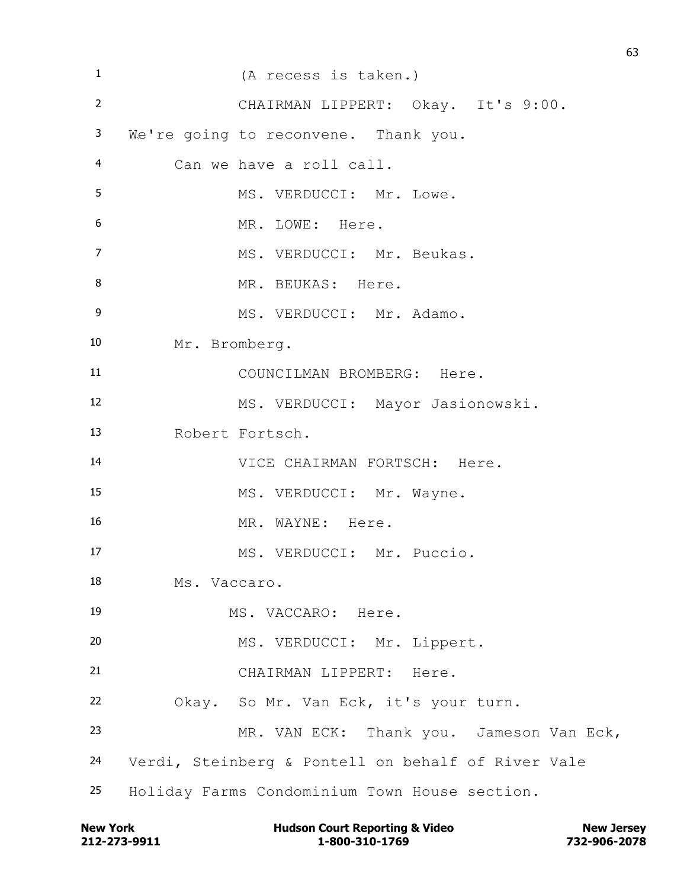| $\mathbf{1}$   | (A recess is taken.)                               |
|----------------|----------------------------------------------------|
| $\overline{2}$ | CHAIRMAN LIPPERT: Okay. It's 9:00.                 |
| 3              | We're going to reconvene. Thank you.               |
| $\overline{4}$ | Can we have a roll call.                           |
| 5              | MS. VERDUCCI: Mr. Lowe.                            |
| 6              | MR. LOWE: Here.                                    |
| $\overline{7}$ | MS. VERDUCCI: Mr. Beukas.                          |
| 8              | MR. BEUKAS: Here.                                  |
| $\mathsf 9$    | MS. VERDUCCI: Mr. Adamo.                           |
| 10             | Mr. Bromberg.                                      |
| 11             | COUNCILMAN BROMBERG: Here.                         |
| 12             | MS. VERDUCCI: Mayor Jasionowski.                   |
| 13             | Robert Fortsch.                                    |
| 14             | VICE CHAIRMAN FORTSCH: Here.                       |
| 15             | MS. VERDUCCI: Mr. Wayne.                           |
| 16             | MR. WAYNE: Here.                                   |
| 17             | MS. VERDUCCI: Mr. Puccio.                          |
| 18             | Ms. Vaccaro.                                       |
| 19             | MS. VACCARO: Here.                                 |
| 20             | MS. VERDUCCI: Mr. Lippert.                         |
| 21             | CHAIRMAN LIPPERT: Here.                            |
| 22             | Okay. So Mr. Van Eck, it's your turn.              |
| 23             | MR. VAN ECK: Thank you. Jameson Van Eck,           |
| 24             | Verdi, Steinberg & Pontell on behalf of River Vale |
| 25             | Holiday Farms Condominium Town House section.      |

**212-273-9911 1-800-310-1769 732-906-2078 New York Hudson Court Reporting & Video New Jersey**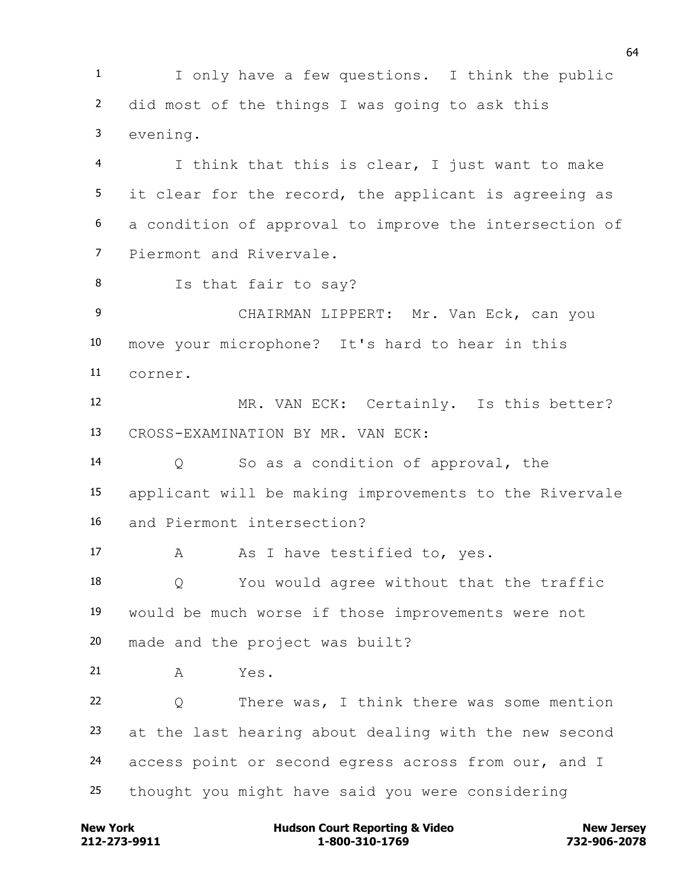I only have a few questions. I think the public did most of the things I was going to ask this evening.

 I think that this is clear, I just want to make it clear for the record, the applicant is agreeing as a condition of approval to improve the intersection of Piermont and Rivervale.

Is that fair to say?

 CHAIRMAN LIPPERT: Mr. Van Eck, can you move your microphone? It's hard to hear in this corner.

 MR. VAN ECK: Certainly. Is this better? CROSS-EXAMINATION BY MR. VAN ECK:

 Q So as a condition of approval, the applicant will be making improvements to the Rivervale and Piermont intersection?

17 A As I have testified to, yes.

 Q You would agree without that the traffic would be much worse if those improvements were not made and the project was built?

A Yes.

 Q There was, I think there was some mention at the last hearing about dealing with the new second 24 access point or second egress across from our, and I thought you might have said you were considering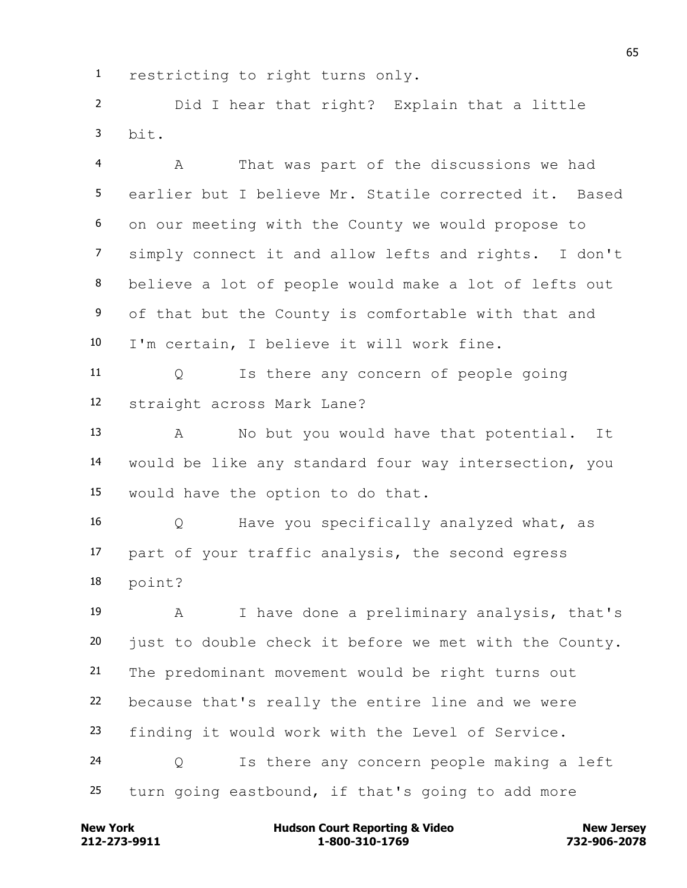restricting to right turns only.

 Did I hear that right? Explain that a little  $h$ it.

 A That was part of the discussions we had earlier but I believe Mr. Statile corrected it. Based on our meeting with the County we would propose to simply connect it and allow lefts and rights. I don't believe a lot of people would make a lot of lefts out of that but the County is comfortable with that and I'm certain, I believe it will work fine.

 Q Is there any concern of people going straight across Mark Lane?

 A No but you would have that potential. It would be like any standard four way intersection, you would have the option to do that.

 Q Have you specifically analyzed what, as part of your traffic analysis, the second egress point?

 A I have done a preliminary analysis, that's just to double check it before we met with the County. The predominant movement would be right turns out because that's really the entire line and we were finding it would work with the Level of Service. Q Is there any concern people making a left turn going eastbound, if that's going to add more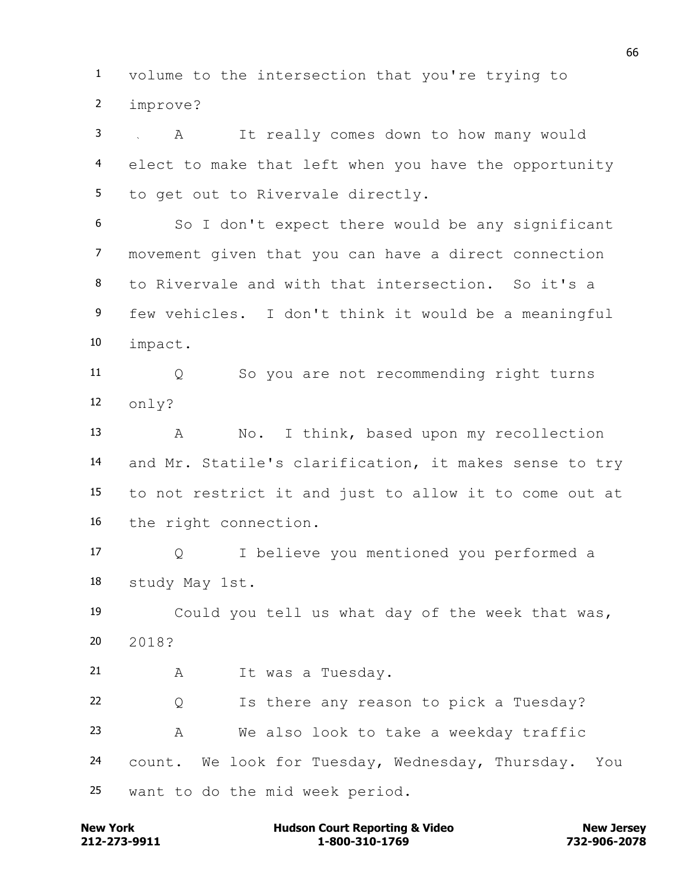volume to the intersection that you're trying to improve?

 A It really comes down to how many would elect to make that left when you have the opportunity to get out to Rivervale directly.

 So I don't expect there would be any significant movement given that you can have a direct connection to Rivervale and with that intersection. So it's a few vehicles. I don't think it would be a meaningful impact.

 Q So you are not recommending right turns only?

 A No. I think, based upon my recollection and Mr. Statile's clarification, it makes sense to try to not restrict it and just to allow it to come out at the right connection.

 Q I believe you mentioned you performed a study May 1st.

 Could you tell us what day of the week that was, 2018?

A It was a Tuesday.

 Q Is there any reason to pick a Tuesday? A We also look to take a weekday traffic count. We look for Tuesday, Wednesday, Thursday. You want to do the mid week period.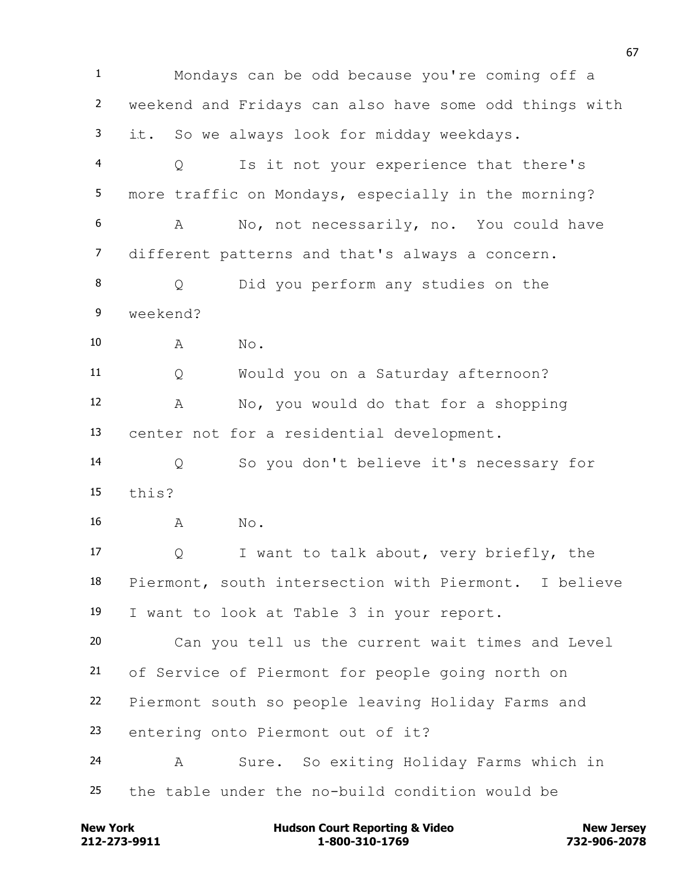Mondays can be odd because you're coming off a weekend and Fridays can also have some odd things with it. So we always look for midday weekdays. Q Is it not your experience that there's more traffic on Mondays, especially in the morning? A No, not necessarily, no. You could have different patterns and that's always a concern. Q Did you perform any studies on the weekend? 10 A No. Q Would you on a Saturday afternoon? A No, you would do that for a shopping center not for a residential development. Q So you don't believe it's necessary for this? 16 A No. Q I want to talk about, very briefly, the Piermont, south intersection with Piermont. I believe I want to look at Table 3 in your report. Can you tell us the current wait times and Level of Service of Piermont for people going north on Piermont south so people leaving Holiday Farms and entering onto Piermont out of it? A Sure. So exiting Holiday Farms which in the table under the no-build condition would be

**212-273-9911 1-800-310-1769 732-906-2078 New York Communist Court Reporting & Video New Jersey Rew Jersey**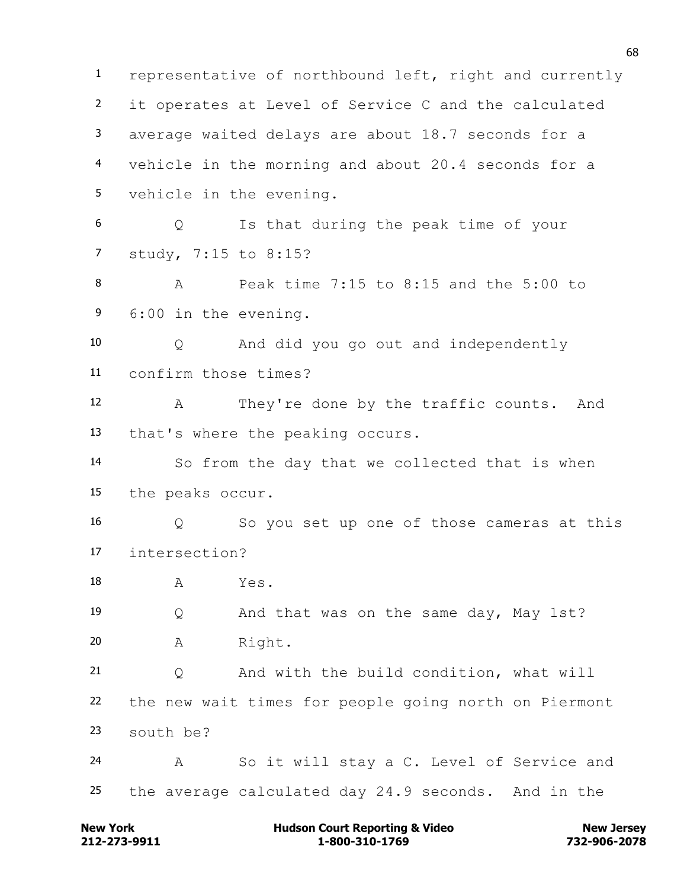representative of northbound left, right and currently it operates at Level of Service C and the calculated average waited delays are about 18.7 seconds for a vehicle in the morning and about 20.4 seconds for a vehicle in the evening. Q Is that during the peak time of your study, 7:15 to 8:15? A Peak time 7:15 to 8:15 and the 5:00 to 6:00 in the evening. Q And did you go out and independently confirm those times? A They're done by the traffic counts. And that's where the peaking occurs. So from the day that we collected that is when the peaks occur. Q So you set up one of those cameras at this intersection? 18 A Yes. Q And that was on the same day, May 1st? A Right. Q And with the build condition, what will the new wait times for people going north on Piermont south be? A So it will stay a C. Level of Service and the average calculated day 24.9 seconds. And in the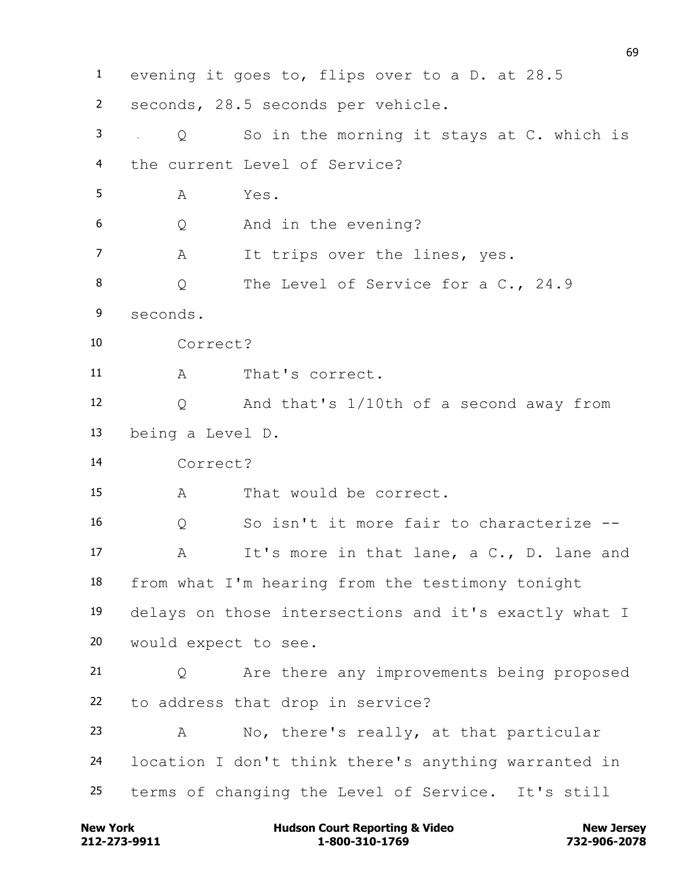evening it goes to, flips over to a D. at 28.5 seconds, 28.5 seconds per vehicle. Q So in the morning it stays at C. which is the current Level of Service? A Yes. Q And in the evening? 7 A It trips over the lines, yes. 8 O The Level of Service for a C., 24.9 seconds. Correct? A That's correct. Q And that's 1/10th of a second away from being a Level D. Correct? A That would be correct. Q So isn't it more fair to characterize -- A It's more in that lane, a C., D. lane and from what I'm hearing from the testimony tonight delays on those intersections and it's exactly what I would expect to see. Q Are there any improvements being proposed to address that drop in service? A No, there's really, at that particular location I don't think there's anything warranted in terms of changing the Level of Service. It's still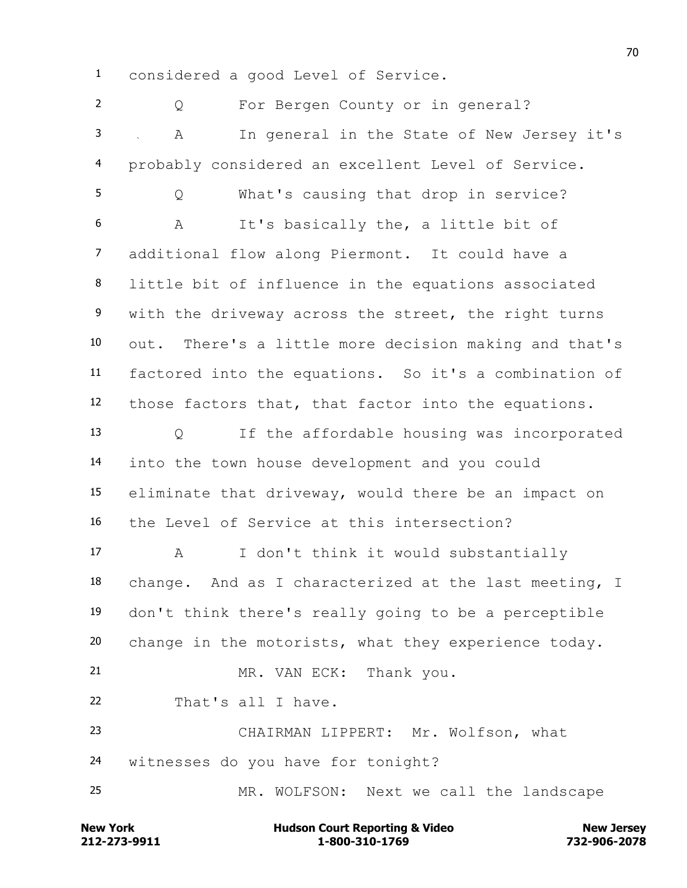considered a good Level of Service.

 Q For Bergen County or in general? A In general in the State of New Jersey it's probably considered an excellent Level of Service. Q What's causing that drop in service? A It's basically the, a little bit of additional flow along Piermont. It could have a little bit of influence in the equations associated with the driveway across the street, the right turns out. There's a little more decision making and that's factored into the equations. So it's a combination of those factors that, that factor into the equations. Q If the affordable housing was incorporated into the town house development and you could eliminate that driveway, would there be an impact on the Level of Service at this intersection? A I don't think it would substantially change. And as I characterized at the last meeting, I don't think there's really going to be a perceptible change in the motorists, what they experience today. 21 MR. VAN ECK: Thank you. That's all I have. CHAIRMAN LIPPERT: Mr. Wolfson, what witnesses do you have for tonight? MR. WOLFSON: Next we call the landscape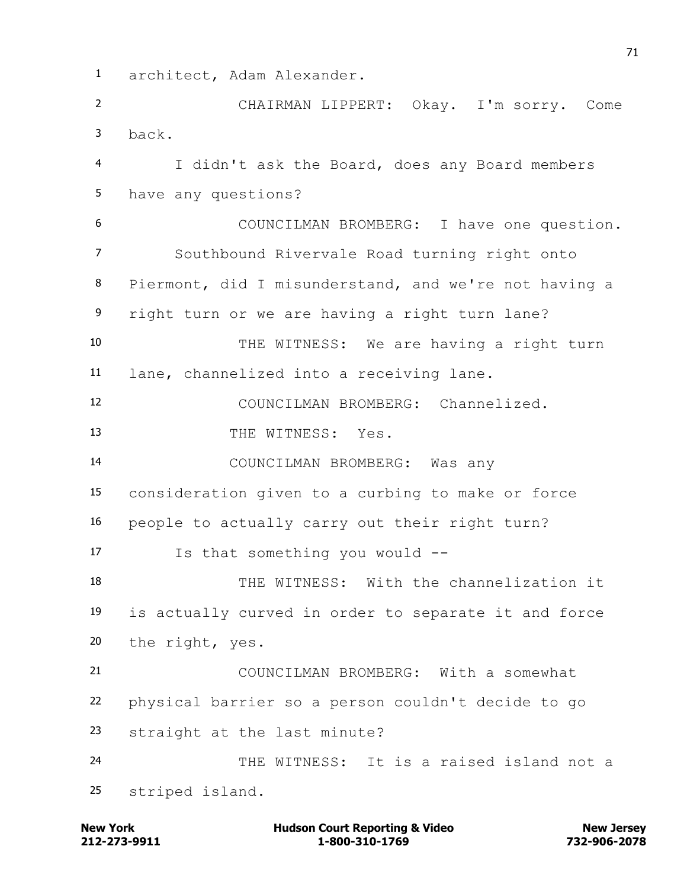architect, Adam Alexander. CHAIRMAN LIPPERT: Okay. I'm sorry. Come back. I didn't ask the Board, does any Board members have any questions? COUNCILMAN BROMBERG: I have one question. Southbound Rivervale Road turning right onto Piermont, did I misunderstand, and we're not having a right turn or we are having a right turn lane? THE WITNESS: We are having a right turn lane, channelized into a receiving lane. COUNCILMAN BROMBERG: Channelized. 13 THE WITNESS: Yes. COUNCILMAN BROMBERG: Was any consideration given to a curbing to make or force people to actually carry out their right turn? Is that something you would -- THE WITNESS: With the channelization it is actually curved in order to separate it and force the right, yes. COUNCILMAN BROMBERG: With a somewhat physical barrier so a person couldn't decide to go straight at the last minute? THE WITNESS: It is a raised island not a striped island.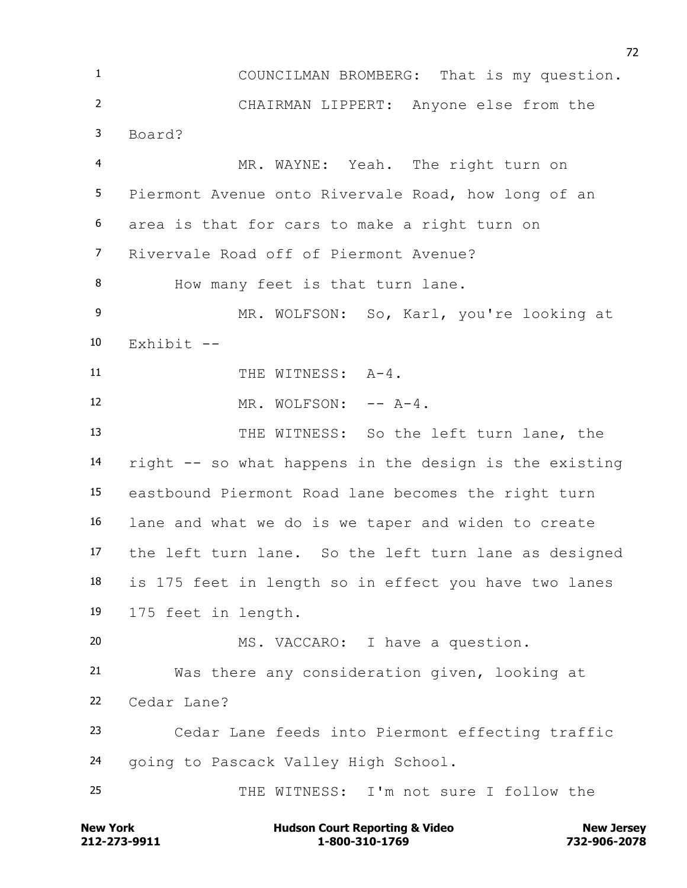COUNCILMAN BROMBERG: That is my question. CHAIRMAN LIPPERT: Anyone else from the Board? MR. WAYNE: Yeah. The right turn on Piermont Avenue onto Rivervale Road, how long of an area is that for cars to make a right turn on Rivervale Road off of Piermont Avenue? How many feet is that turn lane. MR. WOLFSON: So, Karl, you're looking at Exhibit  $-$ 11 THE WITNESS: A-4. 12 MR. WOLFSON:  $- - A - 4$ . THE WITNESS: So the left turn lane, the right -- so what happens in the design is the existing eastbound Piermont Road lane becomes the right turn lane and what we do is we taper and widen to create the left turn lane. So the left turn lane as designed is 175 feet in length so in effect you have two lanes 175 feet in length. MS. VACCARO: I have a question. Was there any consideration given, looking at Cedar Lane? Cedar Lane feeds into Piermont effecting traffic going to Pascack Valley High School. THE WITNESS: I'm not sure I follow the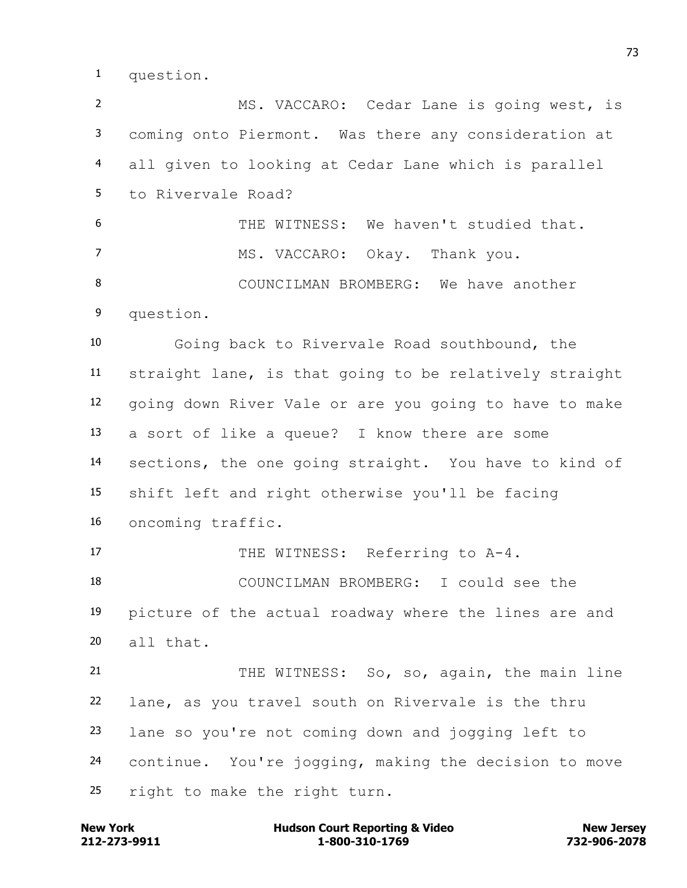question.

 MS. VACCARO: Cedar Lane is going west, is coming onto Piermont. Was there any consideration at all given to looking at Cedar Lane which is parallel to Rivervale Road? THE WITNESS: We haven't studied that. 7 MS. VACCARO: Okay. Thank you. COUNCILMAN BROMBERG: We have another question. Going back to Rivervale Road southbound, the straight lane, is that going to be relatively straight going down River Vale or are you going to have to make a sort of like a queue? I know there are some sections, the one going straight. You have to kind of shift left and right otherwise you'll be facing oncoming traffic. 17 THE WITNESS: Referring to A-4. COUNCILMAN BROMBERG: I could see the picture of the actual roadway where the lines are and all that. 21 THE WITNESS: So, so, again, the main line lane, as you travel south on Rivervale is the thru lane so you're not coming down and jogging left to continue. You're jogging, making the decision to move right to make the right turn.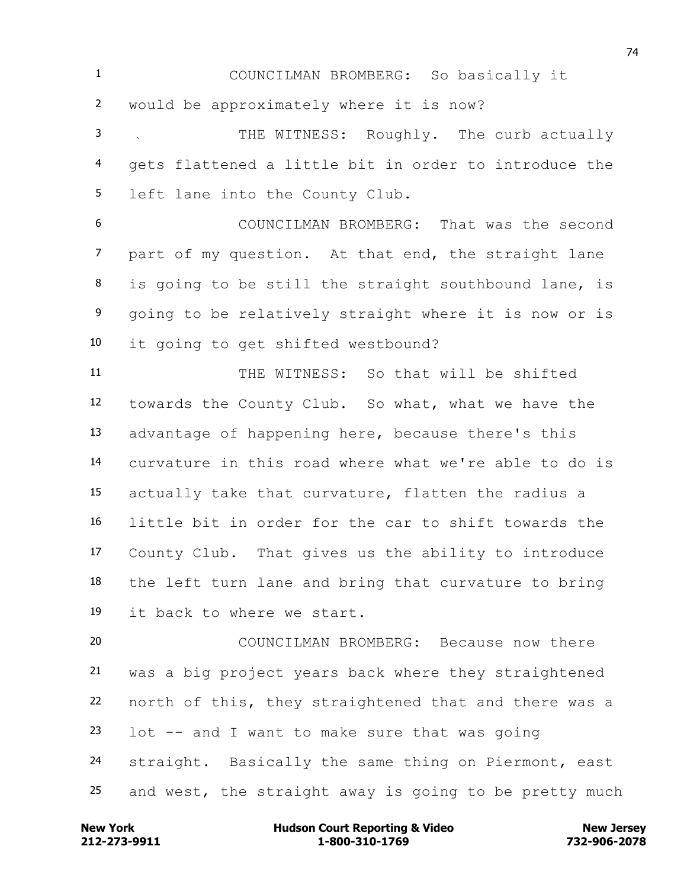COUNCILMAN BROMBERG: So basically it would be approximately where it is now?

 THE WITNESS: Roughly. The curb actually gets flattened a little bit in order to introduce the left lane into the County Club.

 COUNCILMAN BROMBERG: That was the second part of my question. At that end, the straight lane is going to be still the straight southbound lane, is going to be relatively straight where it is now or is it going to get shifted westbound?

 THE WITNESS: So that will be shifted towards the County Club. So what, what we have the advantage of happening here, because there's this curvature in this road where what we're able to do is actually take that curvature, flatten the radius a little bit in order for the car to shift towards the County Club. That gives us the ability to introduce the left turn lane and bring that curvature to bring it back to where we start.

 COUNCILMAN BROMBERG: Because now there was a big project years back where they straightened north of this, they straightened that and there was a lot -- and I want to make sure that was going 24 straight. Basically the same thing on Piermont, east and west, the straight away is going to be pretty much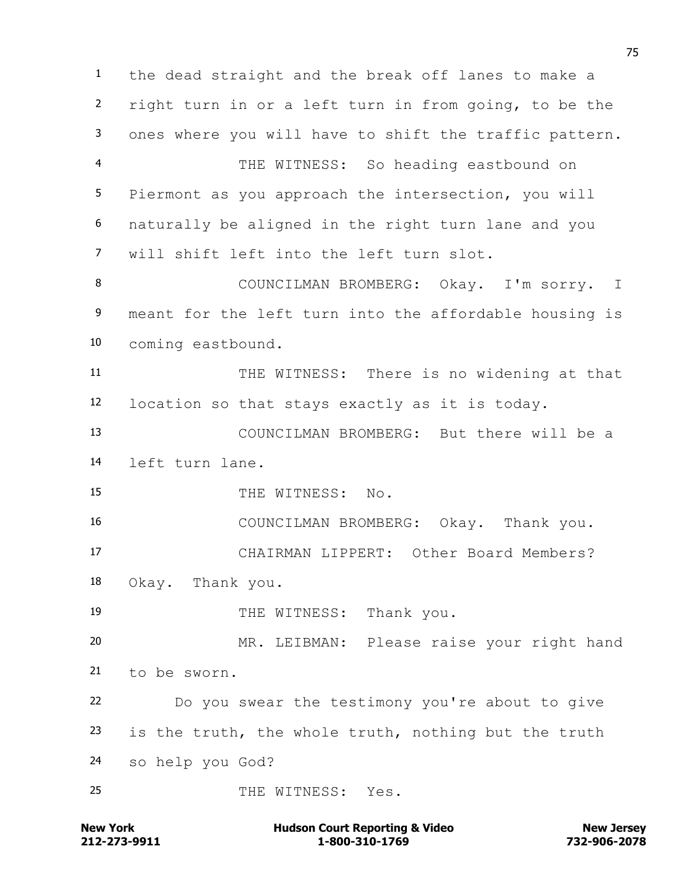the dead straight and the break off lanes to make a right turn in or a left turn in from going, to be the ones where you will have to shift the traffic pattern. THE WITNESS: So heading eastbound on Piermont as you approach the intersection, you will naturally be aligned in the right turn lane and you will shift left into the left turn slot. COUNCILMAN BROMBERG: Okay. I'm sorry. I meant for the left turn into the affordable housing is coming eastbound. THE WITNESS: There is no widening at that location so that stays exactly as it is today. COUNCILMAN BROMBERG: But there will be a left turn lane. 15 THE WITNESS: No. COUNCILMAN BROMBERG: Okay. Thank you. CHAIRMAN LIPPERT: Other Board Members? Okay. Thank you. 19 THE WITNESS: Thank you. MR. LEIBMAN: Please raise your right hand to be sworn. Do you swear the testimony you're about to give is the truth, the whole truth, nothing but the truth so help you God? 25 THE WITNESS: Yes.

**212-273-9911 1-800-310-1769 732-906-2078 New York Communist Court Reporting & Video New Jersey Rew Jersey**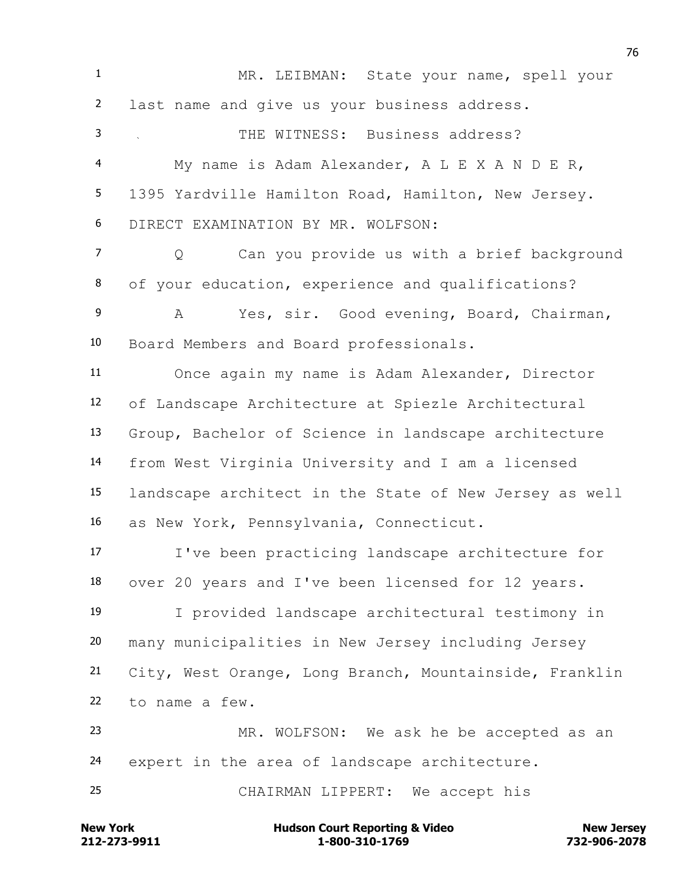**New York Communist Court Reporting & Video New Jersey Rew Jersey**  MR. LEIBMAN: State your name, spell your last name and give us your business address. THE WITNESS: Business address? My name is Adam Alexander, A L E X A N D E R, 1395 Yardville Hamilton Road, Hamilton, New Jersey. DIRECT EXAMINATION BY MR. WOLFSON: Q Can you provide us with a brief background of your education, experience and qualifications? A Yes, sir. Good evening, Board, Chairman, Board Members and Board professionals. Once again my name is Adam Alexander, Director of Landscape Architecture at Spiezle Architectural Group, Bachelor of Science in landscape architecture from West Virginia University and I am a licensed landscape architect in the State of New Jersey as well as New York, Pennsylvania, Connecticut. I've been practicing landscape architecture for over 20 years and I've been licensed for 12 years. I provided landscape architectural testimony in many municipalities in New Jersey including Jersey City, West Orange, Long Branch, Mountainside, Franklin to name a few. MR. WOLFSON: We ask he be accepted as an expert in the area of landscape architecture. CHAIRMAN LIPPERT: We accept his

**212-273-9911 1-800-310-1769 732-906-2078**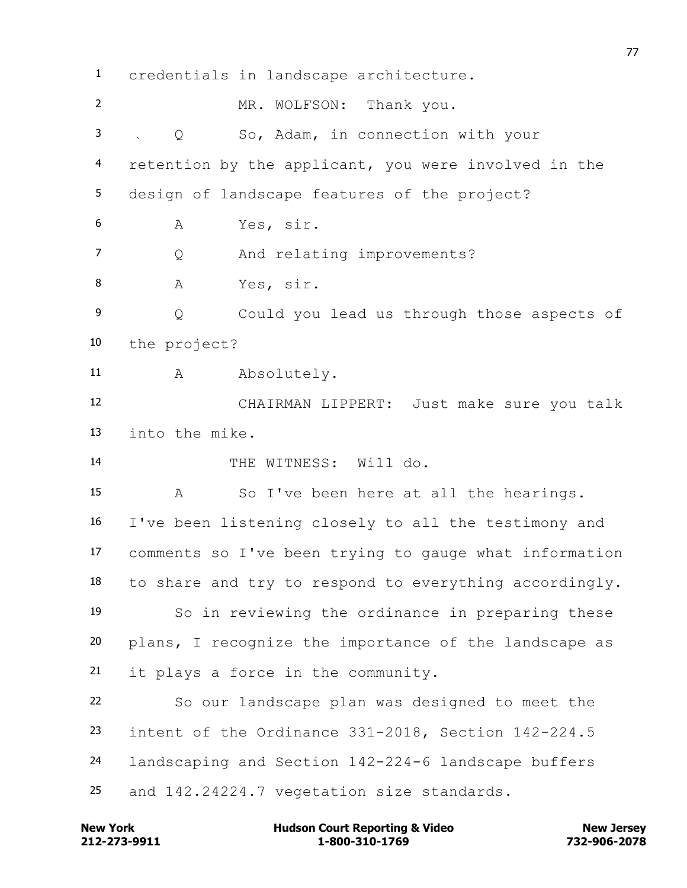credentials in landscape architecture. MR. WOLFSON: Thank you. Q So, Adam, in connection with your retention by the applicant, you were involved in the design of landscape features of the project? A Yes, sir. Q And relating improvements? 8 A Yes, sir. Q Could you lead us through those aspects of the project? 11 A Absolutely. CHAIRMAN LIPPERT: Just make sure you talk into the mike. 14 THE WITNESS: Will do. A So I've been here at all the hearings. I've been listening closely to all the testimony and comments so I've been trying to gauge what information to share and try to respond to everything accordingly. So in reviewing the ordinance in preparing these plans, I recognize the importance of the landscape as it plays a force in the community. So our landscape plan was designed to meet the intent of the Ordinance 331-2018, Section 142-224.5 landscaping and Section 142-224-6 landscape buffers and 142.24224.7 vegetation size standards.

**212-273-9911 1-800-310-1769 732-906-2078 New York Communist Court Reporting & Video New Jersey Rew Jersey**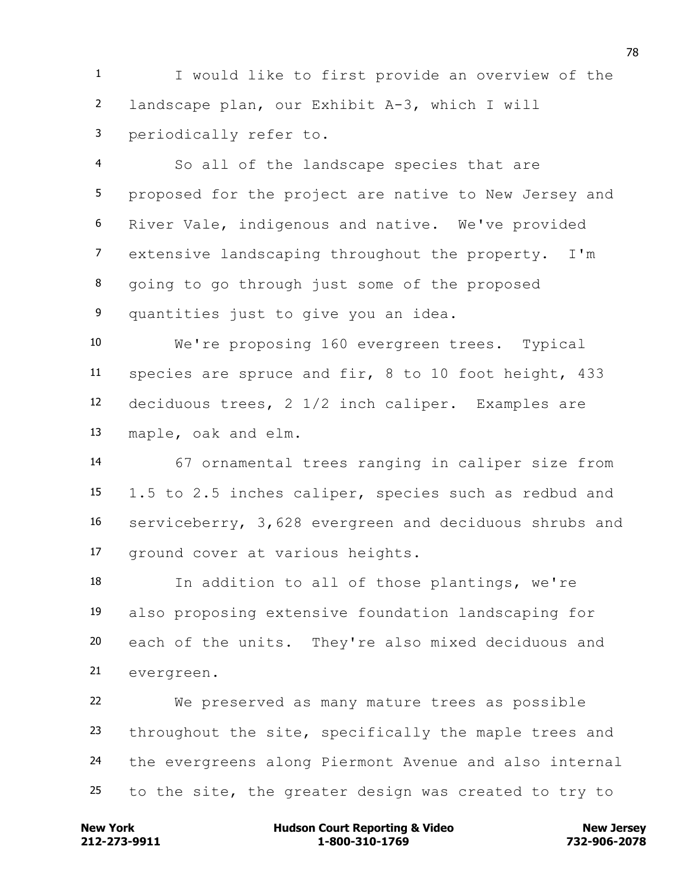I would like to first provide an overview of the landscape plan, our Exhibit A-3, which I will periodically refer to.

 So all of the landscape species that are proposed for the project are native to New Jersey and River Vale, indigenous and native. We've provided extensive landscaping throughout the property. I'm going to go through just some of the proposed quantities just to give you an idea.

 We're proposing 160 evergreen trees. Typical species are spruce and fir, 8 to 10 foot height, 433 deciduous trees, 2 1/2 inch caliper. Examples are maple, oak and elm.

 67 ornamental trees ranging in caliper size from 1.5 to 2.5 inches caliper, species such as redbud and serviceberry, 3,628 evergreen and deciduous shrubs and ground cover at various heights.

 In addition to all of those plantings, we're also proposing extensive foundation landscaping for each of the units. They're also mixed deciduous and evergreen.

 We preserved as many mature trees as possible 23 throughout the site, specifically the maple trees and the evergreens along Piermont Avenue and also internal to the site, the greater design was created to try to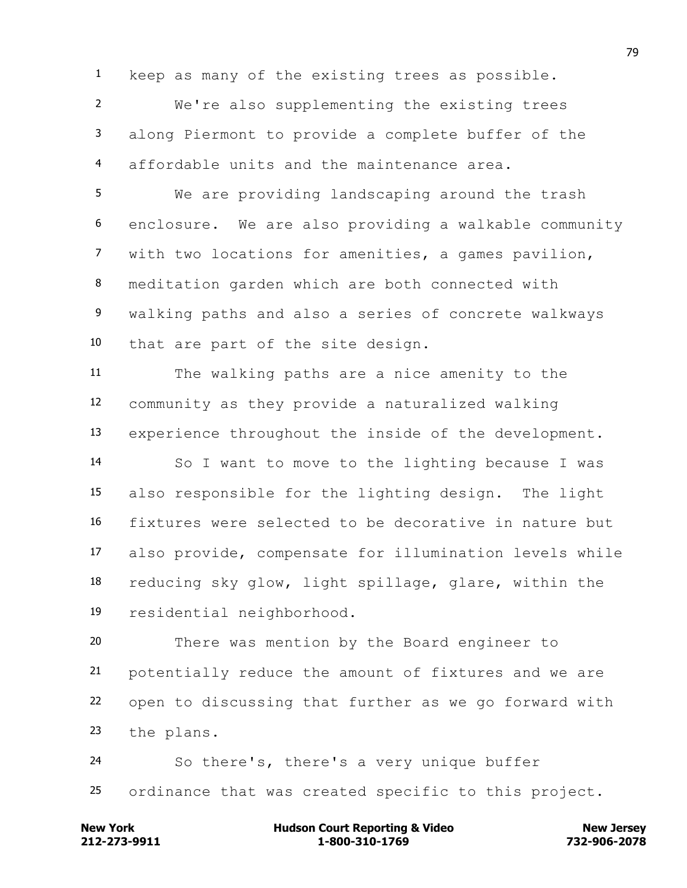keep as many of the existing trees as possible.

 We're also supplementing the existing trees along Piermont to provide a complete buffer of the affordable units and the maintenance area.

 We are providing landscaping around the trash enclosure. We are also providing a walkable community with two locations for amenities, a games pavilion, meditation garden which are both connected with walking paths and also a series of concrete walkways that are part of the site design.

 The walking paths are a nice amenity to the community as they provide a naturalized walking experience throughout the inside of the development. So I want to move to the lighting because I was also responsible for the lighting design. The light fixtures were selected to be decorative in nature but also provide, compensate for illumination levels while reducing sky glow, light spillage, glare, within the residential neighborhood.

 There was mention by the Board engineer to potentially reduce the amount of fixtures and we are open to discussing that further as we go forward with the plans.

 So there's, there's a very unique buffer ordinance that was created specific to this project.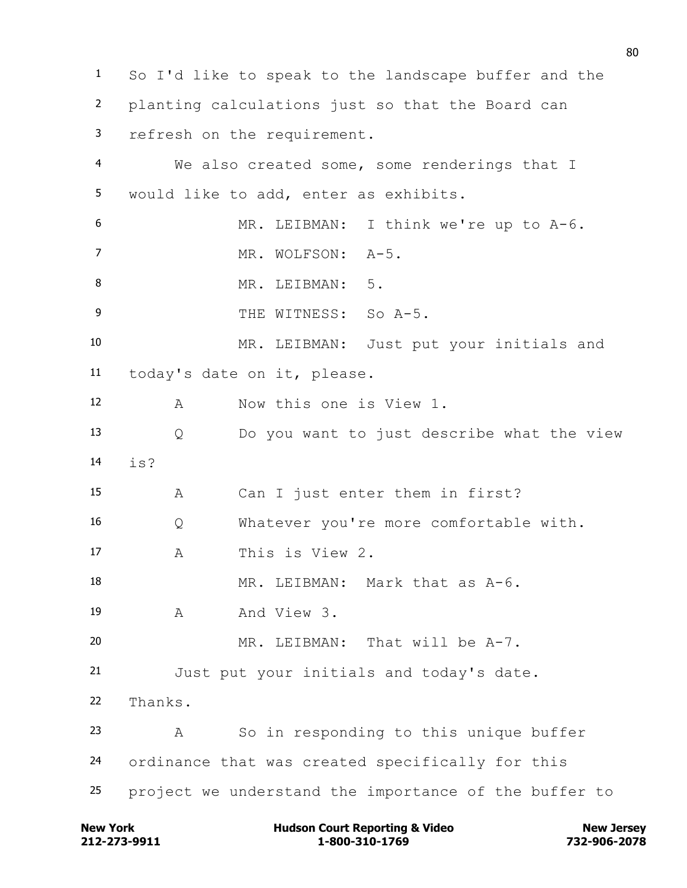So I'd like to speak to the landscape buffer and the planting calculations just so that the Board can refresh on the requirement. We also created some, some renderings that I would like to add, enter as exhibits. MR. LEIBMAN: I think we're up to A-6. 7 MR. WOLFSON: A-5. 8 MR. LEIBMAN: 5. 9 THE WITNESS: So A-5. MR. LEIBMAN: Just put your initials and today's date on it, please. A Now this one is View 1. Q Do you want to just describe what the view is? A Can I just enter them in first? Q Whatever you're more comfortable with. A This is View 2. MR. LEIBMAN: Mark that as A-6. A And View 3. MR. LEIBMAN: That will be A-7. Just put your initials and today's date. Thanks. A So in responding to this unique buffer ordinance that was created specifically for this project we understand the importance of the buffer to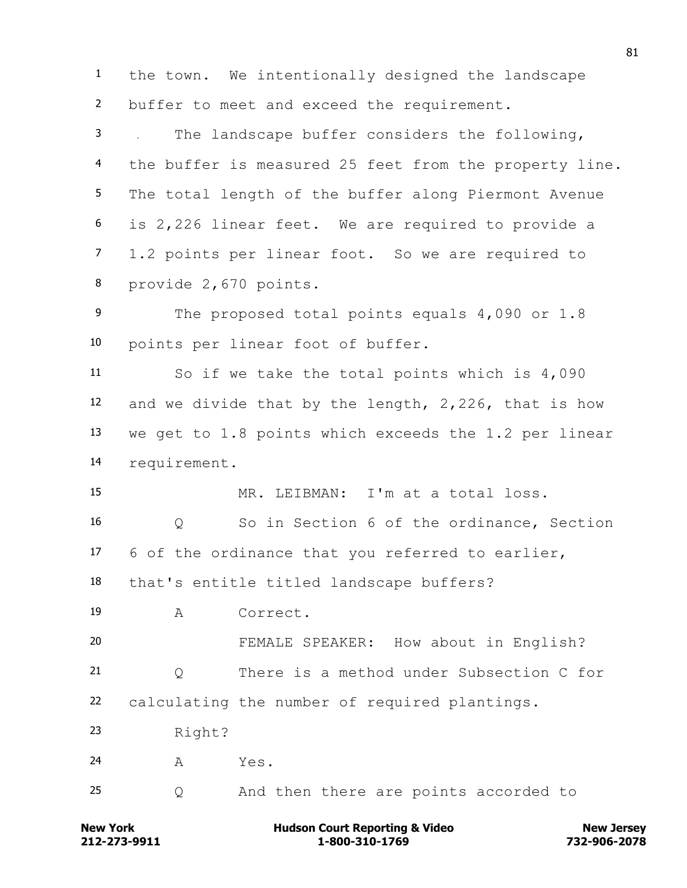the town. We intentionally designed the landscape buffer to meet and exceed the requirement. The landscape buffer considers the following, 4 the buffer is measured 25 feet from the property line. The total length of the buffer along Piermont Avenue is 2,226 linear feet. We are required to provide a 1.2 points per linear foot. So we are required to provide 2,670 points. 9 The proposed total points equals 4,090 or 1.8 points per linear foot of buffer. So if we take the total points which is 4,090 and we divide that by the length, 2,226, that is how we get to 1.8 points which exceeds the 1.2 per linear requirement. MR. LEIBMAN: I'm at a total loss. Q So in Section 6 of the ordinance, Section 6 of the ordinance that you referred to earlier, that's entitle titled landscape buffers? A Correct. FEMALE SPEAKER: How about in English? Q There is a method under Subsection C for calculating the number of required plantings. Right?  $A$   $Yes$ . Q And then there are points accorded to

**212-273-9911 1-800-310-1769 732-906-2078 New York Communist Court Reporting & Video New Jersey Rew Jersey**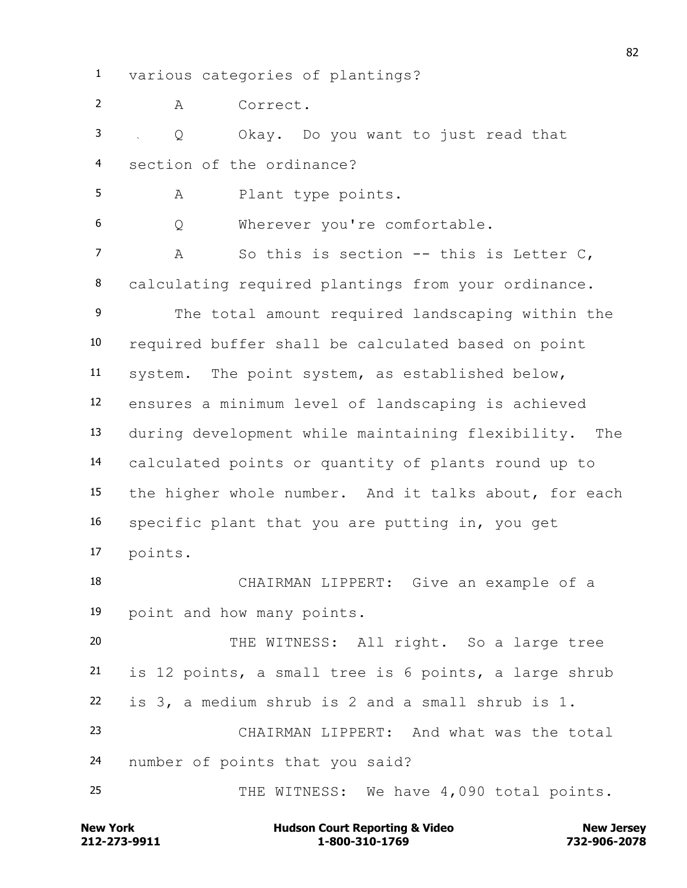various categories of plantings?

A Correct.

 Q Okay. Do you want to just read that section of the ordinance?

A Plant type points.

Q Wherever you're comfortable.

7 A So this is section -- this is Letter C, calculating required plantings from your ordinance. The total amount required landscaping within the required buffer shall be calculated based on point system. The point system, as established below, ensures a minimum level of landscaping is achieved during development while maintaining flexibility. The calculated points or quantity of plants round up to the higher whole number. And it talks about, for each specific plant that you are putting in, you get points.

 CHAIRMAN LIPPERT: Give an example of a point and how many points.

 THE WITNESS: All right. So a large tree is 12 points, a small tree is 6 points, a large shrub is 3, a medium shrub is 2 and a small shrub is 1. CHAIRMAN LIPPERT: And what was the total number of points that you said?

25 THE WITNESS: We have 4,090 total points.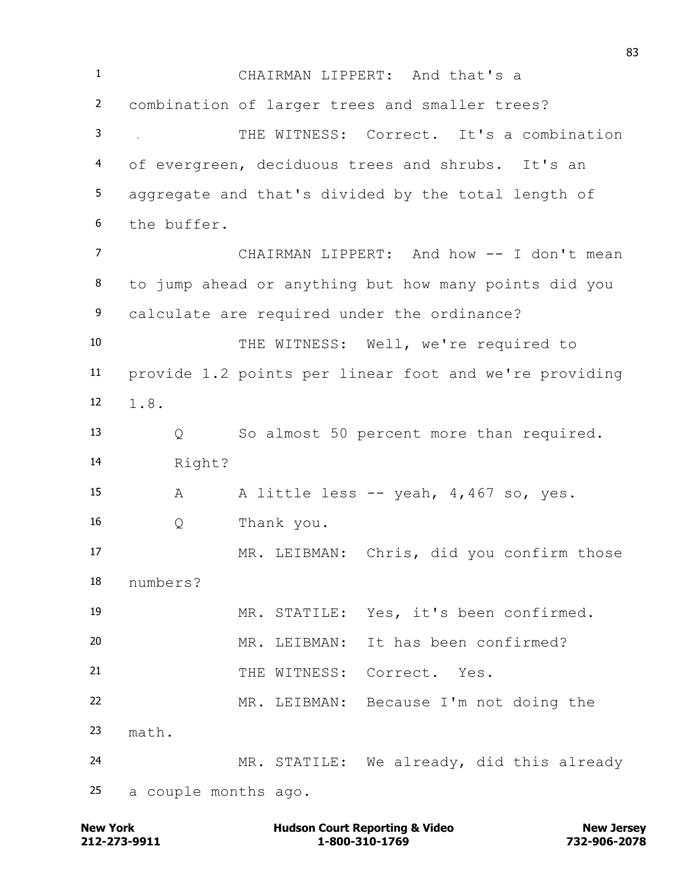CHAIRMAN LIPPERT: And that's a combination of larger trees and smaller trees? THE WITNESS: Correct. It's a combination of evergreen, deciduous trees and shrubs. It's an aggregate and that's divided by the total length of the buffer. CHAIRMAN LIPPERT: And how -- I don't mean to jump ahead or anything but how many points did you calculate are required under the ordinance? THE WITNESS: Well, we're required to provide 1.2 points per linear foot and we're providing 1.8. Q So almost 50 percent more than required. Right? A A little less -- yeah, 4,467 so, yes. Q Thank you. MR. LEIBMAN: Chris, did you confirm those numbers? MR. STATILE: Yes, it's been confirmed. MR. LEIBMAN: It has been confirmed? THE WITNESS: Correct. Yes. MR. LEIBMAN: Because I'm not doing the math. MR. STATILE: We already, did this already a couple months ago.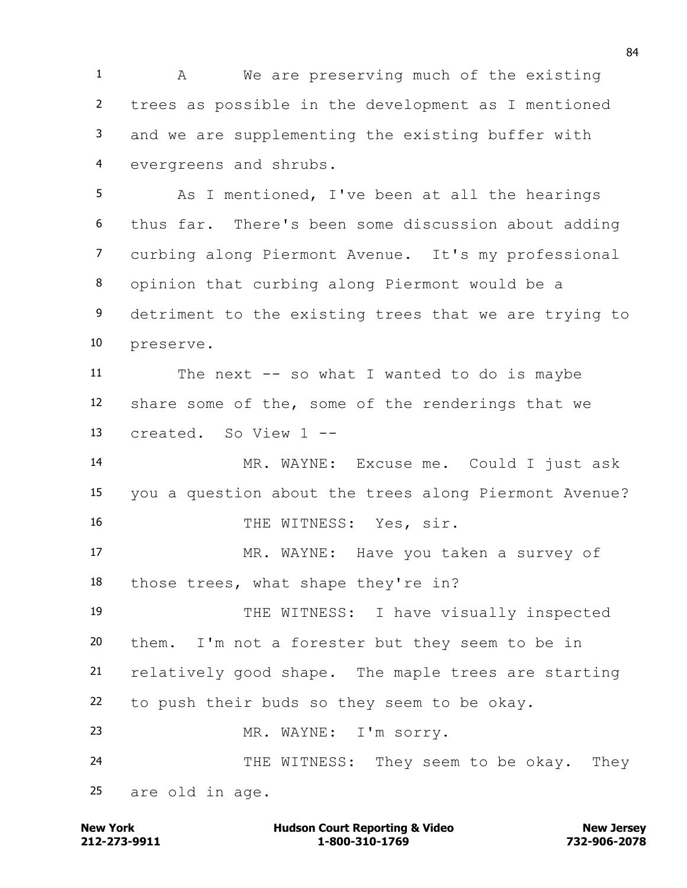1 A We are preserving much of the existing trees as possible in the development as I mentioned and we are supplementing the existing buffer with evergreens and shrubs.

 As I mentioned, I've been at all the hearings thus far. There's been some discussion about adding curbing along Piermont Avenue. It's my professional opinion that curbing along Piermont would be a detriment to the existing trees that we are trying to preserve.

 The next -- so what I wanted to do is maybe share some of the, some of the renderings that we created. So View 1 --

 MR. WAYNE: Excuse me. Could I just ask you a question about the trees along Piermont Avenue? 16 THE WITNESS: Yes, sir.

 MR. WAYNE: Have you taken a survey of those trees, what shape they're in?

 THE WITNESS: I have visually inspected them. I'm not a forester but they seem to be in relatively good shape. The maple trees are starting to push their buds so they seem to be okay. MR. WAYNE: I'm sorry. 24 THE WITNESS: They seem to be okay. They

are old in age.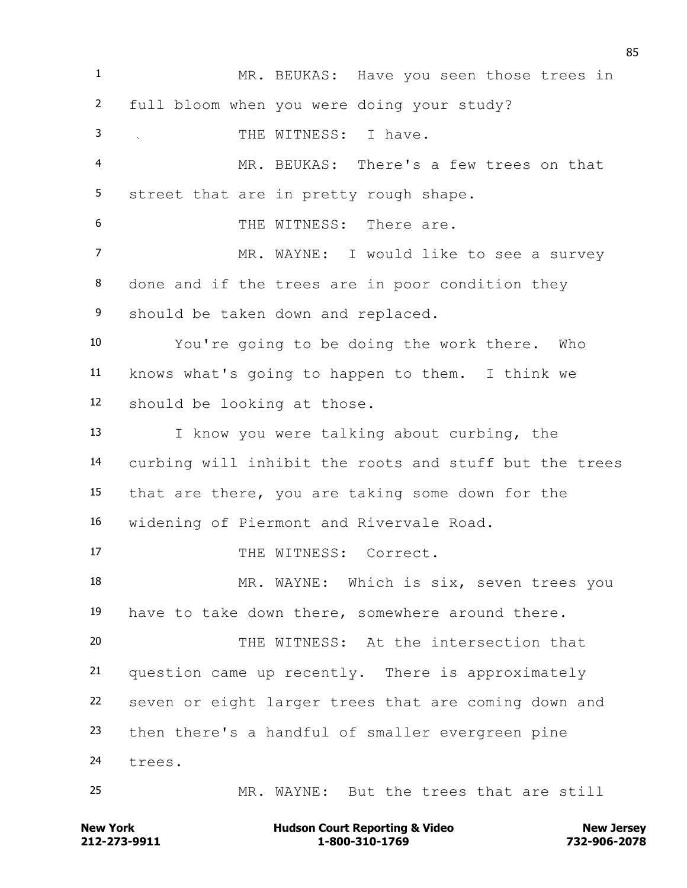MR. BEUKAS: Have you seen those trees in full bloom when you were doing your study? 3 THE WITNESS: I have. MR. BEUKAS: There's a few trees on that street that are in pretty rough shape. THE WITNESS: There are. 7 MR. WAYNE: I would like to see a survey done and if the trees are in poor condition they should be taken down and replaced. You're going to be doing the work there. Who knows what's going to happen to them. I think we should be looking at those. I know you were talking about curbing, the curbing will inhibit the roots and stuff but the trees that are there, you are taking some down for the widening of Piermont and Rivervale Road. 17 THE WITNESS: Correct. 18 MR. WAYNE: Which is six, seven trees you have to take down there, somewhere around there. THE WITNESS: At the intersection that question came up recently. There is approximately seven or eight larger trees that are coming down and then there's a handful of smaller evergreen pine trees. MR. WAYNE: But the trees that are still

**212-273-9911 1-800-310-1769 732-906-2078 New York Communist Court Reporting & Video New Jersey Rew Jersey**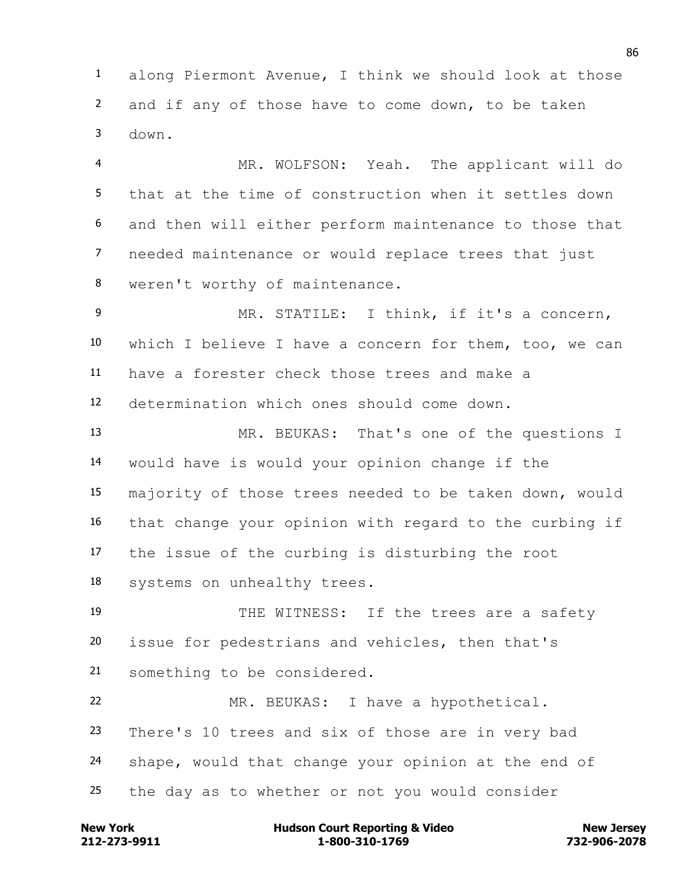along Piermont Avenue, I think we should look at those and if any of those have to come down, to be taken down.

 MR. WOLFSON: Yeah. The applicant will do that at the time of construction when it settles down and then will either perform maintenance to those that needed maintenance or would replace trees that just weren't worthy of maintenance.

 MR. STATILE: I think, if it's a concern, which I believe I have a concern for them, too, we can have a forester check those trees and make a determination which ones should come down.

 MR. BEUKAS: That's one of the questions I would have is would your opinion change if the majority of those trees needed to be taken down, would that change your opinion with regard to the curbing if the issue of the curbing is disturbing the root systems on unhealthy trees.

19 THE WITNESS: If the trees are a safety issue for pedestrians and vehicles, then that's something to be considered.

 MR. BEUKAS: I have a hypothetical. There's 10 trees and six of those are in very bad shape, would that change your opinion at the end of the day as to whether or not you would consider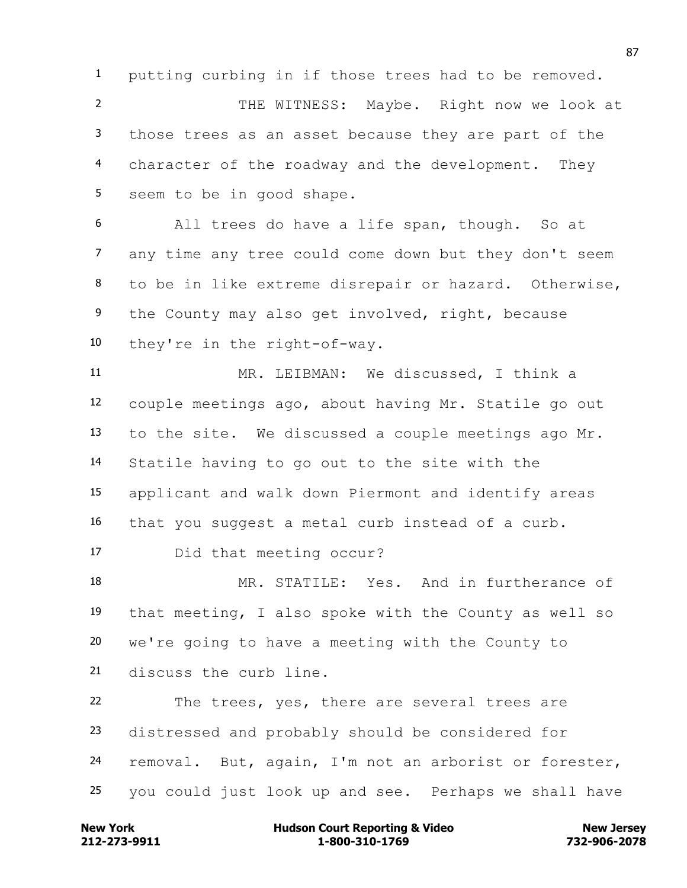putting curbing in if those trees had to be removed.

 THE WITNESS: Maybe. Right now we look at those trees as an asset because they are part of the character of the roadway and the development. They seem to be in good shape.

 All trees do have a life span, though. So at any time any tree could come down but they don't seem to be in like extreme disrepair or hazard. Otherwise, the County may also get involved, right, because they're in the right-of-way.

 MR. LEIBMAN: We discussed, I think a couple meetings ago, about having Mr. Statile go out to the site. We discussed a couple meetings ago Mr. Statile having to go out to the site with the applicant and walk down Piermont and identify areas that you suggest a metal curb instead of a curb.

Did that meeting occur?

 MR. STATILE: Yes. And in furtherance of that meeting, I also spoke with the County as well so we're going to have a meeting with the County to discuss the curb line.

 The trees, yes, there are several trees are distressed and probably should be considered for removal. But, again, I'm not an arborist or forester, you could just look up and see. Perhaps we shall have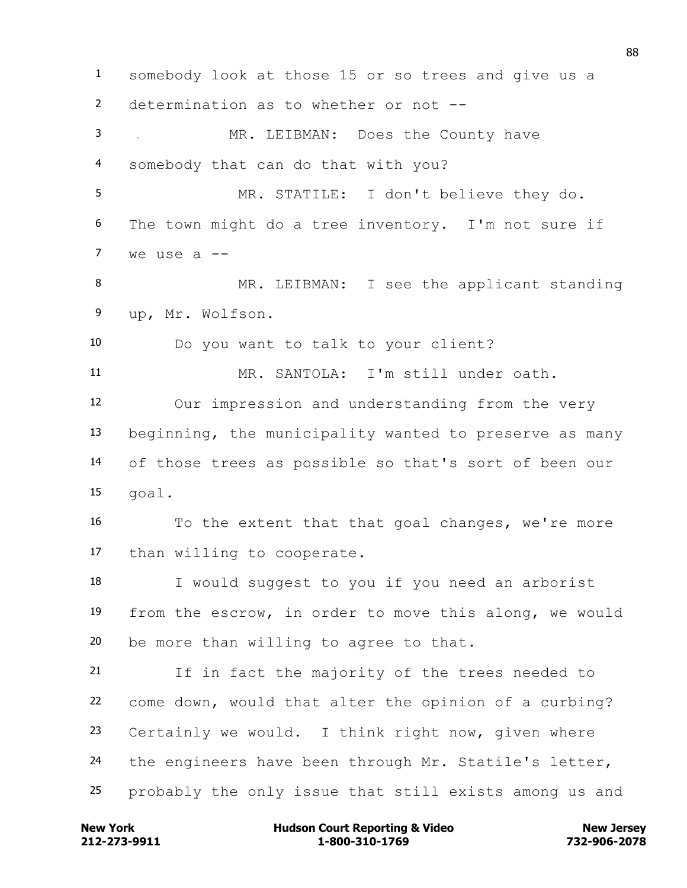somebody look at those 15 or so trees and give us a determination as to whether or not -- MR. LEIBMAN: Does the County have somebody that can do that with you? MR. STATILE: I don't believe they do. The town might do a tree inventory. I'm not sure if we use a  $-$ 8 MR. LEIBMAN: I see the applicant standing up, Mr. Wolfson. Do you want to talk to your client? MR. SANTOLA: I'm still under oath. Our impression and understanding from the very beginning, the municipality wanted to preserve as many of those trees as possible so that's sort of been our goal. To the extent that that goal changes, we're more than willing to cooperate. I would suggest to you if you need an arborist from the escrow, in order to move this along, we would be more than willing to agree to that. If in fact the majority of the trees needed to come down, would that alter the opinion of a curbing? Certainly we would. I think right now, given where the engineers have been through Mr. Statile's letter, probably the only issue that still exists among us and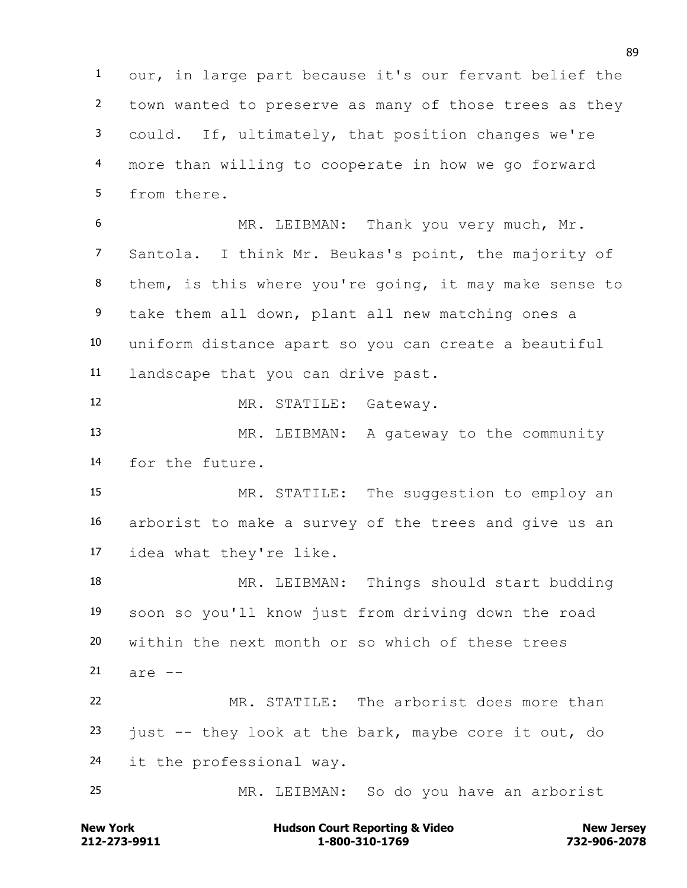our, in large part because it's our fervant belief the town wanted to preserve as many of those trees as they could. If, ultimately, that position changes we're more than willing to cooperate in how we go forward from there.

 MR. LEIBMAN: Thank you very much, Mr. Santola. I think Mr. Beukas's point, the majority of them, is this where you're going, it may make sense to take them all down, plant all new matching ones a uniform distance apart so you can create a beautiful landscape that you can drive past.

MR. STATILE: Gateway.

13 MR. LEIBMAN: A gateway to the community for the future.

15 MR. STATILE: The suggestion to employ an arborist to make a survey of the trees and give us an idea what they're like.

 MR. LEIBMAN: Things should start budding soon so you'll know just from driving down the road within the next month or so which of these trees are  $-$  MR. STATILE: The arborist does more than just  $-$  they look at the bark, maybe core it out, do it the professional way.

MR. LEIBMAN: So do you have an arborist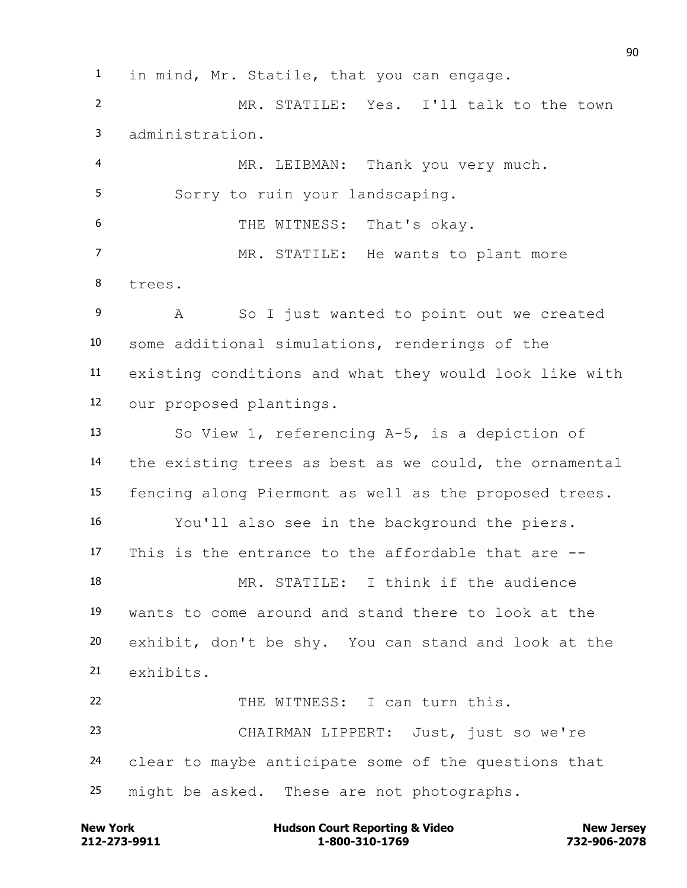in mind, Mr. Statile, that you can engage.

 MR. STATILE: Yes. I'll talk to the town administration.

 MR. LEIBMAN: Thank you very much. Sorry to ruin your landscaping. THE WITNESS: That's okay. MR. STATILE: He wants to plant more trees.

 A So I just wanted to point out we created some additional simulations, renderings of the existing conditions and what they would look like with our proposed plantings.

 So View 1, referencing A-5, is a depiction of the existing trees as best as we could, the ornamental fencing along Piermont as well as the proposed trees. You'll also see in the background the piers. This is the entrance to the affordable that are -- MR. STATILE: I think if the audience wants to come around and stand there to look at the exhibit, don't be shy. You can stand and look at the exhibits. 22 THE WITNESS: I can turn this.

 CHAIRMAN LIPPERT: Just, just so we're clear to maybe anticipate some of the questions that might be asked. These are not photographs.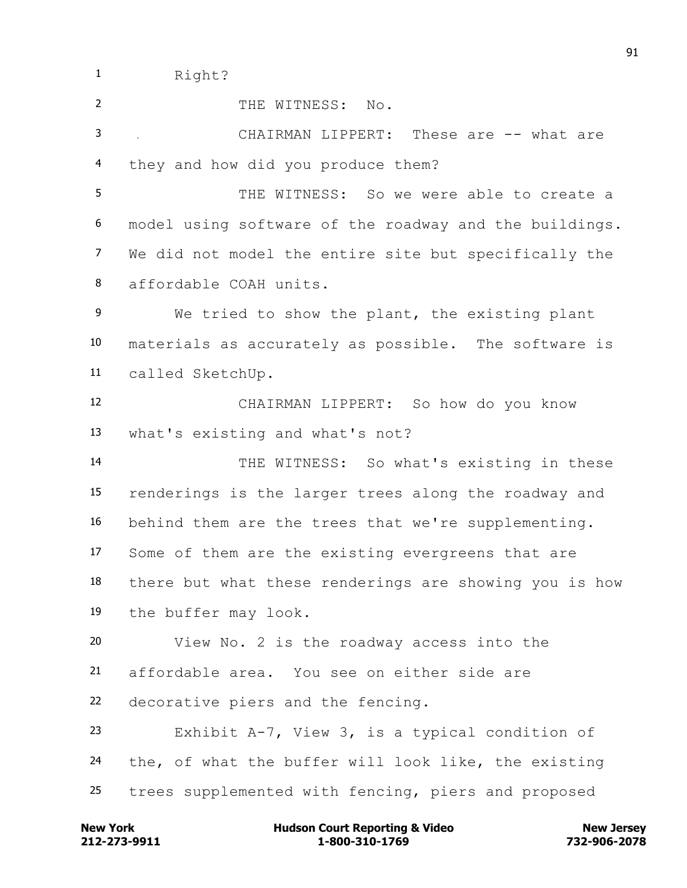1 Right?

2 THE WITNESS: No.

 CHAIRMAN LIPPERT: These are -- what are they and how did you produce them?

 THE WITNESS: So we were able to create a model using software of the roadway and the buildings. We did not model the entire site but specifically the affordable COAH units.

 We tried to show the plant, the existing plant materials as accurately as possible. The software is called SketchUp.

 CHAIRMAN LIPPERT: So how do you know what's existing and what's not?

 THE WITNESS: So what's existing in these renderings is the larger trees along the roadway and behind them are the trees that we're supplementing. Some of them are the existing evergreens that are there but what these renderings are showing you is how the buffer may look.

View No. 2 is the roadway access into the

affordable area. You see on either side are

decorative piers and the fencing.

 Exhibit A-7, View 3, is a typical condition of the, of what the buffer will look like, the existing trees supplemented with fencing, piers and proposed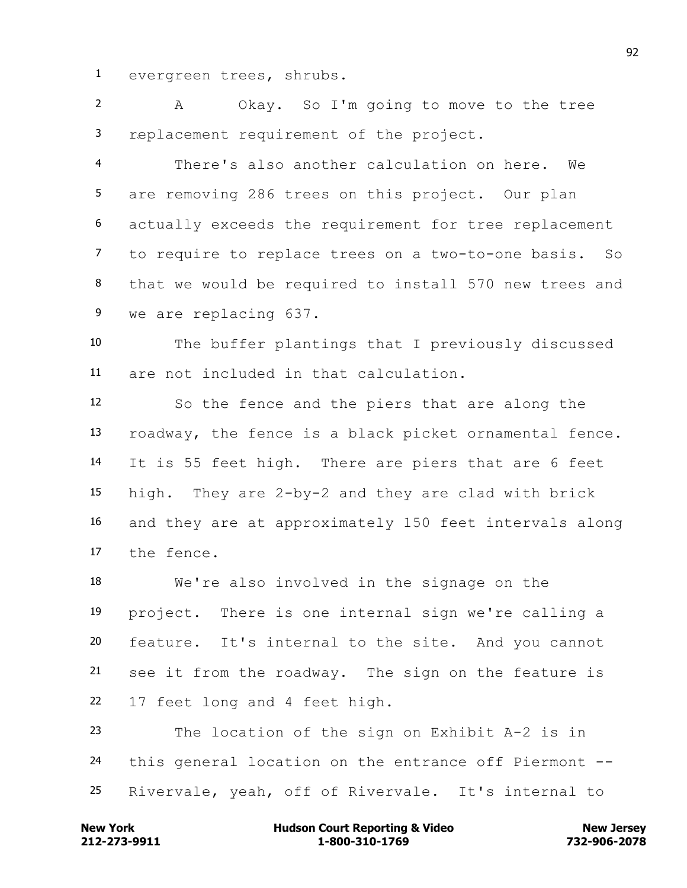evergreen trees, shrubs.

 A Okay. So I'm going to move to the tree replacement requirement of the project.

 There's also another calculation on here. We are removing 286 trees on this project. Our plan actually exceeds the requirement for tree replacement to require to replace trees on a two-to-one basis. So that we would be required to install 570 new trees and we are replacing 637.

 The buffer plantings that I previously discussed are not included in that calculation.

 So the fence and the piers that are along the roadway, the fence is a black picket ornamental fence. It is 55 feet high. There are piers that are 6 feet high. They are 2-by-2 and they are clad with brick and they are at approximately 150 feet intervals along the fence.

 We're also involved in the signage on the project. There is one internal sign we're calling a feature. It's internal to the site. And you cannot see it from the roadway. The sign on the feature is 17 feet long and 4 feet high.

 The location of the sign on Exhibit A-2 is in this general location on the entrance off Piermont -- Rivervale, yeah, off of Rivervale. It's internal to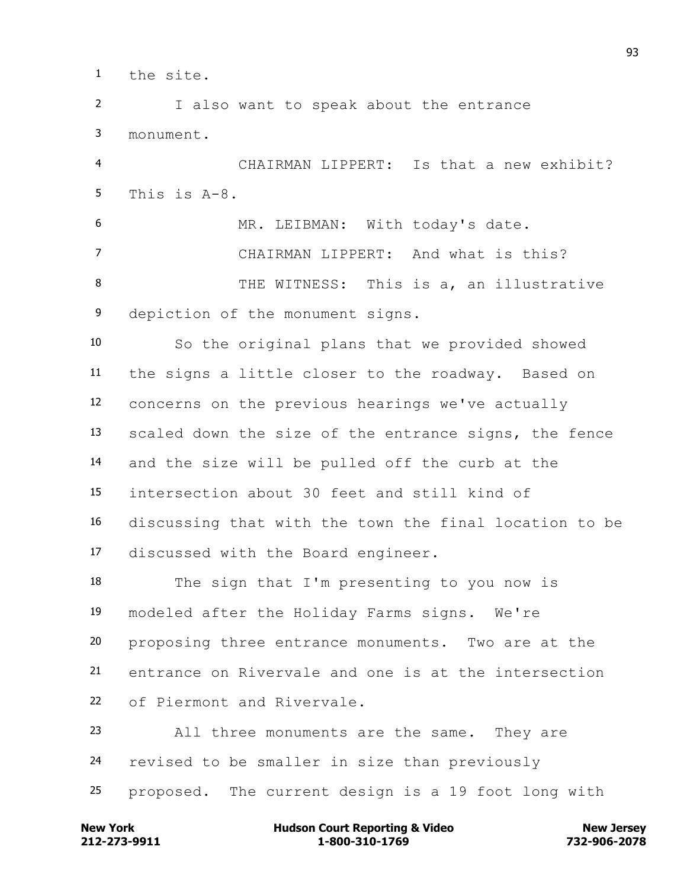the site.

 I also want to speak about the entrance monument.

 CHAIRMAN LIPPERT: Is that a new exhibit? This is A-8.

 MR. LEIBMAN: With today's date. CHAIRMAN LIPPERT: And what is this? 8 THE WITNESS: This is a, an illustrative depiction of the monument signs.

 So the original plans that we provided showed the signs a little closer to the roadway. Based on concerns on the previous hearings we've actually scaled down the size of the entrance signs, the fence and the size will be pulled off the curb at the intersection about 30 feet and still kind of discussing that with the town the final location to be discussed with the Board engineer.

 The sign that I'm presenting to you now is modeled after the Holiday Farms signs. We're proposing three entrance monuments. Two are at the entrance on Rivervale and one is at the intersection of Piermont and Rivervale.

 All three monuments are the same. They are revised to be smaller in size than previously proposed. The current design is a 19 foot long with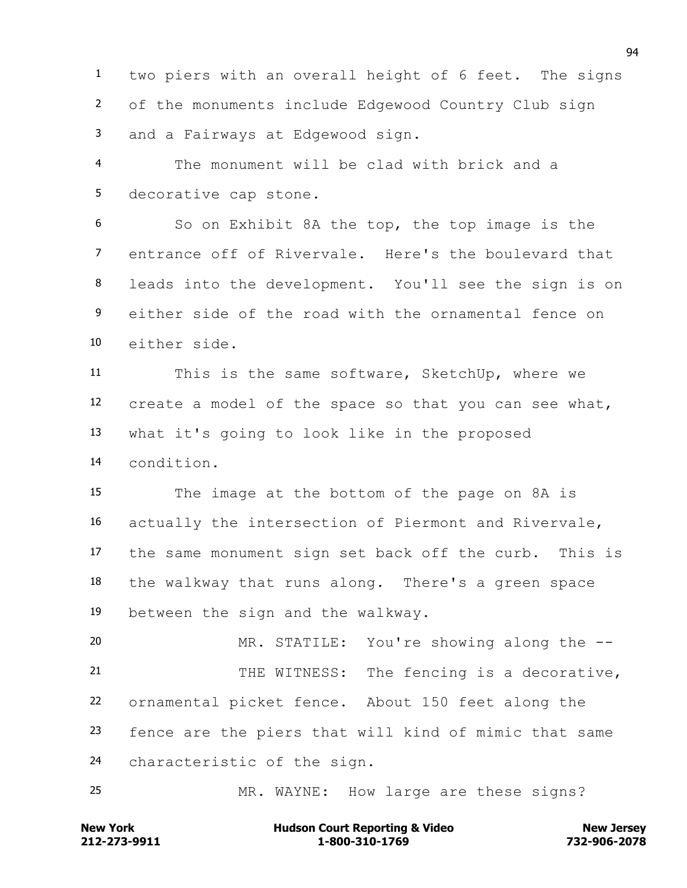two piers with an overall height of 6 feet. The signs of the monuments include Edgewood Country Club sign and a Fairways at Edgewood sign.

 The monument will be clad with brick and a decorative cap stone.

 So on Exhibit 8A the top, the top image is the entrance off of Rivervale. Here's the boulevard that leads into the development. You'll see the sign is on either side of the road with the ornamental fence on either side.

 This is the same software, SketchUp, where we create a model of the space so that you can see what, what it's going to look like in the proposed condition.

 The image at the bottom of the page on 8A is actually the intersection of Piermont and Rivervale, the same monument sign set back off the curb. This is the walkway that runs along. There's a green space between the sign and the walkway.

 MR. STATILE: You're showing along the -- 21 THE WITNESS: The fencing is a decorative, ornamental picket fence. About 150 feet along the fence are the piers that will kind of mimic that same characteristic of the sign.

MR. WAYNE: How large are these signs?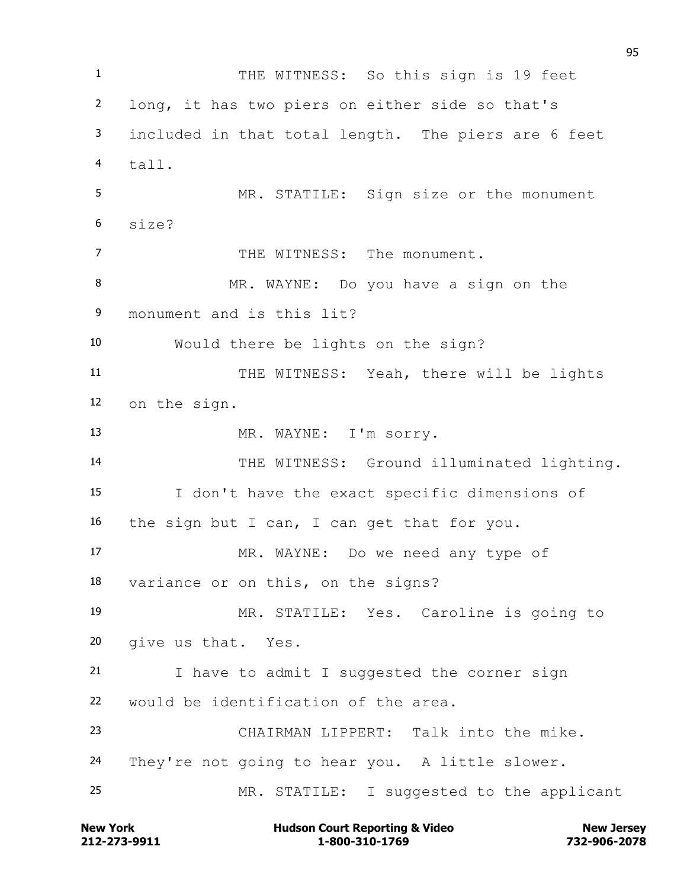1 THE WITNESS: So this sign is 19 feet long, it has two piers on either side so that's included in that total length. The piers are 6 feet tall. MR. STATILE: Sign size or the monument size? 7 THE WITNESS: The monument. MR. WAYNE: Do you have a sign on the monument and is this lit? Would there be lights on the sign? 11 THE WITNESS: Yeah, there will be lights on the sign. 13 MR. WAYNE: I'm sorry. 14 THE WITNESS: Ground illuminated lighting. I don't have the exact specific dimensions of the sign but I can, I can get that for you. MR. WAYNE: Do we need any type of variance or on this, on the signs? MR. STATILE: Yes. Caroline is going to give us that. Yes. I have to admit I suggested the corner sign would be identification of the area. CHAIRMAN LIPPERT: Talk into the mike. They're not going to hear you. A little slower. MR. STATILE: I suggested to the applicant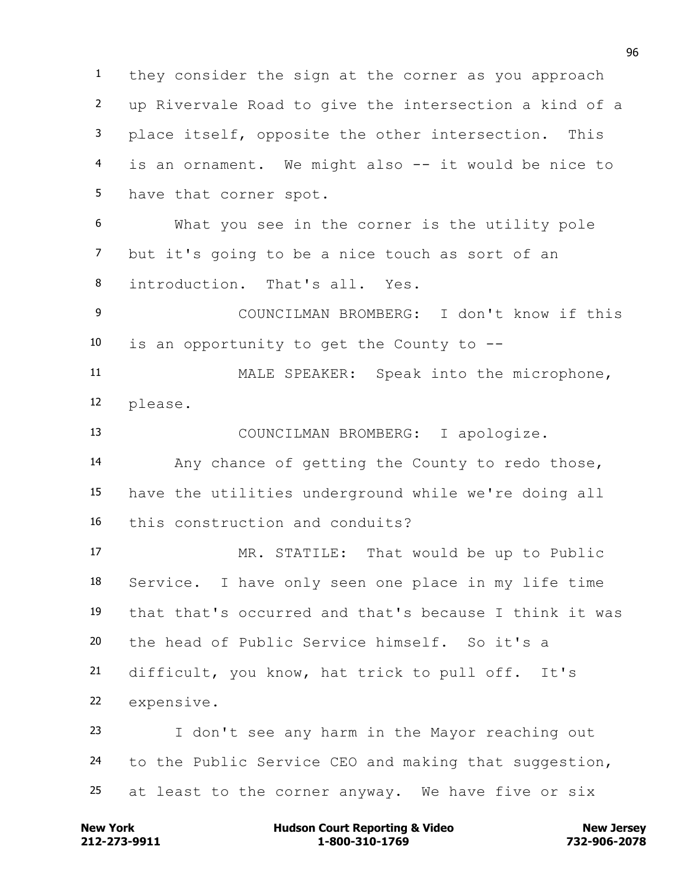they consider the sign at the corner as you approach up Rivervale Road to give the intersection a kind of a place itself, opposite the other intersection. This is an ornament. We might also -- it would be nice to have that corner spot. What you see in the corner is the utility pole

 but it's going to be a nice touch as sort of an introduction. That's all. Yes.

 COUNCILMAN BROMBERG: I don't know if this is an opportunity to get the County to --

 MALE SPEAKER: Speak into the microphone, please.

 COUNCILMAN BROMBERG: I apologize. Any chance of getting the County to redo those, have the utilities underground while we're doing all this construction and conduits?

 MR. STATILE: That would be up to Public Service. I have only seen one place in my life time that that's occurred and that's because I think it was the head of Public Service himself. So it's a difficult, you know, hat trick to pull off. It's expensive. I don't see any harm in the Mayor reaching out

 to the Public Service CEO and making that suggestion, at least to the corner anyway. We have five or six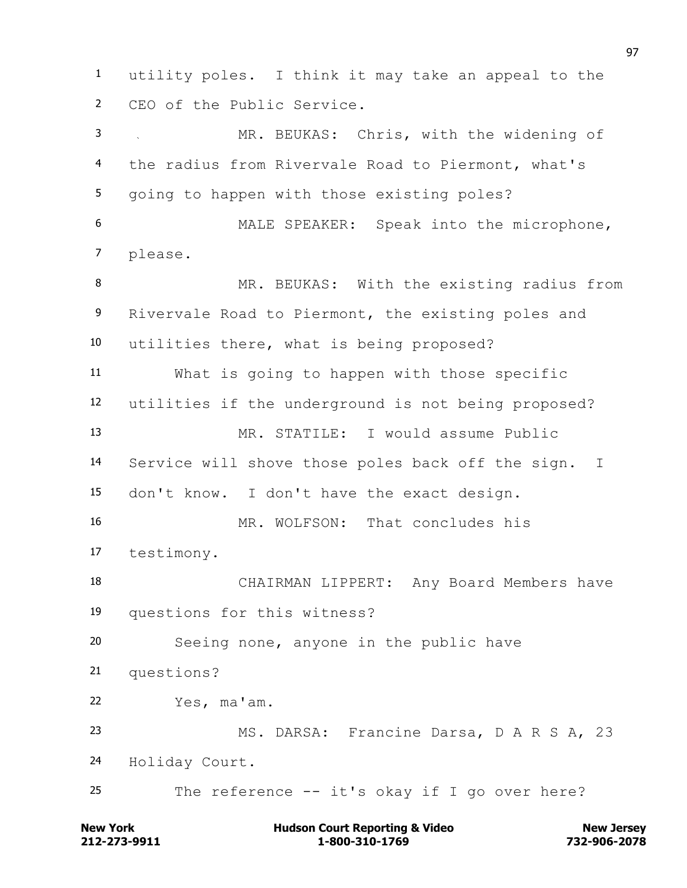utility poles. I think it may take an appeal to the CEO of the Public Service. MR. BEUKAS: Chris, with the widening of the radius from Rivervale Road to Piermont, what's going to happen with those existing poles? MALE SPEAKER: Speak into the microphone, please. 8 MR. BEUKAS: With the existing radius from Rivervale Road to Piermont, the existing poles and utilities there, what is being proposed? What is going to happen with those specific utilities if the underground is not being proposed? MR. STATILE: I would assume Public Service will shove those poles back off the sign. I don't know. I don't have the exact design. MR. WOLFSON: That concludes his testimony. CHAIRMAN LIPPERT: Any Board Members have questions for this witness? Seeing none, anyone in the public have questions? Yes, ma'am. MS. DARSA: Francine Darsa, D A R S A, 23 Holiday Court. The reference -- it's okay if I go over here?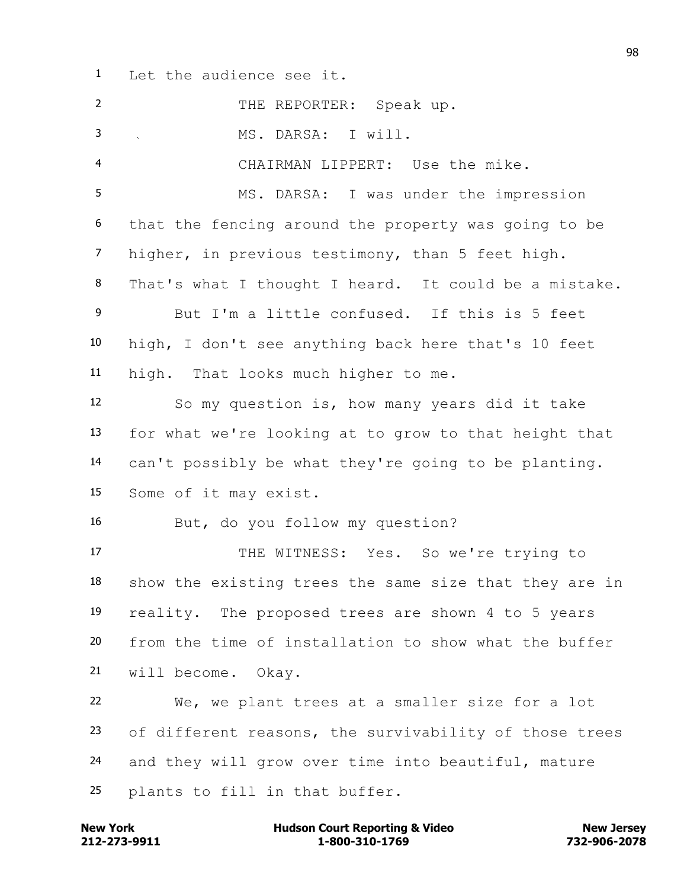Let the audience see it.

| $\overline{2}$ | THE REPORTER: Speak up.                                |
|----------------|--------------------------------------------------------|
| 3              | MS. DARSA: I will.                                     |
| $\overline{4}$ | CHAIRMAN LIPPERT: Use the mike.                        |
| 5              | MS. DARSA: I was under the impression                  |
| 6              | that the fencing around the property was going to be   |
| $\overline{7}$ | higher, in previous testimony, than 5 feet high.       |
| 8              | That's what I thought I heard. It could be a mistake.  |
| 9              | But I'm a little confused. If this is 5 feet           |
| 10             | high, I don't see anything back here that's 10 feet    |
| 11             | high. That looks much higher to me.                    |
| 12             | So my question is, how many years did it take          |
| 13             | for what we're looking at to grow to that height that  |
| 14             | can't possibly be what they're going to be planting.   |
| 15             | Some of it may exist.                                  |
| 16             | But, do you follow my question?                        |
| 17             | THE WITNESS: Yes. So we're trying to                   |
| 18             | show the existing trees the same size that they are in |
| 19             | reality. The proposed trees are shown 4 to 5 years     |
| 20             | from the time of installation to show what the buffer  |
| 21             | will become. Okay.                                     |
| 22             | We, we plant trees at a smaller size for a lot         |
| 23             | of different reasons, the survivability of those trees |
| 24             | and they will grow over time into beautiful, mature    |
| 25             | plants to fill in that buffer.                         |

**212-273-9911 1-800-310-1769 732-906-2078 New York Hudson Court Reporting & Video New Jersey**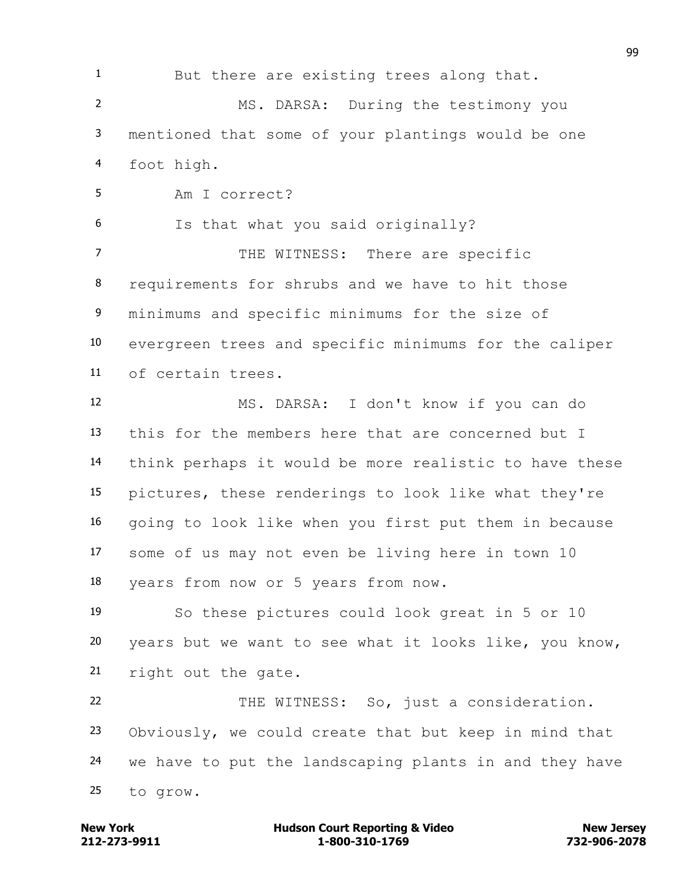But there are existing trees along that. MS. DARSA: During the testimony you mentioned that some of your plantings would be one foot high. Am I correct? Is that what you said originally? 7 THE WITNESS: There are specific requirements for shrubs and we have to hit those minimums and specific minimums for the size of evergreen trees and specific minimums for the caliper of certain trees. MS. DARSA: I don't know if you can do this for the members here that are concerned but I think perhaps it would be more realistic to have these pictures, these renderings to look like what they're going to look like when you first put them in because some of us may not even be living here in town 10 years from now or 5 years from now. So these pictures could look great in 5 or 10 years but we want to see what it looks like, you know, right out the gate. THE WITNESS: So, just a consideration. Obviously, we could create that but keep in mind that we have to put the landscaping plants in and they have to grow.

**212-273-9911 1-800-310-1769 732-906-2078 New York Communist Court Reporting & Video New Jersey Rew Jersey**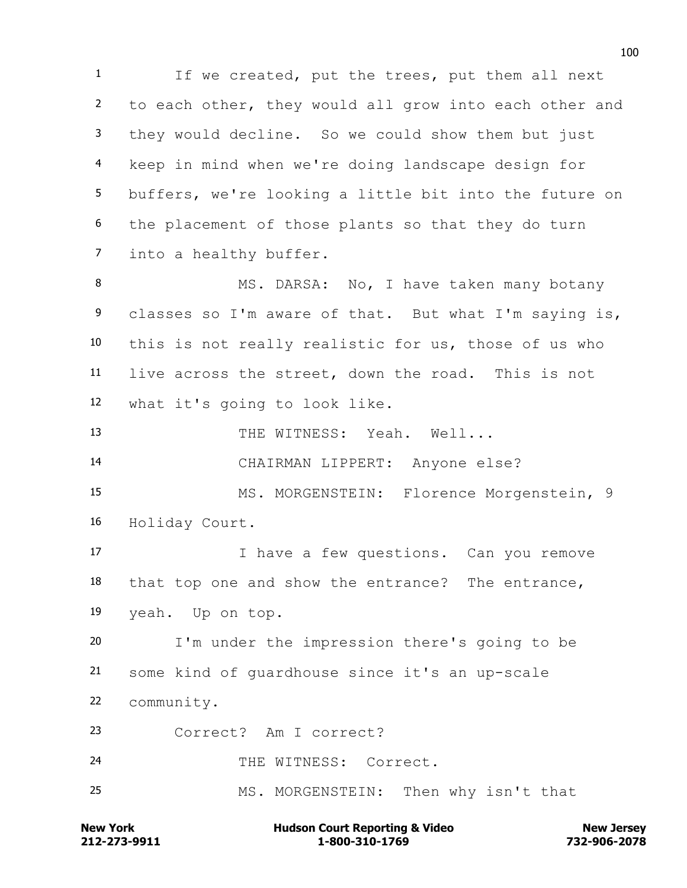If we created, put the trees, put them all next to each other, they would all grow into each other and they would decline. So we could show them but just keep in mind when we're doing landscape design for buffers, we're looking a little bit into the future on the placement of those plants so that they do turn into a healthy buffer. 8 MS. DARSA: No, I have taken many botany classes so I'm aware of that. But what I'm saying is, this is not really realistic for us, those of us who live across the street, down the road. This is not what it's going to look like. 13 THE WITNESS: Yeah. Well... CHAIRMAN LIPPERT: Anyone else? MS. MORGENSTEIN: Florence Morgenstein, 9 Holiday Court. I have a few questions. Can you remove that top one and show the entrance? The entrance, yeah. Up on top. I'm under the impression there's going to be some kind of guardhouse since it's an up-scale community. Correct? Am I correct? 24 THE WITNESS: Correct. MS. MORGENSTEIN: Then why isn't that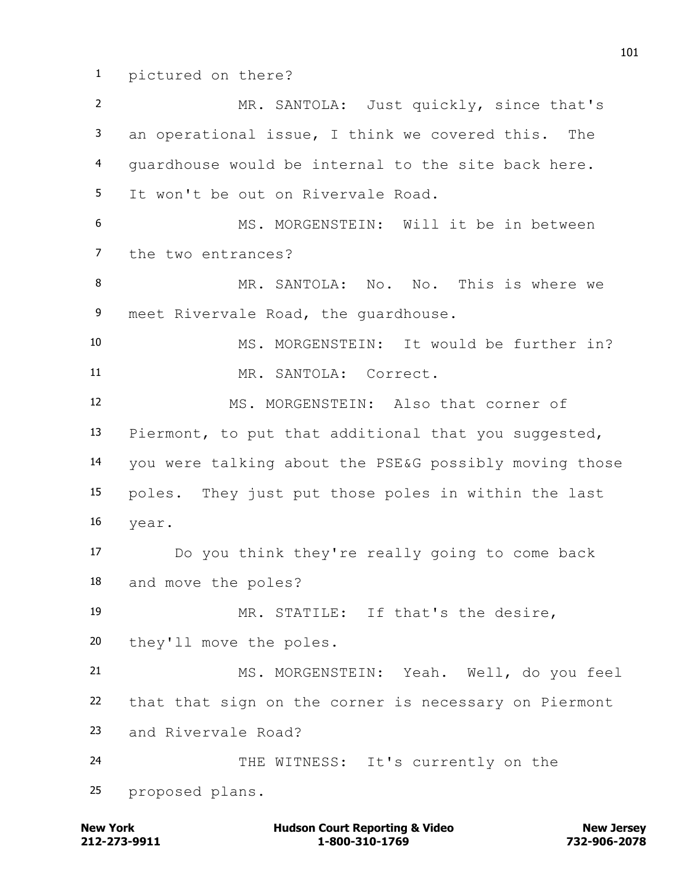pictured on there?

 MR. SANTOLA: Just quickly, since that's an operational issue, I think we covered this. The guardhouse would be internal to the site back here. It won't be out on Rivervale Road. MS. MORGENSTEIN: Will it be in between the two entrances? MR. SANTOLA: No. No. This is where we 9 meet Rivervale Road, the guardhouse. MS. MORGENSTEIN: It would be further in? MR. SANTOLA: Correct. MS. MORGENSTEIN: Also that corner of Piermont, to put that additional that you suggested, you were talking about the PSE&G possibly moving those poles. They just put those poles in within the last year. Do you think they're really going to come back and move the poles? MR. STATILE: If that's the desire, they'll move the poles. MS. MORGENSTEIN: Yeah. Well, do you feel that that sign on the corner is necessary on Piermont and Rivervale Road? 24 THE WITNESS: It's currently on the proposed plans.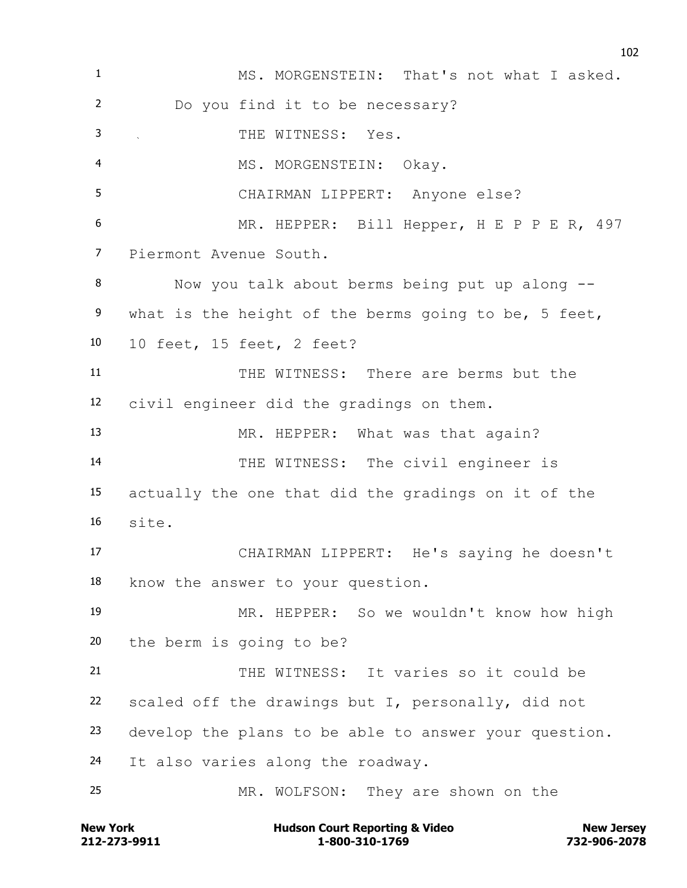1 MS. MORGENSTEIN: That's not what I asked. Do you find it to be necessary? THE WITNESS: Yes. 4 MS. MORGENSTEIN: Okay. CHAIRMAN LIPPERT: Anyone else? 6 MR. HEPPER: Bill Hepper, H E P P E R, 497 Piermont Avenue South. Now you talk about berms being put up along -- 9 what is the height of the berms going to be, 5 feet, 10 feet, 15 feet, 2 feet? THE WITNESS: There are berms but the civil engineer did the gradings on them. 13 MR. HEPPER: What was that again? THE WITNESS: The civil engineer is actually the one that did the gradings on it of the site. CHAIRMAN LIPPERT: He's saying he doesn't know the answer to your question. MR. HEPPER: So we wouldn't know how high the berm is going to be? THE WITNESS: It varies so it could be scaled off the drawings but I, personally, did not develop the plans to be able to answer your question. It also varies along the roadway. MR. WOLFSON: They are shown on the

**212-273-9911 1-800-310-1769 732-906-2078 New York Communist Court Reporting & Video New Jersey Rew Jersey**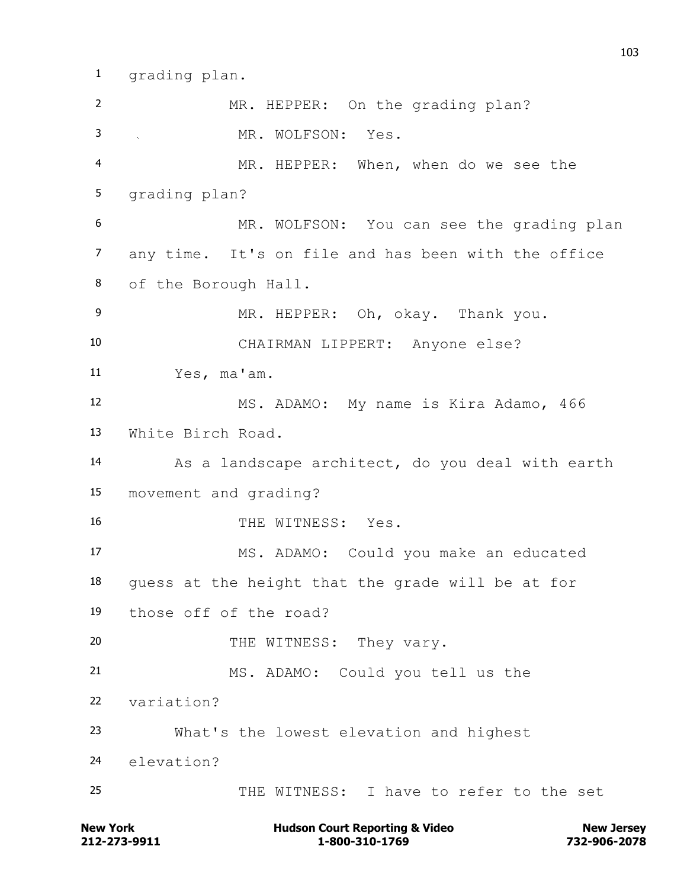grading plan.

 MR. HEPPER: On the grading plan? MR. WOLFSON: Yes. MR. HEPPER: When, when do we see the grading plan? MR. WOLFSON: You can see the grading plan any time. It's on file and has been with the office of the Borough Hall. MR. HEPPER: Oh, okay. Thank you. CHAIRMAN LIPPERT: Anyone else? Yes, ma'am. MS. ADAMO: My name is Kira Adamo, 466 White Birch Road. As a landscape architect, do you deal with earth movement and grading? 16 THE WITNESS: Yes. MS. ADAMO: Could you make an educated guess at the height that the grade will be at for those off of the road? 20 THE WITNESS: They vary. MS. ADAMO: Could you tell us the variation? What's the lowest elevation and highest elevation? THE WITNESS: I have to refer to the set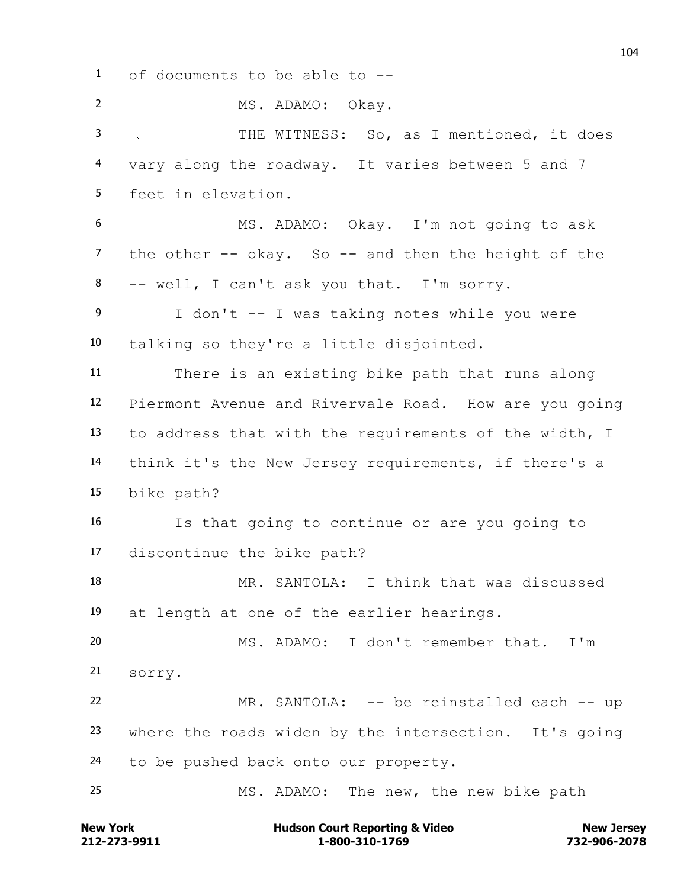of documents to be able to -- MS. ADAMO: Okay. THE WITNESS: So, as I mentioned, it does vary along the roadway. It varies between 5 and 7 feet in elevation. MS. ADAMO: Okay. I'm not going to ask the other -- okay. So -- and then the height of the -- well, I can't ask you that. I'm sorry. I don't -- I was taking notes while you were talking so they're a little disjointed. There is an existing bike path that runs along Piermont Avenue and Rivervale Road. How are you going to address that with the requirements of the width, I think it's the New Jersey requirements, if there's a bike path? Is that going to continue or are you going to discontinue the bike path? MR. SANTOLA: I think that was discussed at length at one of the earlier hearings. MS. ADAMO: I don't remember that. I'm sorry. MR. SANTOLA: -- be reinstalled each -- up where the roads widen by the intersection. It's going to be pushed back onto our property. MS. ADAMO: The new, the new bike path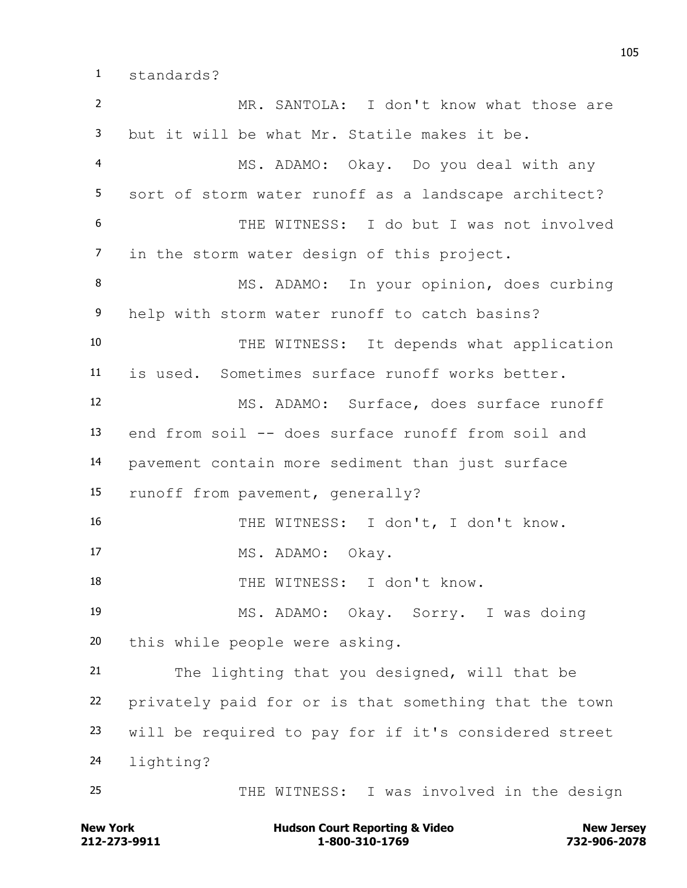standards?

 MR. SANTOLA: I don't know what those are but it will be what Mr. Statile makes it be. MS. ADAMO: Okay. Do you deal with any sort of storm water runoff as a landscape architect? THE WITNESS: I do but I was not involved in the storm water design of this project. 8 MS. ADAMO: In your opinion, does curbing help with storm water runoff to catch basins? THE WITNESS: It depends what application is used. Sometimes surface runoff works better. MS. ADAMO: Surface, does surface runoff end from soil -- does surface runoff from soil and pavement contain more sediment than just surface runoff from pavement, generally? THE WITNESS: I don't, I don't know. 17 MS. ADAMO: Okay. 18 THE WITNESS: I don't know. MS. ADAMO: Okay. Sorry. I was doing this while people were asking. The lighting that you designed, will that be privately paid for or is that something that the town will be required to pay for if it's considered street lighting? THE WITNESS: I was involved in the design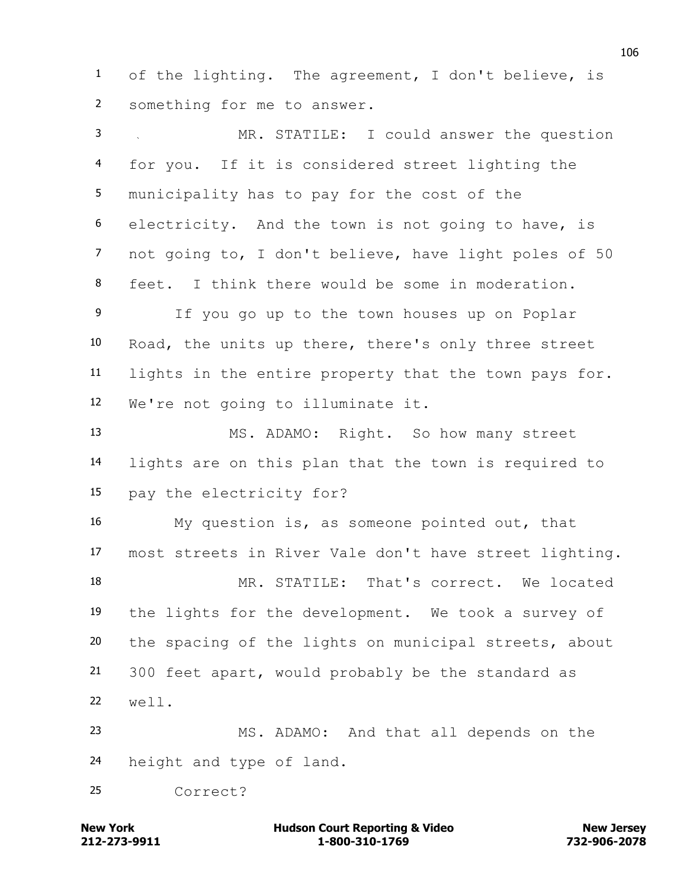of the lighting. The agreement, I don't believe, is something for me to answer.

 MR. STATILE: I could answer the question for you. If it is considered street lighting the municipality has to pay for the cost of the electricity. And the town is not going to have, is not going to, I don't believe, have light poles of 50 feet. I think there would be some in moderation. If you go up to the town houses up on Poplar Road, the units up there, there's only three street lights in the entire property that the town pays for. We're not going to illuminate it. MS. ADAMO: Right. So how many street lights are on this plan that the town is required to pay the electricity for? My question is, as someone pointed out, that most streets in River Vale don't have street lighting. MR. STATILE: That's correct. We located the lights for the development. We took a survey of the spacing of the lights on municipal streets, about 300 feet apart, would probably be the standard as

 MS. ADAMO: And that all depends on the height and type of land.

Correct?

well.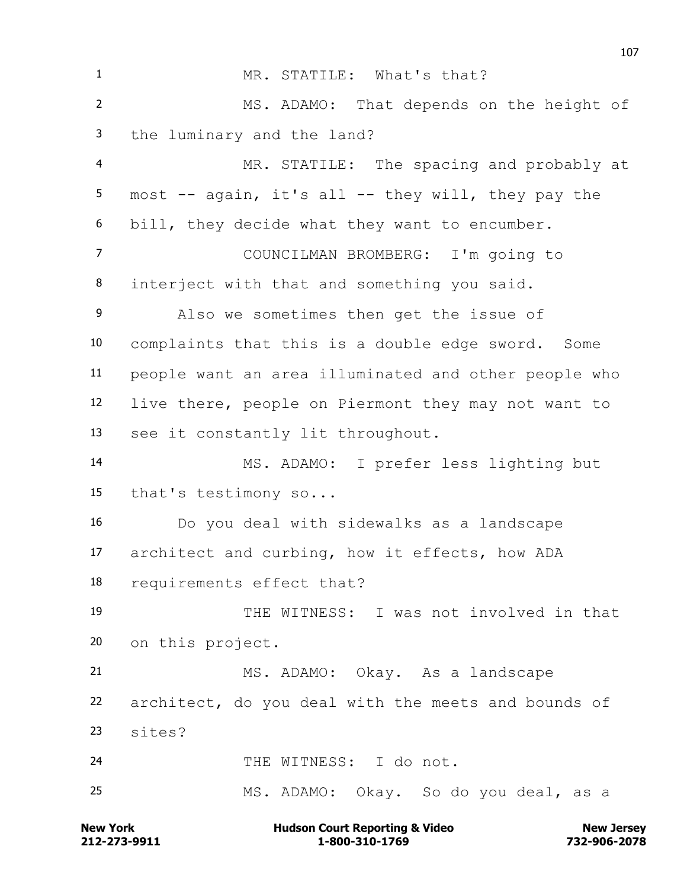1 MR. STATILE: What's that? MS. ADAMO: That depends on the height of the luminary and the land? MR. STATILE: The spacing and probably at most -- again, it's all -- they will, they pay the bill, they decide what they want to encumber. COUNCILMAN BROMBERG: I'm going to interject with that and something you said. Also we sometimes then get the issue of complaints that this is a double edge sword. Some people want an area illuminated and other people who live there, people on Piermont they may not want to see it constantly lit throughout. MS. ADAMO: I prefer less lighting but that's testimony so... Do you deal with sidewalks as a landscape architect and curbing, how it effects, how ADA requirements effect that? THE WITNESS: I was not involved in that on this project. MS. ADAMO: Okay. As a landscape architect, do you deal with the meets and bounds of sites? 24 THE WITNESS: I do not. MS. ADAMO: Okay. So do you deal, as a

**212-273-9911 1-800-310-1769 732-906-2078 New York Communist Court Reporting & Video New Jersey Rew Jersey**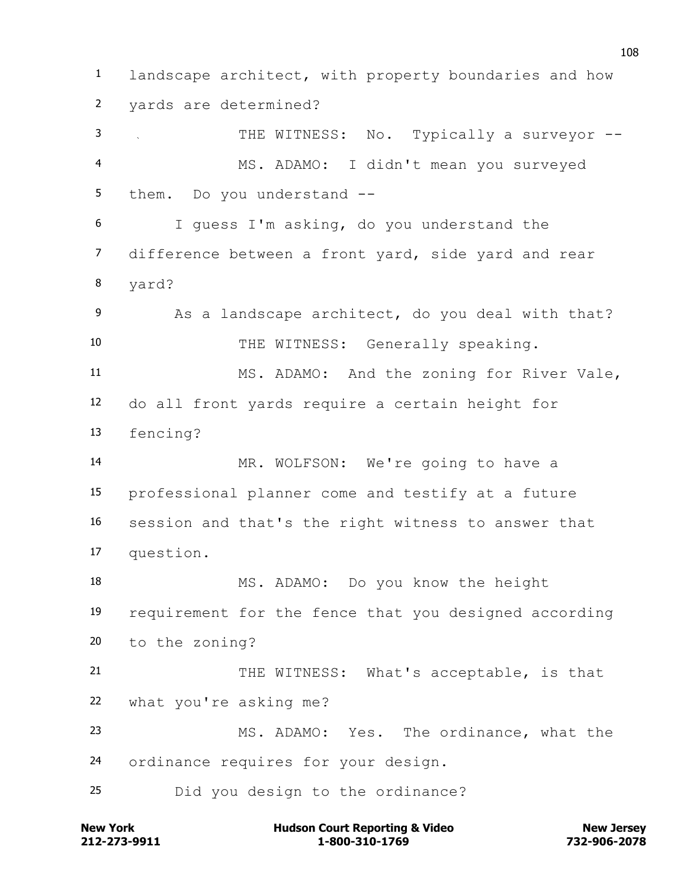landscape architect, with property boundaries and how yards are determined? THE WITNESS: No. Typically a surveyor -- MS. ADAMO: I didn't mean you surveyed them. Do you understand -- I guess I'm asking, do you understand the difference between a front yard, side yard and rear yard? 9 As a landscape architect, do you deal with that? 10 THE WITNESS: Generally speaking. MS. ADAMO: And the zoning for River Vale, do all front yards require a certain height for fencing? MR. WOLFSON: We're going to have a professional planner come and testify at a future session and that's the right witness to answer that question. MS. ADAMO: Do you know the height requirement for the fence that you designed according to the zoning? 21 THE WITNESS: What's acceptable, is that what you're asking me? MS. ADAMO: Yes. The ordinance, what the ordinance requires for your design. Did you design to the ordinance?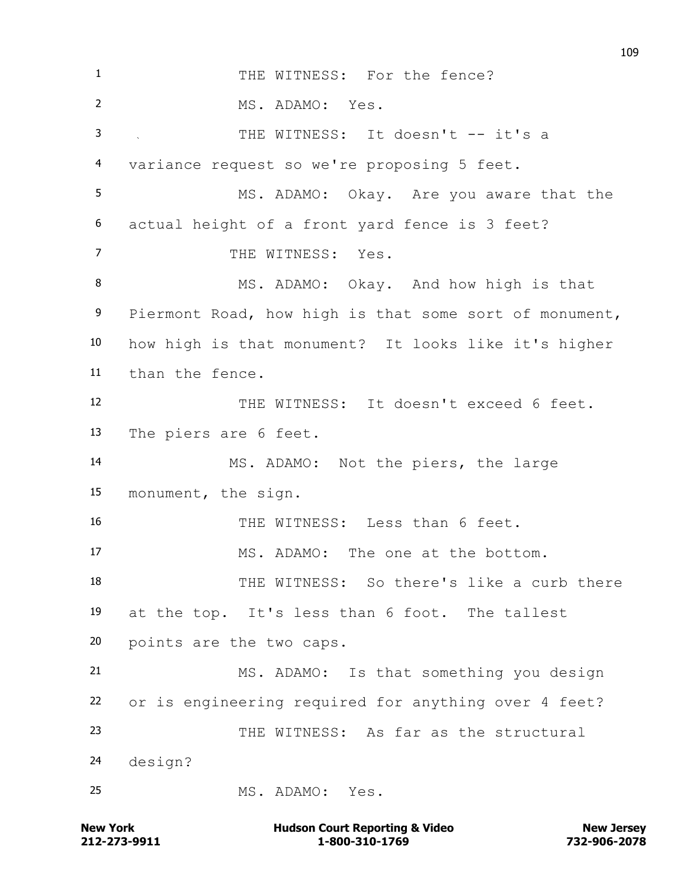THE WITNESS: For the fence? MS. ADAMO: Yes. THE WITNESS: It doesn't -- it's a variance request so we're proposing 5 feet. MS. ADAMO: Okay. Are you aware that the actual height of a front yard fence is 3 feet? 7 THE WITNESS: Yes. 8 MS. ADAMO: Okay. And how high is that Piermont Road, how high is that some sort of monument, how high is that monument? It looks like it's higher than the fence. THE WITNESS: It doesn't exceed 6 feet. The piers are 6 feet. MS. ADAMO: Not the piers, the large monument, the sign. THE WITNESS: Less than 6 feet. MS. ADAMO: The one at the bottom. THE WITNESS: So there's like a curb there at the top. It's less than 6 foot. The tallest points are the two caps. MS. ADAMO: Is that something you design or is engineering required for anything over 4 feet? THE WITNESS: As far as the structural design? MS. ADAMO: Yes.

**212-273-9911 1-800-310-1769 732-906-2078 New York Communist Court Reporting & Video New Jersey Rew Jersey**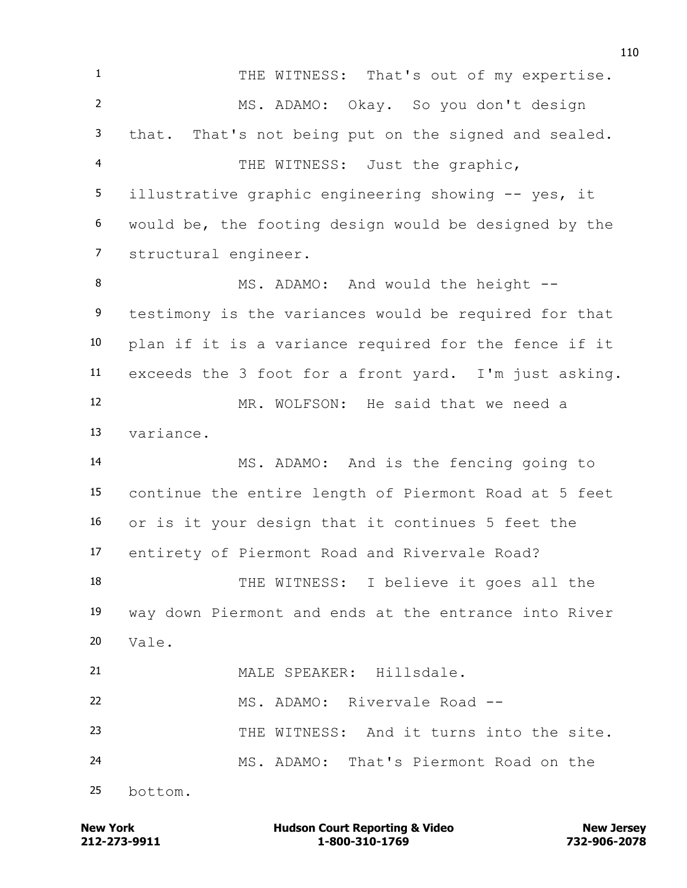1 THE WITNESS: That's out of my expertise. MS. ADAMO: Okay. So you don't design that. That's not being put on the signed and sealed. THE WITNESS: Just the graphic, illustrative graphic engineering showing -- yes, it would be, the footing design would be designed by the structural engineer. 8 MS. ADAMO: And would the height -- testimony is the variances would be required for that plan if it is a variance required for the fence if it exceeds the 3 foot for a front yard. I'm just asking. MR. WOLFSON: He said that we need a variance. MS. ADAMO: And is the fencing going to continue the entire length of Piermont Road at 5 feet or is it your design that it continues 5 feet the entirety of Piermont Road and Rivervale Road? THE WITNESS: I believe it goes all the way down Piermont and ends at the entrance into River  $20 \text{ Vale}$ . MALE SPEAKER: Hillsdale. MS. ADAMO: Rivervale Road -- THE WITNESS: And it turns into the site. MS. ADAMO: That's Piermont Road on the bottom.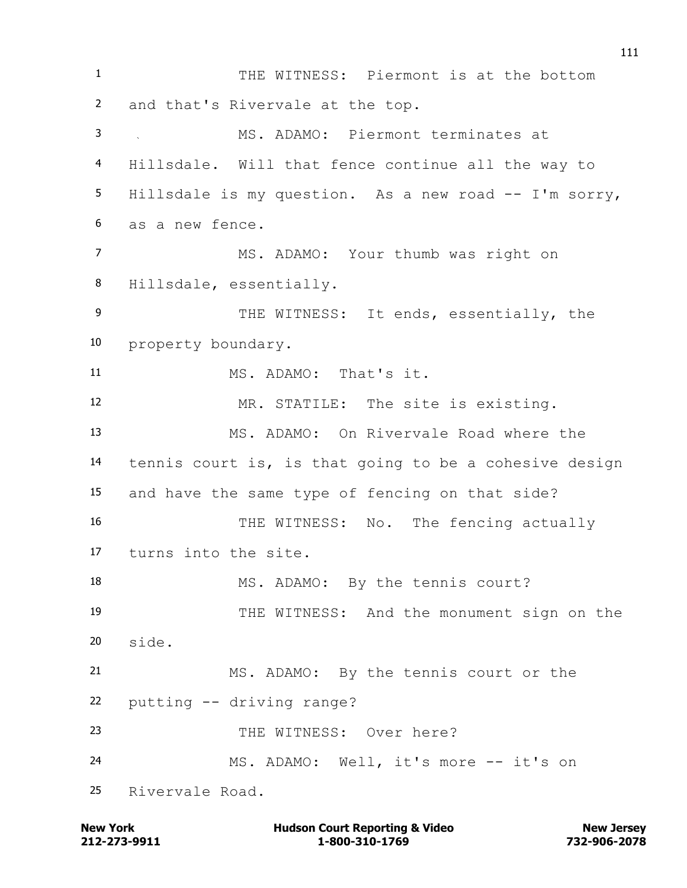THE WITNESS: Piermont is at the bottom and that's Rivervale at the top. MS. ADAMO: Piermont terminates at Hillsdale. Will that fence continue all the way to Hillsdale is my question. As a new road -- I'm sorry, as a new fence. MS. ADAMO: Your thumb was right on Hillsdale, essentially. 9 THE WITNESS: It ends, essentially, the property boundary. MS. ADAMO: That's it. 12 MR. STATILE: The site is existing. MS. ADAMO: On Rivervale Road where the tennis court is, is that going to be a cohesive design and have the same type of fencing on that side? 16 THE WITNESS: No. The fencing actually turns into the site. 18 MS. ADAMO: By the tennis court? THE WITNESS: And the monument sign on the side. MS. ADAMO: By the tennis court or the putting -- driving range? 23 THE WITNESS: Over here? MS. ADAMO: Well, it's more -- it's on Rivervale Road.

**212-273-9911 1-800-310-1769 732-906-2078 New York Communist Court Reporting & Video New Jersey Rew Jersey**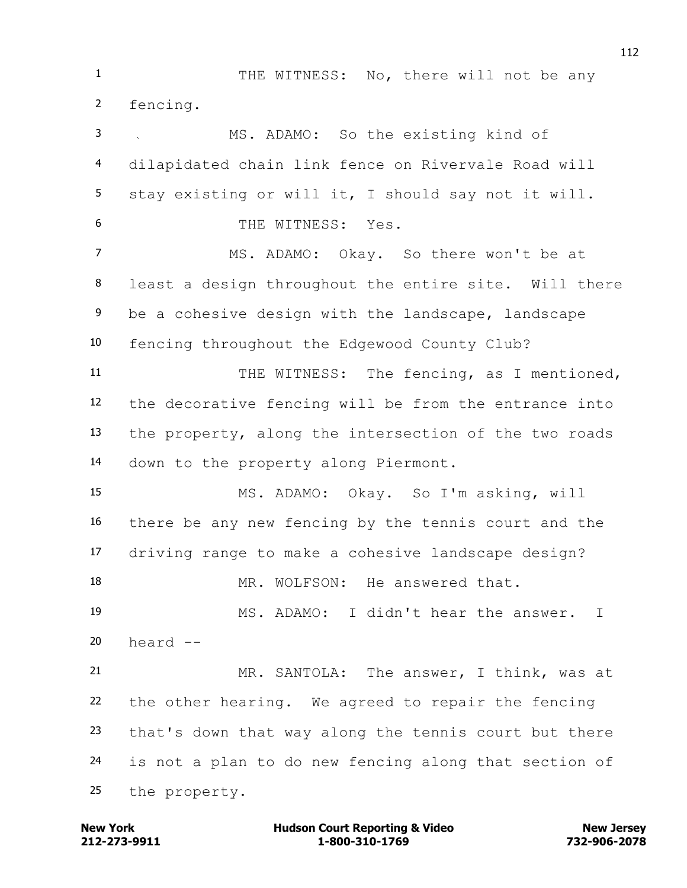1 THE WITNESS: No, there will not be any fencing. MS. ADAMO: So the existing kind of dilapidated chain link fence on Rivervale Road will stay existing or will it, I should say not it will. THE WITNESS: Yes. MS. ADAMO: Okay. So there won't be at least a design throughout the entire site. Will there be a cohesive design with the landscape, landscape fencing throughout the Edgewood County Club? 11 THE WITNESS: The fencing, as I mentioned, the decorative fencing will be from the entrance into the property, along the intersection of the two roads down to the property along Piermont. MS. ADAMO: Okay. So I'm asking, will there be any new fencing by the tennis court and the driving range to make a cohesive landscape design? MR. WOLFSON: He answered that. MS. ADAMO: I didn't hear the answer. I heard  $-$  MR. SANTOLA: The answer, I think, was at the other hearing. We agreed to repair the fencing that's down that way along the tennis court but there is not a plan to do new fencing along that section of the property.

**212-273-9911 1-800-310-1769 732-906-2078 New York Communist Court Reporting & Video New Jersey Rew Jersey**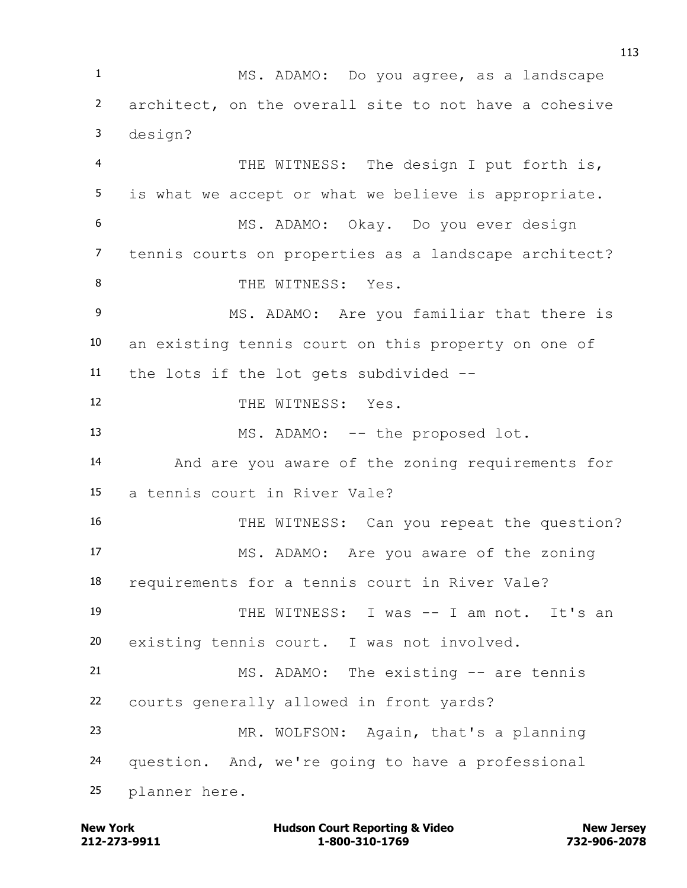MS. ADAMO: Do you agree, as a landscape architect, on the overall site to not have a cohesive design? THE WITNESS: The design I put forth is, is what we accept or what we believe is appropriate. MS. ADAMO: Okay. Do you ever design tennis courts on properties as a landscape architect? 8 THE WITNESS: Yes. MS. ADAMO: Are you familiar that there is an existing tennis court on this property on one of the lots if the lot gets subdivided -- 12 THE WITNESS: Yes. 13 MS. ADAMO: -- the proposed lot. And are you aware of the zoning requirements for a tennis court in River Vale? 16 THE WITNESS: Can you repeat the question? MS. ADAMO: Are you aware of the zoning requirements for a tennis court in River Vale? THE WITNESS: I was -- I am not. It's an existing tennis court. I was not involved. MS. ADAMO: The existing -- are tennis courts generally allowed in front yards? MR. WOLFSON: Again, that's a planning question. And, we're going to have a professional planner here.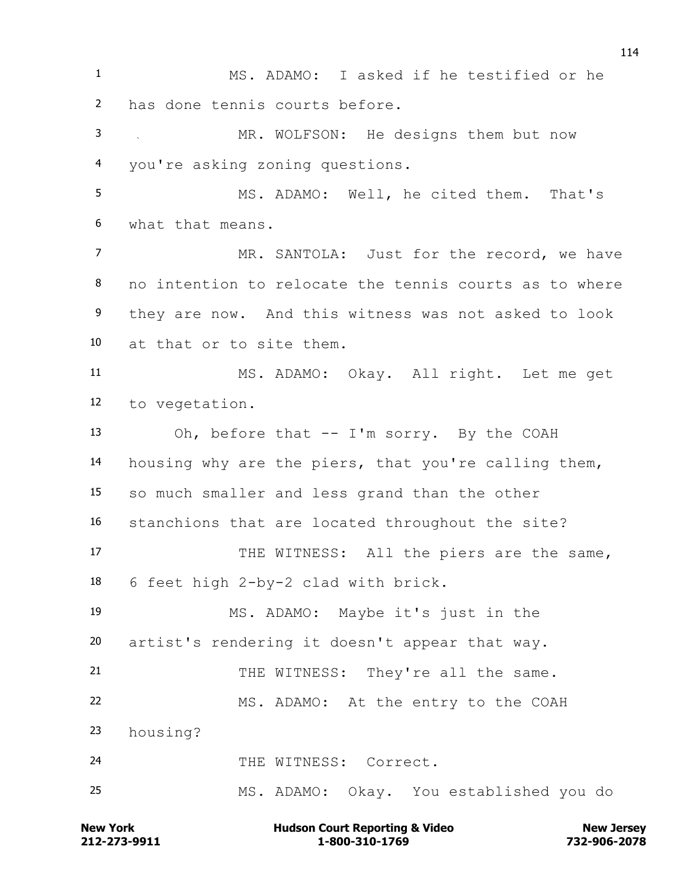MS. ADAMO: I asked if he testified or he has done tennis courts before. MR. WOLFSON: He designs them but now you're asking zoning questions. MS. ADAMO: Well, he cited them. That's what that means. 7 MR. SANTOLA: Just for the record, we have no intention to relocate the tennis courts as to where they are now. And this witness was not asked to look at that or to site them. MS. ADAMO: Okay. All right. Let me get to vegetation. Oh, before that -- I'm sorry. By the COAH housing why are the piers, that you're calling them, so much smaller and less grand than the other stanchions that are located throughout the site? 17 THE WITNESS: All the piers are the same, 6 feet high 2-by-2 clad with brick. MS. ADAMO: Maybe it's just in the artist's rendering it doesn't appear that way. 21 THE WITNESS: They're all the same. MS. ADAMO: At the entry to the COAH housing? 24 THE WITNESS: Correct. MS. ADAMO: Okay. You established you do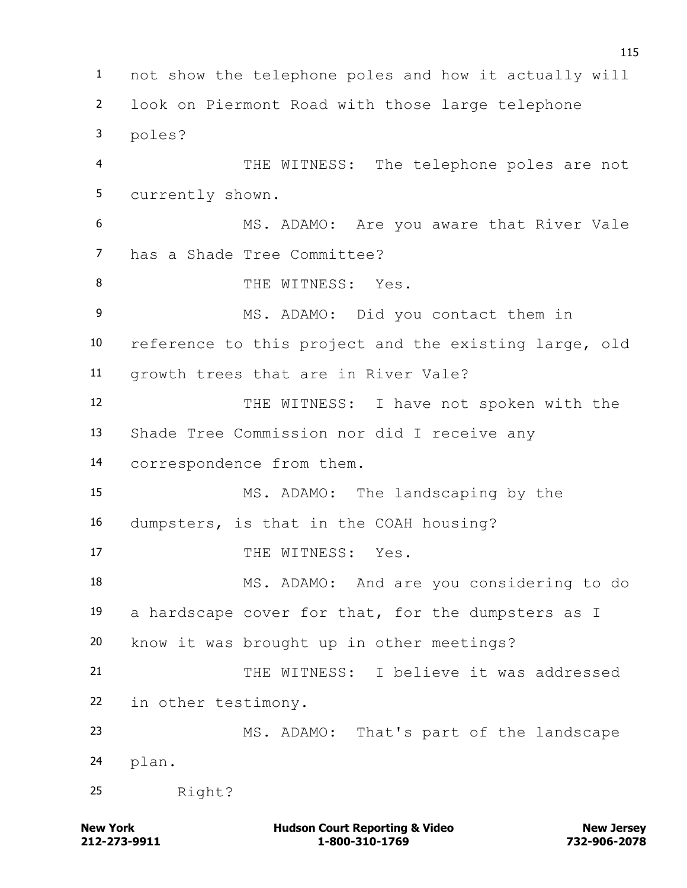not show the telephone poles and how it actually will look on Piermont Road with those large telephone poles? THE WITNESS: The telephone poles are not currently shown. MS. ADAMO: Are you aware that River Vale has a Shade Tree Committee? 8 THE WITNESS: Yes. MS. ADAMO: Did you contact them in reference to this project and the existing large, old growth trees that are in River Vale? THE WITNESS: I have not spoken with the Shade Tree Commission nor did I receive any correspondence from them. MS. ADAMO: The landscaping by the dumpsters, is that in the COAH housing? 17 THE WITNESS: Yes. MS. ADAMO: And are you considering to do a hardscape cover for that, for the dumpsters as I know it was brought up in other meetings? 21 THE WITNESS: I believe it was addressed in other testimony. MS. ADAMO: That's part of the landscape plan. Right?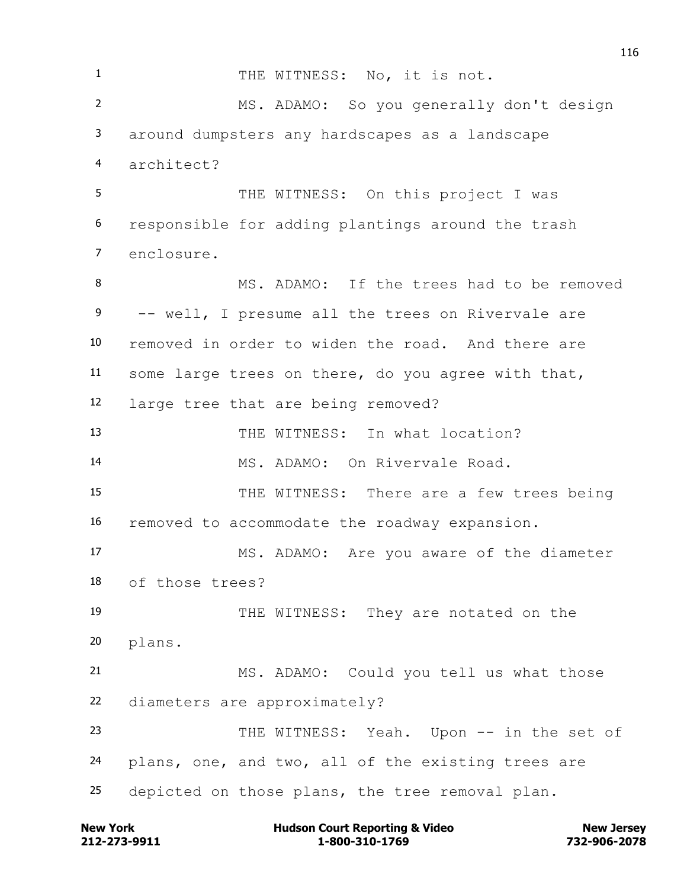1 THE WITNESS: No, it is not. MS. ADAMO: So you generally don't design around dumpsters any hardscapes as a landscape architect? 5 THE WITNESS: On this project I was responsible for adding plantings around the trash enclosure. 8 MS. ADAMO: If the trees had to be removed 9 -- well, I presume all the trees on Rivervale are removed in order to widen the road. And there are some large trees on there, do you agree with that, large tree that are being removed? THE WITNESS: In what location? MS. ADAMO: On Rivervale Road. 15 THE WITNESS: There are a few trees being removed to accommodate the roadway expansion. MS. ADAMO: Are you aware of the diameter of those trees? THE WITNESS: They are notated on the plans. MS. ADAMO: Could you tell us what those diameters are approximately? THE WITNESS: Yeah. Upon -- in the set of plans, one, and two, all of the existing trees are depicted on those plans, the tree removal plan.

**212-273-9911 1-800-310-1769 732-906-2078 New York Communist Court Reporting & Video New Jersey Rew Jersey**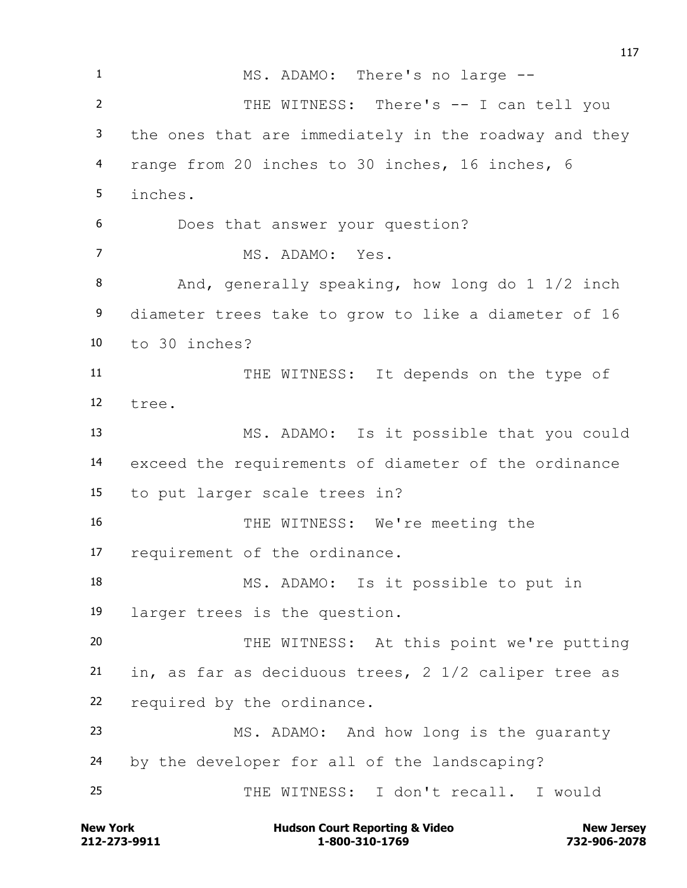1 MS. ADAMO: There's no large -- THE WITNESS: There's -- I can tell you the ones that are immediately in the roadway and they range from 20 inches to 30 inches, 16 inches, 6 inches. Does that answer your question? MS. ADAMO: Yes. 8 And, generally speaking, how long do 1 1/2 inch diameter trees take to grow to like a diameter of 16 to 30 inches? THE WITNESS: It depends on the type of tree. MS. ADAMO: Is it possible that you could exceed the requirements of diameter of the ordinance to put larger scale trees in? THE WITNESS: We're meeting the requirement of the ordinance. MS. ADAMO: Is it possible to put in larger trees is the question. THE WITNESS: At this point we're putting in, as far as deciduous trees, 2 1/2 caliper tree as required by the ordinance. MS. ADAMO: And how long is the guaranty by the developer for all of the landscaping? THE WITNESS: I don't recall. I would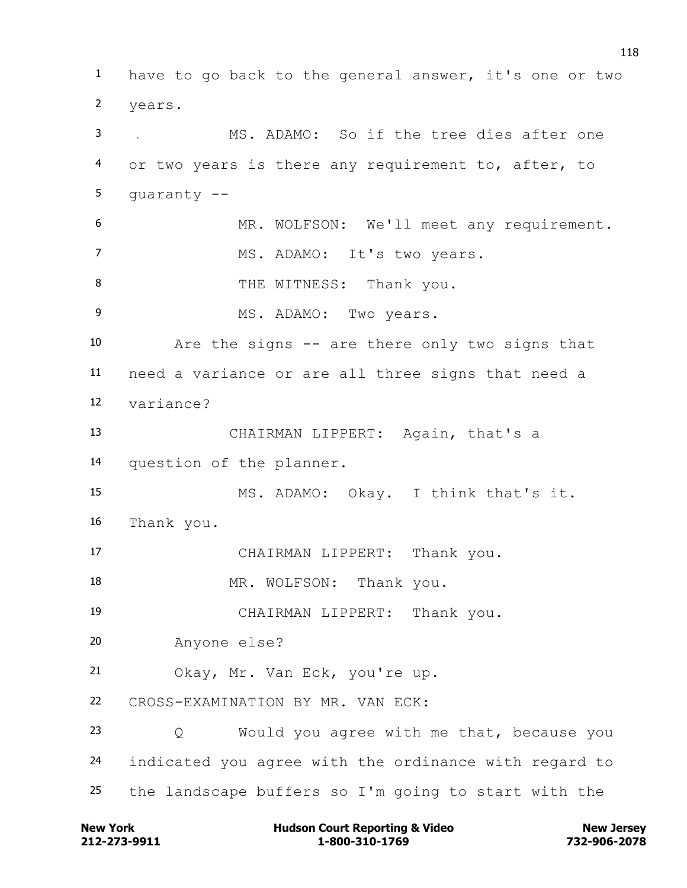have to go back to the general answer, it's one or two years. MS. ADAMO: So if the tree dies after one or two years is there any requirement to, after, to guaranty -- MR. WOLFSON: We'll meet any requirement. MS. ADAMO: It's two years. 8 THE WITNESS: Thank you. MS. ADAMO: Two years. Are the signs -- are there only two signs that need a variance or are all three signs that need a variance? CHAIRMAN LIPPERT: Again, that's a question of the planner. MS. ADAMO: Okay. I think that's it. Thank you. CHAIRMAN LIPPERT: Thank you. 18 MR. WOLFSON: Thank you. CHAIRMAN LIPPERT: Thank you. Anyone else? Okay, Mr. Van Eck, you're up. CROSS-EXAMINATION BY MR. VAN ECK: Q Would you agree with me that, because you indicated you agree with the ordinance with regard to the landscape buffers so I'm going to start with the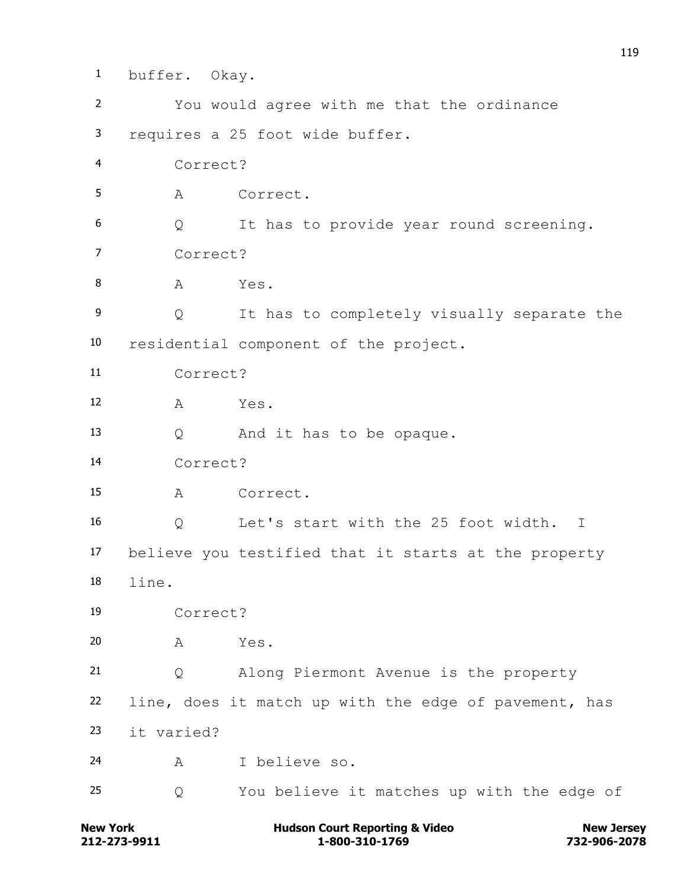**New York Construction Court Reporting & Video New Jersey Rew Jersey**  buffer. Okay. You would agree with me that the ordinance requires a 25 foot wide buffer. Correct? A Correct. Q It has to provide year round screening. Correct? 8 A Yes. Q It has to completely visually separate the residential component of the project. Correct? A Yes. Q And it has to be opaque. Correct? A Correct. Q Let's start with the 25 foot width. I believe you testified that it starts at the property line. Correct? A Yes. Q Along Piermont Avenue is the property line, does it match up with the edge of pavement, has it varied? A I believe so. Q You believe it matches up with the edge of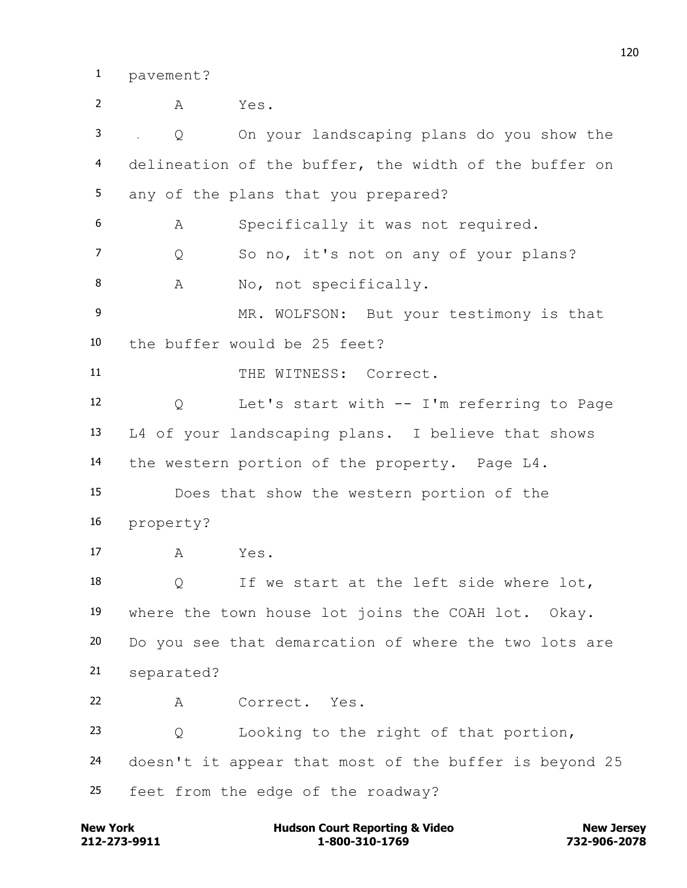pavement?

 A Yes. Q On your landscaping plans do you show the delineation of the buffer, the width of the buffer on any of the plans that you prepared? A Specifically it was not required. Q So no, it's not on any of your plans? 8 A No, not specifically. MR. WOLFSON: But your testimony is that the buffer would be 25 feet? 11 THE WITNESS: Correct. Q Let's start with -- I'm referring to Page L4 of your landscaping plans. I believe that shows the western portion of the property. Page L4. Does that show the western portion of the property? A Yes. Q If we start at the left side where lot, where the town house lot joins the COAH lot. Okay. Do you see that demarcation of where the two lots are separated? A Correct. Yes. Q Looking to the right of that portion, doesn't it appear that most of the buffer is beyond 25 feet from the edge of the roadway?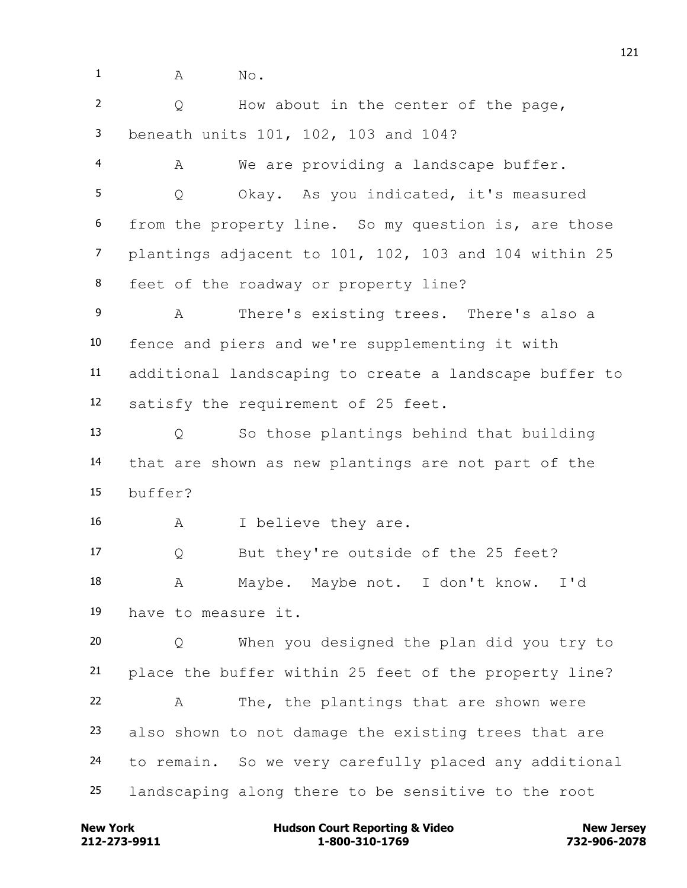1 A No.

 Q How about in the center of the page, beneath units 101, 102, 103 and 104?

 A We are providing a landscape buffer. Q Okay. As you indicated, it's measured from the property line. So my question is, are those plantings adjacent to 101, 102, 103 and 104 within 25 feet of the roadway or property line?

 A There's existing trees. There's also a fence and piers and we're supplementing it with additional landscaping to create a landscape buffer to satisfy the requirement of 25 feet.

 Q So those plantings behind that building that are shown as new plantings are not part of the buffer?

A I believe they are.

 Q But they're outside of the 25 feet? A Maybe. Maybe not. I don't know. I'd have to measure it.

 Q When you designed the plan did you try to place the buffer within 25 feet of the property line? A The, the plantings that are shown were also shown to not damage the existing trees that are to remain. So we very carefully placed any additional landscaping along there to be sensitive to the root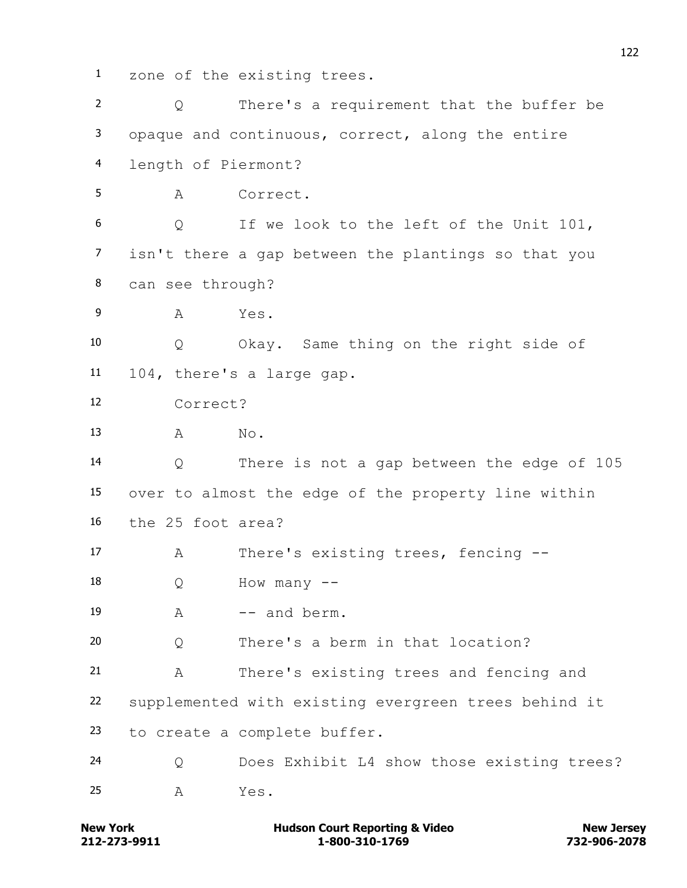zone of the existing trees.

| $\overline{2}$ | $\circ$             | There's a requirement that the buffer be             |
|----------------|---------------------|------------------------------------------------------|
| 3              |                     | opaque and continuous, correct, along the entire     |
| 4              | length of Piermont? |                                                      |
| 5              | A                   | Correct.                                             |
| 6              | Q                   | If we look to the left of the Unit 101,              |
| $\overline{7}$ |                     | isn't there a gap between the plantings so that you  |
| 8              | can see through?    |                                                      |
| 9              | A                   | Yes.                                                 |
| 10             | Q                   | Okay. Same thing on the right side of                |
| 11             |                     | 104, there's a large gap.                            |
| 12             | Correct?            |                                                      |
| 13             | A                   | No.                                                  |
| 14             | Q                   | There is not a gap between the edge of 105           |
| 15             |                     | over to almost the edge of the property line within  |
| 16             | the 25 foot area?   |                                                      |
| 17             | Α                   | There's existing trees, fencing --                   |
| 18             | Q                   | How many                                             |
| 19             | A                   | -- and berm.                                         |
| 20             | Q                   | There's a berm in that location?                     |
| 21             | Α                   | There's existing trees and fencing and               |
| 22             |                     | supplemented with existing evergreen trees behind it |
| 23             |                     | to create a complete buffer.                         |
| 24             | Q                   | Does Exhibit L4 show those existing trees?           |
| 25             | Α                   | Yes.                                                 |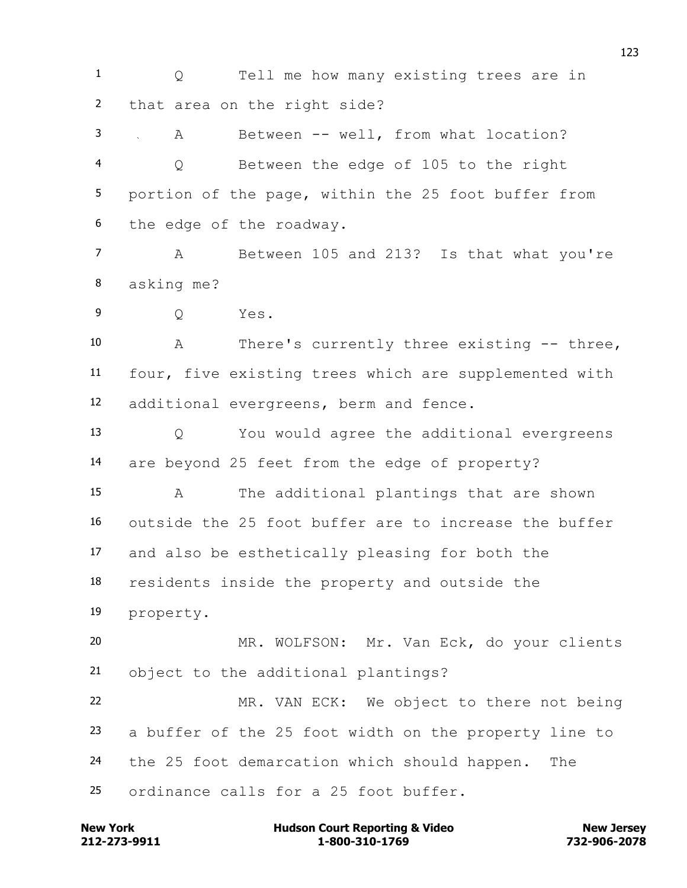1 0 Tell me how many existing trees are in that area on the right side?

 A Between -- well, from what location? Q Between the edge of 105 to the right portion of the page, within the 25 foot buffer from the edge of the roadway.

 A Between 105 and 213? Is that what you're asking me?

Q Yes.

 A There's currently three existing -- three, four, five existing trees which are supplemented with additional evergreens, berm and fence.

 Q You would agree the additional evergreens are beyond 25 feet from the edge of property?

 A The additional plantings that are shown outside the 25 foot buffer are to increase the buffer and also be esthetically pleasing for both the

residents inside the property and outside the

property.

 MR. WOLFSON: Mr. Van Eck, do your clients object to the additional plantings?

 MR. VAN ECK: We object to there not being a buffer of the 25 foot width on the property line to the 25 foot demarcation which should happen. The ordinance calls for a 25 foot buffer.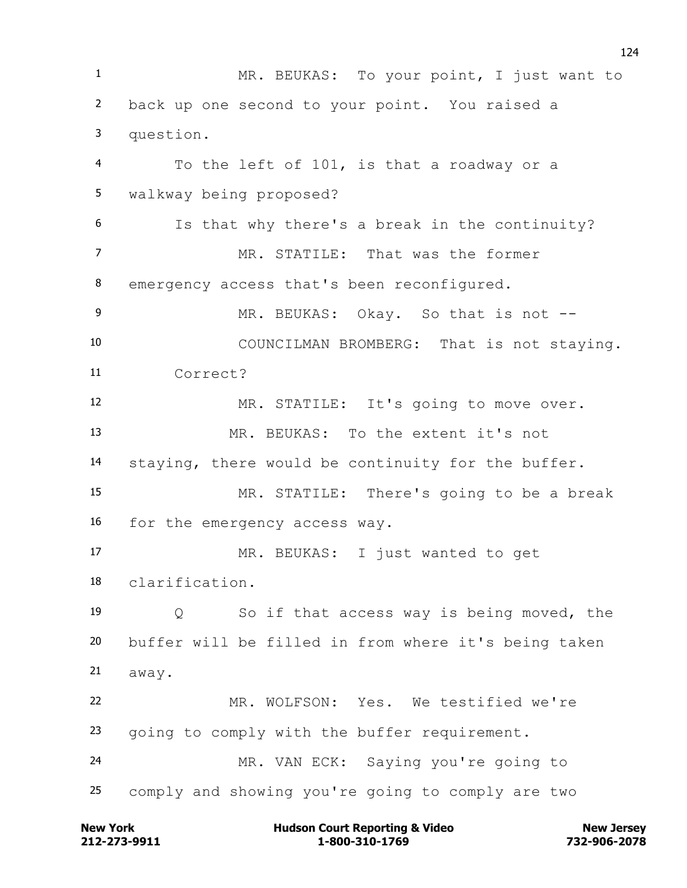MR. BEUKAS: To your point, I just want to back up one second to your point. You raised a question. To the left of 101, is that a roadway or a walkway being proposed? Is that why there's a break in the continuity? MR. STATILE: That was the former 8 emergency access that's been reconfigured. 9 MR. BEUKAS: Okay. So that is not -- COUNCILMAN BROMBERG: That is not staying. Correct? MR. STATILE: It's going to move over. MR. BEUKAS: To the extent it's not staying, there would be continuity for the buffer. MR. STATILE: There's going to be a break for the emergency access way. MR. BEUKAS: I just wanted to get clarification. Q So if that access way is being moved, the buffer will be filled in from where it's being taken away. MR. WOLFSON: Yes. We testified we're going to comply with the buffer requirement. MR. VAN ECK: Saying you're going to comply and showing you're going to comply are two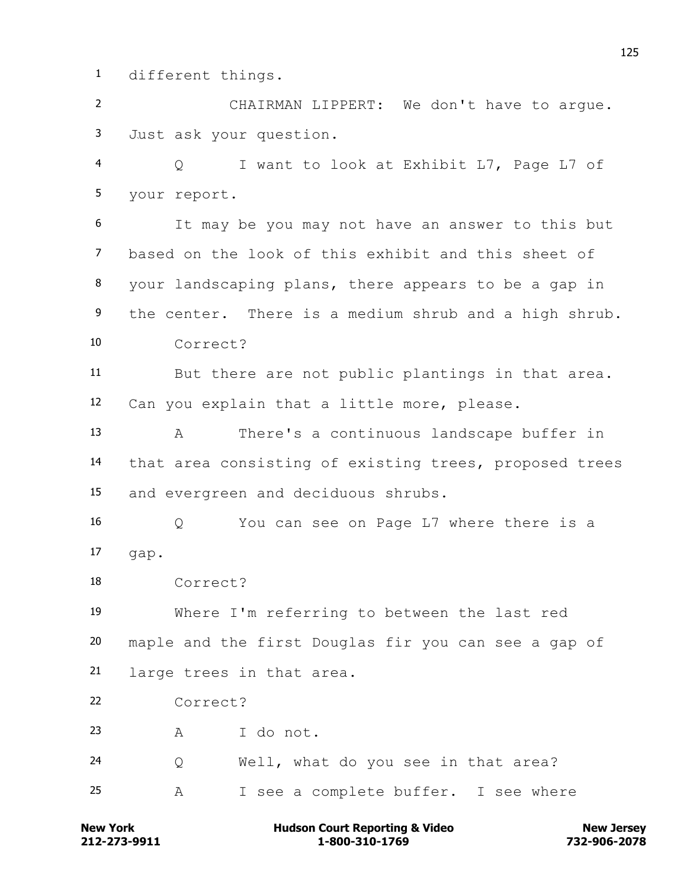different things.

 CHAIRMAN LIPPERT: We don't have to argue. Just ask your question.

 Q I want to look at Exhibit L7, Page L7 of your report.

 It may be you may not have an answer to this but based on the look of this exhibit and this sheet of your landscaping plans, there appears to be a gap in the center. There is a medium shrub and a high shrub. Correct?

 But there are not public plantings in that area. Can you explain that a little more, please.

 A There's a continuous landscape buffer in that area consisting of existing trees, proposed trees and evergreen and deciduous shrubs.

 Q You can see on Page L7 where there is a gap.

Correct?

 Where I'm referring to between the last red maple and the first Douglas fir you can see a gap of large trees in that area.

Correct?

A I do not.

Q Well, what do you see in that area?

A I see a complete buffer. I see where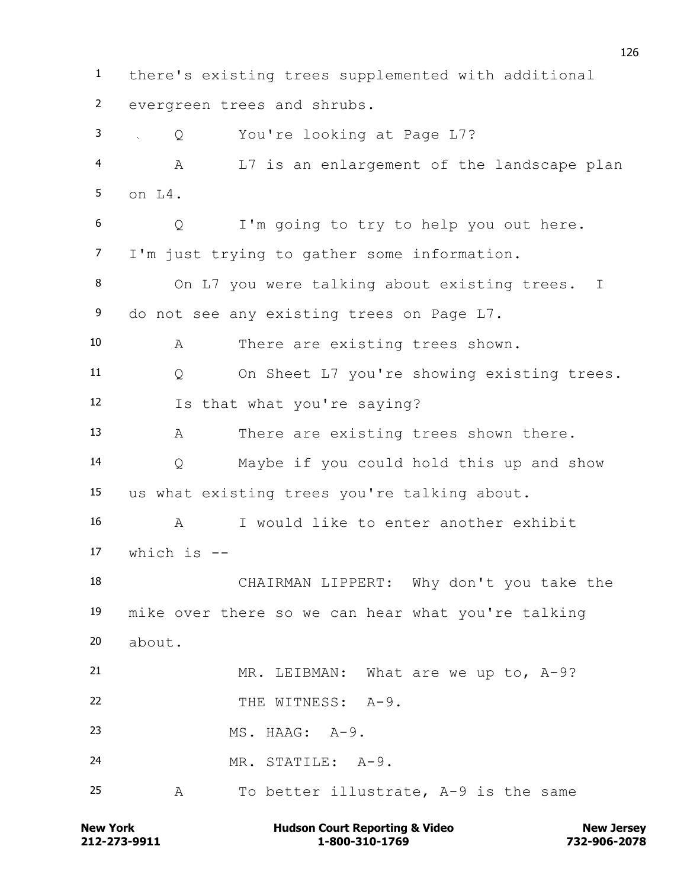there's existing trees supplemented with additional evergreen trees and shrubs. Q You're looking at Page L7? A L7 is an enlargement of the landscape plan on L4. Q I'm going to try to help you out here. I'm just trying to gather some information. On L7 you were talking about existing trees. I 9 do not see any existing trees on Page L7. A There are existing trees shown. Q On Sheet L7 you're showing existing trees. Is that what you're saying? A There are existing trees shown there. Q Maybe if you could hold this up and show us what existing trees you're talking about. A I would like to enter another exhibit which is -- CHAIRMAN LIPPERT: Why don't you take the mike over there so we can hear what you're talking about. MR. LEIBMAN: What are we up to, A-9? 22 THE WITNESS: A-9. MS. HAAG: A-9. MR. STATILE: A-9. A To better illustrate, A-9 is the same

**212-273-9911 1-800-310-1769 732-906-2078 New York Communist Court Reporting & Video New Jersey Rew Jersey**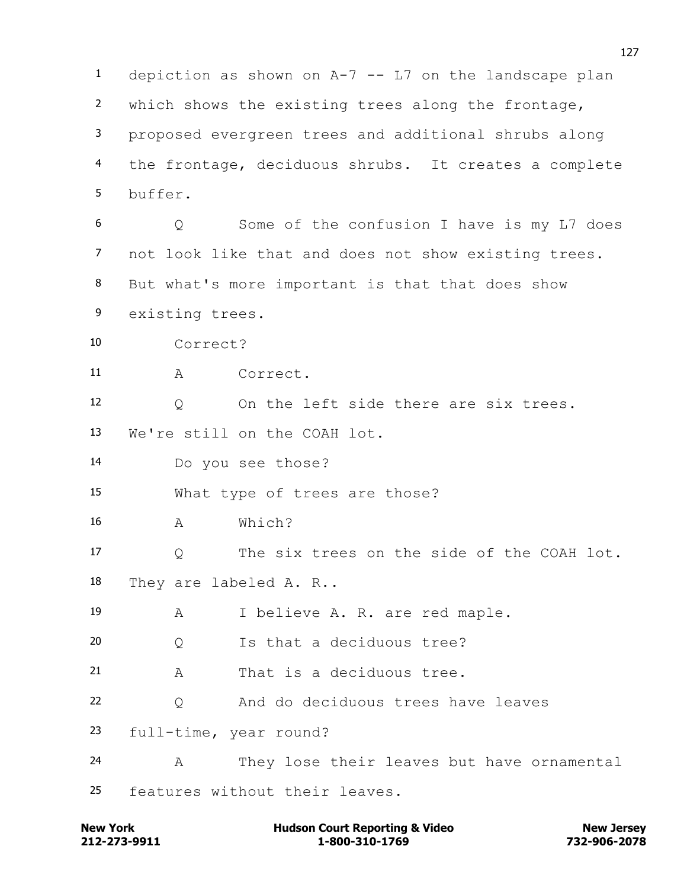depiction as shown on A-7 -- L7 on the landscape plan which shows the existing trees along the frontage, proposed evergreen trees and additional shrubs along the frontage, deciduous shrubs. It creates a complete buffer. Q Some of the confusion I have is my L7 does not look like that and does not show existing trees. But what's more important is that that does show existing trees. Correct? A Correct. Q On the left side there are six trees. We're still on the COAH lot. Do you see those? What type of trees are those? A Which? Q The six trees on the side of the COAH lot. They are labeled A. R.. A I believe A. R. are red maple. Q Is that a deciduous tree? A That is a deciduous tree. Q And do deciduous trees have leaves full-time, year round? A They lose their leaves but have ornamental features without their leaves.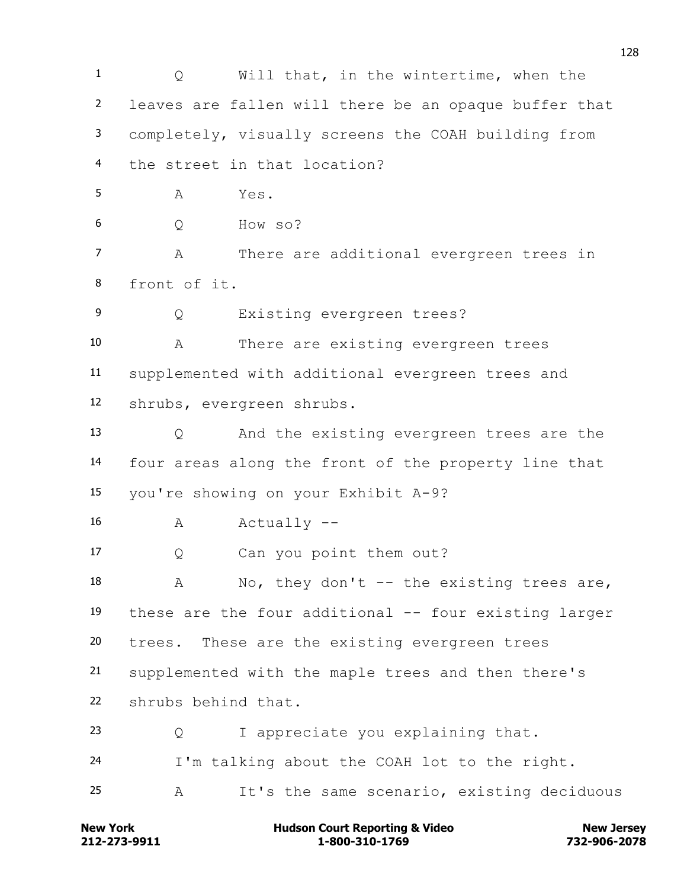1 0 Will that, in the wintertime, when the leaves are fallen will there be an opaque buffer that completely, visually screens the COAH building from the street in that location?  $A$   $Yes$  Q How so? A There are additional evergreen trees in front of it. Q Existing evergreen trees? A There are existing evergreen trees supplemented with additional evergreen trees and shrubs, evergreen shrubs. Q And the existing evergreen trees are the four areas along the front of the property line that you're showing on your Exhibit A-9? 16 A Actually -- Q Can you point them out? 18 A No, they don't -- the existing trees are, these are the four additional -- four existing larger trees. These are the existing evergreen trees supplemented with the maple trees and then there's shrubs behind that. Q I appreciate you explaining that. I'm talking about the COAH lot to the right. A It's the same scenario, existing deciduous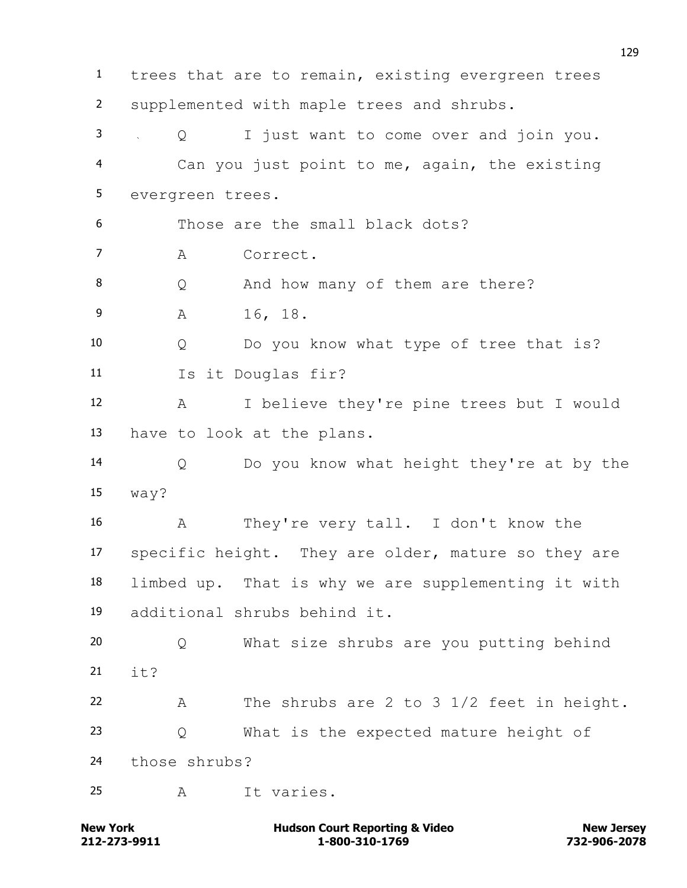trees that are to remain, existing evergreen trees supplemented with maple trees and shrubs. Q I just want to come over and join you. Can you just point to me, again, the existing evergreen trees. Those are the small black dots? A Correct. 8 O And how many of them are there? A 16, 18. Q Do you know what type of tree that is? Is it Douglas fir? A I believe they're pine trees but I would have to look at the plans. Q Do you know what height they're at by the way? A They're very tall. I don't know the specific height. They are older, mature so they are limbed up. That is why we are supplementing it with additional shrubs behind it. Q What size shrubs are you putting behind  $\frac{1}{2}$   $\frac{1}{2}$  A The shrubs are 2 to 3 1/2 feet in height. Q What is the expected mature height of those shrubs? A It varies.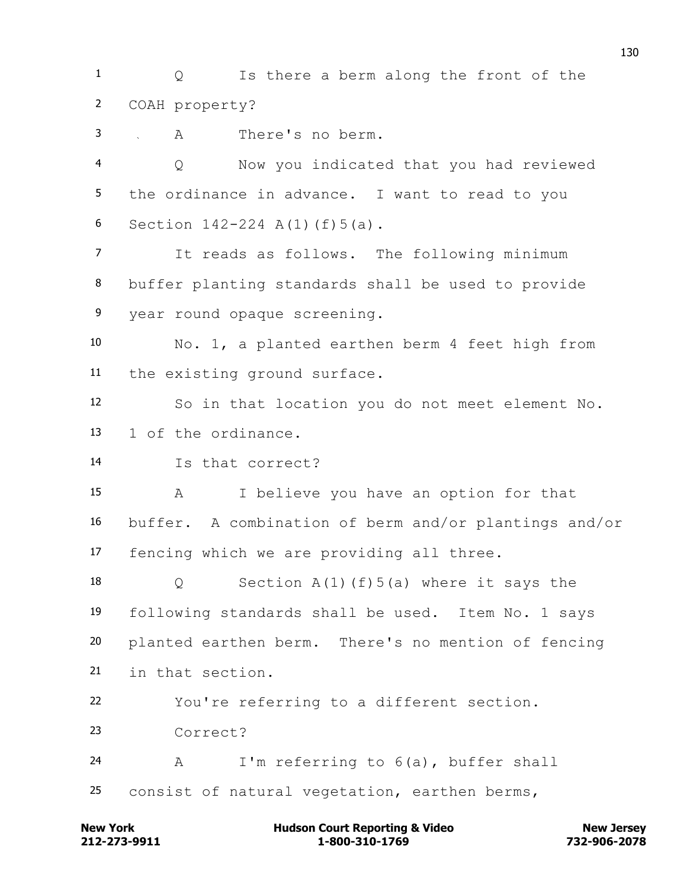1 0 Is there a berm along the front of the COAH property?

A There's no berm.

 Q Now you indicated that you had reviewed the ordinance in advance. I want to read to you Section 142-224 A(1)(f)5(a).

 It reads as follows. The following minimum buffer planting standards shall be used to provide year round opaque screening.

 No. 1, a planted earthen berm 4 feet high from the existing ground surface.

 So in that location you do not meet element No. 1 of the ordinance.

Is that correct?

 A I believe you have an option for that buffer. A combination of berm and/or plantings and/or fencing which we are providing all three.

18 Q Section A(1)(f)5(a) where it says the following standards shall be used. Item No. 1 says planted earthen berm. There's no mention of fencing in that section.

You're referring to a different section.

Correct?

 A I'm referring to 6(a), buffer shall consist of natural vegetation, earthen berms,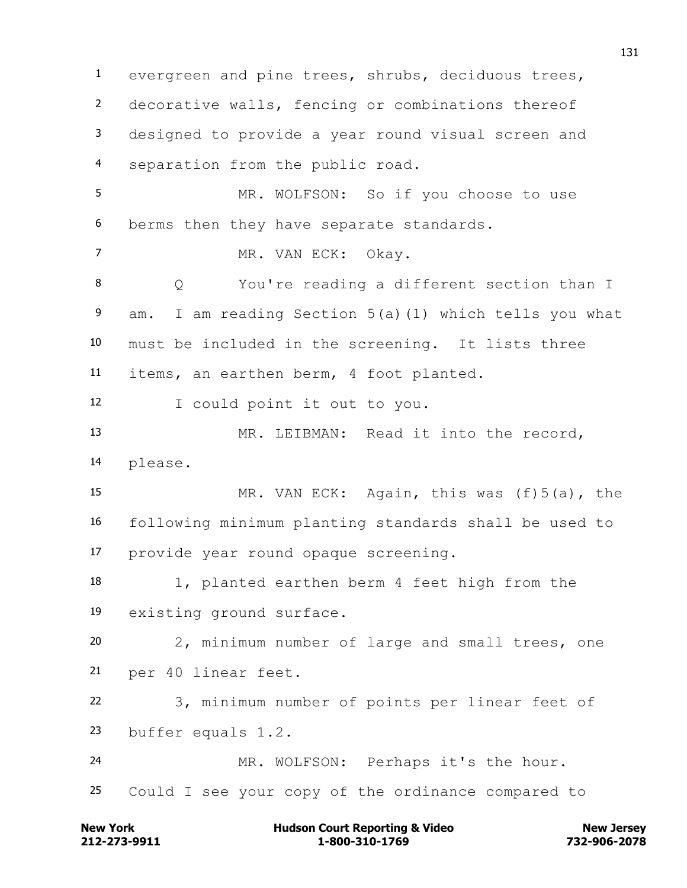evergreen and pine trees, shrubs, deciduous trees, decorative walls, fencing or combinations thereof designed to provide a year round visual screen and separation from the public road. MR. WOLFSON: So if you choose to use berms then they have separate standards. 7 MR. VAN ECK: Okay. Q You're reading a different section than I am. I am reading Section 5(a)(1) which tells you what must be included in the screening. It lists three items, an earthen berm, 4 foot planted. I could point it out to you. MR. LEIBMAN: Read it into the record, please. MR. VAN ECK: Again, this was (f)5(a), the following minimum planting standards shall be used to provide year round opaque screening. 1, planted earthen berm 4 feet high from the existing ground surface. 2, minimum number of large and small trees, one per 40 linear feet. 3, minimum number of points per linear feet of buffer equals 1.2. MR. WOLFSON: Perhaps it's the hour. Could I see your copy of the ordinance compared to

**212-273-9911 1-800-310-1769 732-906-2078 New York Communist Court Reporting & Video New Jersey Rew Jersey**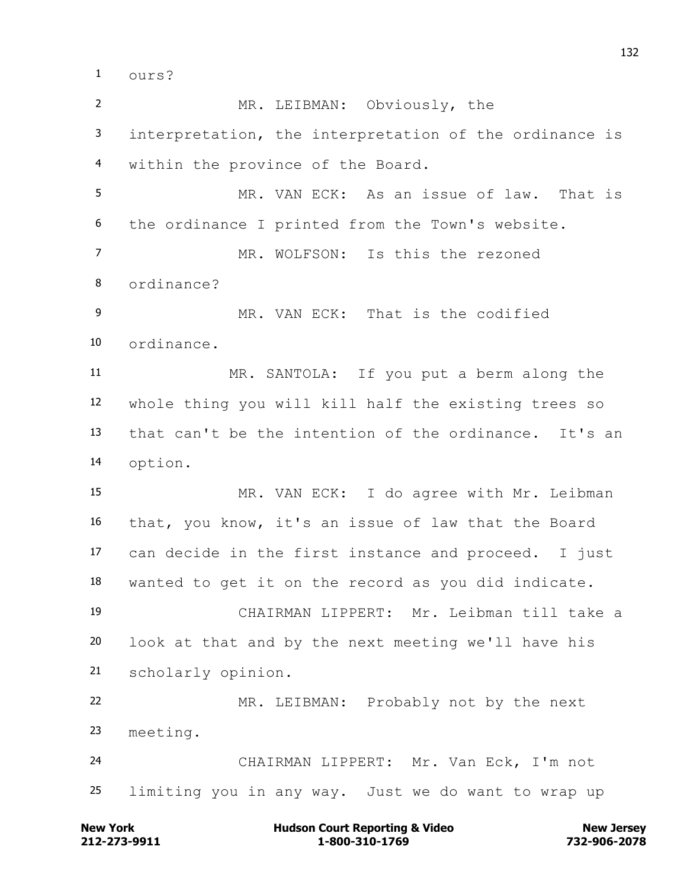ours?

 MR. LEIBMAN: Obviously, the interpretation, the interpretation of the ordinance is within the province of the Board. MR. VAN ECK: As an issue of law. That is the ordinance I printed from the Town's website. MR. WOLFSON: Is this the rezoned ordinance? 9 MR. VAN ECK: That is the codified ordinance. MR. SANTOLA: If you put a berm along the whole thing you will kill half the existing trees so that can't be the intention of the ordinance. It's an option. MR. VAN ECK: I do agree with Mr. Leibman that, you know, it's an issue of law that the Board can decide in the first instance and proceed. I just wanted to get it on the record as you did indicate. CHAIRMAN LIPPERT: Mr. Leibman till take a look at that and by the next meeting we'll have his scholarly opinion. MR. LEIBMAN: Probably not by the next meeting. CHAIRMAN LIPPERT: Mr. Van Eck, I'm not limiting you in any way. Just we do want to wrap up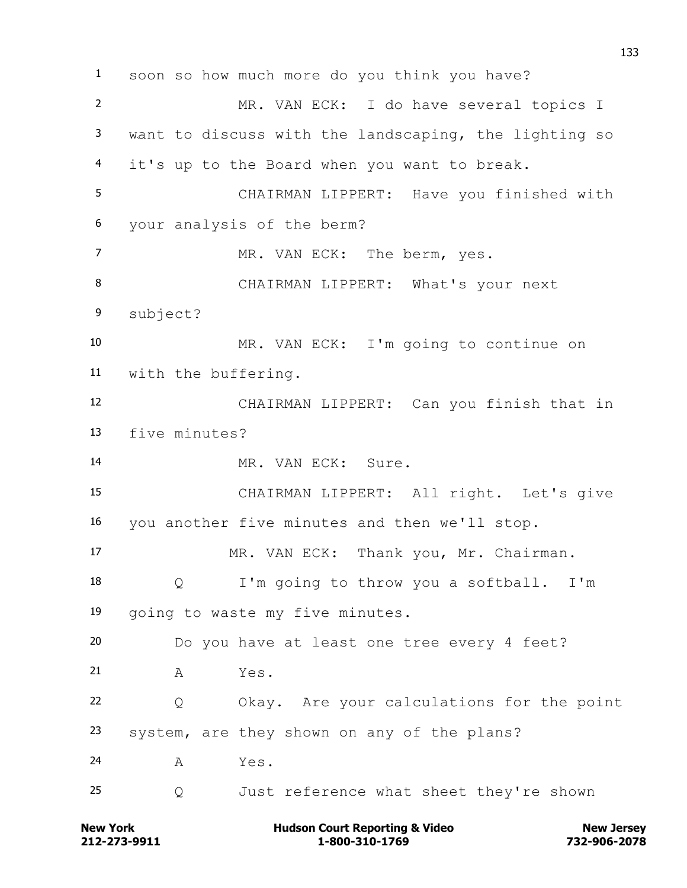soon so how much more do you think you have? MR. VAN ECK: I do have several topics I want to discuss with the landscaping, the lighting so it's up to the Board when you want to break. CHAIRMAN LIPPERT: Have you finished with your analysis of the berm? 7 MR. VAN ECK: The berm, yes. CHAIRMAN LIPPERT: What's your next subject? MR. VAN ECK: I'm going to continue on with the buffering. CHAIRMAN LIPPERT: Can you finish that in five minutes? 14 MR. VAN ECK: Sure. CHAIRMAN LIPPERT: All right. Let's give you another five minutes and then we'll stop. MR. VAN ECK: Thank you, Mr. Chairman. Q I'm going to throw you a softball. I'm going to waste my five minutes. Do you have at least one tree every 4 feet? A Yes. Q Okay. Are your calculations for the point system, are they shown on any of the plans? A Yes. Q Just reference what sheet they're shown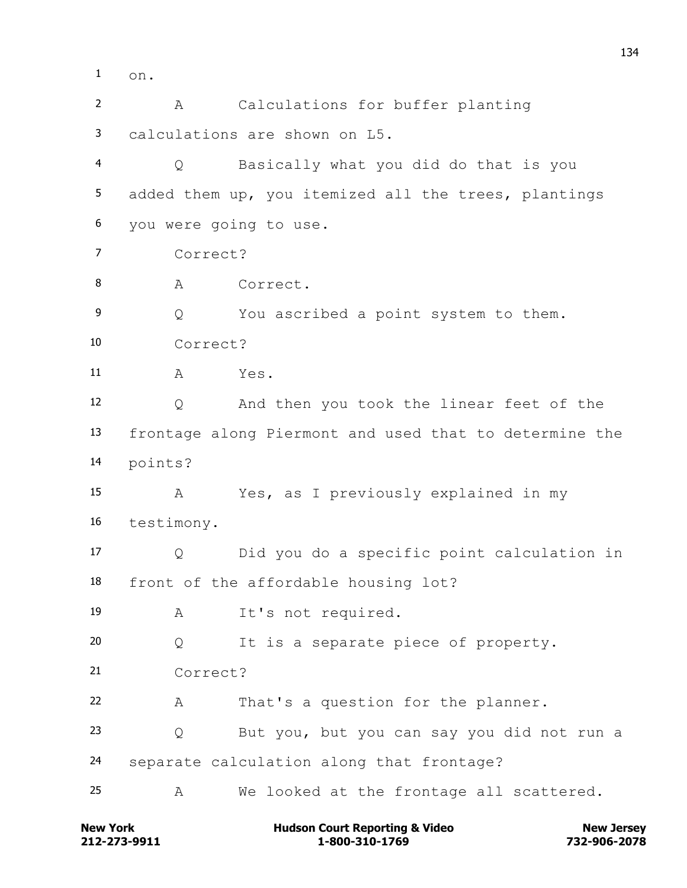on.

 A Calculations for buffer planting calculations are shown on L5. Q Basically what you did do that is you added them up, you itemized all the trees, plantings you were going to use. Correct? 8 A Correct. Q You ascribed a point system to them. Correct? A Yes. Q And then you took the linear feet of the frontage along Piermont and used that to determine the points? A Yes, as I previously explained in my testimony. Q Did you do a specific point calculation in front of the affordable housing lot? A It's not required. Q It is a separate piece of property. Correct? A That's a question for the planner. Q But you, but you can say you did not run a separate calculation along that frontage? A We looked at the frontage all scattered.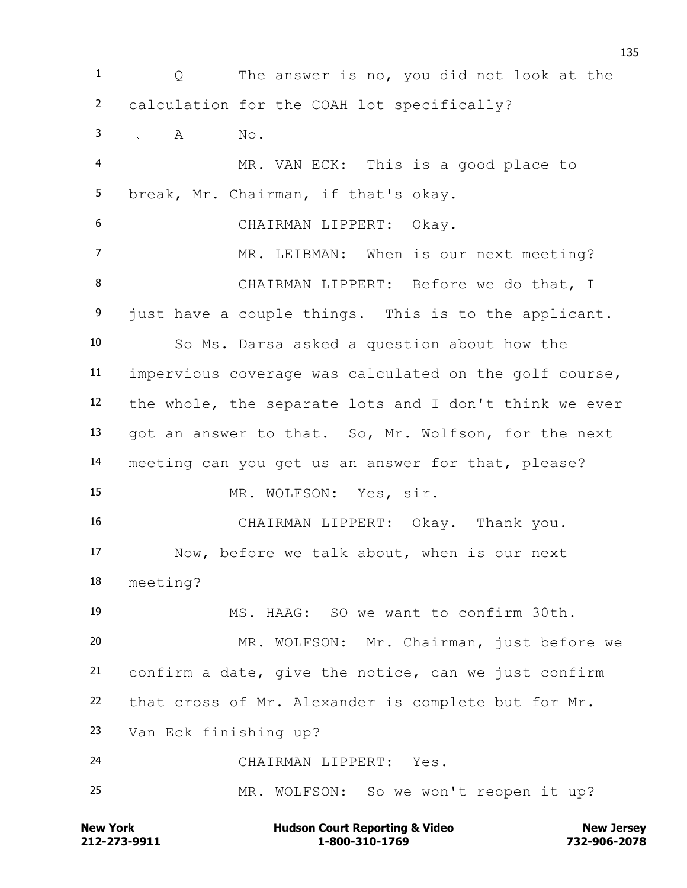1 0 The answer is no, you did not look at the calculation for the COAH lot specifically? 3 A No. MR. VAN ECK: This is a good place to break, Mr. Chairman, if that's okay. CHAIRMAN LIPPERT: Okay. 7 MR. LEIBMAN: When is our next meeting? CHAIRMAN LIPPERT: Before we do that, I just have a couple things. This is to the applicant. So Ms. Darsa asked a question about how the impervious coverage was calculated on the golf course, the whole, the separate lots and I don't think we ever got an answer to that. So, Mr. Wolfson, for the next meeting can you get us an answer for that, please? 15 MR. WOLFSON: Yes, sir. CHAIRMAN LIPPERT: Okay. Thank you. Now, before we talk about, when is our next meeting? MS. HAAG: SO we want to confirm 30th. MR. WOLFSON: Mr. Chairman, just before we confirm a date, give the notice, can we just confirm that cross of Mr. Alexander is complete but for Mr. Van Eck finishing up? CHAIRMAN LIPPERT: Yes. MR. WOLFSON: So we won't reopen it up?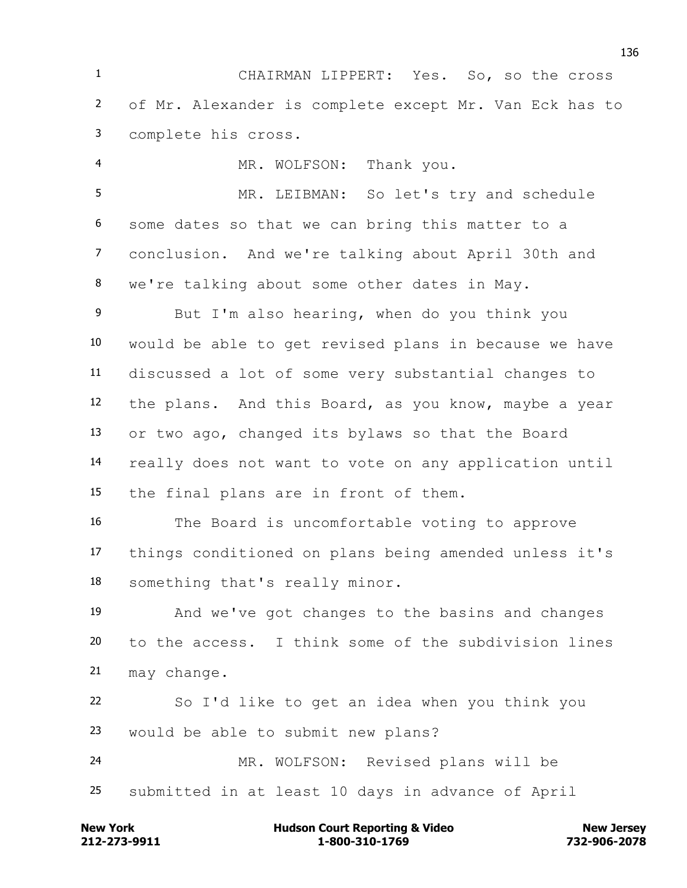CHAIRMAN LIPPERT: Yes. So, so the cross of Mr. Alexander is complete except Mr. Van Eck has to complete his cross.

 MR. WOLFSON: Thank you. MR. LEIBMAN: So let's try and schedule some dates so that we can bring this matter to a conclusion. And we're talking about April 30th and we're talking about some other dates in May.

 But I'm also hearing, when do you think you would be able to get revised plans in because we have discussed a lot of some very substantial changes to the plans. And this Board, as you know, maybe a year or two ago, changed its bylaws so that the Board really does not want to vote on any application until the final plans are in front of them.

 The Board is uncomfortable voting to approve things conditioned on plans being amended unless it's something that's really minor.

 And we've got changes to the basins and changes to the access. I think some of the subdivision lines may change.

 So I'd like to get an idea when you think you would be able to submit new plans?

 MR. WOLFSON: Revised plans will be submitted in at least 10 days in advance of April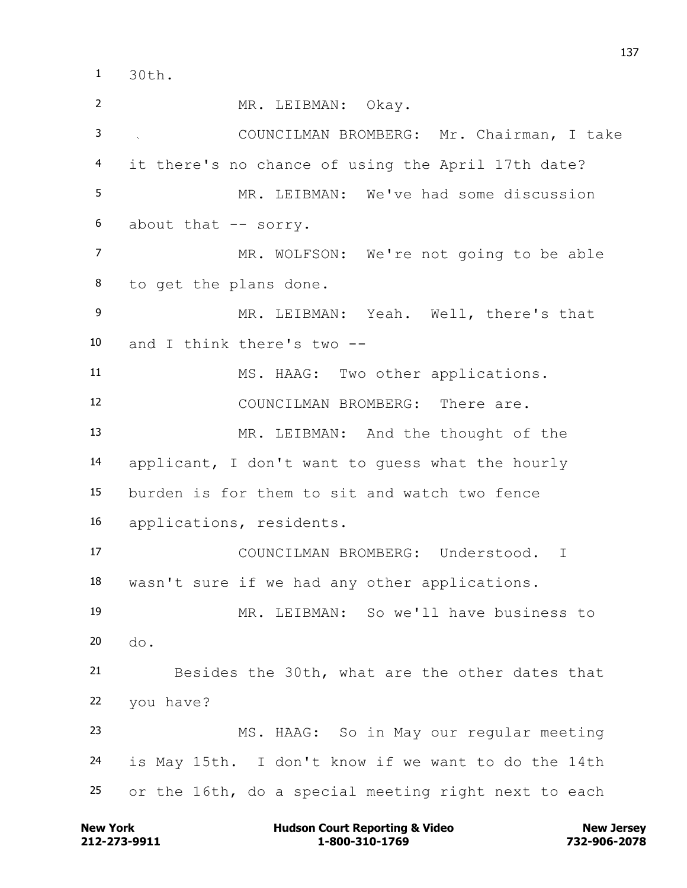30th.

 MR. LEIBMAN: Okay. COUNCILMAN BROMBERG: Mr. Chairman, I take it there's no chance of using the April 17th date? MR. LEIBMAN: We've had some discussion about that -- sorry. MR. WOLFSON: We're not going to be able to get the plans done. MR. LEIBMAN: Yeah. Well, there's that and I think there's two -- MS. HAAG: Two other applications. COUNCILMAN BROMBERG: There are. MR. LEIBMAN: And the thought of the applicant, I don't want to guess what the hourly burden is for them to sit and watch two fence applications, residents. COUNCILMAN BROMBERG: Understood. I wasn't sure if we had any other applications. MR. LEIBMAN: So we'll have business to do. Besides the 30th, what are the other dates that you have? MS. HAAG: So in May our regular meeting is May 15th. I don't know if we want to do the 14th or the 16th, do a special meeting right next to each

**212-273-9911 1-800-310-1769 732-906-2078 New York New York COULD Hudson Court Reporting & Video New Jersey Rew Jersey**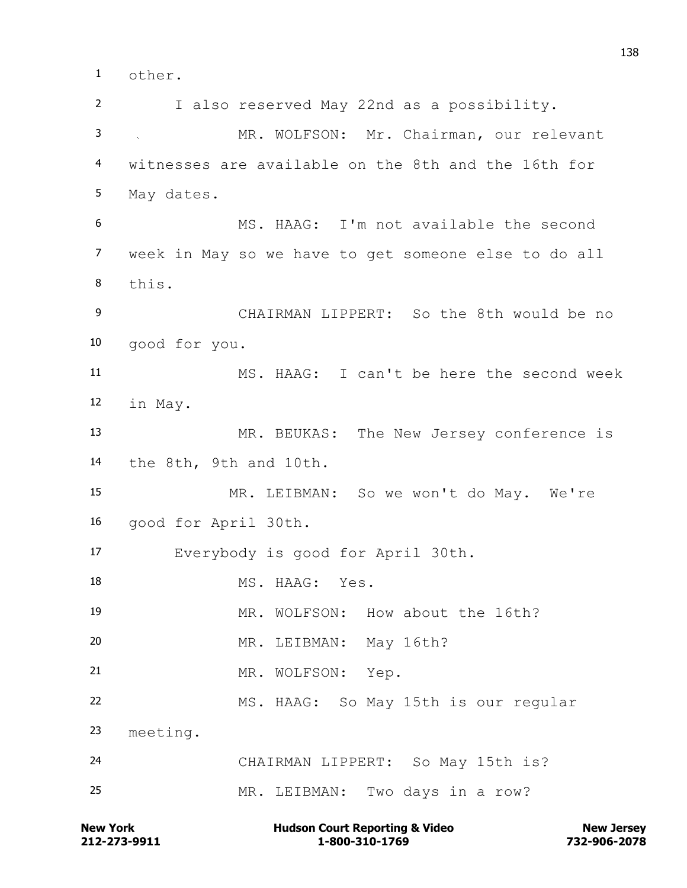other.

 I also reserved May 22nd as a possibility. MR. WOLFSON: Mr. Chairman, our relevant witnesses are available on the 8th and the 16th for May dates. MS. HAAG: I'm not available the second week in May so we have to get someone else to do all this. CHAIRMAN LIPPERT: So the 8th would be no good for you. MS. HAAG: I can't be here the second week in May. MR. BEUKAS: The New Jersey conference is the 8th, 9th and 10th. MR. LEIBMAN: So we won't do May. We're good for April 30th. Everybody is good for April 30th. 18 MS. HAAG: Yes. MR. WOLFSON: How about the 16th? MR. LEIBMAN: May 16th? 21 MR. WOLFSON: Yep. MS. HAAG: So May 15th is our regular meeting. CHAIRMAN LIPPERT: So May 15th is? MR. LEIBMAN: Two days in a row?

**212-273-9911 1-800-310-1769 732-906-2078** New York **New York 1988** Hudson Court Reporting & Video New Jersey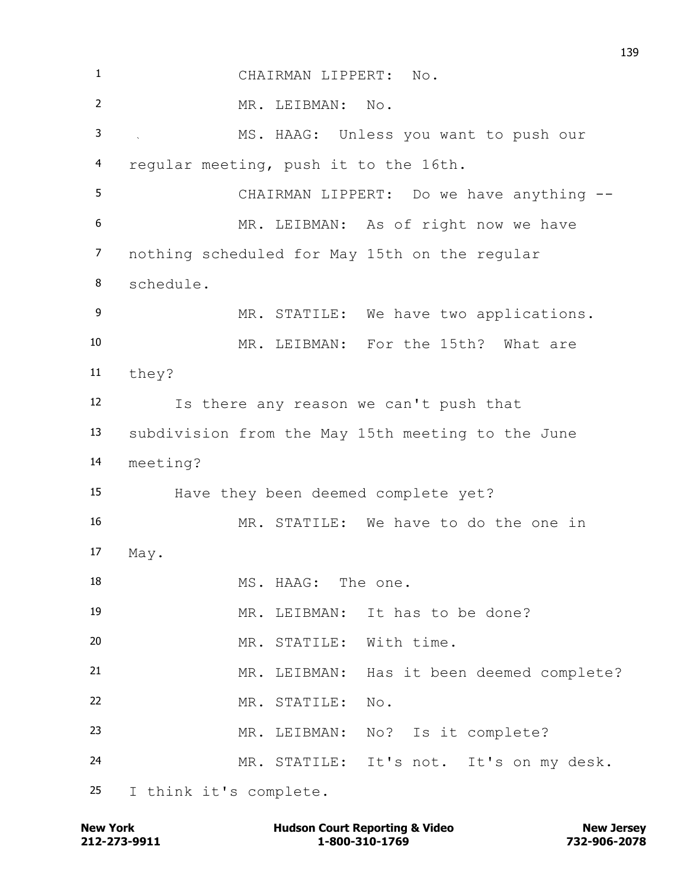| $\mathbf{1}$     | CHAIRMAN LIPPERT: No.                             |
|------------------|---------------------------------------------------|
| $\overline{2}$   | MR. LEIBMAN: No.                                  |
| 3                | MS. HAAG: Unless you want to push our<br>$\sim$   |
| 4                | regular meeting, push it to the 16th.             |
| 5                | CHAIRMAN LIPPERT: Do we have anything --          |
| 6                | MR. LEIBMAN: As of right now we have              |
| $\overline{7}$   | nothing scheduled for May 15th on the regular     |
| 8                | schedule.                                         |
| $\boldsymbol{9}$ | MR. STATILE: We have two applications.            |
| 10               | MR. LEIBMAN: For the 15th? What are               |
| 11               | they?                                             |
| 12               | Is there any reason we can't push that            |
| 13               | subdivision from the May 15th meeting to the June |
| 14               | meeting?                                          |
| 15               | Have they been deemed complete yet?               |
| 16               | MR. STATILE: We have to do the one in             |
| 17               | May.                                              |
| 18               | MS. HAAG: The one.                                |
| 19               | MR. LEIBMAN: It has to be done?                   |
| 20               | MR. STATILE: With time.                           |
| 21               | MR. LEIBMAN: Has it been deemed complete?         |
| 22               | MR. STATILE: No.                                  |
| 23               | MR. LEIBMAN: No? Is it complete?                  |
| 24               | MR. STATILE: It's not. It's on my desk.           |
| 25               | I think it's complete.                            |

**212-273-9911 1-800-310-1769 732-906-2078 New York Hudson Court Reporting & Video New Jersey**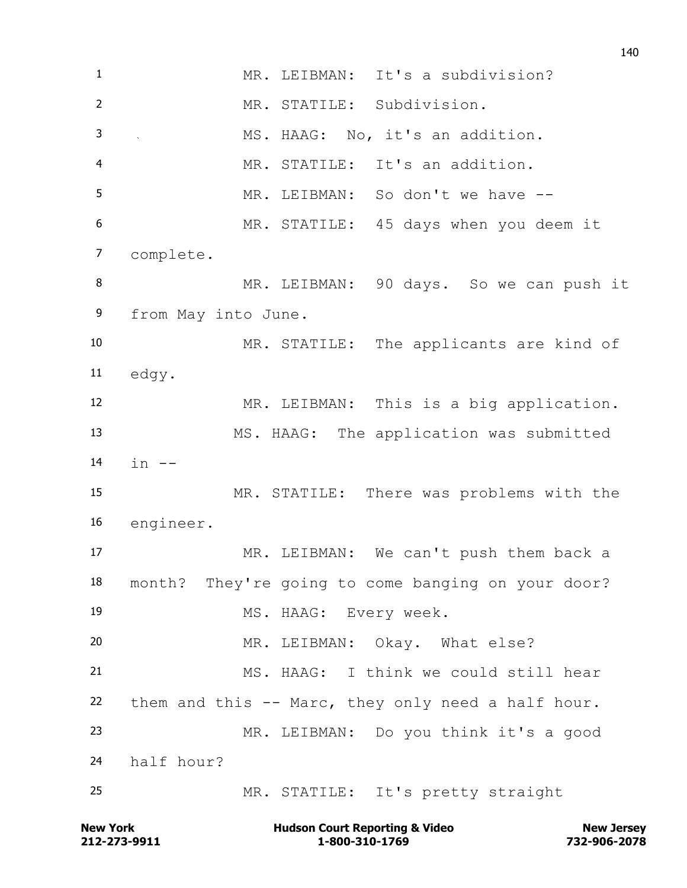MR. LEIBMAN: It's a subdivision? MR. STATILE: Subdivision. MS. HAAG: No, it's an addition. MR. STATILE: It's an addition. MR. LEIBMAN: So don't we have -- MR. STATILE: 45 days when you deem it complete. MR. LEIBMAN: 90 days. So we can push it from May into June. MR. STATILE: The applicants are kind of edgy. MR. LEIBMAN: This is a big application. MS. HAAG: The application was submitted 14 in  $-$  MR. STATILE: There was problems with the engineer. MR. LEIBMAN: We can't push them back a month? They're going to come banging on your door? MS. HAAG: Every week. MR. LEIBMAN: Okay. What else? MS. HAAG: I think we could still hear them and this -- Marc, they only need a half hour. MR. LEIBMAN: Do you think it's a good half hour? MR. STATILE: It's pretty straight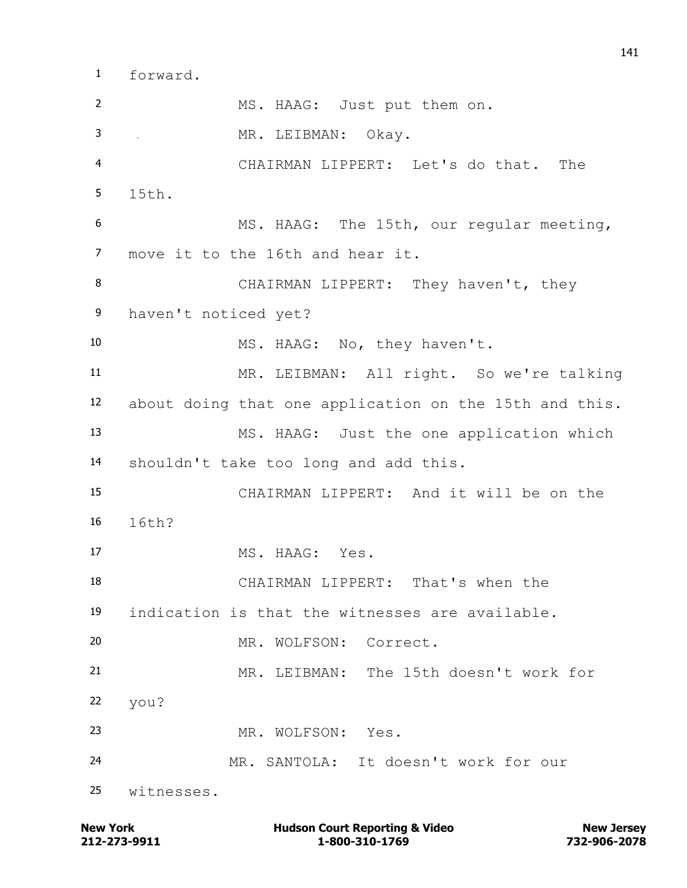forward.

 MS. HAAG: Just put them on. MR. LEIBMAN: Okay. CHAIRMAN LIPPERT: Let's do that. The 15th. MS. HAAG: The 15th, our regular meeting, move it to the 16th and hear it. 8 CHAIRMAN LIPPERT: They haven't, they haven't noticed yet? 10 MS. HAAG: No, they haven't. MR. LEIBMAN: All right. So we're talking about doing that one application on the 15th and this. MS. HAAG: Just the one application which shouldn't take too long and add this. CHAIRMAN LIPPERT: And it will be on the 16th? 17 MS. HAAG: Yes. CHAIRMAN LIPPERT: That's when the indication is that the witnesses are available. MR. WOLFSON: Correct. MR. LEIBMAN: The 15th doesn't work for you? MR. WOLFSON: Yes. MR. SANTOLA: It doesn't work for our witnesses.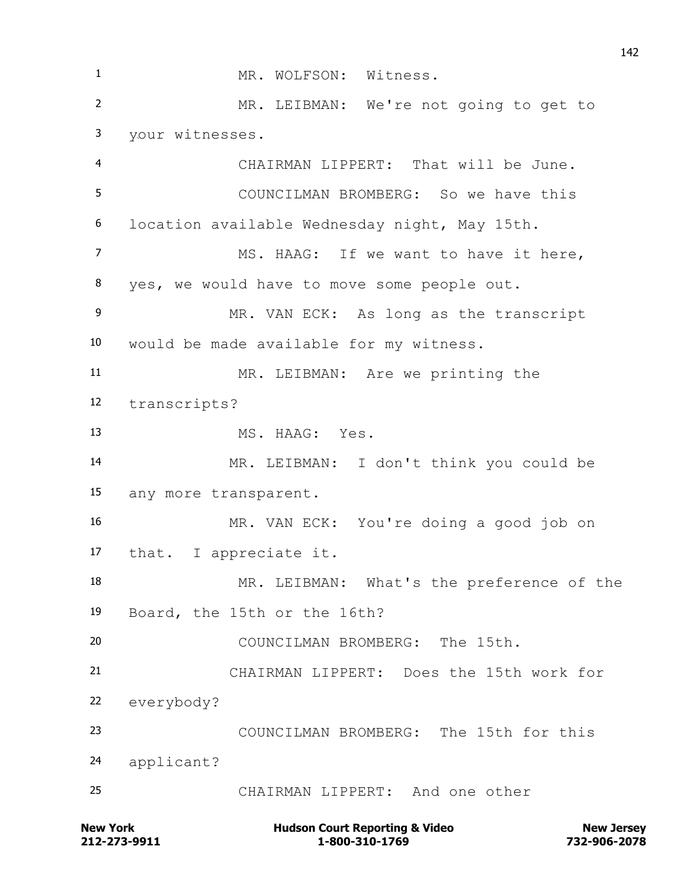1 MR. WOLFSON: Witness. MR. LEIBMAN: We're not going to get to your witnesses. CHAIRMAN LIPPERT: That will be June. COUNCILMAN BROMBERG: So we have this location available Wednesday night, May 15th. 7 MS. HAAG: If we want to have it here, yes, we would have to move some people out. MR. VAN ECK: As long as the transcript would be made available for my witness. MR. LEIBMAN: Are we printing the transcripts? MS. HAAG: Yes. MR. LEIBMAN: I don't think you could be any more transparent. MR. VAN ECK: You're doing a good job on that. I appreciate it. MR. LEIBMAN: What's the preference of the Board, the 15th or the 16th? COUNCILMAN BROMBERG: The 15th. CHAIRMAN LIPPERT: Does the 15th work for everybody? COUNCILMAN BROMBERG: The 15th for this applicant? CHAIRMAN LIPPERT: And one other

**212-273-9911 1-800-310-1769 732-906-2078 New York Communist Court Reporting & Video New Jersey Rew Jersey**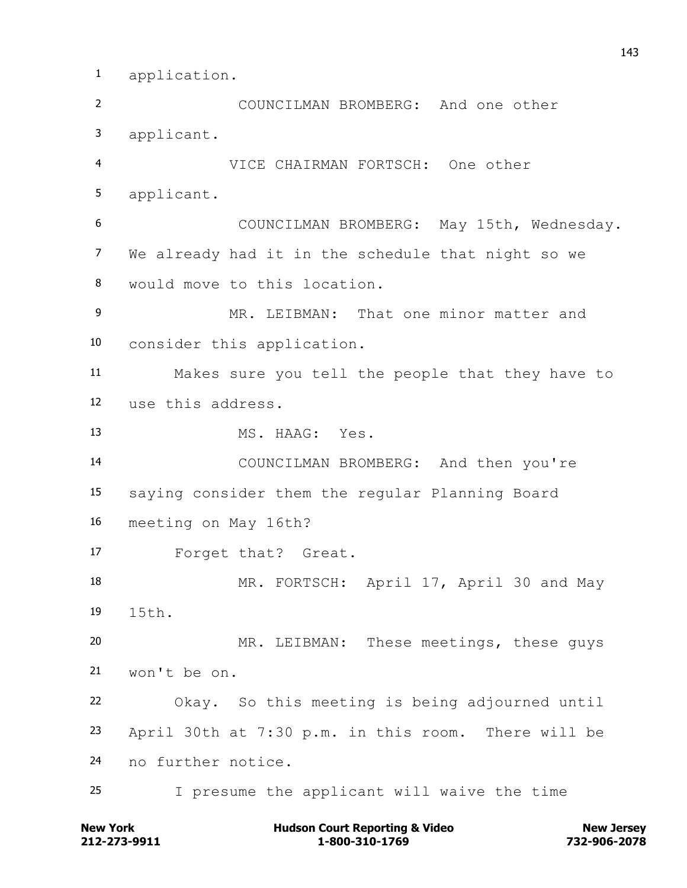application.

 COUNCILMAN BROMBERG: And one other applicant. VICE CHAIRMAN FORTSCH: One other applicant. COUNCILMAN BROMBERG: May 15th, Wednesday. We already had it in the schedule that night so we would move to this location. MR. LEIBMAN: That one minor matter and consider this application. Makes sure you tell the people that they have to use this address. MS. HAAG: Yes. COUNCILMAN BROMBERG: And then you're saying consider them the regular Planning Board meeting on May 16th? Forget that? Great. MR. FORTSCH: April 17, April 30 and May 15th. MR. LEIBMAN: These meetings, these guys won't be on. Okay. So this meeting is being adjourned until April 30th at 7:30 p.m. in this room. There will be no further notice. I presume the applicant will waive the time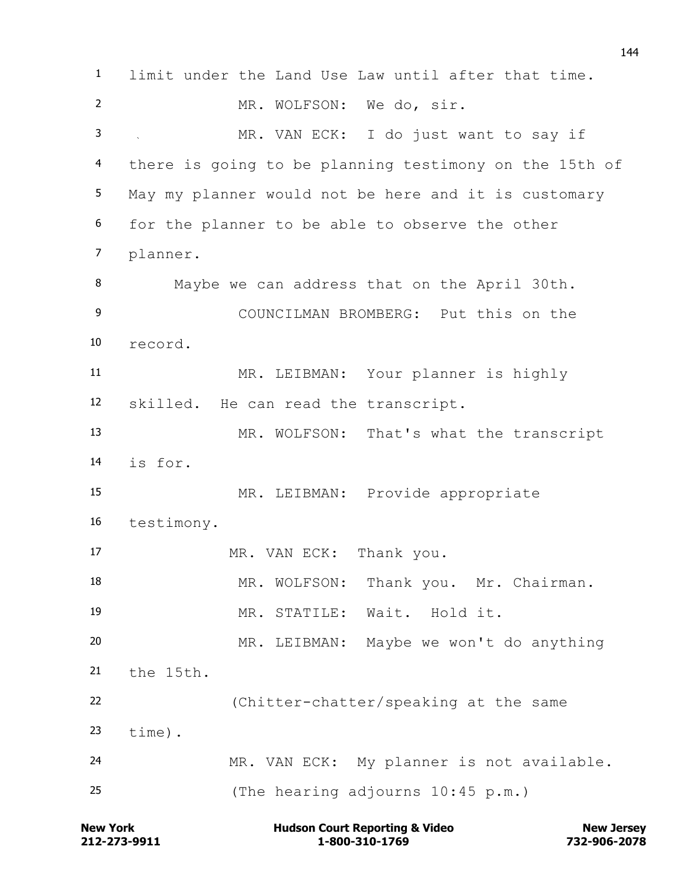limit under the Land Use Law until after that time. 2 MR. WOLFSON: We do, sir. MR. VAN ECK: I do just want to say if there is going to be planning testimony on the 15th of May my planner would not be here and it is customary for the planner to be able to observe the other planner. Maybe we can address that on the April 30th. COUNCILMAN BROMBERG: Put this on the record. MR. LEIBMAN: Your planner is highly skilled. He can read the transcript. MR. WOLFSON: That's what the transcript is for. MR. LEIBMAN: Provide appropriate testimony. MR. VAN ECK: Thank you. 18 MR. WOLFSON: Thank you. Mr. Chairman. MR. STATILE: Wait. Hold it. MR. LEIBMAN: Maybe we won't do anything the 15th. (Chitter-chatter/speaking at the same time). MR. VAN ECK: My planner is not available. (The hearing adjourns 10:45 p.m.)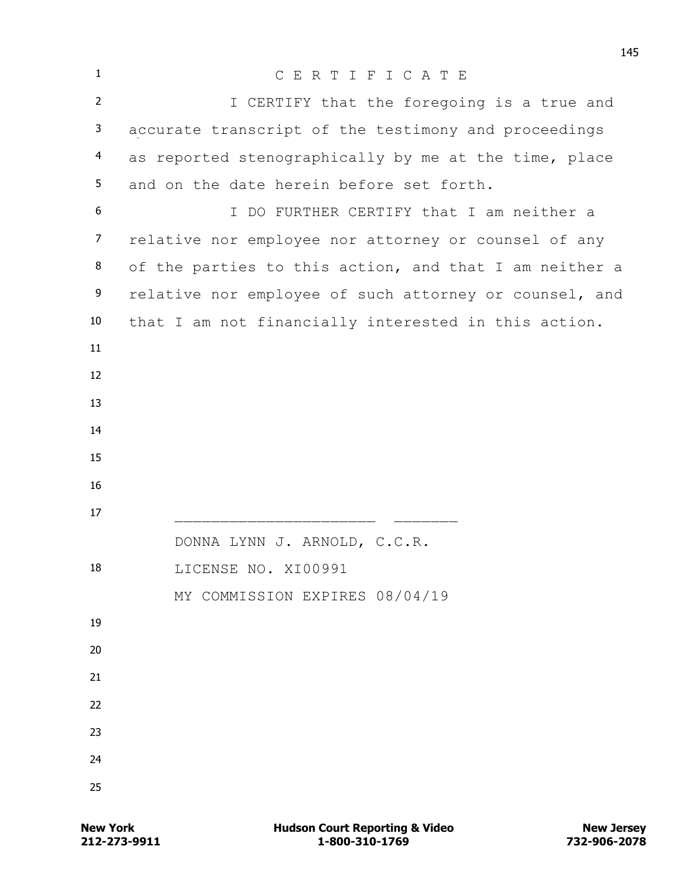| $\mathbf{1}$   | CERTIFICATE                                            |
|----------------|--------------------------------------------------------|
| $\overline{2}$ | I CERTIFY that the foregoing is a true and             |
| 3              | accurate transcript of the testimony and proceedings   |
| 4              | as reported stenographically by me at the time, place  |
| 5              | and on the date herein before set forth.               |
| 6              | I DO FURTHER CERTIFY that I am neither a               |
| $\overline{7}$ | relative nor employee nor attorney or counsel of any   |
| 8              | of the parties to this action, and that I am neither a |
| 9              | relative nor employee of such attorney or counsel, and |
| 10             | that I am not financially interested in this action.   |
| 11             |                                                        |
| 12             |                                                        |
| 13             |                                                        |
| 14             |                                                        |
| 15             |                                                        |
| 16             |                                                        |
| 17             |                                                        |
|                | DONNA LYNN J. ARNOLD, C.C.R.                           |
| 18             | LICENSE NO. XI00991                                    |
| 19             | MY COMMISSION EXPIRES 08/04/19                         |
| 20             |                                                        |
| 21             |                                                        |
| 22             |                                                        |
| 23             |                                                        |
| 24             |                                                        |
| 25             |                                                        |
|                |                                                        |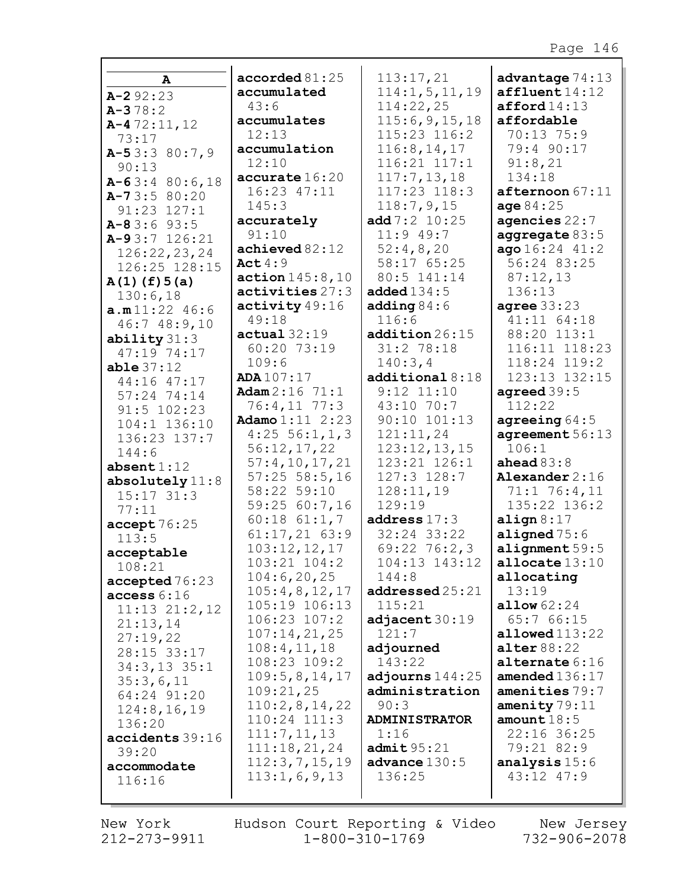|                              | accorded 81:25               | 113:17,21                    | advantage $74:13$        |
|------------------------------|------------------------------|------------------------------|--------------------------|
| A                            | accumulated                  | 114:1, 5, 11, 19             | affluent14:12            |
| $A - 292:23$                 | 43:6                         | 114:22,25                    | afford14:13              |
| $A - 378:2$                  | accumulates                  | 115:6, 9, 15, 18             | affordable               |
| $A-472:11,12$                | 12:13                        | 115:23 116:2                 | 70:13 75:9               |
| 73:17                        | accumulation                 | 116:8, 14, 17                | 79:4 90:17               |
| $A-53:380:7,9$               | 12:10                        | 116:21 117:1                 | 91:8,21                  |
| 90:13                        | accurate 16:20               | 117:7, 13, 18                | 134:18                   |
| $A-63:480:6,18$              | 16:23 47:11                  | 117:23 118:3                 | $after$ <sup>67:11</sup> |
| $A-73:580:20$<br>91:23 127:1 | 145:3                        | 118:7,9,15                   | age 84:25                |
| $A-83:693:5$                 | accurately                   | add 7:2 10:25                | agencies $22:7$          |
| $A-93:7$ 126:21              | 91:10                        | $11:9$ 49:7                  | aggregate $83:5$         |
| 126:22,23,24                 | achieved 82:12               | 52:4,8,20                    | ago16:2441:2             |
| 126:25 128:15                | Act $4:9$                    | 58:17 65:25                  | 56:24 83:25              |
| $A(1)$ (f) $5(a)$            | $\arctan 145:8,10$           | 80:5 141:14                  | 87:12,13                 |
| 130:6,18                     | activities 27:3              | added $134:5$                | 136:13                   |
| a.m11:22 46:6                | activity 49:16               | adding $84:6$                | agree $33:23$            |
| 46:748:9,10                  | 49:18                        | 116:6                        | 41:11 64:18              |
| ability $31:3$               | actual 32:19                 | addition 26:15               | 88:20 113:1              |
| 47:19 74:17                  | 60:20 73:19                  | 31:2 78:18                   | 116:11 118:23            |
| able 37:12                   | 109:6                        | 140:3,4                      | 118:24 119:2             |
| 44:16 47:17                  | ADA107:17                    | additional 8:18              | 123:13 132:15            |
| 57:24 74:14                  | Adam $2:16$ 71:1             | $9:12$ $11:10$               | agreed $39:5$            |
| 91:5 102:23                  | 76:4,11 77:3                 | 43:10 70:7                   | 112:22                   |
| 104:1 136:10                 | Adamo $1:11$ $2:23$          | 90:10 101:13                 | agreeing $64:5$          |
| 136:23 137:7                 | $4:25 \ 56:1,1,3$            | 121:11,24                    | agreement 56:13          |
| 144:6                        | 56:12,17,22<br>57:4,10,17,21 | 123:12,13,15<br>123:21 126:1 | 106:1<br>ahead $83:8$    |
| $\mathbf{absent}\,1:12$      | $57:25$ $58:5$ , 16          | 127:3 128:7                  | Alexander $2:16$         |
| absolutely $11:8$            | 58:22 59:10                  | 128:11,19                    | 71:1 76:4,11             |
| $15:17$ $31:3$               | 59:25 60:7,16                | 129:19                       | 135:22 136:2             |
| 77:11                        | $60:18$ $61:1,7$             | address $17:3$               | align $8:17$             |
| accept76:25<br>113:5         | $61:17,21$ $63:9$            | 32:24 33:22                  | aligned $75:6$           |
| acceptable                   | 103:12,12,17                 | $69:22$ 76:2,3               | alignment $59:5$         |
| 108:21                       | $103:21$ $104:2$             | 104:13 143:12                | allocate $13:10$         |
| accepted 76:23               | 104:6, 20, 25                | 144:8                        | allocating               |
| access 6:16                  | 105:4,8,12,17                | addressed 25:21              | 13:19                    |
| $11:13$ $21:2,12$            | 105:19 106:13                | 115:21                       | allow 62:24              |
| 21:13,14                     | $106:23$ $107:2$             | adjacent 30:19               | 65:7 66:15               |
| 27:19,22                     | 107:14,21,25                 | 121:7                        | alloved113:22            |
| 28:15 33:17                  | 108:4, 11, 18                | adjourned                    | alter $88:22$            |
| $34:3, 13$ 35:1              | 108:23 109:2                 | 143:22                       | alternate $6:16$         |
| 35:3,6,11                    | 109:5,8,14,17                | adjourns $144:25$            | amended $136:17$         |
| 64:24 91:20                  | 109:21,25                    | administration               | amenities 79:7           |
| 124:8, 16, 19                | 110:2,8,14,22                | 90:3                         | amenity $79:11$          |
| 136:20                       | 110:24 111:3                 | <b>ADMINISTRATOR</b>         | amount $18:5$            |
| accidents 39:16              | 111:7, 11, 13                | 1:16                         | 22:16 36:25              |
| 39:20                        | 111:18,21,24                 | admit 95:21                  | 79:21 82:9               |
| accommodate                  | 112:3,7,15,19                | advance $130:5$              | analysis 15:6            |
| 116:16                       | 113:1,6,9,13                 | 136:25                       | 43:12 47:9               |
|                              |                              |                              |                          |

New York  $212 - 273 - 9911$ 

Hudson Court Reporting & Video New Jersey<br>11 1-800-310-1769 732-906-2078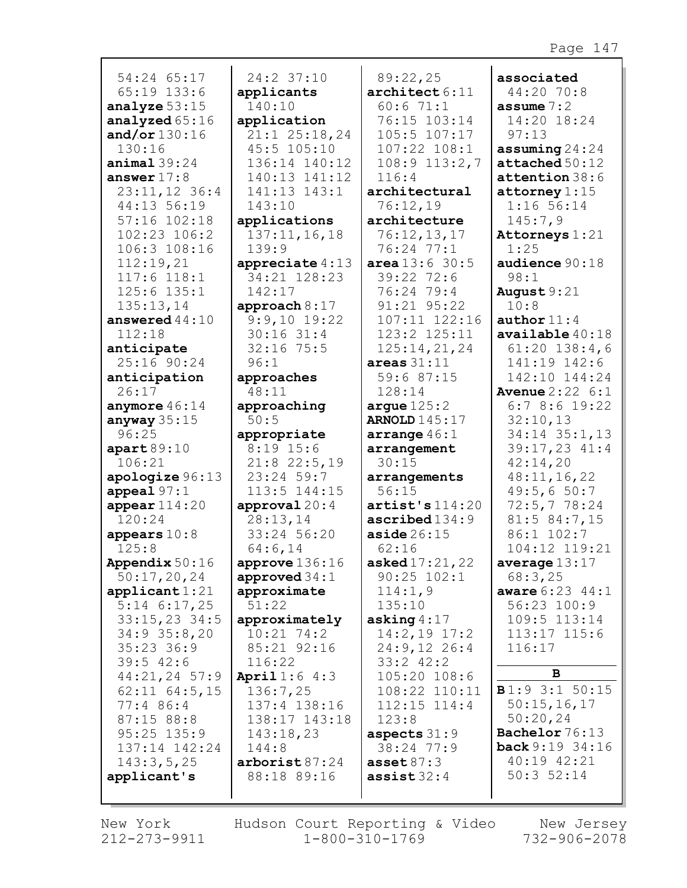| 54:24 65:17                   | 24:2 37:10                        | 89:22,25                     | associated                 |
|-------------------------------|-----------------------------------|------------------------------|----------------------------|
| 65:19 133:6                   | applicants                        | $\texttt{architecture6:11}$  | 44:20 70:8                 |
| analyze $53:15$               | 140:10                            | 60:671:1                     | assume $7:2$               |
| analyzed 65:16                | application                       | 76:15 103:14                 | 14:20 18:24                |
| and/or $130:16$               | $21:1$ $25:18,24$                 | 105:5 107:17                 | 97:13                      |
| 130:16                        | 45:5 105:10                       | 107:22 108:1                 | assuming $24:24$           |
| animal39:24                   | 136:14 140:12                     | $108:9$ $113:2,7$            | attached 50:12             |
| answer $17:8$                 | 140:13 141:12                     | 116:4                        | attention 38:6             |
| $23:11,12$ 36:4               | 141:13 143:1                      | architectural                | $\texttt{attorney}1:15$    |
| 44:13 56:19                   | 143:10                            | 76:12,19                     | $1:16$ 56:14               |
| 57:16 102:18                  | applications                      | architecture                 | 145:7,9                    |
| 102:23 106:2                  | 137:11, 16, 18                    | 76:12,13,17                  | Attorneys 1:21             |
| 106:3 108:16                  | 139:9                             | 76:24 77:1                   | 1:25                       |
| 112:19,21                     | appreciate $4:13$                 | area 13:6 30:5               | audience 90:18             |
| 117:6 118:1                   | 34:21 128:23                      | 39:22 72:6                   | 98:1                       |
| 125:6 135:1                   | 142:17                            | 76:24 79:4                   | August $9:21$              |
| 135:13,14<br>answered $44:10$ | approach $8:17$<br>$9:9,10$ 19:22 | 91:21 95:22<br>107:11 122:16 | 10:8<br>author $11:4$      |
| 112:18                        | $30:16$ 31:4                      | 123:2 125:11                 | $\alpha$ vailable $40:18$  |
| anticipate                    | $32:16$ 75:5                      | 125:14,21,24                 | $61:20$ 138:4,6            |
| 25:16 90:24                   | 96:1                              | areas $31:11$                | 141:19 142:6               |
| anticipation                  | approaches                        | 59:6 87:15                   | 142:10 144:24              |
| 26:17                         | 48:11                             | 128:14                       | <b>Avenue</b> $2:22 \ 6:1$ |
| anymore $46:14$               | approaching                       | argue $125:2$                | 6:78:619:22                |
| anyway $35:15$                | 50:5                              | <b>ARNOLD</b> 145:17         | 32:10,13                   |
| 96:25                         | appropriate                       | arrange $46:1$               | 34:14 35:1,13              |
| apart89:10                    | $8:19$ 15:6                       | arrangement                  | $39:17,23$ 41:4            |
| 106:21                        | $21:8$ 22:5,19                    | 30:15                        | 42:14,20                   |
| apologize 96:13               | 23:24 59:7                        | arrangements                 | 48:11,16,22                |
| appeal $97:1$                 | 113:5 144:15                      | 56:15                        | 49:5,650:7                 |
| appear $114:20$               | approval $20:4$                   | artist's 114:20              | 72:5,778:24                |
| 120:24                        | 28:13,14                          | $\texttt{ascribed134:9}$     | 81:5 84:7,15               |
| appears $10:8$                | 33:24 56:20                       | $\texttt{aside} \, 26:15$    | 86:1 102:7                 |
| 125:8                         | 64:6,14                           | 62:16                        | 104:12 119:21              |
| Appendix $50:16$              | approve $136:16$                  | asked $17:21,22$             | average $13:17$            |
| 50:17,20,24                   | approved $34:1$                   | 90:25 102:1                  | 68:3,25                    |
| applicant 1:21                | approximate                       | 114:1,9                      | aware 6:23 44:1            |
| $5:14$ 6:17,25                | 51:22                             | 135:10                       | $56:23$ $100:9$            |
| $33:15,23$ 34:5               | approximately                     | asking $4:17$                | 109:5 113:14               |
| 34:9 35:8,20                  | $10:21$ 74:2                      | $14:2,19$ 17:2               | 113:17 115:6               |
| $35:23$ 36:9                  | 85:21 92:16                       | 24:9,12 26:4                 | 116:17                     |
| $39:5$ 42:6                   | 116:22                            | $33:2$ 42:2                  |                            |
| $44:21,24$ 57:9               | <b>April</b> $1:6$ $4:3$          | 105:20 108:6                 | В                          |
| $62:11$ $64:5,15$             | 136:7,25                          | 108:22 110:11                | <b>B</b> 1:9 3:1 50:15     |
| 77:4 86:4                     | 137:4 138:16                      | $112:15$ $114:4$             | 50:15,16,17                |
| 87:15 88:8                    | 138:17 143:18                     | 123:8                        | 50:20,24                   |
| $95:25$ 135:9                 | 143:18,23                         | aspects $31:9$               | Bachelor 76:13             |
| 137:14 142:24                 | 144:8                             | 38:24 77:9                   | <b>back</b> 9:19 34:16     |
| 143:3,5,25                    | arborist 87:24                    | asset $87:3$                 | 40:19 42:21                |
| applicant's                   | 88:18 89:16                       | assist $32:4$                | $50:3$ 52:14               |
|                               |                                   |                              |                            |

г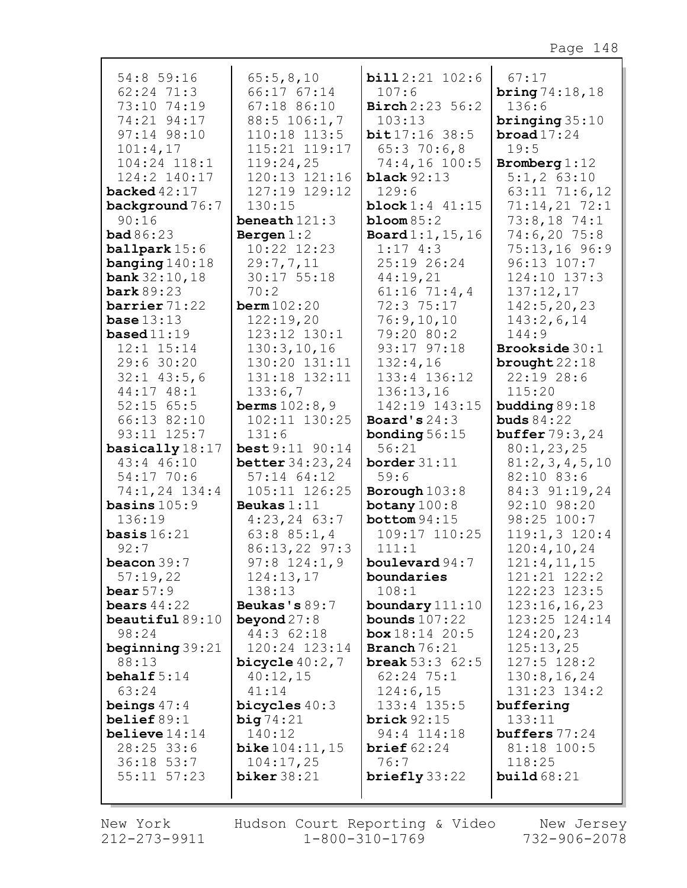| 54:8 59:16                      | 65:5,8,10                     | <b>bill</b> 2:21 102:6     | 67:17                        |
|---------------------------------|-------------------------------|----------------------------|------------------------------|
| 62:24 71:3                      | 66:17 67:14                   | 107:6                      | <b>bring</b> $74:18,18$      |
| 73:10 74:19                     | 67:18 86:10                   | <b>Birch</b> 2:23 56:2     | 136:6                        |
| 74:21 94:17                     | 88:5 106:1,7                  | 103:13                     | bringing $35:10$             |
| 97:14 98:10                     | 110:18 113:5                  | bit17:1638:5               | broad $17:24$                |
| 101:4,17                        | 115:21 119:17                 | 65:370:6,8                 | 19:5                         |
| 104:24 118:1                    | 119:24,25                     | 74:4,16 100:5              | Bromberg $1:12$              |
| 124:2 140:17                    | 120:13 121:16                 | black $92:13$              | $5:1,2$ 63:10                |
| backed $42:17$                  | 127:19 129:12                 | 129:6                      | 63:11 71:6,12                |
| background 76:7                 | 130:15                        | <b>block</b> $1:4$ $41:15$ | $71:14,21$ 72:1              |
| 90:16                           | beneath $121:3$               | $bloom 85:2$               | 73:8,1874:1                  |
| bad86:23                        | Bergen $1:2$                  | <b>Board</b> $1:1, 15, 16$ | 74:6,2075:8                  |
| <b>ballpark</b> 15:6            | 10:22 12:23                   | 1:174:3                    | 75:13,16 96:9                |
| banging $140:18$                | 29:7,7,11                     | 25:19 26:24                | $96:13$ $107:7$              |
| <b>bank</b> $32:10, 18$         | 30:17 55:18                   | 44:19,21                   | 124:10 137:3                 |
| <b>bark</b> 89:23               | 70:2                          | $61:16$ 71:4,4             | 137:12,17                    |
| barrier $71:22$                 | $\texttt{berm}$ 102:20        | 72:3 75:17                 | 142:5, 20, 23                |
| base $13:13$                    | 122:19,20                     | 76:9,10,10                 | 143:2,6,14                   |
| based $11:19$<br>$12:1$ $15:14$ | 123:12 130:1<br>130:3, 10, 16 | 79:20 80:2<br>93:17 97:18  | 144:9<br>Brookside 30:1      |
| 29:6 30:20                      | 130:20 131:11                 | 132:4,16                   |                              |
| $32:1$ 43:5,6                   | 131:18 132:11                 | 133:4 136:12               | brought $22:18$<br>22:1928:6 |
| 44:17 48:1                      | 133:6,7                       | 136:13,16                  | 115:20                       |
| $52:15$ 65:5                    | <b>berms</b> $102:8,9$        | 142:19 143:15              | budding 89:18                |
| 66:13 82:10                     | 102:11 130:25                 | Board's $24:3$             | buds $84:22$                 |
| 93:11 125:7                     | 131:6                         | bonding $56:15$            | <b>buffer</b> 79:3, 24       |
| basically 18:17                 | best 9:11 90:14               | 56:21                      | 80:1,23,25                   |
| 43:4 46:10                      | <b>better</b> 34:23, 24       | border $31:11$             | 81:2,3,4,5,10                |
| 54:17 70:6                      | $57:14$ $64:12$               | 59:6                       | 82:10 83:6                   |
| 74:1,24 134:4                   | 105:11 126:25                 | Borough $103:8$            | 84:3 91:19,24                |
| basins $105:9$                  | Beukas $1:11$                 | botany $100:8$             | 92:10 98:20                  |
| 136:19                          | $4:23,24$ 63:7                | bottom 94:15               | 98:25 100:7                  |
| basis $16:21$                   | 63:885:1,4                    | 109:17 110:25              | $119:1,3$ $120:4$            |
| 92:7                            | $86:13,22$ 97:3               | 111:1                      | 120:4,10,24                  |
| beacon 39:7                     | $97:8$ 124:1,9                | boulevard $94:7$           | 121:4,11,15                  |
| 57:19,22                        | 124:13,17                     | boundaries                 | 121:21 122:2                 |
| bear $57:9$                     | 138:13                        | 108:1                      | 122:23 123:5                 |
| bears $44:22$                   | Beukas's 89:7                 | boundary 111:10            | 123:16,16,23                 |
| beautiful $89:10$               | beyond $27:8$                 | bounds $107:22$            | 123:25 124:14                |
| 98:24                           | 44:3 62:18                    | box 18:14 20:5             | 124:20,23                    |
| beginning $39:21$               | 120:24 123:14                 | <b>Branch</b> $76:21$      | 125:13,25                    |
| 88:13                           | bicycle $40:2,7$              | <b>break</b> $53:3$ $62:5$ | $127:5$ $128:2$              |
| behalf $5:14$                   | 40:12,15                      | $62:24$ 75:1               | 130:8, 16, 24                |
| 63:24                           | 41:14                         | 124:6,15                   | 131:23 134:2                 |
| beings $47:4$                   | bicycles $40:3$               | 133:4 135:5                | buffering                    |
| belief $89:1$                   | big74:21                      | brick $92:15$              | 133:11                       |
| believe $14:14$                 | 140:12                        | 94:4 114:18                | $\text{buffers}$ 77:24       |
| 28:25 33:6                      | <b>bike</b> $104:11, 15$      | brief $62:24$              | 81:18 100:5                  |
| 36:18 53:7                      | 104:17,25                     | 76:7                       | 118:25                       |
| 55:11 57:23                     | biker $38:21$                 | briefly 33:22              | build $68:21$                |
|                                 |                               |                            |                              |

New York  $212 - 273 - 9911$ 

Hudson Court Reporting & Video Mew Jersey  $1 - 800 - 310 - 1769$ 

732-906-2078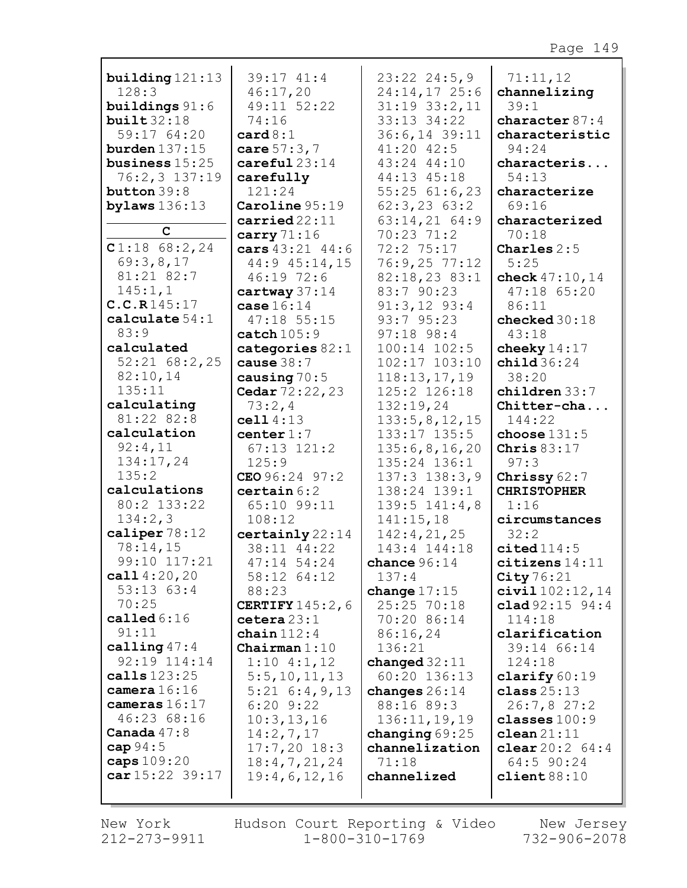| building $121:13$ | 39:17 41:4               | $23:22$ $24:5,9$  | 71:11,12             |
|-------------------|--------------------------|-------------------|----------------------|
| 128:3             | 46:17,20                 | $24:14,17$ 25:6   | channelizing         |
| buildings $91:6$  | 49:11 52:22              | $31:19$ $33:2,11$ | 39:1                 |
| built 32:18       | 74:16                    | 33:13 34:22       | character $87:4$     |
| 59:17 64:20       | card 8:1                 | 36:6,14 39:11     | characteristic       |
| burden $137:15$   | care $57:3,7$            | 41:20 42:5        | 94:24                |
| business $15:25$  | careful23:14             | 43:24 44:10       | characteris          |
| 76:2,3 137:19     | carefully                | 44:13 45:18       | 54:13                |
| button $39:8$     | 121:24                   | $55:25$ 61:6,23   | characterize         |
| bylaws $136:13$   | Caroline 95:19           | $62:3, 23$ $63:2$ | 69:16                |
|                   | carried22:11             | $63:14,21$ 64:9   | characterized        |
| C                 | carry $71:16$            | 70:23 71:2        | 70:18                |
| $C1:18$ 68:2,24   | cars 43:21 44:6          | 72:2 75:17        | Charles $2:5$        |
| 69:3,8,17         | 44:9 45:14,15            | 76:9,2577:12      | 5:25                 |
| 81:21 82:7        | 46:19 72:6               | 82:18,23 83:1     | check 47:10, 14      |
| 145:1,1           | cartway $37:14$          | 83:7 90:23        | 47:18 65:20          |
| C.C.R145:17       | case $16:14$             | $91:3,12$ $93:4$  | 86:11                |
| calculate $54:1$  | 47:18 55:15              | 93:7 95:23        | checked $30:18$      |
| 83:9              | $\texttt{catch}$ $105:9$ | $97:18$ 98:4      | 43:18                |
| calculated        | categories $82:1$        | 100:14 102:5      | cheeky $14:17$       |
| $52:21$ 68:2,25   | cause $38:7$             | 102:17 103:10     | child $36:24$        |
| 82:10,14          | causing $70:5$           | 118:13,17,19      | 38:20                |
| 135:11            | Cedar 72:22, 23          | 125:2 126:18      | $children$ $33:7$    |
| calculating       | 73:2,4                   | 132:19,24         | Chitter-cha          |
| 81:22 82:8        | cell 4:13                | 133:5, 8, 12, 15  | 144:22               |
| calculation       | center $1:7$             | 133:17 135:5      | choose $131:5$       |
| 92:4,11           | $67:13$ $121:2$          | 135:6,8,16,20     | Chris $83:17$        |
| 134:17,24         | 125:9                    | 135:24 136:1      | 97:3                 |
| 135:2             | CEO $96:24$ 97:2         | $137:3$ $138:3,9$ | Chrissy 62:7         |
| calculations      | certain 6:2              | 138:24 139:1      | <b>CHRISTOPHER</b>   |
| 80:2 133:22       | 65:10 99:11              | $139:5$ $141:4,8$ | 1:16                 |
| 134:2,3           | 108:12                   | 141:15,18         | circumstances        |
| caliper $78:12$   | $certainly$ 22:14        | 142:4,21,25       | 32:2                 |
| 78:14,15          | 38:11 44:22              | 143:4 144:18      | cited114:5           |
| 99:10 117:21      | 47:14 54:24              | chance $96:14$    | $citizens$ $14:11$   |
| call $4:20,20$    | 58:12 64:12              | 137:4             | City $76:21$         |
| 53:1363:4         | 88:23                    | change $17:15$    | $civial$ $102:12,14$ |
| 70:25             | <b>CERTIFY</b> $145:2,6$ | 25:25 70:18       | clad $92:15$ $94:4$  |
| called $6:16$     | cetera 23:1              | 70:20 86:14       | 114:18               |
| 91:11             | chain $112:4$            | 86:16,24          | clarification        |
| calling $47:4$    | Chairman $1:10$          | 136:21            | 39:14 66:14          |
| 92:19 114:14      | $1:10$ $4:1,12$          | changed $32:11$   | 124:18               |
| calls 123:25      | 5:5, 10, 11, 13          | 60:20 136:13      | clarify $60:19$      |
| camera $16:16$    | $5:21 \ 6:4,9,13$        | changes $26:14$   | class $25:13$        |
| cameras 16:17     | $6:20$ $9:22$            | 88:16 89:3        | 26:7,827:2           |
| 46:23 68:16       | 10:3, 13, 16             | 136:11, 19, 19    | classes $100:9$      |
| Canada $47:8$     | 14:2,7,17                | changing $69:25$  | clean21:11           |
| cap $94:5$        | $17:7,20$ 18:3           | channelization    | clear $20:2$ 64:4    |
| caps 109:20       | 18:4,7,21,24             | 71:18             | 64:5 90:24           |
| $car15:22$ 39:17  | 19:4,6,12,16             | channelized       | client88:10          |
|                   |                          |                   |                      |
|                   |                          |                   |                      |

New York  $212 - 273 - 9911$ 

Hudson Court Reporting & Video New Jersey<br>11 1-800-310-1769 732-906-2078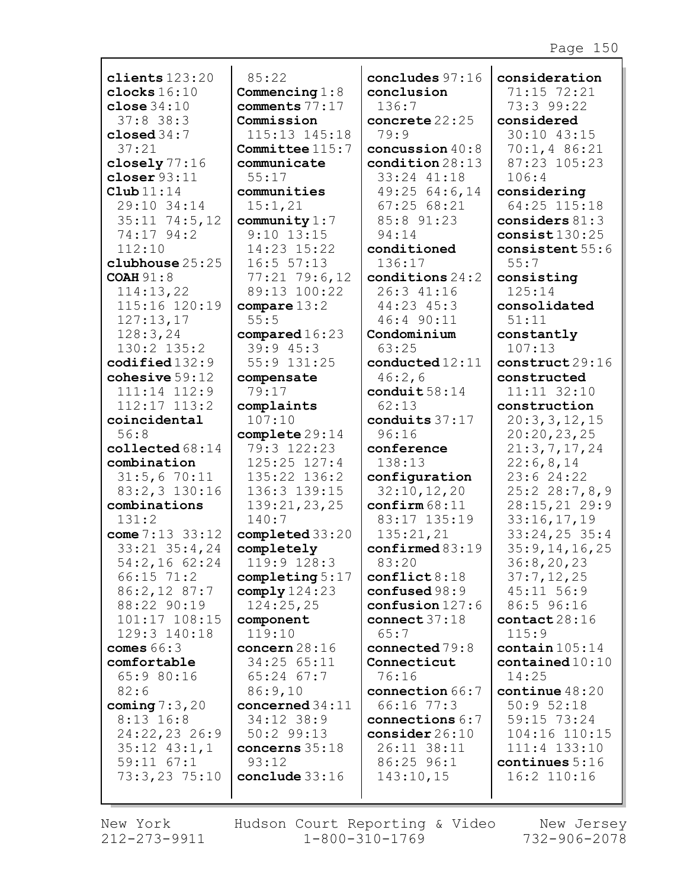| clients $123:20$     | 85:22             | concludes 97:16                 | consideration             |
|----------------------|-------------------|---------------------------------|---------------------------|
| clocks $16:10$       | Commencing $1:8$  | conclusion                      | 71:15 72:21               |
| close $34:10$        | comments 77:17    | 136:7                           | 73:3 99:22                |
| $37:8$ 38:3          | Commission        | concrete 22:25                  | considered                |
| closed $34:7$        | 115:13 145:18     | 79:9                            | 30:10 43:15               |
| 37:21                | Committee 115:7   | concussion $40:8$               | 70:1, 486:21              |
| closely $77:16$      | communicate       | condition 28:13                 | 87:23 105:23              |
| closer $93:11$       | 55:17             | 33:24 41:18                     | 106:4                     |
| $\texttt{Club}11:14$ | communities       | 49:25 64:6,14                   | considering               |
| 29:10 34:14          | 15:1,21           | 67:2568:21                      | 64:25 115:18              |
| $35:11$ 74:5, 12     | community $1:7$   | 85:8 91:23                      | considers $81:3$          |
| 74:17 94:2           | $9:10$ 13:15      | 94:14                           | consist $130:25$          |
| 112:10               | 14:23 15:22       | conditioned                     | consistent 55:6           |
| clubhouse 25:25      | 16:5 57:13        | 136:17                          | 55:7                      |
| <b>COAH 91:8</b>     | $77:21$ $79:6,12$ | conditions $24:2$               | consisting                |
| 114:13,22            | 89:13 100:22      | 26:3 41:16                      | 125:14                    |
| 115:16 120:19        | compare $13:2$    | 44:23 45:3                      | consolidated              |
| 127:13,17            | 55:5              | 46:4 90:11                      | 51:11                     |
| 128:3,24             | compared 16:23    | Condominium                     | constantly                |
| 130:2 135:2          | 39:945:3          | 63:25                           | 107:13                    |
| $codified$ $132:9$   | 55:9 131:25       | $\texttt{conducted}\,12\!:\!11$ | construct 29:16           |
| cohesive $59:12$     | compensate        | 46:2,6                          | constructed               |
| 111:14 112:9         | 79:17             | conduit $58:14$                 | 11:11 32:10               |
| $112:17$ $113:2$     | complaints        | 62:13                           | construction              |
| coincidental         | 107:10            | conduits 37:17                  | 20:3,3,12,15              |
| 56:8                 | complete29:14     | 96:16                           | 20:20,23,25               |
| collected 68:14      | 79:3 122:23       | conference                      | 21:3,7,17,24              |
| combination          | $125:25$ $127:4$  | 138:13                          | 22:6,8,14                 |
| 31:5,670:11          | 135:22 136:2      | configuration                   | 23:624:22                 |
| 83:2,3 130:16        | 136:3 139:15      | 32:10, 12, 20                   | 25:228:7,8,9              |
| combinations         | 139:21,23,25      | $\texttt{confirm} 68:11$        | 28:15,21 29:9             |
| 131:2                | 140:7             | 83:17 135:19                    | 33:16,17,19               |
| come $7:13:33:12$    | completed 33:20   | 135:21,21                       | $33:24,25$ 35:4           |
| $33:21$ $35:4,24$    | completely        | confirmed 83:19                 | 35:9, 14, 16, 25          |
| 54:2,16 62:24        | 119:9 128:3       | 83:20                           | 36:8,20,23                |
| $66:15$ 71:2         | completing $5:17$ | conflict 8:18                   | 37:7,12,25                |
| 86:2,12 87:7         | comply124:23      | confused98:9                    | 45:11 56:9                |
| 88:22 90:19          | 124:25,25         | $\text{confusion}$ 127:6        | 86:5 96:16                |
| 101:17 108:15        | component         | connect $37:18$                 | contact28:16              |
| 129:3 140:18         | 119:10            | 65:7                            | 115:9                     |
| comes $66:3$         | concern $28:16$   | connected 79:8                  | $\text{contain} 105:14$   |
| comfortable          | 34:25 65:11       | Connecticut                     | $\texttt{contained10:10}$ |
| 65:9 80:16           | $65:24$ $67:7$    | 76:16                           | 14:25                     |
| 82:6                 | 86:9,10           | connection 66:7                 | continue $48:20$          |
| coming $7:3,20$      | concerned $34:11$ | 66:16 77:3                      | 50:952:18                 |
| $8:13$ 16:8          | 34:12 38:9        | connections 6:7                 | 59:15 73:24               |
| 24:22,23 26:9        | $50:2$ 99:13      | consider $26:10$                | 104:16 110:15             |
| $35:12$ $43:1,1$     | concerns 35:18    | 26:11 38:11                     | 111:4 133:10              |
| $59:11$ $67:1$       | 93:12             | 86:25 96:1                      | continues $5:16$          |
| 73:3,23 75:10        | conclude $33:16$  | 143:10,15                       | 16:2 110:16               |
|                      |                   |                                 |                           |
|                      |                   |                                 |                           |

 $\mathbf{I}$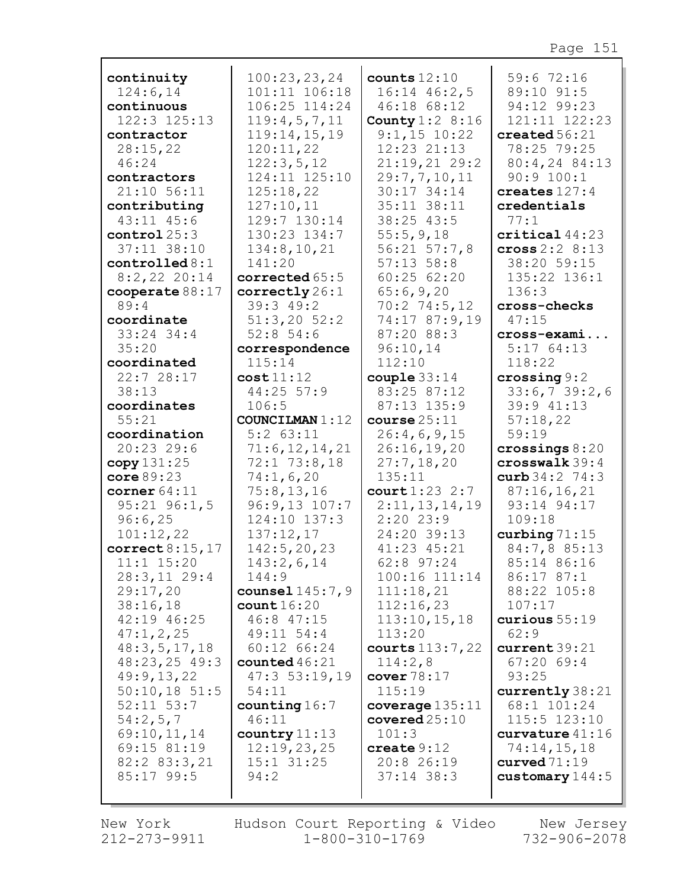| continuity                 | 100:23,23,24            | counts $12:10$             | 59:6 72:16               |
|----------------------------|-------------------------|----------------------------|--------------------------|
| 124:6,14                   | 101:11 106:18           | $16:14$ $46:2,5$           | 89:10 91:5               |
| continuous                 | 106:25 114:24           | 46:18 68:12                | 94:12 99:23              |
| 122:3 125:13               | 119:4,5,7,11            | County $1:2$ 8:16          | 121:11 122:23            |
| contractor                 | 119:14,15,19            | $9:1,15$ 10:22             | $\texttt{created}~56:21$ |
| 28:15,22                   | 120:11,22               | 12:23 21:13                | 78:25 79:25              |
| 46:24                      | 122:3,5,12              | 21:19,2129:2               | 80:4,24 84:13            |
| contractors                | 124:11 125:10           | 29:7,7,10,11               | 90:9 100:1               |
| 21:10 56:11                | 125:18,22               | 30:17 34:14                | creates $127:4$          |
| contributing               | 127:10,11               | 35:11 38:11                | credentials              |
| 43:11 45:6                 | 129:7 130:14            | 38:25 43:5                 | 77:1                     |
| control25:3                | 130:23 134:7            | 55:5,9,18                  | critical44:23            |
| 37:11 38:10                | 134:8, 10, 21           | $56:21$ $57:7,8$           | cross $2:2 \ 8:13$       |
| controlled 8:1             | 141:20                  | $57:13$ $58:8$             | 38:20 59:15              |
| $8:2,22$ 20:14             | corrected 65:5          | 60:2562:20                 | 135:22 136:1             |
| cooperate $88:17$          | correctly 26:1          | 65:6,9,20                  | 136:3                    |
| 89:4                       | 39:3 49:2               | $70:2$ 74:5,12             | cross-checks             |
| coordinate                 | $51:3,20$ $52:2$        | 74:17 87:9,19              | 47:15                    |
| $33:24$ 34:4               | 52:854:6                | 87:20 88:3                 | cross-exami              |
| 35:20                      | correspondence          | 96:10,14                   | 5:1764:13                |
| coordinated                | 115:14                  | 112:10                     | 118:22                   |
| 22:7 28:17                 | cost11:12<br>44:25 57:9 | couple $33:14$             | crossing 9:2             |
| 38:13                      | 106:5                   | 83:25 87:12<br>87:13 135:9 | 33:6,739:2,6             |
| coordinates<br>55:21       | <b>COUNCILMAN 1:12</b>  | course25:11                | 39:9 41:13               |
| coordination               | $5:2$ $63:11$           | 26:4,6,9,15                | 57:18,22<br>59:19        |
| $20:23$ 29:6               | 71:6, 12, 14, 21        | 26:16,19,20                | crossings $8:20$         |
| copy 131:25                | $72:1$ $73:8,18$        | 27:7,18,20                 | crosswalk 39:4           |
| core $89:23$               | 74:1,6,20               | 135:11                     | curb $34:2$ 74:3         |
| corner $64:11$             | 75:8, 13, 16            | court 1:23 2:7             | 87:16,16,21              |
| $95:21$ $96:1,5$           | $96:9,13$ $107:7$       | 2:11,13,14,19              | 93:14 94:17              |
| 96:6,25                    | 124:10 137:3            | 2:2023:9                   | 109:18                   |
| 101:12,22                  | 137:12,17               | 24:20 39:13                | curbing $71:15$          |
| correct $8:15,17$          | 142:5, 20, 23           | 41:23 45:21                | 84:7,8 85:13             |
| $11:1$ $15:20$             | 143:2,6,14              | 62:8 97:24                 | 85:14 86:16              |
| 28:3,11229:4               | 144:9                   | 100:16 111:14              | 86:17 87:1               |
| 29:17,20                   | counsel 145:7, 9        | 111:18,21                  | 88:22 105:8              |
| 38:16,18                   | count16:20              | 112:16,23                  | 107:17                   |
| 42:19 46:25                | 46:8 47:15              | 113:10, 15, 18             | curious $55:19$          |
| 47:1,2,25                  | 49:11 54:4              | 113:20                     | 62:9                     |
| 48:3,5,17,18               | 60:12 66:24             | courts $113:7,22$          | current39:21             |
| $48:23,25$ 49:3            | counted $46:21$         | 114:2,8                    | $67:20$ 69:4             |
| 49:9,13,22                 | 47:353:19,19            | cover $78:17$              | 93:25                    |
| $50:10,18$ 51:5            | 54:11                   | 115:19                     | currently 38:21          |
| $52:11$ $53:7$             | counting $16:7$         | coverage $135:11$          | 68:1 101:24              |
| 54:2,5,7                   | 46:11                   | covered25:10               | $115:5$ $123:10$         |
| 69:10,11,14                | country 11:13           | 101:3                      | curvature $41:16$        |
| 69:15 81:19                | 12:19,23,25             | create $9:12$              | 74:14,15,18              |
| 82:2 83:3,21<br>85:17 99:5 | $15:1$ $31:25$<br>94:2  | 20:8 26:19<br>$37:14$ 38:3 | curved $71:19$           |
|                            |                         |                            | customary $144:5$        |
|                            |                         |                            |                          |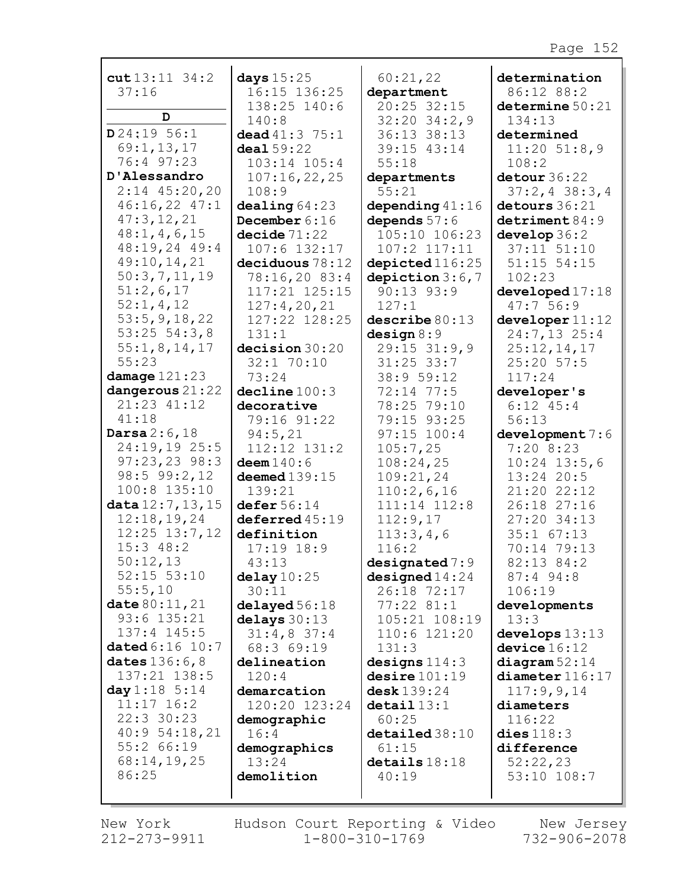| $cut13:11$ 34:2                  | days 15:25                   | 60:21,22                     | determination                |
|----------------------------------|------------------------------|------------------------------|------------------------------|
| 37:16                            | 16:15 136:25                 | department<br>20:25 32:15    | 86:12 88:2                   |
| D                                | 138:25 140:6<br>140:8        |                              | determine 50:21              |
| D24:1956:1                       |                              | $32:20$ $34:2,9$             | 134:13                       |
|                                  | dead $41:3$ 75:1             | 36:13 38:13                  | determined                   |
| 69:1, 13, 17<br>76:4 97:23       | deal 59:22                   | 39:15 43:14                  | $11:20$ 51:8,9               |
| D'Alessandro                     | 103:14 105:4                 | 55:18                        | 108:2                        |
| $2:14$ 45:20,20                  | 107:16,22,25                 | departments                  | detour 36:22                 |
|                                  | 108:9                        | 55:21                        | $37:2, 4$ 38:3,4             |
| 46:16,22 47:1<br>47:3,12,21      | dealing 64:23                | depending $41:16$            | detours 36:21                |
| 48:1, 4, 6, 15                   | December 6:16                | depends $57:6$               | $d$ etriment $84:9$          |
| 48:19,24 49:4                    | decide 71:22                 | 105:10 106:23                | $d$ evelop $36:2$            |
|                                  | 107:6 132:17                 | $107:2$ $117:11$             | $37:11$ $51:10$              |
| 49:10,14,21<br>50:3,7,11,19      | deciduous 78:12              | depicted 116:25              | $51:15$ $54:15$              |
| 51:2,6,17                        | 78:16,20 83:4                | depiction $3:6,7$            | 102:23                       |
|                                  | 117:21 125:15                | $90:13$ $93:9$               | developed 17:18              |
| 52:1,4,12<br>53:5, 9, 18, 22     | 127:4,20,21<br>127:22 128:25 | 127:1                        | 47:756:9                     |
|                                  |                              | describe 80:13               | develope 11:12               |
| $53:25$ $54:3,8$<br>55:1,8,14,17 | 131:1                        | design 8:9                   | 24:7,13 25:4<br>25:12,14,17  |
| 55:23                            | decision 30:20               | 29:15 31:9,9<br>$31:25$ 33:7 |                              |
| damage $121:23$                  | 32:1 70:10<br>73:24          |                              | 25:20 57:5                   |
| dangerous 21:22                  | decline 100:3                | 38:9 59:12                   | 117:24                       |
| 21:23 41:12                      | decorative                   | 72:14 77:5<br>78:25 79:10    | developer's<br>$6:12$ $45:4$ |
| 41:18                            | 79:16 91:22                  | 79:15 93:25                  | 56:13                        |
| Darsa $2:6,18$                   | 94:5,21                      | $97:15$ 100:4                | development 7:6              |
| 24:19,19 25:5                    | 112:12 131:2                 | 105:7,25                     | 7:208:23                     |
| $97:23,23$ 98:3                  | $d$ eem $140:6$              | 108:24,25                    | $10:24$ 13:5,6               |
| $98:5$ $99:2,12$                 | deemed $139:15$              | 109:21,24                    | 13:24 20:5                   |
| 100:8 135:10                     | 139:21                       | 110:2,6,16                   | 21:20 22:12                  |
| data 12:7, 13, 15                | defer 56:14                  | 111:14 112:8                 | 26:18 27:16                  |
| 12:18,19,24                      | $deferred 45:19$             | 112:9,17                     | 27:20 34:13                  |
| $12:25$ $13:7,12$                | definition                   | 113:3,4,6                    | $35:1$ $67:13$               |
| $15:3$ 48:2                      | $17:19$ $18:9$               | 116:2                        | 70:14 79:13                  |
| 50:12,13                         | 43:13                        | designed 7:9                 | 82:13 84:2                   |
| $52:15$ $53:10$                  | delay10:25                   | designed 14:24               | 87:4 94:8                    |
| 55:5,10                          | 30:11                        | 26:18 72:17                  | 106:19                       |
| date 80:11, 21                   | delayed 56:18                | $77:22$ 81:1                 | developments                 |
| 93:6 135:21                      | delays 30:13                 | 105:21 108:19                | 13:3                         |
| 137:4 145:5                      | $31:4,8$ 37:4                | 110:6 121:20                 | develops 13:13               |
| dated 6:16 10:7                  | 68:3 69:19                   | 131:3                        | device 16:12                 |
| dates 136:6,8                    | delineation                  | designs $114:3$              | diagram 52:14                |
| 137:21 138:5                     | 120:4                        | desire 101:19                | $diameter$ 116:17            |
| day 1:18 5:14                    | demarcation                  | desk 139:24                  | 117:9,9,14                   |
| $11:17$ 16:2                     | 120:20 123:24                | $\texttt{detail}13:1$        | diameters                    |
| 22:3 30:23                       | demographic                  | 60:25                        | 116:22                       |
| 40:954:18,21                     | 16:4                         | $\texttt{detailed} 38:10$    | dies $118:3$                 |
| 55:2 66:19                       | demographics                 | 61:15                        | difference                   |
| 68:14,19,25                      | 13:24                        | details18:18                 | 52:22,23                     |
| 86:25                            | demolition                   | 40:19                        | 53:10 108:7                  |
|                                  |                              |                              |                              |
|                                  |                              |                              |                              |

New York 212-273-9911 Hudson Court Reporting & Video  $1 - 800 - 310 - 1769$ 

New Jersey 732-906-2078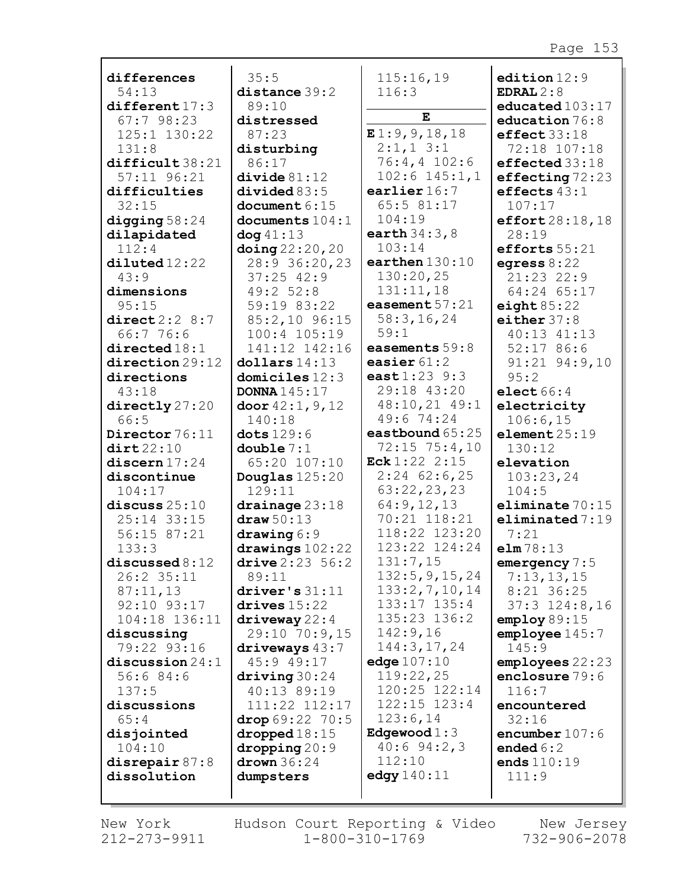| differences                     | 35:5                                   | 115:16,19                 | edition $12:9$                         |
|---------------------------------|----------------------------------------|---------------------------|----------------------------------------|
| 54:13                           | distance 39:2                          | 116:3                     | EDRAL $2:8$                            |
| different 17:3                  | 89:10                                  |                           | educated 103:17                        |
| 67:798:23                       | distressed                             | E                         | education 76:8                         |
| 125:1 130:22                    | 87:23                                  | E1:9,9,18,18              | effect33:18                            |
| 131:8                           | disturbing                             | $2:1,1$ 3:1               | 72:18 107:18                           |
| difficult38:21                  | 86:17                                  | $76:4, 4$ 102:6           | effected 33:18                         |
| $57:11$ $96:21$                 | divide 81:12                           | $102:6$ $145:1,1$         | effecting 72:23                        |
| difficulties                    | divided83:5                            | earlier $16:7$            | effects $43:1$                         |
| 32:15                           | document $6:15$                        | 65:5 81:17                | 107:17                                 |
| digging $58:24$                 | documents $104:1$                      | 104:19                    | effort28:18,18                         |
| dilapidated                     | $\log 41:13$                           | earth $34:3,8$            | 28:19                                  |
| 112:4                           | $\frac{\text{doing}}{22:20,20}$        | 103:14                    | efforts 55:21                          |
| $di1$ uted $12:22$              | 28:9 36:20,23                          | earthen $130:10$          | egress $8:22$                          |
| 43:9                            | $37:25$ 42:9                           | 130:20,25                 | 21:23 22:9                             |
| dimensions                      | 49:2 52:8                              | 131:11,18                 | 64:24 65:17                            |
| 95:15                           | 59:19 83:22                            | easement 57:21            | eight $85:22$                          |
| direct2:2 8:7                   | 85:2,10 96:15                          | 58:3, 16, 24              | either $37:8$                          |
| 66:776:6                        | $100:4$ $105:19$                       | 59:1                      | 40:13 41:13                            |
| directed18:1                    | 141:12 142:16                          | easements 59:8            | 52:1786:6                              |
| $\mathtt{direction}\,29\!:\!12$ | dollars 14:13                          | easier $61:2$             | $91:21$ $94:9,10$                      |
| directions                      | domiciles $12:3$                       | east 1:23 9:3             | 95:2                                   |
| 43:18                           | <b>DONNA</b> 145:17                    | 29:18 43:20               | elect $66:4$                           |
| directly 27:20                  | door $42:1, 9, 12$                     | 48:10,21 49:1             | electricity                            |
| 66:5                            | 140:18                                 | 49:6 74:24                | 106:6,15                               |
| Director 76:11                  | dots 129:6                             | eastbound 65:25           | element25:19                           |
| $\texttt{dit}$ 22:10            | double $7:1$                           | $72:15$ $75:4,10$         | 130:12                                 |
| discern 17:24                   | 65:20 107:10                           | Eck $1:22$ 2:15           | elevation                              |
| discontinue                     | Douglas $125:20$                       | $2:24$ 62:6,25            | 103:23,24                              |
| 104:17                          | 129:11                                 | 63:22,23,23<br>64:9,12,13 | 104:5                                  |
| discuss $25:10$<br>25:14 33:15  | drainage 23:18<br>draw 50:13           | 70:21 118:21              | eliminate $70:15$<br>eliminated $7:19$ |
| 56:15 87:21                     |                                        | 118:22 123:20             |                                        |
| 133:3                           | drawing 6:9                            | 123:22 124:24             | 7:21<br>elm78:13                       |
| discussed 8:12                  | drawings $102:22$<br>drive $2:23:56:2$ | 131:7,15                  | emergency $7:5$                        |
| 26:2 35:11                      | 89:11                                  | 132:5, 9, 15, 24          | 7:13,13,15                             |
| 87:11,13                        | driver's 31:11                         | 133:2,7,10,14             | 8:21 36:25                             |
| 92:10 93:17                     | drives $15:22$                         | 133:17 135:4              | $37:3$ $124:8,16$                      |
| 104:18 136:11                   | $\frac{driveway}{22:4}$                | 135:23 136:2              | employ 89:15                           |
| discussing                      | 29:10 70:9,15                          | 142:9,16                  | emplove145:7                           |
| 79:22 93:16                     | driveways $43:7$                       | 144:3,17,24               | 145:9                                  |
| discussion $24:1$               | 45:9 49:17                             | edge $107:10$             | employes 22:23                         |
| 56:684:6                        | driving $30:24$                        | 119:22,25                 | enclosure 79:6                         |
| 137:5                           | 40:13 89:19                            | 120:25 122:14             | 116:7                                  |
| discussions                     | 111:22 112:17                          | 122:15 123:4              | encountered                            |
| 65:4                            | drop $69:22$ 70:5                      | 123:6,14                  | 32:16                                  |
| disjointed                      | $\bold{dropped}\,18:15$                | Edgewood $1:3$            | encumber $107:6$                       |
| 104:10                          | $\text{dropping} 20:9$                 | $40:6$ 94:2,3             | ended $6:2$                            |
| disrepair $87:8$                | drown $36:24$                          | 112:10                    | ends $110:19$                          |
| dissolution                     | dumpsters                              | edgy $140:11$             | 111:9                                  |
|                                 |                                        |                           |                                        |
|                                 |                                        |                           |                                        |

г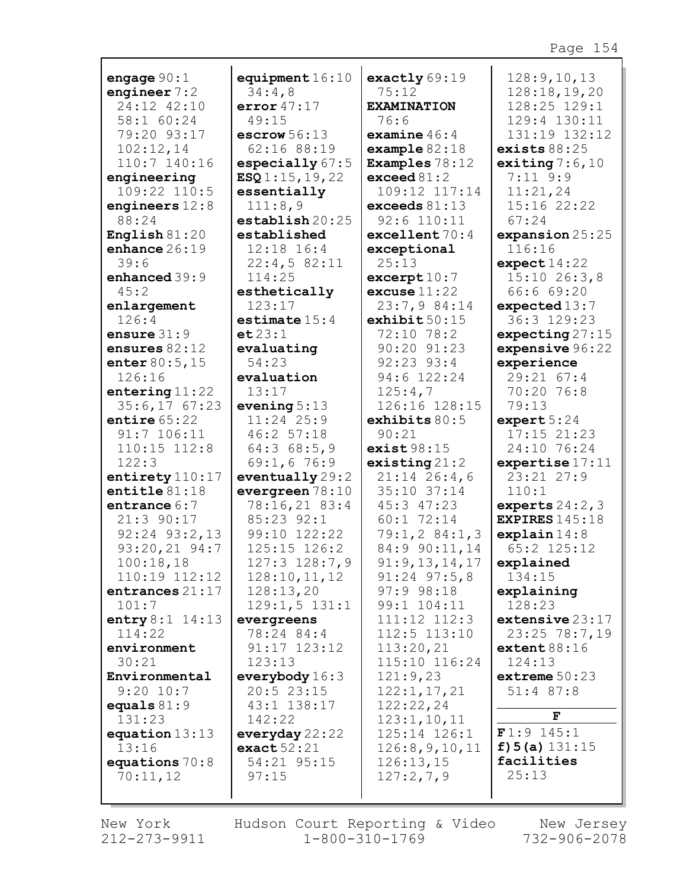| engage $90:1$     | equipment $16:10$        | exactly $69:19$       | 128:9, 10, 13         |
|-------------------|--------------------------|-----------------------|-----------------------|
| engineer $7:2$    | 34:4,8                   | 75:12                 | 128:18, 19, 20        |
| 24:12 42:10       | error 47:17              | <b>EXAMINATION</b>    | 128:25 129:1          |
| 58:1 60:24        | 49:15                    | 76:6                  | 129:4 130:11          |
| 79:20 93:17       | escrow $56:13$           | examine $46:4$        | 131:19 132:12         |
| 102:12,14         | 62:16 88:19              | example $82:18$       | exists $88:25$        |
| 110:7 140:16      | especially $67:5$        | Examples $78:12$      | exiting $7:6,10$      |
| engineering       | ESQ1:15, 19, 22          | exceed $81:2$         | $7:11$ 9:9            |
| 109:22 110:5      | essentially              | 109:12 117:14         | 11:21,24              |
| engineers $12:8$  | 111:8,9                  | exceeds $81:13$       | 15:16 22:22           |
| 88:24             | establish20:25           | 92:6 110:11           | 67:24                 |
| English $81:20$   | established              | excellent 70:4        | expansion 25:25       |
| enhance $26:19$   | $12:18$ $16:4$           | exceptional           | 116:16                |
| 39:6              | 22:4,582:11              | 25:13                 | expect14:22           |
| enhanced 39:9     | 114:25                   | $\texttt{except}10:7$ | 15:1026:3,8           |
| 45:2              | esthetically             | excuse 11:22          | 66:6 69:20            |
| enlargement       | 123:17                   | 23:7,9 84:14          | expected 13:7         |
| 126:4             | $\texttt{estimate}$ 15:4 | exhibit 50:15         | 36:3 129:23           |
| ensure $31:9$     | et 23:1                  | 72:10 78:2            | expecting $27:15$     |
| ensures $82:12$   | evaluating               | 90:20 91:23           | expensive 96:22       |
| enter $80:5,15$   | 54:23                    | 92:23 93:4            | experience            |
| 126:16            | evaluation               | 94:6 122:24           | 29:21 67:4            |
| entering $11:22$  | 13:17                    | 125:4,7               | 70:20 76:8            |
| 35:6,1767:23      | evening $5:13$           | 126:16 128:15         | 79:13                 |
| entire $65:22$    | 11:24 25:9               | exhibits $80:5$       | expert $5:24$         |
| $91:7$ 106:11     | 46:2 57:18               | 90:21                 | $17:15$ $21:23$       |
| $110:15$ $112:8$  | 64:368:5,9               | exist98:15            | 24:10 76:24           |
| 122:3             | 69:1,6 76:9              | existsing21:2         | expertise 17:11       |
| entirety 110:17   | eventually29:2           | $21:14$ 26:4,6        | 23:21 27:9            |
| entitle $81:18$   | evergreen 78:10          | 35:10 37:14           | 110:1                 |
| entrance 6:7      | 78:16,21 83:4            | 45:3 47:23            | experts $24:2,3$      |
| 21:3 90:17        | 85:23 92:1               | 60:1 72:14            | <b>EXPIRES</b> 145:18 |
| $92:24$ $93:2,13$ | 99:10 122:22             | 79:1, 284:1, 3        | explain14:8           |
| 93:20,21 94:7     | 125:15 126:2             | 84:9 90:11,14         | 65:2 125:12           |
| 100:18,18         | 127:3 128:7,9            | 91:9,13,14,17         | explained             |
| 110:19 112:12     | 128:10, 11, 12           | $91:24$ $97:5,8$      | 134:15                |
| entrances 21:17   | 128:13,20                | $97:9$ $98:18$        | explaining            |
| 101:7             | $129:1,5$ $131:1$        | 99:1 104:11           | 128:23                |
| entry $8:1$ 14:13 | evergreens               | 111:12 112:3          | extensive $23:17$     |
| 114:22            | 78:24 84:4               | 112:5 113:10          | 23:25 78:7,19         |
| environment       | 91:17 123:12             | 113:20,21             | extent 88:16          |
| 30:21             | 123:13                   | 115:10 116:24         | 124:13                |
| Environmental     | everybody $16:3$         | 121:9,23              | extreme $50:23$       |
| $9:20$ 10:7       | 20:523:15                | 122:1, 17, 21         | $51:4$ 87:8           |
| equals $81:9$     | 43:1 138:17              | 122:22,24             | F                     |
| 131:23            | 142:22                   | 123:1, 10, 11         |                       |
| equation $13:13$  | everyday $22:22$         | 125:14 126:1          | $F1:9$ 145:1          |
| 13:16             | exact52:21               | 126:8,9,10,11         | $f$ ) 5 (a) $131:15$  |
| equations $70:8$  | 54:21 95:15              | 126:13,15             | facilities            |
| 70:11,12          | 97:15                    | 127:2,7,9             | 25:13                 |
|                   |                          |                       |                       |

New York 212-273-9911

г

Hudson Court Reporting & Video  $1 - 800 - 310 - 1769$ 

New Jersey 732-906-2078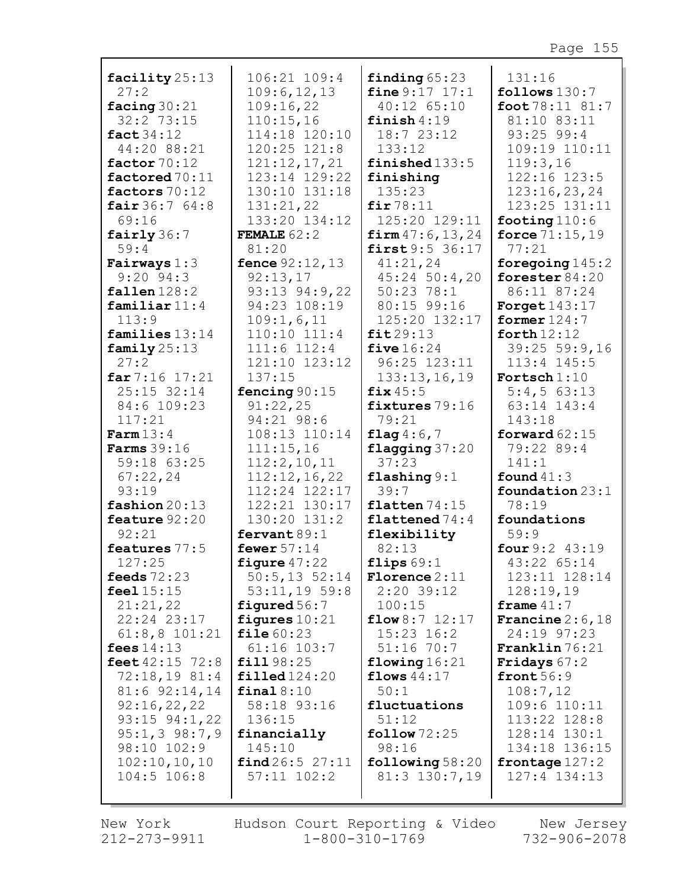| facility 25:13     | 106:21 109:4                       | finding $65:23$            | 131:16                       |
|--------------------|------------------------------------|----------------------------|------------------------------|
| 27:2               | 109:6, 12, 13                      | fine $9:17$ 17:1           | follows $130:7$              |
| facing $30:21$     | 109:16,22                          | 40:12 65:10                | foot 78:11 81:7              |
| 32:2 73:15         | 110:15,16                          | finish $4:19$              | 81:10 83:11                  |
| fact $34:12$       | 114:18 120:10                      | 18:7 23:12                 | 93:25 99:4                   |
| 44:20 88:21        | 120:25 121:8                       | 133:12                     | 109:19 110:11                |
| factor $70:12$     | 121:12,17,21                       | finished $133:5$           | 119:3,16                     |
| factored 70:11     | 123:14 129:22                      | finishing                  | 122:16 123:5                 |
| factors 70:12      | 130:10 131:18                      | 135:23                     | 123:16,23,24                 |
| fair $36:764:8$    | 131:21,22                          | fir $78:11$                | 123:25 131:11                |
| 69:16              | 133:20 134:12                      | 125:20 129:11              | footing $110:6$              |
| fairly 36:7        | <b>FEMALE</b> $62:2$               | firm 47:6, 13, 24          | force $71:15,19$             |
| 59:4               | 81:20                              | first 9:5 36:17            | 77:21                        |
| Fairways 1:3       | fence 92:12, 13                    | 41:21,24                   | foregoing $145:2$            |
| $9:20$ $94:3$      | 92:13,17                           | $45:24$ 50:4,20            | forester $84:20$             |
| fallen 128:2       | 93:13 94:9,22                      | $50:23$ 78:1               | 86:11 87:24                  |
| familiar $11:4$    | 94:23 108:19                       | 80:15 99:16                | Forget $143:17$              |
| 113:9              | 109:1,6,11                         | 125:20 132:17              | former $124:7$               |
| families $13:14$   | 110:10 111:4                       | fit29:13                   | forth $12:12$                |
| family $25:13$     | $111:6$ $112:4$                    | five $16:24$               | 39:25 59:9,16                |
| 27:2               | 121:10 123:12                      | 96:25 123:11               | 113:4 145:5                  |
| far 7:16 17:21     | 137:15                             | 133:13,16,19               | Fortsch $1:10$               |
| 25:15 32:14        | fencing 90:15                      | fix $45:5$                 | $5:4,5$ 63:13                |
| 84:6 109:23        | 91:22,25                           | fixtures 79:16             | 63:14 143:4                  |
| 117:21             | 94:21 98:6                         | 79:21                      | 143:18                       |
| Farm $13:4$        | 108:13 110:14                      | flag $4:6,7$               | forward $62:15$              |
| <b>Farms</b> 39:16 | 111:15,16                          | flagging 37:20             | 79:22 89:4                   |
| 59:18 63:25        | 112:2,10,11                        | 37:23                      | 141:1                        |
| 67:22,24           | 112:12,16,22                       | flashing $9:1$             | found $41:3$                 |
| 93:19              | 112:24 122:17                      | 39:7                       | foundation $23:1$            |
| fashion 20:13      | 122:21 130:17                      | flatten $74:15$            | 78:19                        |
| feature 92:20      | 130:20 131:2                       | flattened 74:4             | foundations                  |
| 92:21              | fervant $89:1$                     | flexibility                | 59:9                         |
| features 77:5      | fewer $57:14$                      | 82:13                      | four 9:2 43:19               |
| 127:25             | figure $47:22$                     | flips $69:1$               | 43:22 65:14                  |
| feeds $72:23$      | $50:5, 13$ $52:14$                 | $ \texttt{Florence } 2:11$ | 123:11 128:14                |
| feel $15:15$       | $53:11,19$ 59:8                    | $2:20$ 39:12               | 128:19,19                    |
| 21:21,22           | figured $56:7$                     | 100:15                     | frame $41:7$                 |
| 22:24 23:17        | figures $10:21$                    | flow 8:7 12:17             | Francine $2:6,18$            |
| $61:8, 8$ $101:21$ | file60:23                          | $15:23$ $16:2$             | 24:19 97:23                  |
| fees $14:13$       | $61:16$ $103:7$                    | $51:16$ 70:7               | $\texttt{Franklin} \, 76:21$ |
| feet 42:15 72:8    | fill 98:25                         | flowing $16:21$            | <b>Fridays</b> $67:2$        |
| 72:18,1981:4       | $\texttt{filled}$ 124:20           | flows $44:17$              | front $56:9$                 |
| 81:6 92:14,14      | final 8:10                         | 50:1                       | 108:7,12                     |
| 92:16,22,22        | 58:18 93:16                        | fluctuations               | 109:6 110:11                 |
| $93:15$ $94:1,22$  | 136:15                             | 51:12                      | 113:22 128:8                 |
| $95:1,3$ $98:7,9$  | financially                        | follow 72:25               | 128:14 130:1                 |
| 98:10 102:9        | 145:10                             | 98:16                      | 134:18 136:15                |
| 102:10, 10, 10     | find 26:5 27:11<br>$57:11$ $102:2$ | following $58:20$          | frontage $127:2$             |
| 104:5 106:8        |                                    | 81:3 130:7,19              | 127:4 134:13                 |
|                    |                                    |                            |                              |

New York Hudson Court Reporting & Video New Jersey<br>212-273-9911 1-800-310-1769 732-906-2078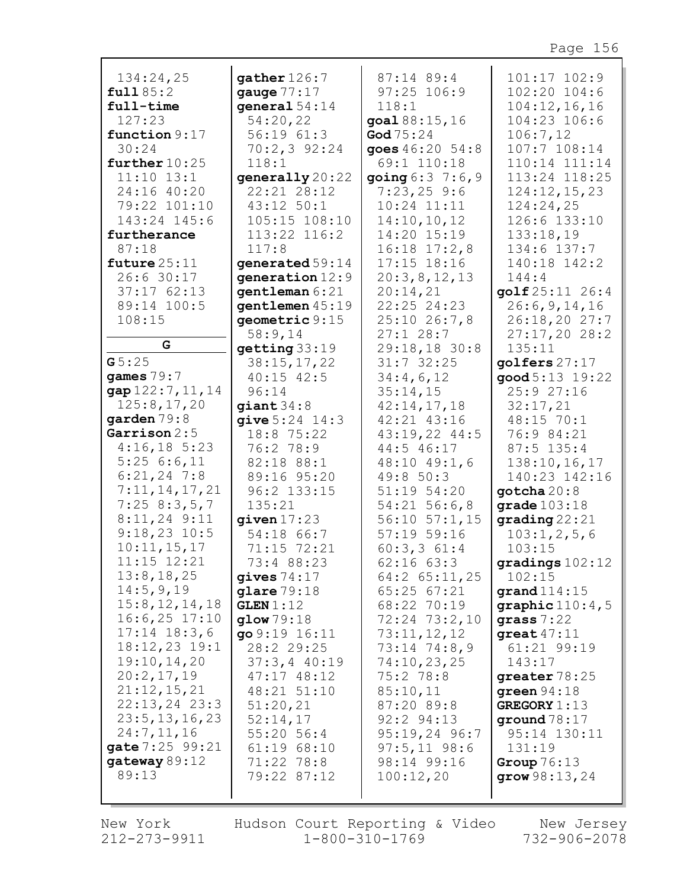| 134:24,25                                                            | qather 126:7                                                                                                        | $87:14$ 89:4                                                                                                | 101:17 102:9                                                                                             |
|----------------------------------------------------------------------|---------------------------------------------------------------------------------------------------------------------|-------------------------------------------------------------------------------------------------------------|----------------------------------------------------------------------------------------------------------|
| full 85:2                                                            | gauge $77:17$                                                                                                       | $97:25$ 106:9                                                                                               | $102:20$ $104:6$                                                                                         |
| full-time                                                            | qeneral $54:14$                                                                                                     | 118:1                                                                                                       | 104:12,16,16                                                                                             |
| 127:23                                                               | 54:20,22                                                                                                            | goal 88:15,16                                                                                               | 104:23 106:6                                                                                             |
| function 9:17                                                        | 56:1961:3                                                                                                           | God $75:24$                                                                                                 | 106:7,12                                                                                                 |
| 30:24                                                                | $70:2,3$ 92:24                                                                                                      | goes 46:20 54:8                                                                                             | 107:7 108:14                                                                                             |
| further $10:25$                                                      | 118:1                                                                                                               | 69:1 110:18                                                                                                 | 110:14 111:14                                                                                            |
| $11:10$ $13:1$                                                       | generally 20:22                                                                                                     | going $6:3$ 7:6, 9                                                                                          | 113:24 118:25                                                                                            |
| 24:16 40:20                                                          | 22:21 28:12                                                                                                         | $7:23,25$ 9:6                                                                                               | 124:12,15,23                                                                                             |
| 79:22 101:10                                                         | 43:12 50:1                                                                                                          | $10:24$ $11:11$                                                                                             | 124:24,25                                                                                                |
| 143:24 145:6                                                         | $105:15$ $108:10$                                                                                                   | 14:10, 10, 12                                                                                               | 126:6 133:10                                                                                             |
| furtherance                                                          | 113:22 116:2                                                                                                        | 14:20 15:19                                                                                                 | 133:18,19                                                                                                |
| 87:18                                                                | 117:8                                                                                                               | $16:18$ $17:2,8$                                                                                            | 134:6 137:7                                                                                              |
| future $25:11$                                                       | generated 59:14                                                                                                     | $17:15$ $18:16$                                                                                             | 140:18 142:2                                                                                             |
| 26:6 30:17<br>$37:17$ $62:13$<br>89:14 100:5<br>108:15<br>G<br>G5:25 | generation $12:9$<br>gentleman 6:21<br>gentlemen 45:19<br>geometric 9:15<br>58:9,14<br>getting 33:19<br>38:15,17,22 | 20:3,8,12,13<br>20:14,21<br>22:25 24:23<br>$25:10$ $26:7,8$<br>$27:1$ 28:7<br>29:18,18 30:8<br>$31:7$ 32:25 | 144:4<br>golf 25:11 26:4<br>26:6, 9, 14, 16<br>26:18,2027:7<br>27:17,2028:2<br>135:11<br>golfers $27:17$ |
| games $79:7$                                                         | $40:15$ $42:5$                                                                                                      | 34:4,6,12                                                                                                   | good 5:13 19:22                                                                                          |
| gap 122:7, 11, 14                                                    | 96:14                                                                                                               | 35:14,15                                                                                                    | 25:9 27:16                                                                                               |
| 125:8,17,20                                                          | giant 34:8                                                                                                          | 42:14,17,18                                                                                                 | 32:17,21                                                                                                 |
| garden 79:8                                                          | give $5:24$ 14:3                                                                                                    | 42:21 43:16                                                                                                 | 48:15 70:1                                                                                               |
| Garrison $2:5$                                                       | 18:8 75:22                                                                                                          | $43:19,22$ $44:5$                                                                                           | 76:9 84:21                                                                                               |
| $4:16,18$ 5:23                                                       | 76:2 78:9                                                                                                           | 44:5 46:17                                                                                                  | $87:5$ 135:4                                                                                             |
| 5:256:6,11                                                           | 82:18 88:1                                                                                                          | $48:10$ $49:1$ , 6                                                                                          | 138:10, 16, 17                                                                                           |
| $6:21,24$ 7:8                                                        | 89:16 95:20                                                                                                         | 49:8 50:3                                                                                                   | 140:23 142:16                                                                                            |
| 7:11,14,17,21                                                        | 96:2 133:15                                                                                                         | 51:19 54:20                                                                                                 | gotcha $20:8$                                                                                            |
| 7:258:3,5,7                                                          | 135:21                                                                                                              | $54:21$ 56:6,8                                                                                              | grade $103:18$                                                                                           |
| $8:11,24$ 9:11                                                       | given $17:23$                                                                                                       | $56:10$ $57:1$ , 15                                                                                         | $\mathbf{grading}\,22:21$                                                                                |
| $9:18,23$ 10:5                                                       | 54:18 66:7                                                                                                          | $57:19$ $59:16$                                                                                             | 103:1, 2, 5, 6                                                                                           |
| 10:11, 15, 17                                                        | 71:15 72:21                                                                                                         | $60:3,3$ $61:4$                                                                                             | 103:15                                                                                                   |
| 11:15 12:21                                                          | 73:4 88:23                                                                                                          | 62:1663:3                                                                                                   | gradings102:12                                                                                           |
| 13:8, 18, 25                                                         | gives $74:17$                                                                                                       | $64:2$ $65:11,25$                                                                                           | 102:15                                                                                                   |
| 14:5,9,19                                                            | glare 79:18                                                                                                         | $65:25$ $67:21$                                                                                             | grand $114:15$                                                                                           |
| 15:8, 12, 14, 18                                                     | GLEN 1:12                                                                                                           | 68:22 70:19                                                                                                 | graphic $110:4,5$                                                                                        |
| $16:6,25$ 17:10                                                      | $q$ low $79:18$                                                                                                     | 72:24 73:2,10                                                                                               | grass $7:22$                                                                                             |
| $17:14$ $18:3,6$                                                     | go 9:19 16:11                                                                                                       | 73:11,12,12                                                                                                 | great $47:11$                                                                                            |
| $18:12,23$ 19:1                                                      | 28:2 29:25                                                                                                          | 73:14 74:8,9                                                                                                | 61:21 99:19                                                                                              |
| 19:10, 14, 20                                                        | $37:3,4$ 40:19                                                                                                      | 74:10,23,25                                                                                                 | 143:17                                                                                                   |
| 20:2,17,19                                                           | $47:17$ $48:12$                                                                                                     | 75:278:8                                                                                                    | greater 78:25                                                                                            |
| 21:12,15,21                                                          | 48:21 51:10                                                                                                         | 85:10,11                                                                                                    | green $94:18$                                                                                            |
| $22:13,24$ 23:3                                                      | 51:20,21                                                                                                            | 87:20 89:8                                                                                                  | GREGORY 1:13                                                                                             |
| 23:5, 13, 16, 23                                                     | 52:14,17                                                                                                            | 92:2 94:13                                                                                                  | ground $78:17$                                                                                           |
| 24:7,11,16                                                           | 55:20 56:4                                                                                                          | $95:19,24$ 96:7                                                                                             | 95:14 130:11                                                                                             |
| gate 7:25 99:21                                                      | 61:1968:10                                                                                                          | $97:5, 11$ 98:6                                                                                             | 131:19                                                                                                   |
| gateway 89:12                                                        | 71:22 78:8                                                                                                          | 98:14 99:16                                                                                                 | Group $76:13$                                                                                            |
| 89:13                                                                | 79:22 87:12                                                                                                         | 100:12,20                                                                                                   | grow $98:13,24$                                                                                          |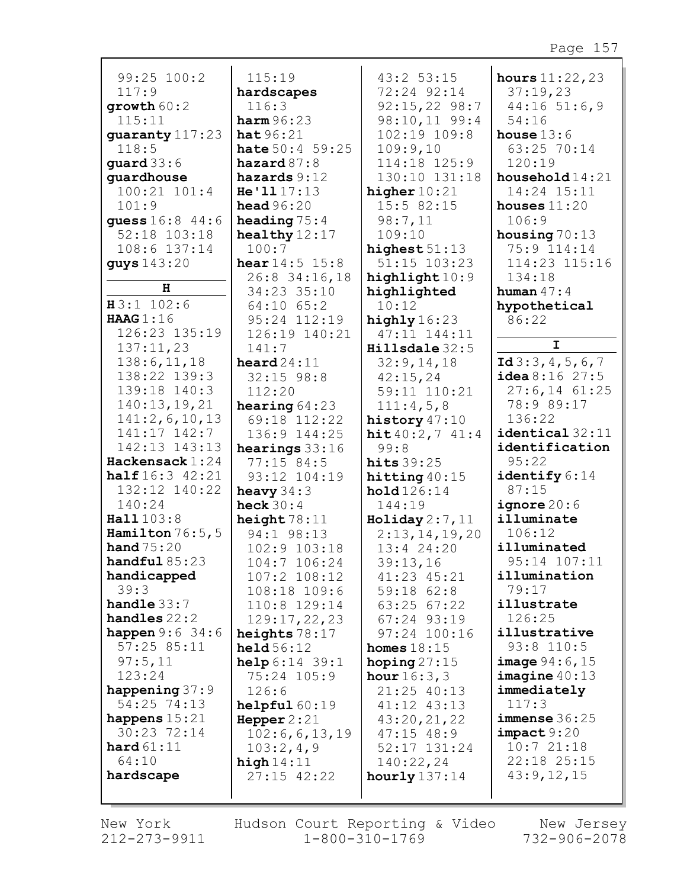| 99:25 100:2                | 115:19                       | $43:2$ 53:15                | hours $11:22,23$            |
|----------------------------|------------------------------|-----------------------------|-----------------------------|
| 117:9                      | hardscapes                   | 72:24 92:14                 | 37:19,23                    |
| growth 60:2                | 116:3                        | $92:15,22$ 98:7             | 44:1651:6,9                 |
| 115:11                     | harm96:23                    | 98:10,11 99:4               | 54:16                       |
| guaranty 117:23            | hat $96:21$                  | 102:19 109:8                | house $13:6$                |
| 118:5                      | <b>hate</b> $50:4$ 59:25     | 109:9,10                    | 63:25 70:14                 |
| guard $33:6$               | hazard $87:8$                | 114:18 125:9                | 120:19                      |
| quardhouse                 | hazards $9:12$               | 130:10 131:18               | household $14:21$           |
| 100:21 101:4               | He'1117:13                   | higher $10:21$              | 14:24 15:11                 |
| 101:9                      | head $96:20$                 | 15:5 82:15                  | houses $11:20$              |
| guess 16:8 44:6            | heading $75:4$               | 98:7,11                     | 106:9                       |
| 52:18 103:18               | healthy $12:17$              | 109:10                      | housing $70:13$             |
| 108:6 137:14               | 100:7                        | highest $51:13$             | 75:9 114:14                 |
| guys 143:20                | <b>hear</b> $14:5$ $15:8$    | 51:15 103:23                | 114:23 115:16               |
| н                          | 26:8 34:16,18                | highlight 10:9              | 134:18                      |
|                            | 34:23 35:10                  | highlighted                 | human $47:4$                |
| $H3:1$ 102:6               | $64:10$ $65:2$               | 10:12                       | hypothetical                |
| HAAG $1:16$                | 95:24 112:19                 | highly $16:23$              | 86:22                       |
| 126:23 135:19              | 126:19 140:21                | 47:11 144:11                | $\mathbf{I}$                |
| 137:11,23                  | 141:7                        | Hillsdale 32:5              |                             |
| 138:6, 11, 18              | $\texttt{head}24:11$         | 32:9,14,18                  | Id $3:3,4,5,6,7$            |
| 138:22 139:3               | $32:15$ 98:8                 | 42:15,24                    | $i$ dea 8:16 27:5           |
| 139:18 140:3               | 112:20                       | 59:11 110:21                | $27:6, 14$ 61:25            |
| 140:13,19,21               | hearing $64:23$              | 111:4,5,8                   | 78:9 89:17                  |
| 141:2,6,10,13              | 69:18 112:22                 | history $47:10$             | 136:22                      |
| 141:17 142:7               | 136:9 144:25                 | hit 40:2, 7 41:4            | identical 32:11             |
| 142:13 143:13              | hearings $33:16$             | 99:8                        | identification              |
| Hackensack 1:24            | $77:15$ 84:5                 | hits $39:25$                | 95:22                       |
| <b>half</b> $16:3$ $42:21$ | 93:12 104:19                 | hitting $40:15$             | identify 6:14<br>87:15      |
| 132:12 140:22<br>140:24    | heavy $34:3$                 | hold 126:14                 |                             |
| Hall 103:8                 | heck $30:4$                  | 144:19                      | ignore $20:6$<br>illuminate |
| Hamilton $76:5,5$          | height $78:11$               | Holiday 2:7,11              | 106:12                      |
| hand $75:20$               | 94:1 98:13<br>102:9 103:18   | 2:13,14,19,20<br>13:4 24:20 | illuminated                 |
| handful $85:23$            |                              |                             | 95:14 107:11                |
| handicapped                | 104:7 106:24<br>107:2 108:12 | 39:13,16<br>41:23 45:21     | illumination                |
| 39:3                       | 108:18 109:6                 | $59:18$ $62:8$              | 79:17                       |
| handle $33:7$              | 110:8 129:14                 | 63:25 67:22                 | illustrate                  |
| handles $22:2$             | 129:17, 22, 23               | $67:24$ 93:19               | 126:25                      |
| <b>happen</b> $9:6$ 34:6   | heights $78:17$              | 97:24 100:16                | illustrative                |
| 57:2585:11                 | $\text{held } 56:12$         | homes $18:15$               | $93:8$ 110:5                |
| 97:5,11                    | help 6:14 39:1               | hoping $27:15$              | <b>image</b> $94:6, 15$     |
| 123:24                     | 75:24 105:9                  | <b>hour</b> $16:3,3$        | image 40:13                 |
| happening $37:9$           | 126:6                        | 21:25 40:13                 | immediately                 |
| 54:25 74:13                | helpful $60:19$              | 41:12 43:13                 | 117:3                       |
| happens $15:21$            | Hepper $2:21$                | 43:20,21,22                 | $immense$ 36:25             |
| 30:23 72:14                | 102:6, 6, 13, 19             | $47:15$ $48:9$              | impact 9:20                 |
| hard $61:11$               | 103:2,4,9                    | 52:17 131:24                | 10:721:18                   |
| 64:10                      | high $14:11$                 | 140:22,24                   | 22:18 25:15                 |
| hardscape                  | $27:15$ $42:22$              | hourly $137:14$             | 43:9,12,15                  |
|                            |                              |                             |                             |
|                            |                              |                             |                             |

New York 212-273-9911

Hudson Court Reporting & Video Mew Jersey  $1 - 800 - 310 - 1769$ 

732-906-2078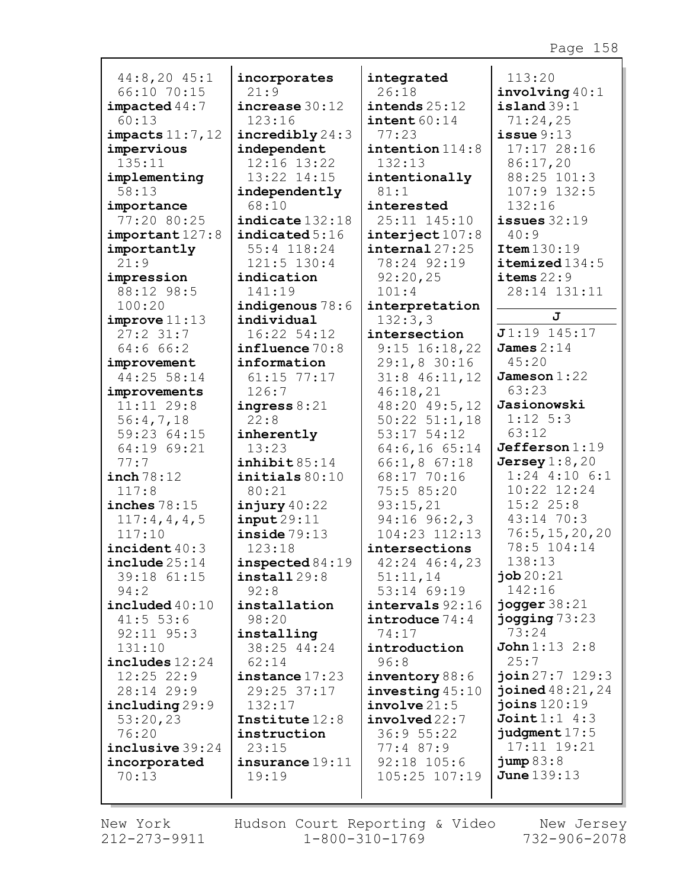| 44:8,20 45:1              | inco            |
|---------------------------|-----------------|
| 66:10 70:15               | 21              |
| impeated44:7              | incı            |
| 60:13                     | 12              |
| $impects$ $11:7$ , $12$   | incı            |
| impervious                | inde            |
| 135:11                    | 12              |
| implementing              | 13              |
| 58:13                     | inde            |
| importance                | 68              |
| 77:20 80:25               | indi            |
| important 127:8           | indi            |
| importantly               | 55              |
| 21:9                      | 12 <sub>1</sub> |
| impression                | indi            |
| 88:12 98:5                | 14              |
| 100:20                    | indi            |
| improve 11:13             | indi            |
| 27:231:7                  | 16              |
| 64:666:2                  | infl            |
| improvement               | info            |
| 44:25 58:14               | 61              |
| inch 78:12                | init            |
| 117:8                     | 80              |
| inches $78:15$            | injı            |
| 117:4,4,4,5               | inpı            |
| 117:10                    | insi            |
| $\texttt{incident}$ 40:3  | 12              |
| $\verb include 25:14 $    | insp            |
| 39:18 61:15               | inst            |
| 94:2                      | 92              |
| $\texttt{included}~40:10$ | inst            |
| 41:5 53:6                 | 98              |
| 92:11 95:3                | inst            |
| 131:10                    | 38              |
| $includes$ $12:24$        | 62              |
| 12:25 22:9                | inst            |
| 28:14 29:9                | 29              |
| including 29:9            | 13 <sub>i</sub> |
| 53:20,23                  | Inst            |
| 76:20                     | inst            |
| inclusive 39:24           | 23              |
| incorporated              | insı            |
| 70:13                     | 19              |

**incorporates** 21:9 **increase** 30:12 123:16 **incredibly** 24:3 **independent** 12:16 13:22 13:22 14:15 **independently** 68:10 **indicate** 132:18 **icated**  $5:16$ 55:4 118:24  $1:5$  130:4 **indication** 1:19 **indigenous** 78:6 **individual** :22 54:12 **influence** 70:8 **information** 61:15 77:17 6:7 **ingress** 8:21 22:8 **inherently** 13:23 **inhibit** 85:14 **initials** 80:10 80:21 **injury** 40:22 **input** 29:11 **inside** 79:13 123:18 **inspected** 84:19 **install** 29:8 92:8 **installation** 98:20 **installing** 38:25 44:24 62:14 **instance** 17:23 29:25 37:17 2:17 **Institute** 12:8 **instruction** 23:15 **insurance** 19:11 19:19

**integrated** 26:18 **intends** 25:12 **intent** 60:14 77:23 **intention** 114:8 132:13 **intentionally** 81:1 **interested** 25:11 145:10 **interject** 107:8 **internal** 27:25 78:24 92:19 92:20,25 101:4 **interpretation** 132:3,3 **intersection** 9:15 16:18,22 29:1,8 30:16 31:8 46:11,12 46:18,21 48:20 49:5,12 50:22 51:1,18 53:17 54:12 64:6,16 65:14 66:1,8 67:18 68:17 70:16 75:5 85:20 93:15,21 94:16 96:2,3 104:23 112:13 **intersections** 42:24 46:4,23 51:11,14 53:14 69:19 **intervals** 92:16 **introduce** 74:4 74:17 **introduction** 96:8 **inventory** 88:6 **investing** 45:10 **involve** 21:5 **involved** 22:7 36:9 55:22 77:4 87:9 92:18 105:6 105:25 107:19

113:20 **involving** 40:1 **island** 39:1 71:24,25 **issue** 9:13 17:17 28:16 86:17,20 88:25 101:3 107:9 132:5 132:16 **issues** 32:19 40:9 **Item** 130:19 **itemized** 134:5 **items** 22:9 28:14 131:11 **J J** 1:19 145:17 **James** 2:14 45:20 **Jameson** 1:22 63:23 **Jasionowski** 1:12 5:3 63:12 **Jefferson** 1:19 **Jersey** 1:8,20 1:24 4:10 6:1 10:22 12:24 15:2 25:8 43:14 70:3 76:5,15,20,20 78:5 104:14 138:13 **job** 20:21 142:16 **jogger** 38:21 **jogging** 73:23 73:24 **John** 1:13 2:8 25:7 **join** 27:7 129:3 **joined** 48:21,24 **joins** 120:19 **Joint** 1:1 4:3 **judgment** 17:5 17:11 19:21 **jump** 83:8 **June** 139:13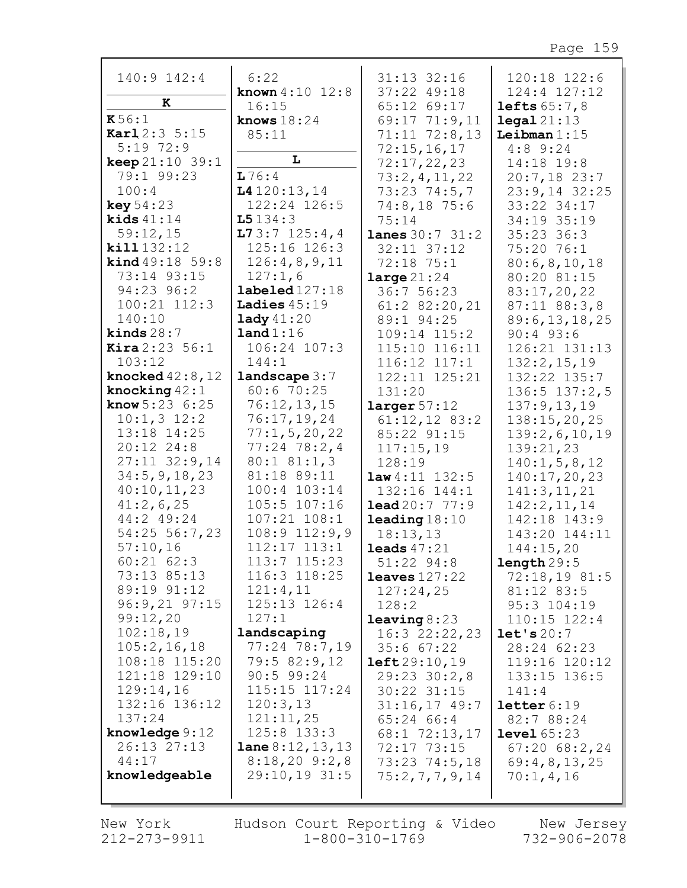| 140:9 142:4                       | 6:22                       | 31:13 32:16                | 120:18 122:6                       |
|-----------------------------------|----------------------------|----------------------------|------------------------------------|
|                                   | <b>known</b> $4:10$ $12:8$ | 37:22 49:18                | $124:4$ $127:12$                   |
| к                                 | 16:15                      | 65:12 69:17                | lefts $65:7,8$                     |
| K56:1                             | knows $18:24$              | 69:17 71:9,11              | $\texttt{legal} 21:13$             |
| Karl 2:3 5:15                     | 85:11                      | $71:11$ $72:8,13$          | Leibman $1:15$                     |
| $5:19$ 72:9                       |                            | 72:15,16,17                | $4:8$ 9:24                         |
| <b>keep</b> $21:10$ 39:1          | L                          | 72:17,22,23                | 14:18 19:8                         |
| 79:1 99:23                        | 176:4                      | 73:2,4,11,22               | $20:7,18$ 23:7                     |
| 100:4                             | 14120:13,14                | $73:23$ $74:5,7$           | $23:9,14$ 32:25                    |
| <b>key</b> $54:23$                | 122:24 126:5               | 74:8,18 75:6               | 33:22 34:17                        |
| kids $41:14$                      | L5134:3                    | 75:14                      | 34:19 35:19                        |
| 59:12,15                          | 173:7125:4,4               | <b>lanes</b> $30:7$ $31:2$ | $35:23$ 36:3                       |
| kill 132:12                       | 125:16 126:3               | 32:11 37:12                | 75:20 76:1                         |
| <b>kind</b> $49:18$ 59:8          | 126:4,8,9,11               | 72:18 75:1                 | 80:6, 8, 10, 18                    |
| 73:14 93:15                       | 127:1,6                    | large 21:24                | 80:20 81:15                        |
| 94:23 96:2                        | $\texttt{labeled127:18}$   | 36:7 56:23                 | 83:17,20,22                        |
| $100:21$ $112:3$                  | Ladies $45:19$             | $61:2$ 82:20,21            | 87:11 88:3,8                       |
| 140:10                            | $\texttt{lady} 41:20$      | 89:1 94:25                 | 89:6, 13, 18, 25                   |
| kinds $28:7$                      | land 1:16                  | 109:14 115:2               | $90:4$ 93:6                        |
| <b>Kira</b> $2:23:56:1$<br>103:12 | 106:24 107:3<br>144:1      | 115:10 116:11              | 126:21 131:13                      |
| knocked 42:8,12                   | $landscale$ 3:7            | $116:12$ $117:1$           | 132:2,15,19                        |
| knocking $42:1$                   | 60:670:25                  | 122:11 125:21              | 132:22 135:7                       |
| <b>know</b> $5:23 \ 6:25$         | 76:12,13,15                | 131:20<br>larger 57:12     | $136:5$ $137:2,5$<br>137:9, 13, 19 |
| $10:1, 3$ 12:2                    | 76:17,19,24                | $61:12,12$ 83:2            | 138:15,20,25                       |
| 13:18 14:25                       | 77:1, 5, 20, 22            | 85:22 91:15                | 139:2,6,10,19                      |
| 20:12 24:8                        | $77:24$ 78:2,4             | 117:15,19                  | 139:21,23                          |
| $27:11$ $32:9,14$                 | $80:1$ $81:1,3$            | 128:19                     | 140:1, 5, 8, 12                    |
| 34:5, 9, 18, 23                   | 81:18 89:11                | $law4:11$ 132:5            | 140:17,20,23                       |
| 40:10,11,23                       | 100:4 103:14               | 132:16 144:1               | 141:3, 11, 21                      |
| 41:2,6,25                         | 105:5 107:16               | $\text{lead } 20:7$ 77:9   | 142:2,11,14                        |
| 44:2 49:24                        | 107:21 108:1               | $\texttt{leading}18:10$    | 142:18 143:9                       |
| 54:25 56:7,23                     | $108:9$ $112:9,9$          | 18:13,13                   | 143:20 144:11                      |
| 57:10,16                          | 112:17 113:1               | leads $47:21$              | 144:15,20                          |
| $60:21$ $62:3$                    | $113:7$ $115:23$           | $51:22$ $94:8$             | length 29:5                        |
| 73:13 85:13                       | 116:3 118:25               | leaves $127:22$            | 72:18,1981:5                       |
| 89:19 91:12                       | 121:4,11                   | 127:24,25                  | 81:12 83:5                         |
| $96:9,21$ $97:15$                 | 125:13 126:4               | 128:2                      | 95:3 104:19                        |
| 99:12,20                          | 127:1                      | leaving 8:23               | $110:15$ $122:4$                   |
| 102:18,19                         | landscaping                | $16:3$ 22:22, 23           | let's 20:7                         |
| 105:2, 16, 18                     | 77:24 78:7,19              | 35:667:22                  | 28:24 62:23                        |
| 108:18 115:20                     | 79:5 82:9,12               | left 29:10,19              | 119:16 120:12                      |
| 121:18 129:10                     | $90:5$ 99:24               | 29:23 30:2,8               | 133:15 136:5                       |
| 129:14,16                         | 115:15 117:24              | 30:22 31:15                | 141:4                              |
| 132:16 136:12                     | 120:3,13                   | $31:16,17$ 49:7            | letter 6:19                        |
| 137:24                            | 121:11,25                  | 65:24 66:4                 | 82:7 88:24                         |
| knowledge 9:12                    | 125:8 133:3                | 68:1 72:13,17              | level $65:23$                      |
| 26:13 27:13                       | <b>lane</b> $8:12,13,13$   | 72:17 73:15                | $67:20$ $68:2,24$                  |
| 44:17                             | $8:18,20$ 9:2,8            | $73:23$ $74:5,18$          | 69:4,8,13,25                       |
| knowledgeable                     | $29:10,19$ 31:5            | 75:2,7,7,9,14              | 70:1,4,16                          |
|                                   |                            |                            |                                    |

New York 212-273-9911 Hudson Court Reporting & Video  $1 - 800 - 310 - 1769$ 

New Jersey  $732 - 906 - 2078$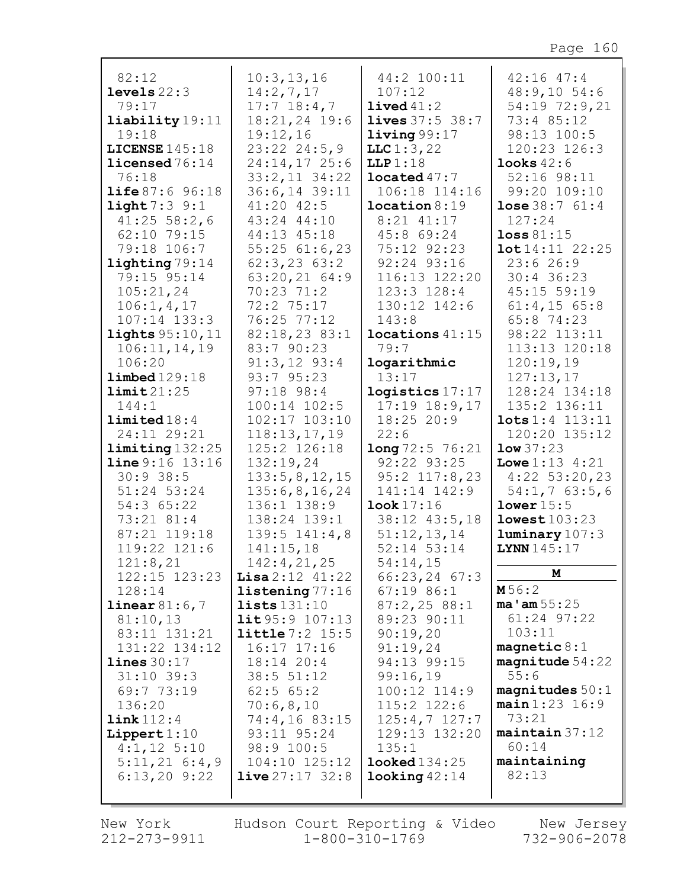| 82:12                           | 10:3, 13, 16               | 44:2 100:11             | $42:16$ $47:4$             |
|---------------------------------|----------------------------|-------------------------|----------------------------|
| levels $22:3$                   | 14:2,7,17                  | 107:12                  | 48:9,1054:6                |
| 79:17                           | $17:7$ 18:4,7              | $1$ ived $41:2$         | 54:19 72:9,21              |
| liability 19:11                 | 18:21,24 19:6              | <b>lives</b> 37:5 38:7  | 73:4 85:12                 |
| 19:18                           | 19:12,16                   | $1$ iving $99:17$       | 98:13 100:5                |
| LICENSE $145:18$                | $23:22$ $24:5,9$           | LLC1:3,22               | 120:23 126:3               |
| $\text{Lieensed}\,76\colon\!14$ | $24:14,17$ 25:6            | LLP 1:18                | looks $42:6$               |
| 76:18                           | $33:2,11$ $34:22$          | $1$ ocated $47:7$       | 52:16 98:11                |
| <b>life</b> $87:6$ $96:18$      | 36:6,14 39:11              | 106:18 114:16           | 99:20 109:10               |
| light 7:39:1                    | $41:20$ $42:5$             | location 8:19           | <b>lose</b> $38:7$ $61:4$  |
| $41:25$ 58:2,6                  | 43:24 44:10                | $8:21$ $41:17$          | 127:24                     |
| 62:10 79:15                     | 44:13 45:18                | 45:8 69:24              | loss 81:15                 |
| 79:18 106:7                     | $55:25$ $61:6,23$          | 75:12 92:23             | 10t14:1122:25              |
| lighting 79:14                  | $62:3, 23$ $63:2$          | 92:24 93:16             | 23:626:9                   |
| 79:15 95:14                     | $63:20,21$ 64:9            | 116:13 122:20           | $30:4$ 36:23               |
| 105:21,24                       | 70:23 71:2                 | 123:3 128:4             | 45:15 59:19                |
| 106:1, 4, 17                    | 72:2 75:17                 | 130:12 142:6            | $61:4, 15$ $65:8$          |
| $107:14$ $133:3$                | 76:25 77:12                | 143:8                   | 65:8 74:23                 |
| <b>lights</b> 95:10, 11         | 82:18,23 83:1              | $1$ ocations $41:15$    | 98:22 113:11               |
| 106:11, 14, 19                  | 83:7 90:23                 | 79:7                    | 113:13 120:18              |
| 106:20                          | $91:3,12$ $93:4$           | logarithmic             | 120:19,19                  |
| $1$ imbed $129:18$              | 93:7 95:23                 | 13:17                   | 127:13,17                  |
| limit 21:25                     | $97:18$ $98:4$             | logistics 17:17         | 128:24 134:18              |
| 144:1                           | 100:14 102:5               | $17:19$ $18:9,17$       | 135:2 136:11               |
| limited 18:4                    | 102:17 103:10              | $18:25$ 20:9            | $\texttt{lots} 1:4 113:11$ |
| 24:11 29:21                     | 118:13,17,19               | 22:6                    | 120:20 135:12              |
| $limiting$ 132:25               | 125:2 126:18               | long 72:5 76:21         | low 37:23                  |
| line 9:16 13:16                 | 132:19,24                  | 92:22 93:25             | <b>Lowe</b> $1:13$ $4:21$  |
| 30:938:5                        | 133:5, 8, 12, 15           | $95:2$ 117:8,23         | $4:22$ 53:20,23            |
| 51:24 53:24                     | 135:6,8,16,24              | 141:14 142:9            | 54:1,763:5,6               |
| 54:3 65:22                      | $136:1$ $138:9$            | $\texttt{look}$ 17:16   | lower 15:5                 |
| 73:21 81:4                      | 138:24 139:1               | 38:12 43:5,18           | lowest103:23               |
| 87:21 119:18                    | $139:5$ $141:4,8$          | 51:12,13,14             | $l$ uminary $107:3$        |
| 119:22 121:6                    | 141:15,18                  | 52:14 53:14             | LYNN 145:17                |
| 121:8,21                        | 142:4,21,25                | 54:14,15                |                            |
| 122:15 123:23                   | <b>Lisa</b> $2:12$ $41:22$ | $66:23,24$ 67:3         | М                          |
| 128:14                          | listening 77:16            | $67:19$ 86:1            | M56:2                      |
| linear 81:6,7                   | lists131:10                | 87:2,2588:1             | $ma'$ am $55:25$           |
| 81:10,13                        | $1$ it 95:9 107:13         | 89:23 90:11             | $61:24$ 97:22              |
| 83:11 131:21                    | <b>little</b> $7:2$ 15:5   | 90:19,20                | 103:11                     |
| 131:22 134:12                   | $16:17$ $17:16$            | 91:19,24                | magnetic $8:1$             |
| lines 30:17                     | 18:14 20:4                 | 94:13 99:15             | $magnitude 54:22$          |
| $31:10$ 39:3                    | 38:5 51:12                 | 99:16,19                | 55:6                       |
| 69:7 73:19                      | $62:5$ $65:2$              | 100:12 114:9            | magnitudes $50:1$          |
| 136:20                          | 70:6,8,10                  | $115:2$ $122:6$         | main 1:23 16:9             |
| link112:4                       | 74:4,16 83:15              | $125:4,7$ $127:7$       | 73:21                      |
| Lippert1:10                     | 93:11 95:24                | 129:13 132:20           | $main$ aintain $37:12$     |
| $4:1,12$ 5:10                   | 98:9 100:5                 | 135:1                   | 60:14                      |
| $5:11,21$ 6:4,9                 | 104:10 125:12              | $\texttt{looked}134:25$ | maintaining                |
| $6:13,20$ 9:22                  | <b>live</b> $27:17$ $32:8$ | $\text{looking }42:14$  | 82:13                      |
|                                 |                            |                         |                            |
|                                 |                            |                         |                            |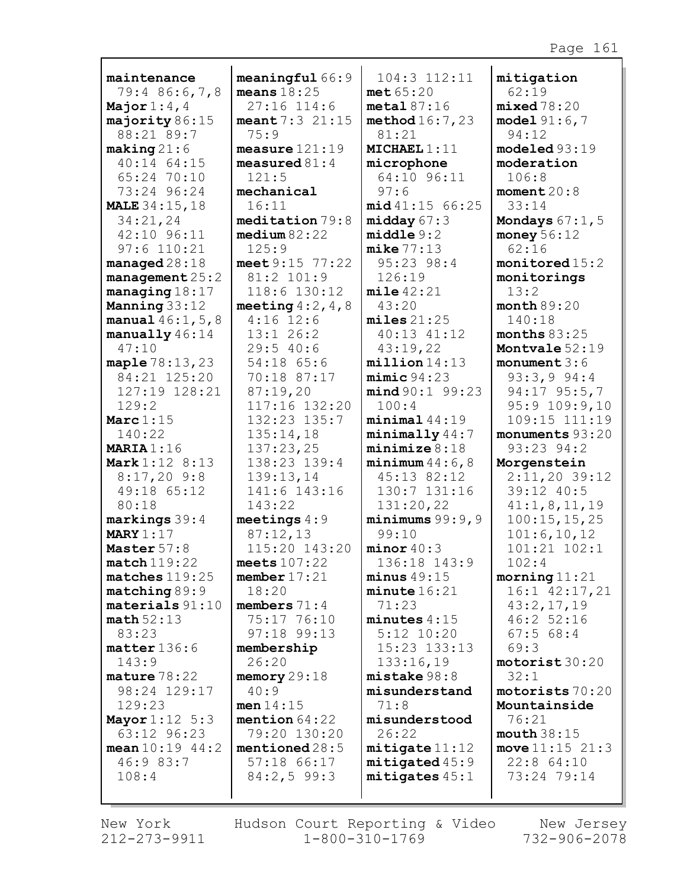|                                       | meaningful66:9                     | 104:3 112:11               |                               |
|---------------------------------------|------------------------------------|----------------------------|-------------------------------|
| maintenance<br>79:4 86:6,7,8          | means $18:25$                      | met65:20                   | mitigation<br>62:19           |
| Major $1:4,4$                         | $27:16$ 114:6                      | metal87:16                 | mixed78:20                    |
| majority 86:15                        | meant 7:3 21:15                    | method16:7,23              | model 91:6,7                  |
| 88:21 89:7                            | 75:9                               | 81:21                      | 94:12                         |
| $\texttt{making} 21:6$                | measure $121:19$                   | MICHAEL 1:11               | modeled 93:19                 |
| 40:14 64:15                           | measured $81:4$                    | microphone                 | moderation                    |
| 65:24 70:10                           | 121:5                              | 64:10 96:11                | 106:8                         |
| 73:24 96:24                           | mechanical                         | 97:6                       | moment20:8                    |
| <b>MALE</b> 34:15, 18                 | 16:11                              | mid 41:15 66:25            | 33:14                         |
| 34:21,24                              | median 79:8                        | midday $67:3$              | Mondays $67:1$ , $5$          |
| 42:10 96:11                           | median 82:22                       | middle9:2                  | money $56:12$                 |
| $97:6$ 110:21                         | 125:9                              | mike 77:13                 | 62:16                         |
| manged28:18                           | meet $9:15$ 77:22                  | 95:23 98:4                 | montored 15:2                 |
| management $25:2$                     | 81:2 101:9                         | 126:19                     | monitorings                   |
| managing $18:17$                      | 118:6 130:12                       | mile 42:21                 | 13:2                          |
| Manning 33:12                         | meeting $4:2, 4, 8$<br>$4:16$ 12:6 | 43:20<br>miles 21:25       | month 89:20<br>140:18         |
| manual $46:1, 5, 8$<br>manually 46:14 | $13:1$ 26:2                        | 40:13 41:12                | months $83:25$                |
| 47:10                                 | 29:540:6                           | 43:19,22                   | Montvale 52:19                |
| maple 78:13, 23                       | 54:18 65:6                         | million 14:13              | monument $3:6$                |
| 84:21 125:20                          | 70:18 87:17                        | minic94:23                 | 93:3,994:4                    |
| 127:19 128:21                         | 87:19,20                           | mind 90:1 99:23            | 94:17 95:5,7                  |
| 129:2                                 | 117:16 132:20                      | 100:4                      | $95:9$ 109:9,10               |
| Marc $1:15$                           | 132:23 135:7                       | minimal44:19               | 109:15 111:19                 |
| 140:22                                | 135:14,18                          | minimally 44:7             | monuments 93:20               |
| MARIA $1:16$                          | 137:23,25                          | minimize 8:18              | 93:23 94:2                    |
| Mark 1:12 8:13                        | 138:23 139:4                       | minimum 44:6,8             | Morgenstein                   |
| $8:17,20$ 9:8                         | 139:13,14                          | 45:13 82:12                | $2:11,20$ 39:12               |
| 49:18 65:12                           | 141:6 143:16                       | 130:7 131:16               | 39:12 40:5                    |
| 80:18                                 | 143:22                             | 131:20,22                  | 41:1,8,11,19                  |
| $markings 39:4$<br>MARY $1:17$        | meetings $4:9$<br>87:12,13         | minimums $99:9,9$<br>99:10 | 100:15, 15, 25                |
| Master 57:8                           | 115:20 143:20                      | minor 40:3                 | 101:6, 10, 12<br>101:21 102:1 |
| match119:22                           | meets $107:22$                     | 136:18 143:9               | 102:4                         |
| matches 119:25                        | member $17:21$                     | minus 49:15                | $\text{moving} 11:21$         |
| $matching 89:9$                       | 18:20                              | minute 16:21               | 16:1 42:17,21                 |
| $materials 91:10$                     | members $71:4$                     | 71:23                      | 43:2,17,19                    |
| math52:13                             | 75:17 76:10                        | $minutes\ 4:15$            | 46:252:16                     |
| 83:23                                 | 97:18 99:13                        | $5:12$ $10:20$             | 67:568:4                      |
| $matter$ 136:6                        | membership                         | 15:23 133:13               | 69:3                          |
| 143:9                                 | 26:20                              | 133:16,19                  | motorist30:20                 |
| $\texttt{mature}\,78:22$              | memory $29:18$                     | mistake 98:8               | 32:1                          |
| 98:24 129:17                          | 40:9                               | misunderstand              | motorists 70:20               |
| 129:23                                | men 14:15                          | 71:8                       | Mountainside                  |
| <b>Mayor</b> $1:12 \ 5:3$             | mention $64:22$                    | misunderstood              | 76:21                         |
| 63:12 96:23                           | 79:20 130:20                       | 26:22                      | mouth 38:15                   |
| mean $10:19$ $44:2$                   | mentioned $28:5$                   | mitigate 11:12             | move $11:15$ $21:3$           |
| 46:9 83:7<br>108:4                    | 57:18 66:17                        | mitigated 45:9             | $22:8$ 64:10<br>73:24 79:14   |
|                                       | 84:2,599:3                         | mitigates 45:1             |                               |
|                                       |                                    |                            |                               |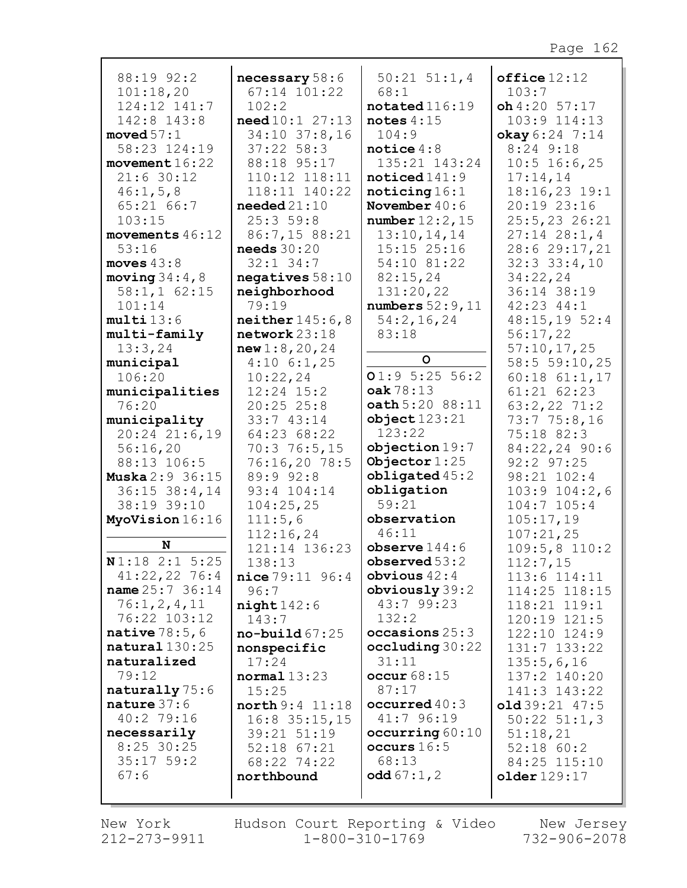| 88:19 92:2                        | necessary 58:6                        | $50:21$ $51:1,4$              | $of$ fice $12:12$            |
|-----------------------------------|---------------------------------------|-------------------------------|------------------------------|
| 101:18,20                         | 67:14 101:22                          | 68:1                          | 103:7                        |
| 124:12 141:7                      | 102:2                                 | notated 116:19                | $oh4:20$ 57:17               |
| 142:8 143:8                       | need 10:1 27:13                       | notes $4:15$                  | 103:9 114:13                 |
| moved $57:1$                      | 34:10 37:8,16                         | 104:9                         | okay 6:24 7:14               |
| 58:23 124:19                      | $37:22$ 58:3                          | notice $4:8$                  | 8:24 9:18                    |
| movement $16:22$                  | 88:18 95:17                           | 135:21 143:24                 | $10:5$ 16:6,25               |
| 21:630:12                         | 110:12 118:11                         | noticed141:9                  | 17:14,14                     |
| 46:1, 5, 8                        | 118:11 140:22                         | noticing 16:1                 | 18:16,23 19:1                |
| 65:2166:7                         | $\boldsymbol{\mathsf{needed}}\,21:10$ | November $40:6$               | 20:19 23:16                  |
| 103:15                            | 25:359:8                              | number $12:2$ , $15$          | 25:5,23 26:21                |
| movements $46:12$                 | 86:7,15 88:21                         | 13:10,14,14                   | $27:14$ $28:1,4$             |
| 53:16                             | needs $30:20$                         | $15:15$ $25:16$               | 28:6 29:17,21                |
| moves $43:8$                      | $32:1$ $34:7$                         | 54:10 81:22                   | $32:3$ $33:4$ , 10           |
| moving $34:4$ , 8                 | negatives $58:10$                     | 82:15,24                      | 34:22,24                     |
| 58:1, 162:15                      | neighborhood                          | 131:20,22                     | 36:14 38:19                  |
| 101:14                            | 79:19                                 | numbers $52:9,11$             | $42:23$ $44:1$               |
| multi13:6                         | neither $145:6,8$                     | 54:2,16,24                    | 48:15,1952:4                 |
| multi-family                      | $network$ 23:18                       | 83:18                         | 56:17,22                     |
| 13:3,24                           | new1:8,20,24                          | $\circ$                       | 57:10,17,25                  |
| municipal                         | $4:10$ 6:1,25                         |                               | 58:5 59:10,25                |
| 106:20                            | 10:22,24                              | 01:95:2556:2                  | $60:18$ $61:1,17$            |
| municipalities                    | $12:24$ $15:2$                        | oak 78:13<br>oath 5:20 88:11  | 61:21 62:23                  |
| 76:20                             | 20:2525:8<br>33:7 43:14               | object123:21                  | $63:2,22$ 71:2               |
| municipality<br>$20:24$ $21:6,19$ | 64:23 68:22                           | 123:22                        | 73:775:8,16<br>75:18 82:3    |
| 56:16,20                          | 70:376:5,15                           | objection19:7                 | 84:22,24 90:6                |
| 88:13 106:5                       | 76:16,20 78:5                         | Objector $1:25$               | $92:2$ $97:25$               |
| <b>Muska</b> 2:9 36:15            | 89:9 92:8                             | obligated $45:2$              | 98:21 102:4                  |
| $36:15$ $38:4$ , 14               | 93:4 104:14                           | obligation                    | $103:9$ $104:2,6$            |
| 38:19 39:10                       | 104:25,25                             | 59:21                         | $104:7$ $105:4$              |
| MyoVision 16:16                   | 111:5,6                               | observation                   | 105:17,19                    |
|                                   | 112:16,24                             | 46:11                         | 107:21,25                    |
| N                                 | 121:14 136:23                         | observe $144:6$               | $109:5,8$ 110:2              |
| N1:18 2:1 5:25                    | 138:13                                | observed 53:2                 | 112:7,15                     |
| 41:22,22 76:4                     | nice 79:11 96:4                       | obvious $42:4$                | 113:6 114:11                 |
| name 25:7 36:14                   | 96:7                                  | obviously $39:2$              | 114:25 118:15                |
| 76:1, 2, 4, 11                    | night142:6                            | 43:7 99:23                    | 118:21 119:1                 |
| 76:22 103:12                      | 143:7                                 | 132:2                         | 120:19 121:5                 |
| native $78:5,6$                   | $no$ -build $67:25$                   | occasions $25:3$              | 122:10 124:9                 |
| natural130:25                     | nonspecific                           | occluding 30:22               | 131:7 133:22                 |
| naturalized                       | 17:24                                 | 31:11                         | 135:5,6,16                   |
| 79:12                             | normal 13:23                          | occur68:15                    | 137:2 140:20                 |
| naturally 75:6<br>nature $37:6$   | 15:25                                 | 87:17                         | 141:3 143:22                 |
| 40:2 79:16                        | north 9:4 11:18                       | occurred $40:3$<br>41:7 96:19 | $old39:21$ 47:5              |
| necessarily                       | $16:8$ 35:15,15<br>39:21 51:19        | occurring $60:10$             | $50:22$ $51:1,3$<br>51:18,21 |
| $8:25$ 30:25                      | $52:18$ $67:21$                       | occurs $16:5$                 | $52:18$ $60:2$               |
| $35:17$ 59:2                      | 68:22 74:22                           | 68:13                         | 84:25 115:10                 |
| 67:6                              | northbound                            | <b>odd</b> $67:1, 2$          | older129:17                  |
|                                   |                                       |                               |                              |
|                                   |                                       |                               |                              |

New York Hudson Court Reporting & Video New Jersey<br>212-273-9911 1-800-310-1769 732-906-2078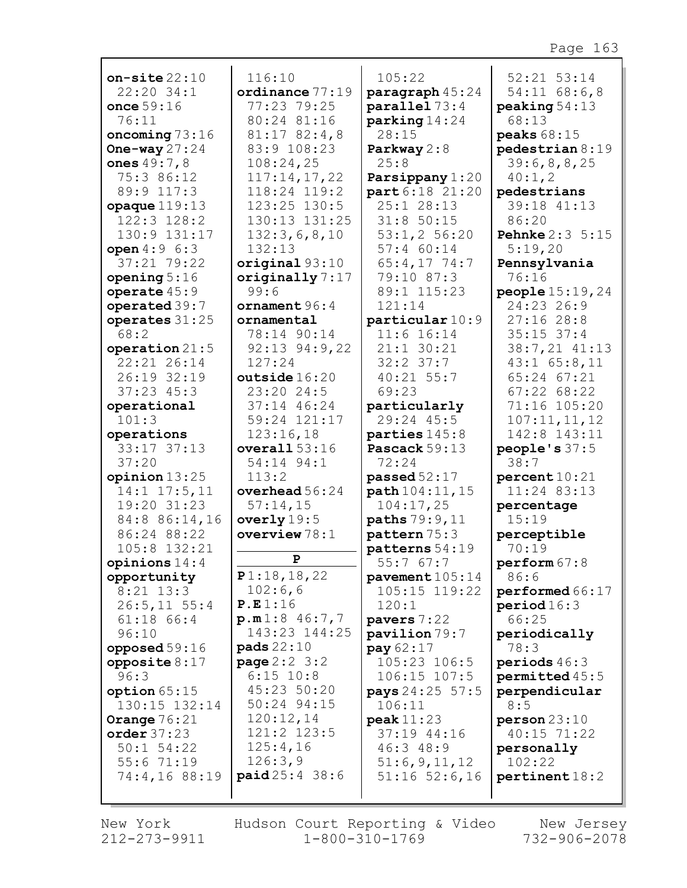| on-site $22:10$                  | 116:10                           | 105:22                           | 52:21 53:14                       |
|----------------------------------|----------------------------------|----------------------------------|-----------------------------------|
| 22:20 34:1<br>once $59:16$       | ordinance $77:19$<br>77:23 79:25 | paragraph 45:24<br>parallel 73:4 | $54:11$ 68:6,8<br>peaking 54:13   |
| 76:11                            | 80:24 81:16                      | parking14:24                     | 68:13                             |
| oncoming $73:16$                 | $81:17$ $82:4,8$                 | 28:15                            | peaks 68:15                       |
| One-way $27:24$                  | 83:9 108:23                      | Parkway $2:8$                    | pedestrian 8:19                   |
| ones 49:7,8                      | 108:24,25                        | 25:8                             | 39:6,8,8,25                       |
| 75:3 86:12                       | 117:14,17,22                     | Parsippany 1:20                  | 40:1, 2                           |
| 89:9 117:3                       | 118:24 119:2                     | part 6:18 21:20                  | pedestrians                       |
| $opaque$ $119:13$                | 123:25 130:5                     | 25:1 28:13                       | 39:18 41:13                       |
| 122:3 128:2                      | 130:13 131:25                    | 31:850:15                        | 86:20                             |
| 130:9 131:17<br>open $4:9 \ 6:3$ | 132:3,6,8,10<br>132:13           | 53:1, 2 56:20<br>57:4 60:14      | <b>Pehnke</b> 2:3 5:15<br>5:19,20 |
| 37:21 79:22                      | original93:10                    | 65:4,17 74:7                     | Pennsylvania                      |
| opening $5:16$                   | originally $7:17$                | 79:10 87:3                       | 76:16                             |
| operate $45:9$                   | 99:6                             | 89:1 115:23                      | <b>people</b> $15:19,24$          |
| operated 39:7                    | ornament 96:4                    | 121:14                           | 24:23 26:9                        |
| operates 31:25                   | ornamental                       | particular 10:9                  | 27:1628:8                         |
| 68:2                             | 78:14 90:14                      | $11:6$ 16:14                     | $35:15$ $37:4$                    |
| operation $21:5$                 | $92:13$ $94:9$ , 22              | $21:1$ 30:21                     | 38:7,21 41:13                     |
| 22:21 26:14                      | 127:24                           | $32:2$ $37:7$                    | $43:1$ 65:8,11                    |
| 26:19 32:19                      | outside 16:20                    | 40:21 55:7                       | 65:24 67:21                       |
| $37:23$ $45:3$                   | 23:20 24:5                       | 69:23                            | 67:2268:22                        |
| operational                      | 37:14 46:24                      | particularly<br>29:24 45:5       | 71:16 105:20                      |
| 101:3<br>operations              | 59:24 121:17<br>123:16,18        | parties 145:8                    | 107:11,11,12<br>142:8 143:11      |
| 33:17 37:13                      | overall $53:16$                  | Pascack 59:13                    | people's $37:5$                   |
| 37:20                            | 54:14 94:1                       | 72:24                            | 38:7                              |
| opinion $13:25$                  | 113:2                            | passed $52:17$                   | percent10:21                      |
| $14:1$ $17:5$ , 11               | overhead $56:24$                 | path 104:11, 15                  | 11:24 83:13                       |
| 19:20 31:23                      | 57:14,15                         | 104:17,25                        | percentage                        |
| 84:8 86:14,16                    | overly $19:5$                    | paths 79:9, 11                   | 15:19                             |
| 86:24 88:22                      | overview $78:1$                  | pattern 75:3                     | perceptible                       |
| 105:8 132:21<br>opinions $14:4$  | P                                | patterns 54:19                   | 70:19                             |
| opportunity                      | P1:18,18,22                      | 55:7 67:7<br>pavement 105:14     | perform 67:8<br>86:6              |
| $8:21$ 13:3                      | 102:6,6                          | 105:15 119:22                    | performed 66:17                   |
| $26:5, 11$ 55:4                  | P.E1:16                          | 120:1                            | period 16:3                       |
| $61:18$ $66:4$                   | p.m1:8 46:7,7                    | pavers 7:22                      | 66:25                             |
| 96:10                            | 143:23 144:25                    | pavilion 79:7                    | periodically                      |
| opposed $59:16$                  | <b>pads</b> 22:10                | pay 62:17                        | 78:3                              |
| opposite $8:17$                  | <b>page</b> $2:2 \ 3:2$          | 105:23 106:5                     | periods $46:3$                    |
| 96:3                             | $6:15$ 10:8                      | 106:15 107:5                     | permitted 45:5                    |
| option $65:15$                   | 45:23 50:20<br>50:24 94:15       | pays 24:25 57:5                  | perpendicular                     |
| 130:15 132:14<br>Orange $76:21$  | 120:12,14                        | 106:11<br>peak11:23              | 8:5<br>person23:10                |
| order 37:23                      | 121:2 123:5                      | 37:19 44:16                      | 40:15 71:22                       |
| $50:1$ 54:22                     | 125:4,16                         | 46:3 48:9                        | personally                        |
| 55:671:19                        | 126:3,9                          | 51:6,9,11,12                     | 102:22                            |
| 74:4,16 88:19                    | paid25:4 38:6                    | $51:16$ $52:6$ , 16              | pertinent 18:2                    |
|                                  |                                  |                                  |                                   |

New York  $212 - 273 - 9911$ 

г

Hudson Court Reporting & Video New Jersey  $1 - 800 - 310 - 1769$ 

732-906-2078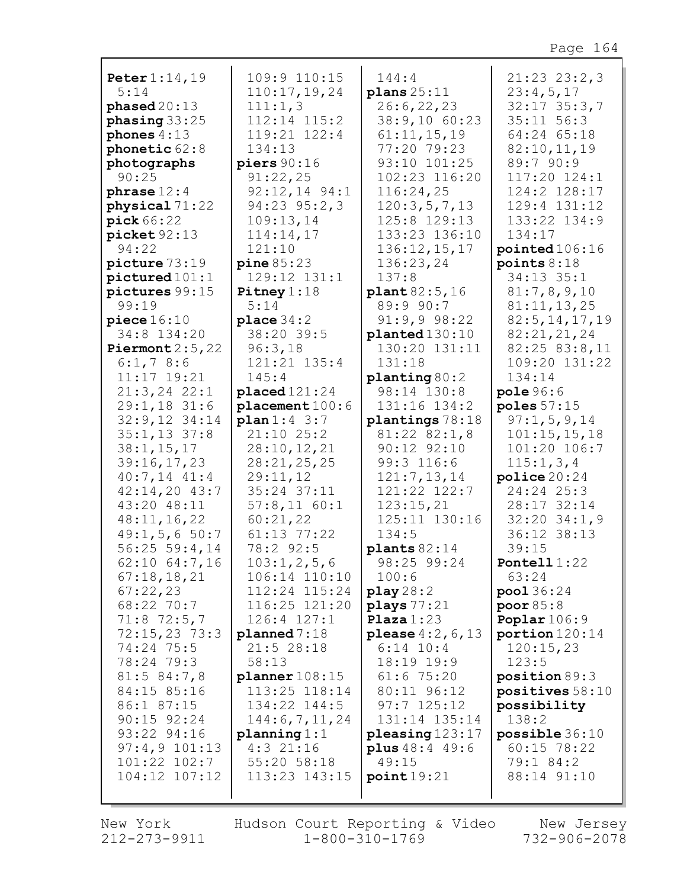| Peter 1:14,19                     | 109:9 110:15                         | 144:4                        | $21:23$ $23:2,3$               |
|-----------------------------------|--------------------------------------|------------------------------|--------------------------------|
| 5:14                              | 110:17, 19, 24                       | plans25:11                   | 23:4,5,17                      |
| phase d20:13                      | 111:1,3                              | 26:6, 22, 23                 | $32:17$ $35:3,7$               |
| phasing $33:25$                   | 112:14 115:2                         | 38:9,10 60:23                | $35:11$ $56:3$                 |
| phones $4:13$                     | 119:21 122:4                         | 61:11,15,19                  | 64:24 65:18                    |
| phonetic 62:8                     | 134:13                               | 77:20 79:23                  | 82:10,11,19                    |
| photographs                       | piers $90:16$                        | 93:10 101:25                 | 89:7 90:9                      |
| 90:25                             | 91:22,25                             | 102:23 116:20                | 117:20 124:1                   |
| phrase $12:4$                     | $92:12,14$ $94:1$                    | 116:24,25                    | 124:2 128:17                   |
| physical 71:22                    | 94:23 95:2,3                         | 120:3,5,7,13                 | 129:4 131:12                   |
| pick 66:22                        | 109:13,14                            | 125:8 129:13                 | 133:22 134:9                   |
| picture 92:13                     | 114:14,17                            | 133:23 136:10                | 134:17                         |
| 94:22                             | 121:10                               | 136:12,15,17                 | pointed $106:16$               |
| picture 73:19                     | pine 85:23                           | 136:23,24                    | points $8:18$                  |
| pictured101:1                     | 129:12 131:1                         | 137:8                        | 34:13 35:1                     |
| pictures 99:15                    | Pitney $1:18$                        | plant 82:5,16                | 81:7,8,9,10                    |
| 99:19                             | 5:14                                 | 89:9 90:7                    | 81:11,13,25                    |
| piece 16:10                       | place $34:2$                         | 91:9,998:22                  | 82:5, 14, 17, 19               |
| 34:8 134:20                       | 38:20 39:5                           | planted 130:10               | 82:21,21,24                    |
| Piermont $2:5,22$                 | 96:3,18<br>121:21 135:4              | 130:20 131:11<br>131:18      | 82:25 83:8,11<br>109:20 131:22 |
| 6:1,78:6<br>11:17 19:21           |                                      |                              |                                |
|                                   | 145:4                                | planting 80:2<br>98:14 130:8 | 134:14                         |
| $21:3, 24$ 22:1<br>$29:1,18$ 31:6 | $placed 121:24$                      | 131:16 134:2                 | pole 96:6<br>poles $57:15$     |
| $32:9,12$ $34:14$                 | $plane$ ment $100:6$<br>plan 1:4 3:7 | plantings 78:18              | 97:1, 5, 9, 14                 |
| $35:1, 13$ 37:8                   | $21:10$ $25:2$                       | $81:22$ $82:1,8$             | 101:15,15,18                   |
| 38:1, 15, 17                      | 28:10, 12, 21                        | 90:12 92:10                  | 101:20 106:7                   |
| 39:16,17,23                       | 28:21,25,25                          | 99:3 116:6                   | 115:1, 3, 4                    |
| $40:7,14$ $41:4$                  | 29:11,12                             | 121:7, 13, 14                | police 20:24                   |
| $42:14,20$ $43:7$                 | 35:24 37:11                          | 121:22 122:7                 | 24:24 25:3                     |
| 43:20 48:11                       | $57:8,11$ $60:1$                     | 123:15,21                    | 28:17 32:14                    |
| 48:11,16,22                       | 60:21,22                             | 125:11 130:16                | $32:20$ $34:1,9$               |
| $49:1, 5, 6$ 50:7                 | 61:13 77:22                          | 134:5                        | 36:12 38:13                    |
| $56:25$ 59:4,14                   | 78:2 92:5                            | plants $82:14$               | 39:15                          |
| $62:10$ $64:7,16$                 | 103:1, 2, 5, 6                       | 98:25 99:24                  | Pontell $1:22$                 |
| 67:18,18,21                       | 106:14 110:10                        | 100:6                        | 63:24                          |
| 67:22,23                          | 112:24 115:24                        | play28:2                     | pool 36:24                     |
| 68:22 70:7                        | 116:25 121:20                        | plays 77:21                  | poor $85:8$                    |
| $71:8$ 72:5,7                     | $126:4$ $127:1$                      | Plaza $1:23$                 | Poplar $106:9$                 |
| $72:15,23$ 73:3                   | plane 7:18                           | <b>please</b> $4:2, 6, 13$   | portion 120:14                 |
| 74:24 75:5                        | $21:5$ 28:18                         | $6:14$ 10:4                  | 120:15,23                      |
| 78:24 79:3                        | 58:13                                | 18:19 19:9                   | 123:5                          |
| 81:5 84:7,8                       | planner 108:15                       | 61:675:20                    | position 89:3                  |
| 84:15 85:16                       | 113:25 118:14                        | 80:11 96:12                  | positives $58:10$              |
| 86:1 87:15                        | 134:22 144:5                         | $97:7$ 125:12                | possibility                    |
| $90:15$ $92:24$                   | 144:6, 7, 11, 24                     | 131:14 135:14                | 138:2                          |
| 93:22 94:16                       | planning 1:1                         | pleasing 123:17              | possible 36:10                 |
| $97:4, 9$ 101:13                  | $4:3$ 21:16                          | <b>plus</b> $48:4$ $49:6$    | $60:15$ 78:22                  |
| 101:22 102:7                      | 55:20 58:18                          | 49:15                        | 79:1 84:2                      |
| 104:12 107:12                     | 113:23 143:15                        | point19:21                   | 88:14 91:10                    |
|                                   |                                      |                              |                                |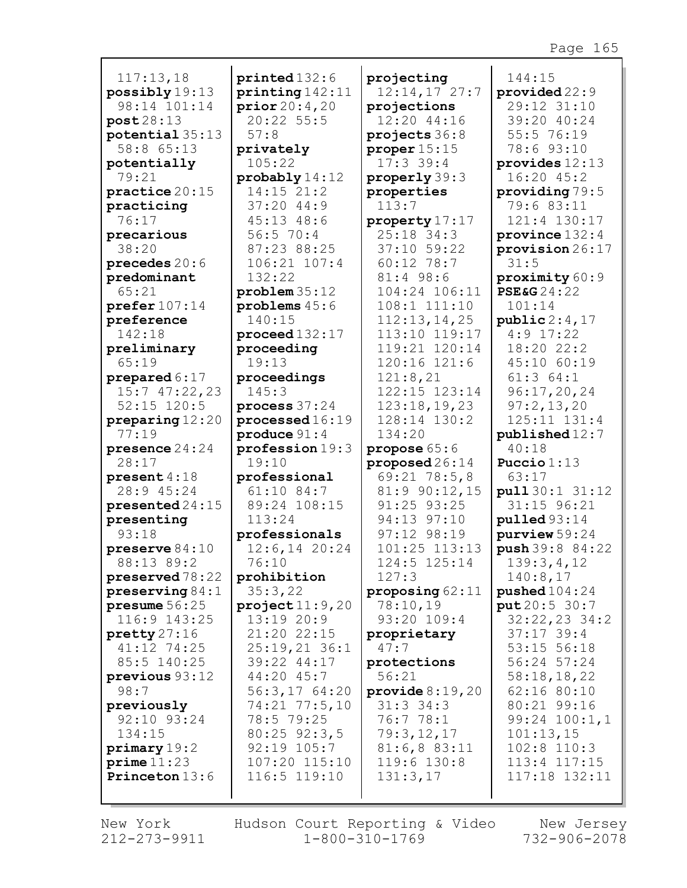| 117:13,18                      | printed132:6               | projecting                   | 144:15                         |
|--------------------------------|----------------------------|------------------------------|--------------------------------|
| possibly 19:13                 | $\text{printing} 142:11$   | $12:14,17$ 27:7              | provided 22:9                  |
| 98:14 101:14                   | prior20:4,20               | projections                  | 29:12 31:10                    |
| post28:13                      | 20:22 55:5                 | 12:20 44:16                  | 39:20 40:24                    |
| potential 35:13                | 57:8                       | projects 36:8                | 55:5 76:19                     |
| 58:8 65:13                     | privately                  | proper $15:15$               | 78:6 93:10                     |
| potentially<br>79:21           | 105:22<br>probably 14:12   | $17:3$ 39:4<br>properly 39:3 | provides $12:13$<br>16:20 45:2 |
| $\texttt{practice}~20:15$      | 14:15 21:2                 | properties                   | providing 79:5                 |
| practicing                     | 37:2044:9                  | 113:7                        | 79:6 83:11                     |
| 76:17                          | 45:13 48:6                 | property 17:17               | 121:4 130:17                   |
| precarious                     | 56:570:4                   | 25:18 34:3                   | province $132:4$               |
| 38:20                          | 87:23 88:25                | 37:10 59:22                  | provision 26:17                |
| precedes 20:6                  | 106:21 107:4               | 60:12 78:7                   | 31:5                           |
| predominant                    | 132:22                     | 81:4 98:6                    | proximity 60:9                 |
| 65:21                          | problem35:12               | 104:24 106:11                | <b>PSE&amp;G</b> 24:22         |
| $\text{prefer } 107:14$        | problems 45:6              | 108:1 111:10                 | 101:14                         |
| preference                     | 140:15                     | 112:13,14,25                 | public 2:4,17                  |
| 142:18                         | proceed 132:17             | 113:10 119:17                | $4:9$ 17:22                    |
| preliminary                    | proceeding                 | 119:21 120:14                | 18:20 22:2                     |
| 65:19                          | 19:13                      | 120:16 121:6                 | 45:10 60:19                    |
| prepared $6:17$                | proceedings                | 121:8,21                     | 61:364:1                       |
| 15:747:22,23                   | 145:3                      | 122:15 123:14                | 96:17,20,24                    |
| $52:15$ $120:5$                | process $37:24$            | 123:18, 19, 23               | 97:2,13,20                     |
| preparing 12:20                | processed 16:19            | 128:14 130:2                 | 125:11 131:4                   |
| 77:19                          | $\text{produce } 91:4$     | 134:20                       | published 12:7                 |
| presence $24:24$               | profession 19:3            | propose 65:6                 | 40:18                          |
| 28:17                          | 19:10                      | proposed $26:14$             | Puccio $1:13$                  |
| present $4:18$                 | professional               | $69:21$ $78:5,8$             | 63:17                          |
| 28:9 45:24                     | 61:10 84:7<br>89:24 108:15 | 81:9 90:12,15<br>91:25 93:25 | pull 30:1 31:12<br>31:15 96:21 |
| $presented24:15$<br>presenting | 113:24                     | 94:13 97:10                  | $p$ ulled $93:14$              |
| 93:18                          | professionals              | 97:12 98:19                  | $purity$ iew $59:24$           |
| preserve $84:10$               | $12:6, 14$ 20:24           | 101:25 113:13                | push 39:8 84:22                |
| 88:13 89:2                     | 76:10                      | 124:5 125:14                 | 139:3,4,12                     |
| $preserved 78:22$              | prohibition                | 127:3                        | 140:8,17                       |
| preserving $84:1$              | 35:3,22                    | proposing $62:11$            | pushed104:24                   |
| presume 56:25                  | $\texttt{project}$ 11:9,20 | 78:10,19                     | put 20:5 30:7                  |
| 116:9 143:25                   | 13:1920:9                  | 93:20 109:4                  | $32:22,23$ 34:2                |
| $\text{pretty } 27:16$         | 21:20 22:15                | proprietary                  | $37:17$ 39:4                   |
| 41:12 74:25                    | $25:19,21$ 36:1            | 47:7                         | 53:15 56:18                    |
| 85:5 140:25                    | 39:22 44:17                | protections                  | 56:24 57:24                    |
| previous 93:12                 | 44:20 45:7                 | 56:21                        | 58:18,18,22                    |
| 98:7                           | 56:3,1764:20               | provide $8:19,20$            | 62:16 80:10                    |
| previously                     | 74:21 77:5,10              | $31:3$ 34:3                  | 80:21 99:16                    |
| 92:10 93:24                    | 78:5 79:25                 | 76:778:1                     | $99:24$ $100:1,1$              |
| 134:15                         | $80:25$ 92:3,5             | 79:3,12,17                   | 101:13,15                      |
| primary 19:2                   | $92:19$ $105:7$            | 81:6, 883:11                 | $102:8$ 110:3                  |
| prime 11:23                    | 107:20 115:10              | 119:6 130:8                  | 113:4 117:15                   |
| Princeton 13:6                 | 116:5 119:10               | 131:3,17                     | 117:18 132:11                  |
|                                |                            |                              |                                |

г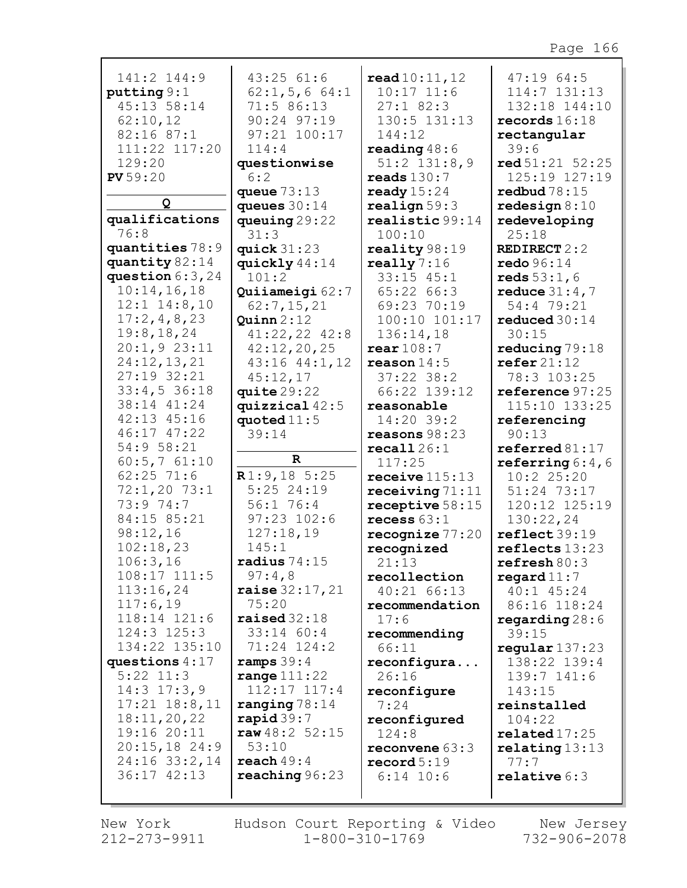| 141:2 144:9                | 43:25 61:6              | read 10:11, 12       | 47:1964:5                                               |
|----------------------------|-------------------------|----------------------|---------------------------------------------------------|
| putting 9:1                | 62:1, 5, 664:1          | $10:17$ $11:6$       | 114:7 131:13                                            |
| 45:13 58:14                | 71:5 86:13              | $27:1$ 82:3          | 132:18 144:10                                           |
| 62:10,12                   | 90:24 97:19             | 130:5 131:13         | records $16:18$                                         |
| 82:16 87:1                 | 97:21 100:17            | 144:12               | rectangular                                             |
| 111:22 117:20              | 114:4                   | reading $48:6$       | 39:6                                                    |
| 129:20                     | questionwise            | $51:2$ $131:8,9$     | red 51:21 52:25                                         |
| PV 59:20                   | 6:2                     | reads $130:7$        | 125:19 127:19                                           |
|                            | queue $73:13$           | ready $15:24$        | redbud $78:15$                                          |
| Q                          | queues $30:14$          | realign 59:3         | redesign $8:10$                                         |
| qualifications             | queuing $29:22$         | realistic 99:14      | redeveloping                                            |
| 76:8                       | 31:3                    | 100:10               | 25:18                                                   |
| quantities 78:9            | quick $31:23$           | reality 98:19        | <b>REDIRECT 2:2</b>                                     |
| quantity 82:14             | quickly 44:14           | really $7:16$        | $\texttt{redo } 96:14$                                  |
| question $6:3,24$          | 101:2                   | $33:15$ $45:1$       | reds 53:1, 6                                            |
| 10:14,16,18                | Quiiameigi 62:7         | 65:22 66:3           | reduce $31:4,7$                                         |
| $12:1$ $14:8,10$           | 62:7,15,21              | 69:23 70:19          | 54:4 79:21                                              |
| 17:2,4,8,23                | Quinn 2:12              | 100:10 101:17        | reduced $30:14$                                         |
| 19:8, 18, 24               | $41:22,22$ $42:8$       | 136:14,18            | 30:15                                                   |
| 20:1,923:11                | 42:12,20,25             | rear 108:7           | reducing $79:18$                                        |
| 24:12,13,21                | 43:16 44:1,12           | reason $14:5$        | $\text{refer } 21:12$                                   |
| 27:19 32:21                | 45:12,17                | $37:22$ 38:2         | 78:3 103:25                                             |
| 33:4,536:18                | quite $29:22$           | 66:22 139:12         | reference 97:25                                         |
| 38:14 41:24                | quizzical $42:5$        | reasonable           | 115:10 133:25                                           |
| 42:13 45:16<br>46:17 47:22 | quoted $11:5$           | 14:20 39:2           | referencing                                             |
| 54:9 58:21                 | 39:14                   | reasons $98:23$      | 90:13                                                   |
| 60:5,761:10                | $\mathbf R$             | recall26:1<br>117:25 | $\texttt{referred}\,81\!:\!17$<br>referring $6:4$ , $6$ |
| $62:25$ 71:6               | R1:9,185:25             | receive $115:13$     | 10:2 25:20                                              |
| $72:1,20$ 73:1             | $5:25$ 24:19            | receiving $71:11$    | 51:24 73:17                                             |
| 73:9 74:7                  | 56:1 76:4               | receptive $58:15$    | 120:12 125:19                                           |
| 84:15 85:21                | $97:23$ $102:6$         | recess $63:1$        | 130:22,24                                               |
| 98:12,16                   | 127:18,19               | recognize $77:20$    | reflect 39:19                                           |
| 102:18,23                  | 145:1                   | recognized           | reflects 13:23                                          |
| 106:3,16                   | radius $74:15$          | 21:13                | refresh 80:3                                            |
| $108:17$ $111:5$           | 97:4,8                  | recollection         | $\texttt{regard11:7}$                                   |
| 113:16,24                  | <b>raise</b> $32:17,21$ | 40:21 66:13          | 40:1 45:24                                              |
| 117:6,19                   | 75:20                   | recommendation       | 86:16 118:24                                            |
| 118:14 121:6               | raised $32:18$          | 17:6                 | regarding $28:6$                                        |
| $124:3$ $125:3$            | $33:14$ 60:4            | recommending         | 39:15                                                   |
| 134:22 135:10              | 71:24 124:2             | 66:11                | regular137:23                                           |
| questions $4:17$           | ramps $39:4$            | reconfigura          | 138:22 139:4                                            |
| $5:22$ $11:3$              | range $111:22$          | 26:16                | 139:7 141:6                                             |
| $14:3$ $17:3$ , 9          | 112:17 117:4            | reconfigure          | 143:15                                                  |
| $17:21$ $18:8,11$          | ranging $78:14$         | 7:24                 | reinstalled                                             |
| 18:11,20,22                | $\mathbf{rapid} 39:7$   | reconfigured         | 104:22                                                  |
| 19:16 20:11                | raw48:2 52:15           | 124:8                | related17:25                                            |
| $20:15,18$ 24:9            | 53:10                   | reconvene $63:3$     | relating 13:13                                          |
| 24:16 33:2,14              | reach 49:4              | record 5:19          | 77:7                                                    |
| 36:17 42:13                | reaching 96:23          | $6:14$ 10:6          | relative $6:3$                                          |
|                            |                         |                      |                                                         |

New York 212-273-9911 Hudson Court Reporting & Video  $1 - 800 - 310 - 1769$ 

New Jersey 732-906-2078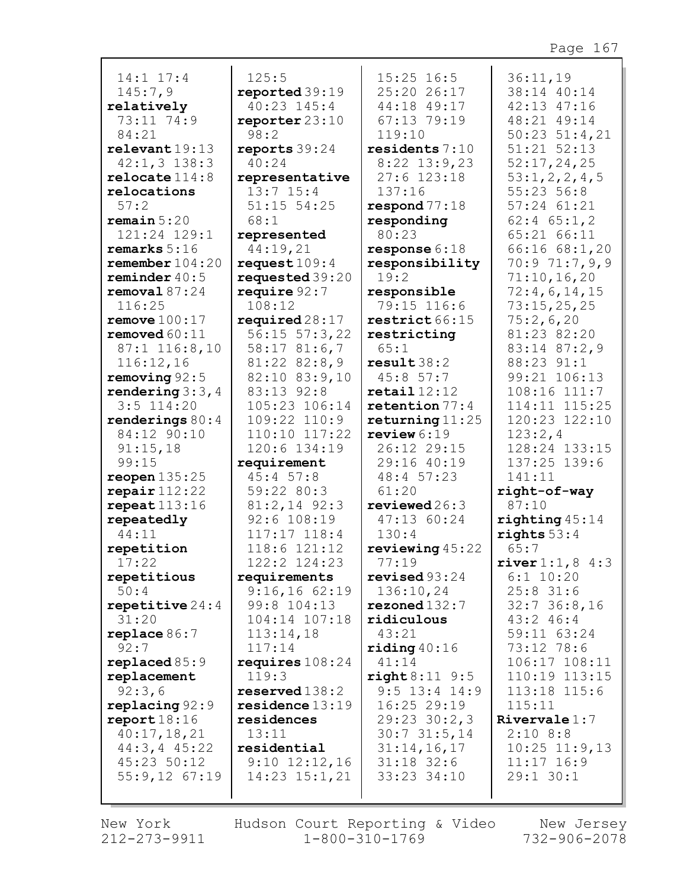| $14:1$ $17:4$                 | 125:5                                     | $15:25$ 16:5                           | 36:11,19                     |
|-------------------------------|-------------------------------------------|----------------------------------------|------------------------------|
| 145:7,9                       | reported 39:19                            | 25:20 26:17                            | 38:14 40:14                  |
| relatively                    | 40:23 145:4                               | 44:18 49:17                            | 42:13 47:16                  |
| 73:11 74:9                    | reporter $23:10$                          | 67:13 79:19                            | 48:21 49:14                  |
| 84:21                         | 98:2                                      | 119:10                                 | $50:23$ $51:4,21$            |
| relevent19:13                 | reports $39:24$                           | residents 7:10                         | 51:21 52:13                  |
| $42:1,3$ 138:3                | 40:24                                     | $8:22$ 13:9,23                         | 52:17,24,25                  |
| relocated114:8                | representative                            | $27:6$ 123:18                          | 53:1, 2, 2, 4, 5             |
| relocations                   | $13:7$ $15:4$                             | 137:16                                 | 55:2356:8                    |
| 57:2                          | $51:15$ $54:25$                           | respond 77:18                          | 57:24 61:21                  |
| remain 5:20                   | 68:1                                      | responding                             | $62:4$ $65:1,2$              |
| 121:24 129:1                  | represented                               | 80:23                                  | 65:21 66:11                  |
| remarks $5:16$                | 44:19,21                                  | response $6:18$                        | 66:16 68:1,20                |
| remember $104:20$             | request $109:4$                           | responsibility<br>19:2                 | 70:9 71:7,9,9                |
| reminder $40:5$               | requested 39:20                           |                                        | 71:10,16,20                  |
| removal 87:24                 | require $92:7$<br>108:12                  | responsible<br>79:15 116:6             | 72:4,6,14,15                 |
| 116:25<br>remove $100:17$     |                                           |                                        | 73:15,25,25                  |
| removed $60:11$               | required $28:17$                          | restrict 66:15                         | 75:2,6,20<br>81:23 82:20     |
|                               | $56:15$ $57:3$ , 22                       | restricting<br>65:1                    |                              |
| 87:1 116:8,10                 | 58:1781:6,7                               |                                        | 83:14 87:2,9<br>88:23 91:1   |
| 116:12,16<br>removing $92:5$  | $81:22$ $82:8,9$<br>82:10 83:9,10         | result38:2<br>45:8 57:7                | 99:21 106:13                 |
| rendering $3:3, 4$            | 83:13 92:8                                | $\texttt{retail}$ 12:12                | 108:16 111:7                 |
| $3:5$ 114:20                  | 105:23 106:14                             | retention $77:4$                       | 114:11 115:25                |
| renderings $80:4$             | 109:22 110:9                              | returning $11:25$                      | 120:23 122:10                |
| 84:12 90:10                   | 110:10 117:22                             | review $6:19$                          | 123:2,4                      |
| 91:15,18                      | 120:6 134:19                              | 26:12 29:15                            | 128:24 133:15                |
| 99:15                         | requirement                               | 29:16 40:19                            | 137:25 139:6                 |
| reopen $135:25$               | 45:457:8                                  | 48:4 57:23                             | 141:11                       |
| $\texttt{repair}$ 112:22      | 59:22 80:3                                | 61:20                                  | right-of-way                 |
| repeat113:16                  | $81:2,14$ 92:3                            | $revi$ ewed $26:3$                     | 87:10                        |
| repeatedly                    | 92:6 108:19                               | 47:13 60:24                            | righting 45:14               |
| 44:11                         | $117:17$ $118:4$                          | 130:4                                  | rights $53:4$                |
| repetition                    | 118:6 121:12                              | reviewing $45:22$                      | 65:7                         |
| 17:22                         | 122:2 124:23                              | 77:19                                  | $\text{river } 1:1, 8 \ 4:3$ |
| repetitious                   | requirements                              | revised $93:24$                        | $6:1$ 10:20                  |
| 50:4                          | 9:16,1662:19                              | 136:10,24                              | $25:8$ 31:6                  |
| repetitive $24:4$             | 99:8 104:13                               | rezoned132:7                           | $32:7$ 36:8,16               |
| 31:20                         | 104:14 107:18                             | ridiculous                             | 43:2 46:4                    |
| replace $86:7$                | 113:14,18                                 | 43:21                                  | 59:11 63:24                  |
| 92:7                          | 117:14                                    | $\texttt{riding}~40:16$                | 73:12 78:6                   |
| replaced 85:9                 | requires $108:24$                         | 41:14                                  | 106:17 108:11                |
| replacement                   | 119:3                                     | $right 8:11$ 9:5                       | 110:19 113:15                |
| 92:3,6                        | ${\tt reserved}$ 138:2<br>residence 13:19 | $9:5$ 13:4 14:9                        | 113:18 115:6                 |
| replacing 92:9<br>report18:16 | residences                                | 16:25 29:19                            | 115:11<br>Rivervale $1:7$    |
| 40:17,18,21                   | 13:11                                     | $29:23$ $30:2,3$<br>$30:7$ $31:5$ , 14 | 2:108:8                      |
| 44:3, 445:22                  | residential                               | 31:14,16,17                            | $10:25$ $11:9,13$            |
| 45:23 50:12                   | $9:10$ $12:12,16$                         | $31:18$ 32:6                           | $11:17$ 16:9                 |
| $55:9,12$ 67:19               | $14:23$ $15:1,21$                         | 33:23 34:10                            | 29:1 30:1                    |
|                               |                                           |                                        |                              |
|                               |                                           |                                        |                              |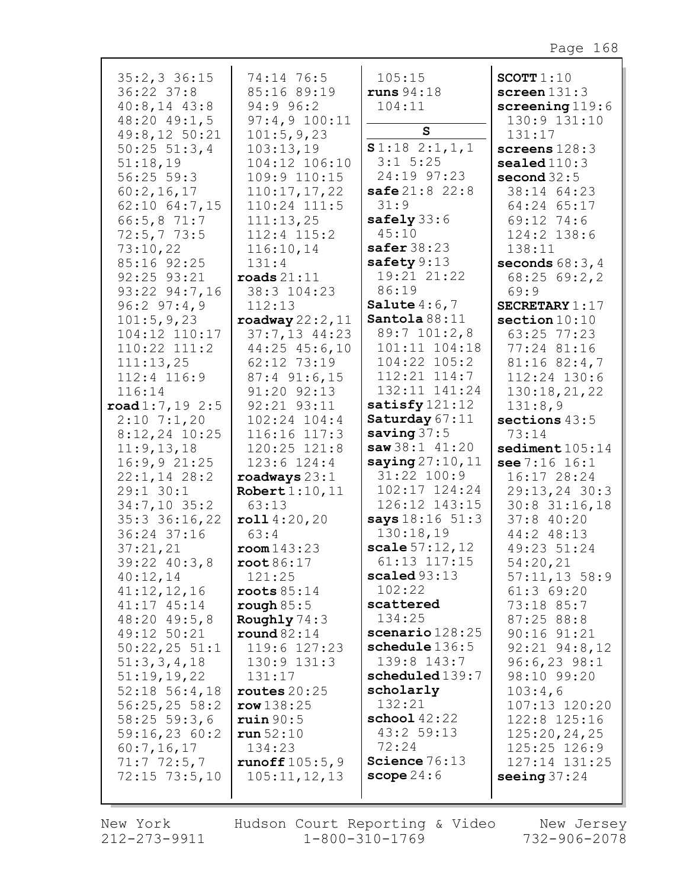| $35:2,3$ 36:15<br>$36:22$ $37:8$<br>$40:8, 14$ $43:8$<br>48:20 49:1,5<br>49:8,12 50:21<br>$50:25$ $51:3,4$<br>51:18,19<br>$56:25$ $59:3$<br>60:2,16,17<br>62:10 64:7,15<br>66:5, 871:7<br>72:5,773:5<br>73:10,22<br>85:16 92:25<br>92:25 93:21<br>93:22 94:7,16<br>96:297:4,9<br>101:5, 9, 23<br>104:12 110:17<br>$110:22$ $111:2$<br>111:13,25<br>112:4 116:9<br>116:14<br>$\texttt{road1:7,19}$ 2:5<br>$2:10$ 7:1,20<br>$8:12,24$ 10:25<br>11:9, 13, 18<br>16:9,921:25<br>$22:1,14$ 28:2<br>$29:1$ 30:1<br>34:7,10 35:2<br>$35:3$ $36:16$ , 22<br>36:24 37:16<br>37:21,21<br>39:22 40:3,8<br>40:12,14<br>41:12,12,16<br>41:17 45:14<br>48:20 49:5,8<br>49:12 50:21<br>$50:22,25$ 51:1<br>51:3,3,4,18<br>51:19,19,22<br>$52:18$ $56:4,18$ | 74:14 76:5<br>85:16 89:19<br>94:9 96:2<br>97:4,9 100:11<br>101:5,9,23<br>103:13,19<br>104:12 106:10<br>109:9 110:15<br>110:17,17,22<br>110:24 111:5<br>111:13,25<br>112:4 115:2<br>116:10,14<br>131:4<br>$\texttt{roads} 21:11$<br>38:3 104:23<br>112:13<br>roadway $22:2$ , $11$<br>$37:7,13$ 44:23<br>44:25 45:6,10<br>62:12 73:19<br>$87:4$ 91:6,15<br>91:20 92:13<br>92:21 93:11<br>102:24 104:4<br>116:16 117:3<br>120:25 121:8<br>$123:6$ $124:4$<br>$\texttt{roadways} 23:1$<br>Robert $1:10,11$<br>63:13<br>roll4:20,20<br>63:4<br>room143:23<br>root 86:17<br>121:25<br>roots $85:14$<br>rough $85:5$<br>Roughly 74:3<br>round $82:14$<br>119:6 127:23<br>$130:9$ $131:3$<br>131:17<br>routes $20:25$<br>row 138:25 | 105:15<br>runs 94:18<br>104:11<br>$\mathbf{s}$<br>S1:182:1,1,1<br>$3:1$ 5:25<br>24:19 97:23<br>safe 21:8 22:8<br>31:9<br>safely $33:6$<br>45:10<br>safer $38:23$<br>safety $9:13$<br>19:21 21:22<br>86:19<br>Salute $4:6,7$<br>Santola 88:11<br>89:7 101:2,8<br>101:11 104:18<br>104:22 105:2<br>$112:21$ $114:7$<br>132:11 141:24<br>satisfy $121:12$<br>Saturday 67:11<br>saving $37:5$<br>saw38:141:20<br>saying $27:10,11$<br>31:22 100:9<br>102:17 124:24<br>126:12 143:15<br>says 18:16 51:3<br>130:18,19<br>scale $57:12,12$<br>61:13 117:15<br>scaled93:13<br>102:22<br>scattered<br>134:25<br>scenario 128:25<br>schedule 136:5<br>139:8 143:7<br>scheduled 139:7<br>scholarly<br>132:21 | SCOTT $1:10$<br>screen $131:3$<br>screening $119:6$<br>130:9 131:10<br>131:17<br>screens $128:3$<br>sealed110:3<br>second $32:5$<br>38:14 64:23<br>64:24 65:17<br>69:12 74:6<br>124:2 138:6<br>138:11<br>seconds $68:3,4$<br>68:2569:2,2<br>69:9<br>SECRETARY $1:17$<br>section $10:10$<br>63:25 77:23<br>77:24 81:16<br>$81:16$ $82:4,7$<br>112:24 130:6<br>130:18,21,22<br>131:8,9<br>sections $43:5$<br>73:14<br>sediment $105:14$<br>see 7:16 16:1<br>16:17 28:24<br>29:13,24 30:3<br>$30:8$ 31:16,18<br>$37:8$ 40:20<br>44:2 48:13<br>49:23 51:24<br>54:20,21<br>$57:11,13$ 58:9<br>$61:3$ $69:20$<br>73:18 85:7<br>87:25 88:8<br>$90:16$ $91:21$<br>$92:21$ $94:8,12$<br>$96:6, 23$ 98:1<br>98:10 99:20<br>103:4,6<br>107:13 120:20 |
|--------------------------------------------------------------------------------------------------------------------------------------------------------------------------------------------------------------------------------------------------------------------------------------------------------------------------------------------------------------------------------------------------------------------------------------------------------------------------------------------------------------------------------------------------------------------------------------------------------------------------------------------------------------------------------------------------------------------------------------------|------------------------------------------------------------------------------------------------------------------------------------------------------------------------------------------------------------------------------------------------------------------------------------------------------------------------------------------------------------------------------------------------------------------------------------------------------------------------------------------------------------------------------------------------------------------------------------------------------------------------------------------------------------------------------------------------------------------------------|---------------------------------------------------------------------------------------------------------------------------------------------------------------------------------------------------------------------------------------------------------------------------------------------------------------------------------------------------------------------------------------------------------------------------------------------------------------------------------------------------------------------------------------------------------------------------------------------------------------------------------------------------------------------------------------------------|-------------------------------------------------------------------------------------------------------------------------------------------------------------------------------------------------------------------------------------------------------------------------------------------------------------------------------------------------------------------------------------------------------------------------------------------------------------------------------------------------------------------------------------------------------------------------------------------------------------------------------------------------------------------------------------------------------------------------------------------|
| 56:25,25558:2<br>$58:25$ 59:3,6<br>59:16,2360:2<br>60:7,16,17<br>71:772:5,7<br>$72:15$ $73:5,10$                                                                                                                                                                                                                                                                                                                                                                                                                                                                                                                                                                                                                                           | ruin 90:5<br>run 52:10<br>134:23<br>runoff105:5,9<br>105:11,12,13                                                                                                                                                                                                                                                                                                                                                                                                                                                                                                                                                                                                                                                            | $\texttt{school}$ 42:22<br>43:2 59:13<br>72:24<br>Science $76:13$<br>scope $24:6$                                                                                                                                                                                                                                                                                                                                                                                                                                                                                                                                                                                                                 | 122:8 125:16<br>125:20, 24, 25<br>125:25 126:9<br>127:14 131:25<br>seeing $37:24$                                                                                                                                                                                                                                                                                                                                                                                                                                                                                                                                                                                                                                                         |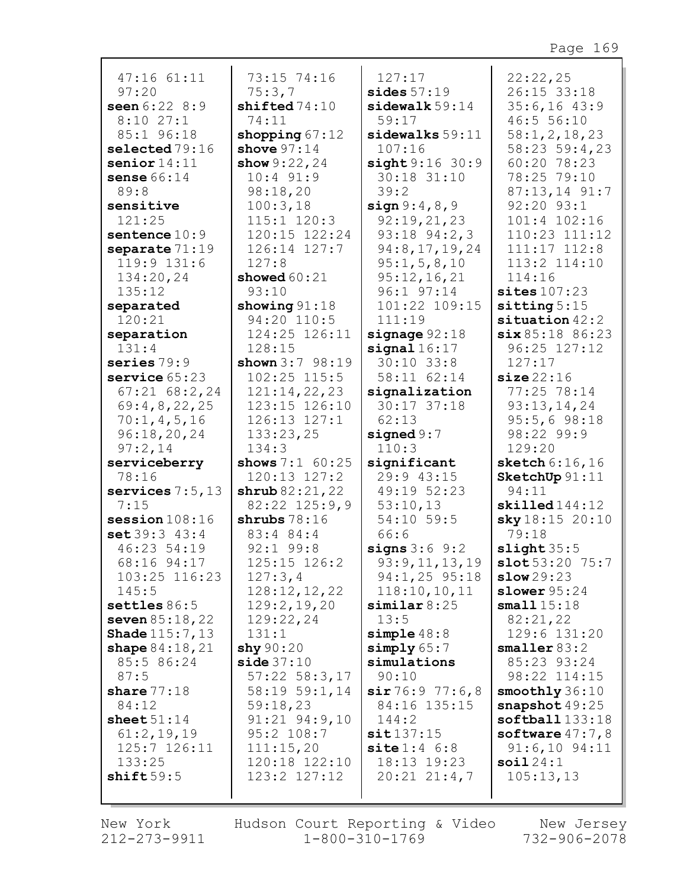| $47:16$ $61:11$          | 73:15 74:16           | 127:17                      | 22:22,25                   |
|--------------------------|-----------------------|-----------------------------|----------------------------|
| 97:20                    | 75:3,7                | sides $57:19$               | 26:15 33:18                |
| seen $6:228:9$           | shifted74:10          | sidewalk 59:14              | 35:6,1643:9                |
| 8:1027:1                 | 74:11                 | 59:17                       | 46:5 56:10                 |
| 85:1 96:18               | shopping $67:12$      | sidewalks 59:11             | 58:1, 2, 18, 23            |
| selected 79:16           | shove $97:14$         | 107:16                      | 58:23 59:4,23              |
| senior $14:11$           | show 9:22, 24         | sight 9:16 30:9             | 60:20 78:23                |
| sense $66:14$            | $10:4$ 91:9           | 30:18 31:10                 | 78:25 79:10                |
| 89:8                     | 98:18,20              | 39:2                        | 87:13,14 91:7              |
| sensitive                | 100:3,18              | sign 9:4,8,9                | 92:20 93:1                 |
| 121:25                   | 115:1 120:3           | 92:19,21,23                 | 101:4 102:16               |
| sentence $10:9$          | 120:15 122:24         | $93:18$ $94:2,3$            | 110:23 111:12              |
| separate $71:19$         | 126:14 127:7          | 94:8, 17, 19, 24            | $111:17$ $112:8$           |
| 119:9 131:6              | 127:8                 | 95:1, 5, 8, 10              | 113:2 114:10               |
| 134:20,24                | showed $60:21$        | 95:12,16,21                 | 114:16                     |
| 135:12                   | 93:10                 | 96:1 97:14                  | sites $107:23$             |
| separated                | showing $91:18$       | 101:22 109:15               | sitting $5:15$             |
| 120:21                   | 94:20 110:5           | 111:19                      | $situation$ 42:2           |
| separation               | 124:25 126:11         | signage $92:18$             | six 85:18 86:23            |
| 131:4                    | 128:15                | signal16:17                 | 96:25 127:12               |
| series $79:9$            | shown $3:7$ 98:19     | $30:10$ 33:8                | 127:17                     |
| service $65:23$          | $102:25$ $115:5$      | 58:11 62:14                 | size 22:16                 |
| $67:21$ $68:2,24$        | 121:14,22,23          | signalization               | 77:25 78:14                |
| 69:4,8,22,25             | 123:15 126:10         | 30:17 37:18                 | 93:13,14,24                |
| 70:1, 4, 5, 16           | $126:13$ $127:1$      | 62:13                       | 95:5,698:18                |
| 96:18,20,24              | 133:23,25             | signed $9:7$                | 98:22 99:9                 |
| 97:2,14                  | 134:3                 | 110:3                       | 129:20                     |
| serviceberry             | shows $7:1$ 60:25     | significant                 | sketch $6:16,16$           |
| 78:16                    | 120:13 127:2          | 29:9 43:15                  | SketchUp 91:11             |
| services $7:5,13$        | shrub 82:21,22        | 49:19 52:23                 | 94:11                      |
| 7:15                     | $82:22$ $125:9,9$     | 53:10,13                    | $\texttt{skilled144:12}$   |
| session $108:16$         | shrubs $78:16$        | 54:10 59:5                  | sky18:15 20:10             |
| set 39:343:4             | 83:4 84:4             | 66:6                        | 79:18                      |
| 46:23 54:19              | $92:1$ 99:8           | signs $3:6$ $9:2$           | slight 35:5                |
| 68:16 94:17              | 125:15 126:2          | 93:9,11,13,19               | slot 53:20 75:7            |
| 103:25 116:23            | 127:3,4               | 94:1,25 95:18               | slow29:23                  |
| 145:5                    | 128:12,12,22          | 118:10, 10, 11              | slower $95:24$             |
| settles $86:5$           | 129:2,19,20           | similar 8:25                | small15:18                 |
| seven 85:18,22           | 129:22,24             | 13:5                        | 82:21,22                   |
| <b>Shade</b> $115:7, 13$ | 131:1                 | $simple$ 48:8               | 129:6 131:20               |
| shape $84:18,21$         | $\textbf{shy } 90:20$ | simply 65:7                 | smaller 83:2               |
| 85:5 86:24               | side 37:10            | simulations                 | 85:23 93:24                |
| 87:5                     | $57:22$ $58:3,17$     | 90:10                       | 98:22 114:15               |
| share $77:18$            | 58:19 59:1,14         | sir 76:9 77:6,8             | smoothly 36:10             |
| 84:12                    | 59:18,23              | 84:16 135:15                | snapshot $49:25$           |
| sheet $51:14$            | $91:21$ $94:9,10$     | 144:2                       | $\texttt{softball}$ 133:18 |
| 61:2,19,19               | 95:2 108:7            | sit137:15                   | software $47:7,8$          |
| 125:7 126:11             | 111:15,20             | $\texttt{site} 1:4\quad6:8$ | $91:6,10$ $94:11$          |
| 133:25                   | 120:18 122:10         | 18:13 19:23                 | soi124:1                   |
| shift59:5                | $123:2$ $127:12$      | $20:21$ $21:4,7$            | 105:13,13                  |

г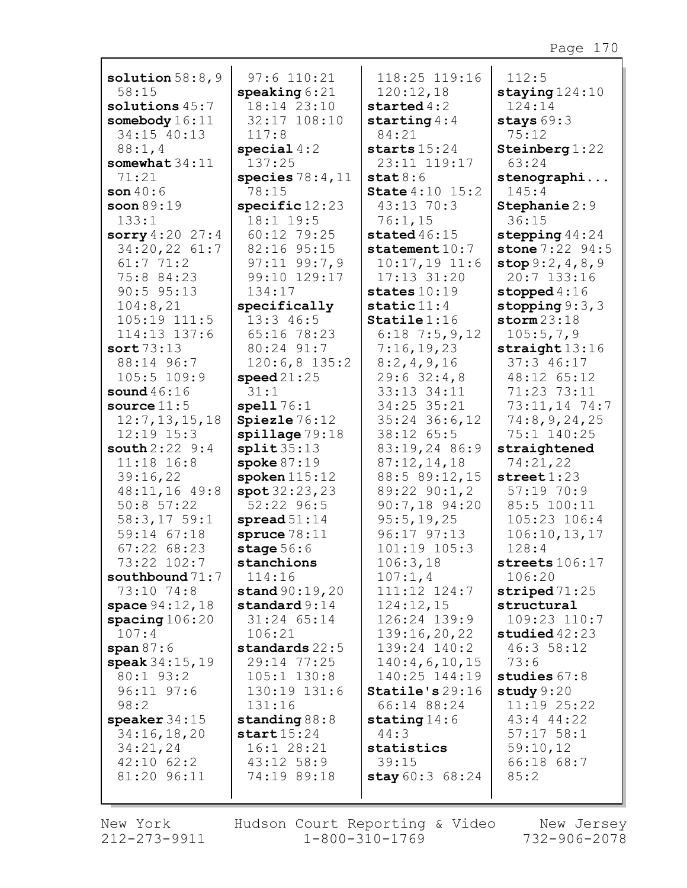| solution $58:8,9$               | $97:6$ 110:21                    | 118:25 119:16                      | 112:5                            |
|---------------------------------|----------------------------------|------------------------------------|----------------------------------|
| 58:15                           | $\texttt{speaking} 6:21$         | 120:12,18                          | staying $124:10$                 |
| solutions $45:7$                | 18:14 23:10                      | started $4:2$                      | 124:14                           |
| somebody $16:11$                | 32:17 108:10                     | starting $4:4$                     | stays $69:3$                     |
| 34:15 40:13                     | 117:8                            | 84:21                              | 75:12                            |
| 88:1, 4                         | special $4:2$                    | starts $15:24$                     | Steinberg $1:22$                 |
| somewhat $34:11$                | 137:25                           | 23:11 119:17                       | 63:24                            |
| 71:21                           | species $78:4,11$                | stat8:6                            | stenographi                      |
| son $40:6$                      | 78:15                            | <b>State</b> 4:10 15:2             | 145:4                            |
| soon $89:19$                    | $specific$ $12:23$               | 43:13 70:3                         | Stephanie 2:9                    |
| 133:1                           | 18:1 19:5                        | 76:1,15                            | 36:15                            |
| sorry $4:20$ 27:4               | 60:12 79:25                      | stated $46:15$                     | stepping $44:24$                 |
| 34:20,22 61:7                   | 82:16 95:15                      | statement $10:7$                   | stone 7:22 94:5                  |
| 61:771:2                        | $97:11$ $99:7,9$<br>99:10 129:17 | $10:17,19$ 11:6<br>$17:13$ $31:20$ | stop 9:2, 4, 8, 9<br>20:7 133:16 |
| 75:8 84:23<br>$90:5$ $95:13$    | 134:17                           | states $10:19$                     | stopped $4:16$                   |
| 104:8,21                        | specifically                     | static $11:4$                      | stopping $9:3,3$                 |
| 105:19 111:5                    | 13:3 46:5                        | $Staticle 1:16$                    | storm 23:18                      |
| 114:13 137:6                    | 65:16 78:23                      | $6:18$ 7:5, 9, 12                  | 105:5,7,9                        |
| sort $73:13$                    | 80:24 91:7                       | 7:16,19,23                         | straight13:16                    |
| 88:14 96:7                      | $120:6,8$ 135:2                  | 8:2,4,9,16                         | 37:346:17                        |
| 105:5 109:9                     | speed21:25                       | 29:632:4,8                         | 48:12 65:12                      |
| sound $46:16$                   | 31:1                             | 33:13 34:11                        | 71:23 73:11                      |
| source $11:5$                   | spel176:1                        | 34:25 35:21                        | 73:11,14 74:7                    |
| 12:7, 13, 15, 18                | Spiezle 76:12                    | $35:24$ 36:6,12                    | 74:8,9,24,25                     |
| $12:19$ $15:3$                  | spillage 79:18                   | 38:12 65:5                         | 75:1 140:25                      |
| <b>south</b> $2:22 \; 9:4$      | split35:13                       | 83:19,24 86:9                      | straightened                     |
| $11:18$ 16:8                    | spoke $87:19$                    | 87:12,14,18                        | 74:21,22                         |
| 39:16,22                        | spoken $115:12$                  | 88:5 89:12,15                      | $\texttt{street} 1:23$           |
| 48:11,16 49:8                   | spot 32:23,23                    | 89:22 90:1,2                       | 57:1970:9                        |
| $50:8$ 57:22                    | 52:22 96:5                       | 90:7,18 94:20                      | 85:5 100:11                      |
| 58:3,1759:1                     | spread $51:14$                   | 95:5,19,25                         | 105:23 106:4                     |
| 59:14 67:18                     | spruce $78:11$                   | 96:17 97:13                        | 106:10, 13, 17                   |
| 67:2268:23                      | stage $56:6$                     | 101:19 105:3                       | 128:4                            |
| 73:22 102:7                     | stanchions                       | 106:3,18                           | streets $106:17$                 |
| southbound $71:7$<br>73:10 74:8 | 114:16<br>stand 90:19, 20        | 107:1,4<br>111:12 124:7            | 106:20<br>striped $71:25$        |
| space $94:12,18$                | standard $9:14$                  | 124:12,15                          | structural                       |
| $\frac{\text{spacing}}{106:20}$ | $31:24$ $65:14$                  | 126:24 139:9                       | 109:23 110:7                     |
| 107:4                           | 106:21                           | 139:16,20,22                       | studied $42:23$                  |
| span $87:6$                     | standards 22:5                   | 139:24 140:2                       | 46:358:12                        |
| speak $34:15,19$                | 29:14 77:25                      | 140:4,6,10,15                      | 73:6                             |
| 80:1 93:2                       | $105:1$ $130:8$                  | 140:25 144:19                      | studies $67:8$                   |
| $96:11$ $97:6$                  | 130:19 131:6                     | Staticle's 29:16                   | study $9:20$                     |
| 98:2                            | 131:16                           | 66:14 88:24                        | 11:19 25:22                      |
| speaker $34:15$                 | standing $88:8$                  | stating $14:6$                     | 43:4 44:22                       |
| 34:16,18,20                     | start15:24                       | 44:3                               | $57:17$ $58:1$                   |
| 34:21,24                        | 16:1 28:21                       | statistics                         | 59:10,12                         |
| $42:10$ 62:2                    | 43:12 58:9                       | 39:15                              | 66:18 68:7                       |
| 81:20 96:11                     | 74:19 89:18                      | stay 60:3 68:24                    | 85:2                             |
|                                 |                                  |                                    |                                  |

New York Hudson Court Reporting & Video New Jersey<br>212-273-9911 1-800-310-1769 732-906-2078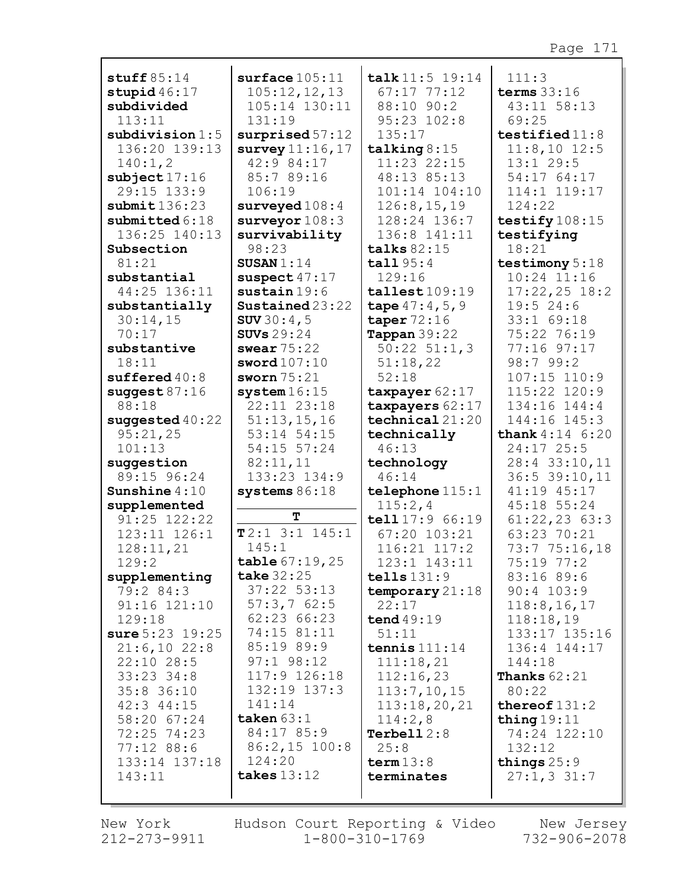| stuff $85:14$             | surface 105:11                                   | talk 11:5 19:14                  | 111:3                       |
|---------------------------|--------------------------------------------------|----------------------------------|-----------------------------|
| stupid $46:17$            | 105:12,12,13                                     | $67:17$ $77:12$                  | terms $33:16$               |
| subdivided                | 105:14 130:11                                    | 88:10 90:2                       | 43:11 58:13                 |
| 113:11                    | 131:19                                           | 95:23 102:8                      | 69:25                       |
| subdivision 1:5           | surprised 57:12                                  | 135:17                           | testified $11:8$            |
| 136:20 139:13             | survey $11:16$ , $17$                            | talking $8:15$                   | $11:8,10$ 12:5              |
| 140:1,2                   | 42:9 84:17                                       | 11:23 22:15                      | 13:129:5                    |
| subject17:16              | 85:7 89:16                                       | 48:13 85:13                      | 54:17 64:17                 |
| 29:15 133:9               | 106:19                                           | 101:14 104:10                    | 114:1 119:17                |
| submit 136:23             | surveyed $108:4$                                 | 126:8, 15, 19                    | 124:22                      |
| submitted $6:18$          | surveyor $108:3$                                 | 128:24 136:7                     | testify 108:15              |
| 136:25 140:13             | survivability                                    | 136:8 141:11                     | testifying                  |
| Subsection                | 98:23                                            | talks $82:15$                    | 18:21                       |
| 81:21                     | SUSAN $1:14$                                     | tall95:4                         | testimony 5:18              |
| substantial               | suspect $47:17$                                  | 129:16                           | $10:24$ $11:16$             |
| 44:25 136:11              | $s$ ustain $19:6$                                | tallest 109:19                   | $17:22,25$ 18:2             |
| substantially<br>30:14,15 | $\texttt{Sustained}23:22$<br><b>SUV</b> $30:4,5$ | tape $47:4,5,9$<br>taper $72:16$ | 19:524:6<br>33:1 69:18      |
| 70:17                     | SUVs $29:24$                                     | Tappan $39:22$                   | 75:22 76:19                 |
| substantive               | swear $75:22$                                    | $50:22$ $51:1,3$                 | 77:16 97:17                 |
| 18:11                     | sword107:10                                      | 51:18,22                         | 98:799:2                    |
| sufficiented40:8          | sworn $75:21$                                    | 52:18                            | 107:15 110:9                |
| suggest $87:16$           | system $16:15$                                   | taxpayer $62:17$                 | 115:22 120:9                |
| 88:18                     | 22:11 23:18                                      | taxpayers 62:17                  | 134:16 144:4                |
| suggested $40:22$         | 51:13,15,16                                      | $\texttt{technical}\,21:20$      | 144:16 145:3                |
| 95:21,25                  | 53:14 54:15                                      | technically                      | <b>thank</b> $4:14$ $6:20$  |
| 101:13                    | 54:15 57:24                                      | 46:13                            | 24:17 25:5                  |
| suggestion                | 82:11,11                                         | technology                       | 28:4 33:10,11               |
| 89:15 96:24               | 133:23 134:9                                     | 46:14                            | 36:5 39:10,11               |
| Sunshine $4:10$           | systems $86:18$                                  | telephone $115:1$                | 41:19 45:17                 |
| supplemented              | т                                                | 115:2,4                          | 45:18 55:24                 |
| 91:25 122:22              | T2:13:1145:1                                     | tell 17:9 66:19                  | $61:22,23$ $63:3$           |
| 123:11 126:1              | 145:1                                            | 67:20 103:21                     | 63:23 70:21                 |
| 128:11,21<br>129:2        | table 67:19,25                                   | 116:21 117:2<br>123:1 143:11     | 73:7 75:16,18<br>75:19 77:2 |
| supplementing             | take $32:25$                                     | tells $131:9$                    | 83:16 89:6                  |
| 79:2 84:3                 | $37:22$ 53:13                                    | temporary 21:18                  | 90:4 103:9                  |
| 91:16 121:10              | 57:3,762:5                                       | 22:17                            | 118:8, 16, 17               |
| 129:18                    | 62:23 66:23                                      | tend 49:19                       | 118:18,19                   |
| sure $5:23$ 19:25         | 74:15 81:11                                      | 51:11                            | 133:17 135:16               |
| 21:6,1022:8               | 85:19 89:9                                       | tennis $111:14$                  | 136:4 144:17                |
| 22:10 28:5                | $97:1$ $98:12$                                   | 111:18,21                        | 144:18                      |
| $33:23$ $34:8$            | 117:9 126:18                                     | 112:16,23                        | <b>Thanks</b> $62:21$       |
| $35:8$ 36:10              | 132:19 137:3                                     | 113:7, 10, 15                    | 80:22                       |
| $42:3$ $44:15$            | 141:14                                           | 113:18,20,21                     | thereof $131:2$             |
| 58:20 67:24               | taken $63:1$                                     | 114:2,8                          | thing $19:11$               |
| 72:25 74:23               | 84:17 85:9                                       | Terbell $2:8$                    | 74:24 122:10                |
| 77:12 88:6                | $86:2,15$ 100:8                                  | 25:8                             | 132:12                      |
| 133:14 137:18             | 124:20                                           | term 13:8                        | things $25:9$               |
| 143:11                    | takes $13:12$                                    | terminates                       | $27:1, 3$ 31:7              |
|                           |                                                  |                                  |                             |

New York  $212 - 273 - 9911$ 

Hudson Court Reporting & Video New Jersey  $1 - 800 - 310 - 1769$ 

732-906-2078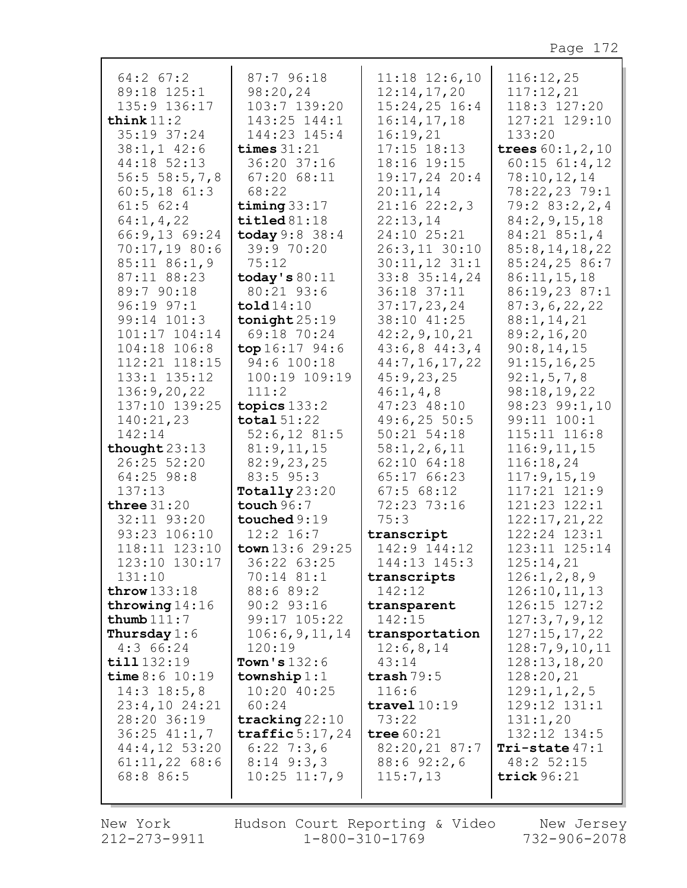| $64:2$ $67:2$<br>89:18 125:1 | 87:796:18<br>98:20,24    | $11:18$ $12:6,10$<br>12:14,17,20 | 116:12,25<br>117:12,21        |
|------------------------------|--------------------------|----------------------------------|-------------------------------|
| 135:9 136:17                 | 103:7 139:20             | $15:24,25$ 16:4                  | 118:3 127:20                  |
| think $11:2$                 | 143:25 144:1             | 16:14,17,18                      | 127:21 129:10                 |
| 35:19 37:24                  | 144:23 145:4             | 16:19,21                         | 133:20                        |
| $38:1, 1$ 42:6               | times $31:21$            | $17:15$ $18:13$                  | trees $60:1, 2, 10$           |
| 44:18 52:13                  | 36:20 37:16              | 18:16 19:15                      | $60:15$ $61:4,12$             |
| 56:5 58:5,7,8                | 67:2068:11               | 19:17,24 20:4                    | 78:10, 12, 14                 |
| $60:5, 18$ $61:3$            | 68:22                    | 20:11,14                         | 78:22,23 79:1                 |
| $61:5$ $62:4$                | timing $33:17$           | 21:1622:2,3                      | 79:283:2,2,4                  |
| 64:1, 4, 22                  | $\texttt{tiled} 81:18$   | 22:13,14                         | 84:2, 9, 15, 18               |
| 66:9,13 69:24                | today 9:8 38:4           | 24:10 25:21                      | $84:21$ $85:1,4$              |
| 70:17,19 80:6                | 39:9 70:20               | 26:3,11 30:10                    | 85:8, 14, 18, 22              |
| 85:11 86:1,9                 | 75:12                    | $30:11,12$ 31:1                  | 85:24,25 86:7                 |
| 87:11 88:23                  | today's $80:11$          | 33:8 35:14,24                    | 86:11,15,18                   |
| 89:7 90:18                   | 80:21 93:6               | 36:18 37:11                      | 86:19,23 87:1                 |
| 96:19 97:1                   | $\texttt{told14:10}$     | 37:17,23,24                      | 87:3,6,22,22                  |
| 99:14 101:3                  | $\texttt{tonight}25:19$  | 38:10 41:25                      | 88:1, 14, 21                  |
| 101:17 104:14                | 69:18 70:24              | 42:2, 9, 10, 21                  | 89:2,16,20                    |
| 104:18 106:8                 | top 16:1794:6            | $43:6,8$ $44:3,4$                | 90:8,14,15                    |
| 112:21 118:15                | 94:6 100:18              | 44:7, 16, 17, 22                 | 91:15,16,25                   |
| 133:1 135:12                 | 100:19 109:19            | 45:9,23,25                       | 92:1, 5, 7, 8                 |
| 136:9,20,22                  | 111:2                    | 46:1, 4, 8                       | 98:18,19,22                   |
| 137:10 139:25                | topics $133:2$           | 47:23 48:10                      | 98:23 99:1,10                 |
| 140:21,23                    | total $51:22$            | 49:6, 2550:5<br>$50:21$ $54:18$  | 99:11 100:1                   |
| 142:14<br>thought $23:13$    | 52:6,1281:5              |                                  | 115:11 116:8<br>116:9, 11, 15 |
| 26:25 52:20                  | 81:9,11,15<br>82:9,23,25 | 58:1,2,6,11<br>$62:10$ $64:18$   | 116:18,24                     |
| 64:25 98:8                   | 83:5 95:3                | 65:17 66:23                      | 117:9, 15, 19                 |
| 137:13                       | Totally $23:20$          | $67:5$ $68:12$                   | 117:21 121:9                  |
| three $31:20$                | touch $96:7$             | 72:23 73:16                      | 121:23 122:1                  |
| 32:11 93:20                  | touched 9:19             | 75:3                             | 122:17,21,22                  |
| 93:23 106:10                 | $12:2$ 16:7              | transcript                       | 122:24 123:1                  |
| 118:11 123:10                | town $13:6$ 29:25        | 142:9 144:12                     | 123:11 125:14                 |
| 123:10 130:17                | 36:22 63:25              | 144:13 145:3                     | 125:14,21                     |
| 131:10                       | 70:14 81:1               | transcripts                      | 126:1, 2, 8, 9                |
| throw $133:18$               | 88:6 89:2                | 142:12                           | 126:10, 11, 13                |
| throwing $14:16$             | $90:2$ $93:16$           | transparent                      | 126:15 127:2                  |
| thumb $111:7$                | 99:17 105:22             | 142:15                           | 127:3,7,9,12                  |
| Thursday $1:6$               | 106:6,9,11,14            | transportation                   | 127:15,17,22                  |
| 4:366:24                     | 120:19                   | 12:6,8,14                        | 128:7,9,10,11                 |
| till 132:19                  | Town's $132:6$           | 43:14                            | 128:13,18,20                  |
| time 8:6 10:19               | township $1:1$           | trash $79:5$                     | 128:20,21                     |
| $14:3$ $18:5,8$              | 10:20 40:25              | 116:6                            | 129:1, 1, 2, 5                |
| $23:4,10$ $24:21$            | 60:24                    | travel $10:19$                   | 129:12 131:1                  |
| 28:20 36:19                  | tracking $22:10$         | 73:22                            | 131:1,20                      |
| $36:25$ $41:1,7$             | traffic $5:17,24$        | tree $60:21$                     | 132:12 134:5                  |
| $44:4,12$ 53:20              | $6:22$ 7:3,6             | 82:20,21 87:7                    | Tri-state $47:1$              |
| $61:11,22$ 68:6              | $8:14$ 9:3,3             | $88:6$ 92:2,6                    | 48:2 52:15                    |
| 68:8 86:5                    | $10:25$ $11:7,9$         | 115:7,13                         | trick $96:21$                 |
|                              |                          |                                  |                               |

New York Hudson Court Reporting & Video New Jersey<br>212-273-9911 1-800-310-1769 732-906-2078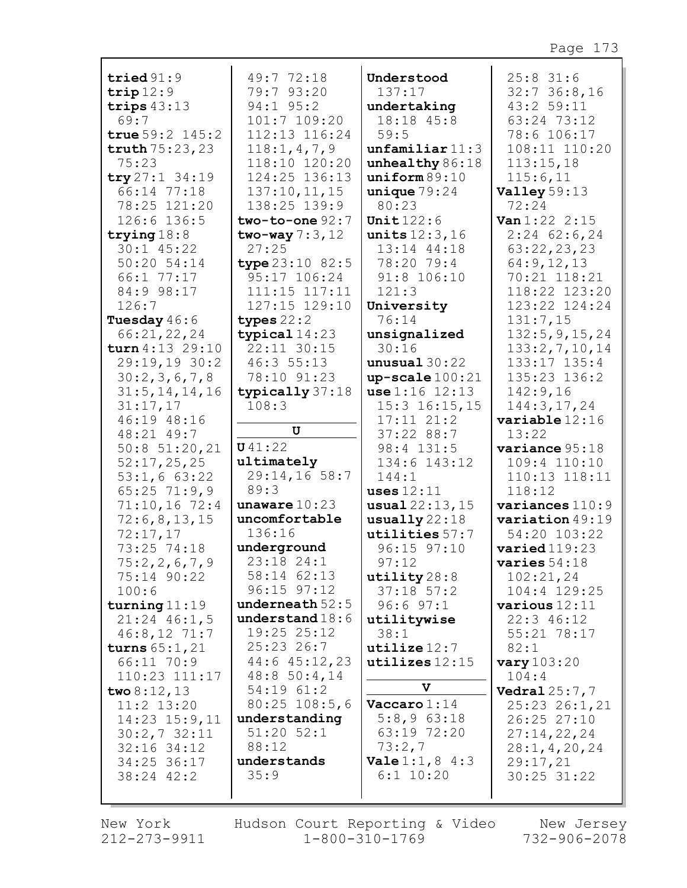| tried $91:9$        | 49:7 72:18        | Understood                 | $25:8$ 31:6          |
|---------------------|-------------------|----------------------------|----------------------|
| trip12:9            | 79:7 93:20        | 137:17                     | $32:7$ 36:8,16       |
|                     | 94:1 95:2         |                            | 43:2 59:11           |
| trips $43:13$       |                   | undertaking                |                      |
| 69:7                | 101:7 109:20      | 18:18 45:8                 | 63:24 73:12          |
| true $59:2$ $145:2$ | 112:13 116:24     | 59:5                       | 78:6 106:17          |
| truth $75:23,23$    | 118:1, 4, 7, 9    | unfamiliar 11:3            | 108:11 110:20        |
| 75:23               | 118:10 120:20     | unhealthy $86:18$          | 113:15,18            |
| try27:134:19        | 124:25 136:13     | uniform 89:10              | 115:6,11             |
|                     |                   |                            |                      |
| 66:14 77:18         | 137:10, 11, 15    | unique $79:24$             | Valley 59:13         |
| 78:25 121:20        | 138:25 139:9      | 80:23                      | 72:24                |
| 126:6 136:5         | two-to-one $92:7$ | Unit $122:6$               | Van 1:22 2:15        |
| trying $18:8$       | two-way $7:3,12$  | units $12:3,16$            | $2:24$ 62:6,24       |
| $30:1$ 45:22        | 27:25             | 13:14 44:18                | 63:22,23,23          |
| 50:20 54:14         | type $23:10$ 82:5 | 78:20 79:4                 | 64:9,12,13           |
|                     |                   |                            |                      |
| 66:1 77:17          | 95:17 106:24      | 91:8 106:10                | 70:21 118:21         |
| 84:9 98:17          | 111:15 117:11     | 121:3                      | 118:22 123:20        |
| 126:7               | 127:15 129:10     | University                 | 123:22 124:24        |
| Tuesday $46:6$      | types $22:2$      | 76:14                      | 131:7,15             |
| 66:21,22,24         | typical $14:23$   | unsignalized               | 132:5, 9, 15, 24     |
| turn 4:13 29:10     | 22:11 30:15       | 30:16                      | 133:2,7,10,14        |
| 29:19,19 30:2       | 46:3 55:13        | unusual 30:22              | 133:17 135:4         |
|                     |                   |                            |                      |
| 30:2,3,6,7,8        | 78:10 91:23       | $up-scale 100:21$          | 135:23 136:2         |
| 31:5, 14, 14, 16    | typically 37:18   | use 1:16 12:13             | 142:9,16             |
| 31:17,17            | 108:3             | $15:3$ $16:15$ , 15        | 144:3, 17, 24        |
| 46:19 48:16         |                   | $17:11$ $21:2$             | variable 12:16       |
| 48:21 49:7          | U                 | 37:22 88:7                 | 13:22                |
| $50:8$ $51:20,21$   | U41:22            | 98:4 131:5                 | variance 95:18       |
| 52:17,25,25         | ultimately        | 134:6 143:12               | 109:4 110:10         |
| 53:1,663:22         | 29:14,16 58:7     | 144:1                      | 110:13 118:11        |
| $65:25$ 71:9,9      | 89:3              | uses $12:11$               | 118:12               |
|                     |                   |                            |                      |
| $71:10,16$ 72:4     | unaware $10:23$   | usual 22:13,15             | variances $110:9$    |
| 72:6,8,13,15        | uncomfortable     | usually22:18               | variation 49:19      |
| 72:17,17            | 136:16            | utilities 57:7             | 54:20 103:22         |
| 73:25 74:18         | underground       | 96:15 97:10                | varied119:23         |
| 75:2,2,6,7,9        | 23:18 24:1        | 97:12                      | varies $54:18$       |
| 75:14 90:22         | 58:14 62:13       | utility $28:8$             | 102:21,24            |
| 100:6               | 96:15 97:12       | $37:18$ $57:2$             | 104:4 129:25         |
| turning $11:19$     | underneath $52:5$ | $96:6$ $97:1$              | various 12:11        |
|                     | understand $18:6$ |                            |                      |
| $21:24$ 46:1,5      |                   | utilitywise                | $22:3$ 46:12         |
| $46:8,12$ 71:7      | 19:25 25:12       | 38:1                       | 55:21 78:17          |
| turns $65:1,21$     | $25:23$ 26:7      | utilize 12:7               | 82:1                 |
| 66:11 70:9          | 44:6 45:12,23     | $utilizes$ $12:15$         | vary $103:20$        |
| 110:23 111:17       | 48:850:4,14       |                            | 104:4                |
| two $8:12,13$       | 54:19 61:2        | V                          | <b>Vedral</b> 25:7,7 |
| $11:2$ $13:20$      | $80:25$ 108:5,6   | $\textbf{Vaccaro} 1:14$    | 25:23 26:1,21        |
| $14:23$ $15:9,11$   | understanding     | $5:8,9$ 63:18              | 26:25 27:10          |
|                     | $51:20$ $52:1$    | 63:19 72:20                |                      |
| 30:2,732:11         |                   |                            | 27:14,22,24          |
| $32:16$ $34:12$     | 88:12             | 73:2,7                     | 28:1, 4, 20, 24      |
| 34:25 36:17         | understands       | <b>Vale</b> $1:1, 8$ $4:3$ | 29:17,21             |
| 38:24 42:2          | 35:9              | $6:1$ 10:20                | 30:25 31:22          |
|                     |                   |                            |                      |
|                     |                   |                            |                      |

New York 212-273-9911

Hudson Court Reporting & Video<br>11 1-800-310-1769

New Jersey  $732 - 906 - 2078$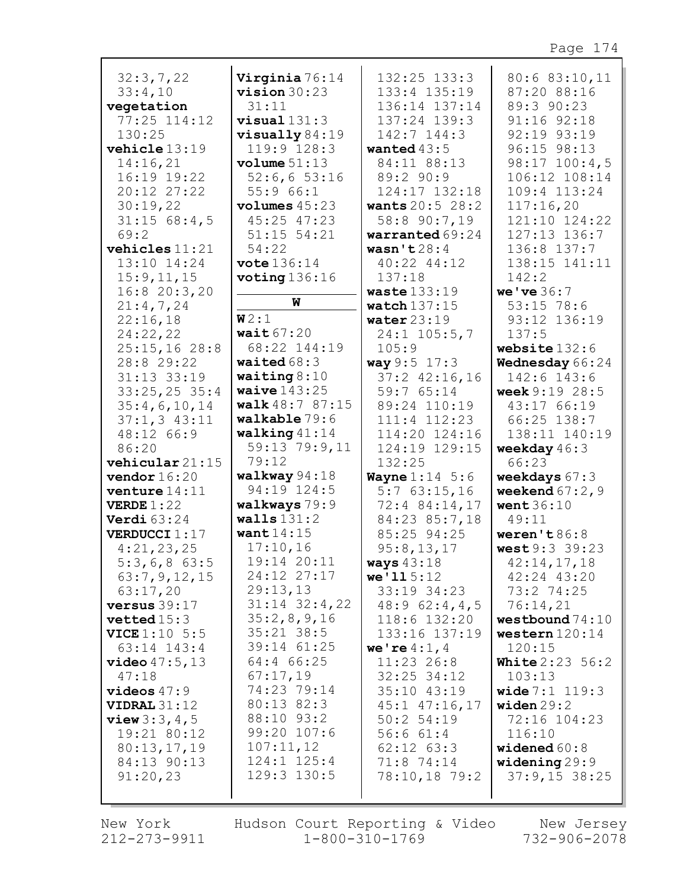| 32:3,7,22                             | Virginia 76:14          | 132:25 133:3                  | 80:6 83:10,11                         |
|---------------------------------------|-------------------------|-------------------------------|---------------------------------------|
| 33:4,10                               | $vision 30:23$          | 133:4 135:19                  | 87:20 88:16                           |
| vegetation                            | 31:11                   | 136:14 137:14                 | 89:3 90:23                            |
| 77:25 114:12                          | $visual 131:3$          | 137:24 139:3                  | 91:16 92:18                           |
| 130:25                                | $visually 84:19$        | 142:7 144:3                   | 92:19 93:19                           |
| vehicle 13:19                         | 119:9 128:3             | wanted $43:5$                 | 96:15 98:13                           |
| 14:16,21                              | volume 51:13            | 84:11 88:13                   | $98:17$ $100:4,5$                     |
| 16:19 19:22                           | $52:6, 6$ 53:16         | 89:2 90:9                     | 106:12 108:14                         |
| 20:12 27:22                           | 55:966:1                | 124:17 132:18                 | 109:4 113:24                          |
| 30:19,22                              | volumes 45:23           | <b>wants</b> 20:5 28:2        | 117:16,20                             |
| $31:15$ 68:4,5                        | 45:25 47:23             | 58:8 90:7,19                  | 121:10 124:22                         |
| 69:2                                  | $51:15$ $54:21$         | warranted 69:24               | 127:13 136:7                          |
| vehicles $11:21$                      | 54:22                   | wasn't $28:4$                 | 136:8 137:7                           |
| 13:10 14:24                           | $\texttt{vote}$ 136:14  | 40:22 44:12                   | 138:15 141:11                         |
| 15:9, 11, 15                          | voting $136:16$         | 137:18                        | 142:2                                 |
| 16:820:3,20                           |                         | waste $133:19$                | we've $36:7$                          |
| 21:4,7,24                             | W                       | watch $137:15$                | 53:15 78:6                            |
| 22:16,18                              | W2:1                    | water $23:19$                 | 93:12 136:19                          |
| 24:22,22                              | wait $67:20$            | 24:1 105:5,7                  | 137:5                                 |
| 25:15,16 28:8                         | 68:22 144:19            | 105:9                         | website $132:6$                       |
| 28:8 29:22                            | waited $68:3$           | way 9:5 17:3                  | Wednesday 66:24                       |
| 31:13 33:19                           | waiting $8:10$          | $37:2$ $42:16,16$             | 142:6 143:6                           |
| $33:25,25$ 35:4                       | waive $143:25$          | 59:7 65:14                    | week $9:19$ 28:5                      |
| 35:4,6,10,14                          | walk 48:7 87:15         | 89:24 110:19                  | 43:17 66:19                           |
| $37:1, 3$ 43:11                       | walkable 79:6           | 111:4 112:23                  | 66:25 138:7                           |
| 48:12 66:9                            | walking $41:14$         | 114:20 124:16                 | 138:11 140:19                         |
| 86:20                                 | 59:13 79:9,11           | 124:19 129:15                 | weekday $46:3$                        |
| vehicular 21:15                       | 79:12                   | 132:25                        | 66:23                                 |
| vendor $16:20$                        | walkway 94:18           | <b>Wayne</b> $1:14 \ 5:6$     | weekdays $67:3$                       |
| venture $14:11$                       | 94:19 124:5             | 5:763:15,16                   | weekend $67:2$ , 9                    |
| <b>VERDE</b> $1:22$                   | walkways 79:9           | 72:4 84:14,17                 | <b>went</b> 36:10                     |
| Verdi $63:24$                         | walls131:2              | 84:23 85:7,18                 | 49:11                                 |
| VERDUCCI 1:17                         | want $14:15$            | 85:25 94:25                   | weren't $86:8$                        |
| 4:21,23,25                            | 17:10,16                | 95:8,13,17                    | west 9:3 39:23                        |
| $5:3,6,8$ 63:5                        | 19:14 20:11             | ways $43:18$                  | 42:14,17,18                           |
| 63:7, 9, 12, 15                       | 24:12 27:17<br>29:13,13 | we'115:12                     | 42:24 43:20                           |
| 63:17,20                              | $31:14$ $32:4$ , 22     | 33:19 34:23                   | 73:2 74:25                            |
| versus $39:17$                        | 35:2,8,9,16             | 48:962:4,4,5                  | 76:14,21                              |
| vetted15:3                            | $35:21$ 38:5            | 118:6 132:20<br>133:16 137:19 | westbound $74:10$<br>western $120:14$ |
| <b>VICE</b> $1:10$ 5:5<br>63:14 143:4 | 39:14 61:25             | we're $4:1, 4$                | 120:15                                |
| video47:5,13                          | 64:4 66:25              | $11:23$ 26:8                  | <b>White</b> $2:23 \ 56:2$            |
| 47:18                                 | 67:17,19                | $32:25$ $34:12$               | 103:13                                |
| videos $47:9$                         | 74:23 79:14             | 35:10 43:19                   | <b>wide</b> $7:1$ $119:3$             |
| <b>VIDRAL</b> $31:12$                 | 80:13 82:3              | 45:1 47:16,17                 | widen $29:2$                          |
| <b>view</b> $3:3, 4, 5$               | 88:10 93:2              | 50:2 54:19                    | 72:16 104:23                          |
| 19:21 80:12                           | 99:20 107:6             | 56:661:4                      | 116:10                                |
| 80:13,17,19                           | 107:11,12               | $62:12$ $63:3$                | widened $60:8$                        |
| 84:13 90:13                           | 124:1 125:4             | 71:8 74:14                    | widening29:9                          |
| 91:20,23                              | 129:3 130:5             | 78:10,18 79:2                 | $37:9,15$ 38:25                       |
|                                       |                         |                               |                                       |
|                                       |                         |                               |                                       |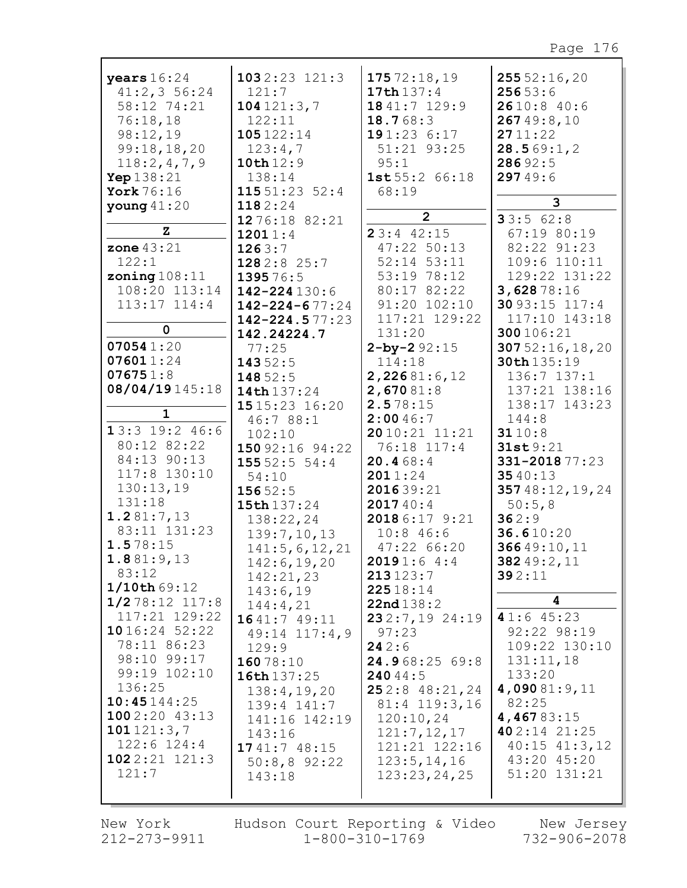| years $16:24$<br>41:2,356:24<br>58:12 74:21<br>76:18,18<br>98:12,19<br>99:18,18,20<br>118:2,4,7,9<br>Yep $138:21$<br>York 76:16<br>young $41:20$<br>Z<br>zone $43:21$<br>122:1<br>zoning $108:11$<br>108:20 113:14<br>113:17 114:4<br>0<br>070541:20<br>076011:24<br>076751:8<br>08/04/19145:18<br>1<br>13:3 19:2 46:6<br>80:12 82:22<br>84:13 90:13<br>117:8 130:10<br>130:13,19<br>131:18<br>1.281:7,13<br>83:11 131:23<br>1.578:15<br>1.881:9,13<br>83:12<br>1/10th 69:12<br>1/278:12 117:8<br>117:21 129:22<br>1016:2452:22<br>78:11 86:23<br>98:10 99:17<br>99:19 102:10<br>136:25<br>10:45144:25<br>1002:2043:13<br>101121:3,7 | $1032:23$ $121:3$<br>121:7<br>104121:3,7<br>122:11<br>105122:14<br>123:4,7<br>10th 12:9<br>138:14<br>115 51:23 52:4<br>1182:24<br>12 76:18 82:21<br>12011:4<br>1263:7<br>1282:8 25:7<br>139576:5<br>142-224 130:6<br>$142 - 224 - 677:24$<br>$142 - 224.577:23$<br>142.24224.7<br>77:25<br>14352:5<br>148 52:5<br>14th 137:24<br>1515:23 16:20<br>46:7 88:1<br>102:10<br>150 92:16 94:22<br>15552:554:4<br>54:10<br>15652:5<br>15th 137:24<br>138:22,24<br>139:7, 10, 13<br>141:5, 6, 12, 21<br>142:6, 19, 20<br>142:21,23<br>143:6,19<br>144:4,21<br>1641:7 49:11<br>$49:14$ $117:4,9$<br>129:9<br>16078:10<br>16th 137:25<br>138:4, 19, 20<br>139:4 141:7<br>141:16 142:19<br>143:16 | 17572:18,19<br>17th $137:4$<br>1841:7 129:9<br>18.768:3<br>191:236:17<br>51:21 93:25<br>95:1<br>1st 55:2 66:18<br>68:19<br>$\overline{2}$<br>23:442:15<br>47:22 50:13<br>$52:14$ $53:11$<br>53:19 78:12<br>80:17 82:22<br>91:20 102:10<br>117:21 129:22<br>131:20<br>$2 - by - 292:15$<br>114:18<br>2,22681:6,12<br>2,67081:8<br>2.578:15<br>2:0046:7<br>2010:21 11:21<br>76:18 117:4<br>20.468:4<br>2011:24<br>201639:21<br>201740:4<br>2018 6:17 9:21<br>$10:8$ 46:6<br>47:22 66:20<br>20191:64:4<br>213123:7<br>22518:14<br>22nd138:2<br>232:7,1924:19<br>97:23<br>242:6<br>24.968:25 69:8<br>24044:5<br>252:848:21,24<br>81:4 119:3,16<br>120:10,24<br>121:7, 12, 17 | 25552:16,20<br>25653:6<br>2610:8 40:6<br>26749:8,10<br>2711:22<br>28.569:1,2<br>28692:5<br>29749:6<br>3<br>33:562:8<br>67:19 80:19<br>82:22 91:23<br>109:6 110:11<br>129:22 131:22<br>3,62878:16<br>30 93:15 117:4<br>117:10 143:18<br>300106:21<br>30752:16,18,20<br>30th 135:19<br>136:7 137:1<br>137:21 138:16<br>138:17 143:23<br>144:8<br>3110:8<br>31st9:21<br>331-2018 77:23<br>3540:13<br>35748:12,19,24<br>50:5,8<br>362:9<br>36.610:20<br>36649:10,11<br>382 49:2, 11<br>392:11<br>4<br>41:645:23<br>92:22 98:19<br>109:22 130:10<br>131:11,18<br>133:20<br>4,09081:9,11<br>82:25<br>4,46783:15<br>402:14 21:25 |
|--------------------------------------------------------------------------------------------------------------------------------------------------------------------------------------------------------------------------------------------------------------------------------------------------------------------------------------------------------------------------------------------------------------------------------------------------------------------------------------------------------------------------------------------------------------------------------------------------------------------------------------|----------------------------------------------------------------------------------------------------------------------------------------------------------------------------------------------------------------------------------------------------------------------------------------------------------------------------------------------------------------------------------------------------------------------------------------------------------------------------------------------------------------------------------------------------------------------------------------------------------------------------------------------------------------------------------------|--------------------------------------------------------------------------------------------------------------------------------------------------------------------------------------------------------------------------------------------------------------------------------------------------------------------------------------------------------------------------------------------------------------------------------------------------------------------------------------------------------------------------------------------------------------------------------------------------------------------------------------------------------------------------|---------------------------------------------------------------------------------------------------------------------------------------------------------------------------------------------------------------------------------------------------------------------------------------------------------------------------------------------------------------------------------------------------------------------------------------------------------------------------------------------------------------------------------------------------------------------------------------------------------------------------|
| $122:6$ $124:4$                                                                                                                                                                                                                                                                                                                                                                                                                                                                                                                                                                                                                      | 1741:748:15                                                                                                                                                                                                                                                                                                                                                                                                                                                                                                                                                                                                                                                                            | 121:21 122:16                                                                                                                                                                                                                                                                                                                                                                                                                                                                                                                                                                                                                                                            | $40:15$ $41:3,12$                                                                                                                                                                                                                                                                                                                                                                                                                                                                                                                                                                                                         |
| 1022:21121:3                                                                                                                                                                                                                                                                                                                                                                                                                                                                                                                                                                                                                         | $50:8,8$ 92:22                                                                                                                                                                                                                                                                                                                                                                                                                                                                                                                                                                                                                                                                         | 123:5, 14, 16                                                                                                                                                                                                                                                                                                                                                                                                                                                                                                                                                                                                                                                            | 43:20 45:20                                                                                                                                                                                                                                                                                                                                                                                                                                                                                                                                                                                                               |
| 121:7                                                                                                                                                                                                                                                                                                                                                                                                                                                                                                                                                                                                                                | 143:18                                                                                                                                                                                                                                                                                                                                                                                                                                                                                                                                                                                                                                                                                 | 123:23,24,25                                                                                                                                                                                                                                                                                                                                                                                                                                                                                                                                                                                                                                                             | 51:20 131:21                                                                                                                                                                                                                                                                                                                                                                                                                                                                                                                                                                                                              |

New York Hudson Court Reporting & Video New Jersey<br>212-273-9911 1-800-310-1769 732-906-2078